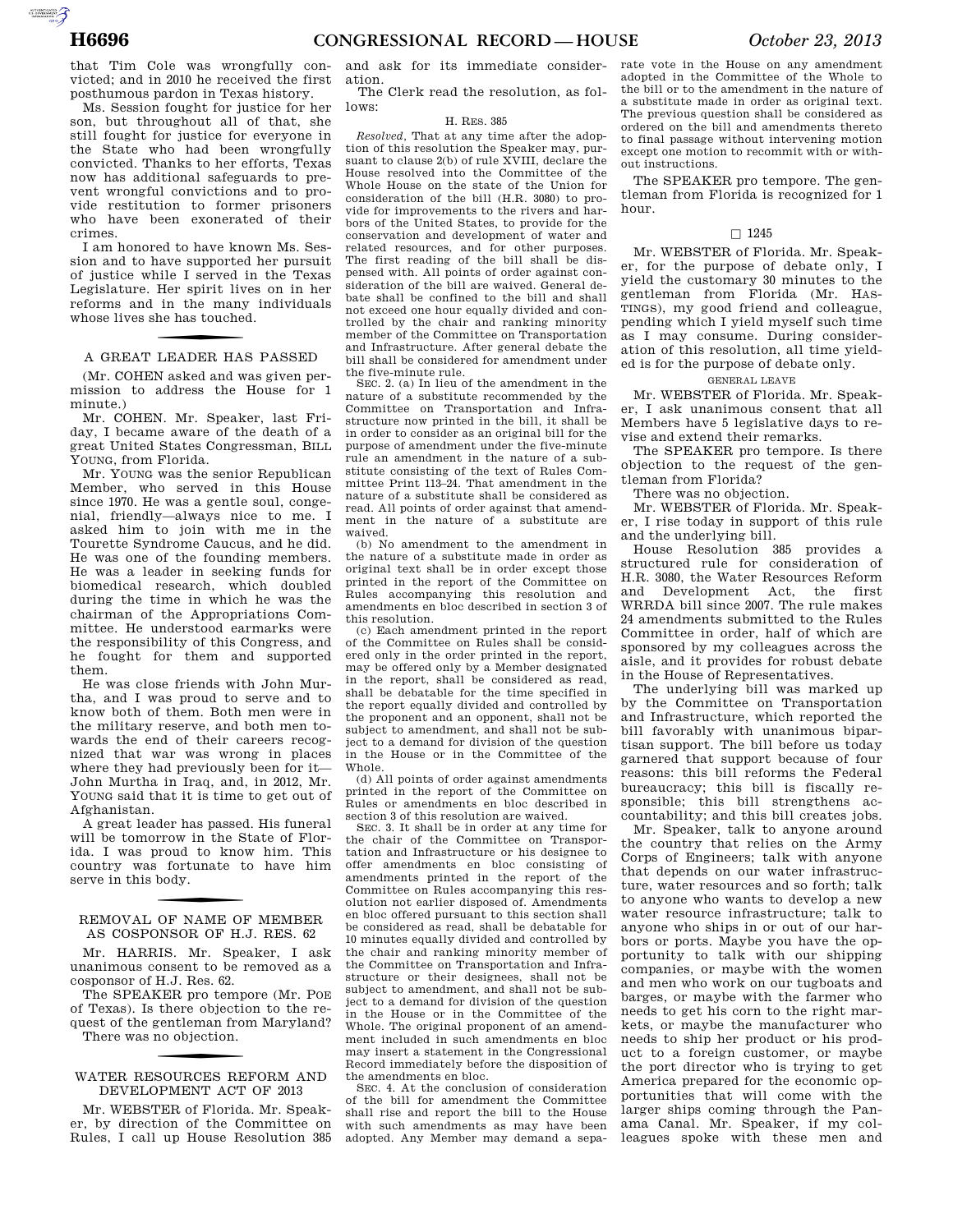AUTOROTOMICALE

that Tim Cole was wrongfully convicted; and in 2010 he received the first posthumous pardon in Texas history.

Ms. Session fought for justice for her son, but throughout all of that, she still fought for justice for everyone in the State who had been wrongfully convicted. Thanks to her efforts, Texas now has additional safeguards to prevent wrongful convictions and to provide restitution to former prisoners who have been exonerated of their crimes.

I am honored to have known Ms. Session and to have supported her pursuit of justice while I served in the Texas Legislature. Her spirit lives on in her reforms and in the many individuals whose lives she has touched.

# f A GREAT LEADER HAS PASSED

(Mr. COHEN asked and was given permission to address the House for 1 minute.)

Mr. COHEN. Mr. Speaker, last Friday, I became aware of the death of a great United States Congressman, BILL YOUNG, from Florida.

Mr. YOUNG was the senior Republican Member, who served in this House since 1970. He was a gentle soul, congenial, friendly—always nice to me. I asked him to join with me in the Tourette Syndrome Caucus, and he did. He was one of the founding members. He was a leader in seeking funds for biomedical research, which doubled during the time in which he was the chairman of the Appropriations Committee. He understood earmarks were the responsibility of this Congress, and he fought for them and supported them.

He was close friends with John Murtha, and I was proud to serve and to know both of them. Both men were in the military reserve, and both men towards the end of their careers recognized that war was wrong in places where they had previously been for it— John Murtha in Iraq, and, in 2012, Mr. YOUNG said that it is time to get out of Afghanistan.

A great leader has passed. His funeral will be tomorrow in the State of Florida. I was proud to know him. This country was fortunate to have him serve in this body.

# REMOVAL OF NAME OF MEMBER AS COSPONSOR OF H.J. RES. 62

Mr. HARRIS. Mr. Speaker, I ask unanimous consent to be removed as a cosponsor of H.J. Res. 62.

The SPEAKER pro tempore (Mr. POE of Texas). Is there objection to the request of the gentleman from Maryland? There was no objection.

# f WATER RESOURCES REFORM AND DEVELOPMENT ACT OF 2013

Mr. WEBSTER of Florida. Mr. Speaker, by direction of the Committee on Rules, I call up House Resolution 385

and ask for its immediate consideration.

The Clerk read the resolution, as follows:

# H. RES. 385

*Resolved,* That at any time after the adoption of this resolution the Speaker may, pursuant to clause 2(b) of rule XVIII, declare the House resolved into the Committee of the Whole House on the state of the Union for consideration of the bill (H.R. 3080) to provide for improvements to the rivers and harbors of the United States, to provide for the conservation and development of water and related resources, and for other purposes. The first reading of the bill shall be dispensed with. All points of order against consideration of the bill are waived. General debate shall be confined to the bill and shall not exceed one hour equally divided and controlled by the chair and ranking minority member of the Committee on Transportation and Infrastructure. After general debate the bill shall be considered for amendment under the five-minute rule.

SEC. 2. (a) In lieu of the amendment in the nature of a substitute recommended by the Committee on Transportation and Infrastructure now printed in the bill, it shall be in order to consider as an original bill for the purpose of amendment under the five-minute rule an amendment in the nature of a substitute consisting of the text of Rules Committee Print 113–24. That amendment in the nature of a substitute shall be considered as read. All points of order against that amendment in the nature of a substitute are waived.

(b) No amendment to the amendment in the nature of a substitute made in order as original text shall be in order except those printed in the report of the Committee on Rules accompanying this resolution and amendments en bloc described in section 3 of this resolution.

(c) Each amendment printed in the report of the Committee on Rules shall be considered only in the order printed in the report, may be offered only by a Member designated in the report, shall be considered as read, shall be debatable for the time specified in the report equally divided and controlled by the proponent and an opponent, shall not be subject to amendment, and shall not be subject to a demand for division of the question in the House or in the Committee of the Whole.

(d) All points of order against amendments printed in the report of the Committee on Rules or amendments en bloc described in section 3 of this resolution are waived.

SEC. 3. It shall be in order at any time for the chair of the Committee on Transportation and Infrastructure or his designee to offer amendments en bloc consisting of amendments printed in the report of the Committee on Rules accompanying this resolution not earlier disposed of. Amendments en bloc offered pursuant to this section shall be considered as read, shall be debatable for 10 minutes equally divided and controlled by the chair and ranking minority member of the Committee on Transportation and Infrastructure or their designees, shall not be subject to amendment, and shall not be subject to a demand for division of the question in the House or in the Committee of the Whole. The original proponent of an amendment included in such amendments en bloc may insert a statement in the Congressional Record immediately before the disposition of the amendments en bloc.

SEC. 4. At the conclusion of consideration of the bill for amendment the Committee shall rise and report the bill to the House with such amendments as may have been adopted. Any Member may demand a sepa-

rate vote in the House on any amendment adopted in the Committee of the Whole to the bill or to the amendment in the nature of a substitute made in order as original text. The previous question shall be considered as ordered on the bill and amendments thereto to final passage without intervening motion except one motion to recommit with or without instructions.

The SPEAKER pro tempore. The gentleman from Florida is recognized for 1 hour.

# $\Box$  1245

Mr. WEBSTER of Florida. Mr. Speaker, for the purpose of debate only, I yield the customary 30 minutes to the gentleman from Florida (Mr. HAS-TINGS), my good friend and colleague, pending which I yield myself such time as I may consume. During consideration of this resolution, all time yielded is for the purpose of debate only.

## GENERAL LEAVE

Mr. WEBSTER of Florida. Mr. Speaker, I ask unanimous consent that all Members have 5 legislative days to revise and extend their remarks.

The SPEAKER pro tempore. Is there objection to the request of the gentleman from Florida?

There was no objection.

Mr. WEBSTER of Florida. Mr. Speaker, I rise today in support of this rule and the underlying bill.

House Resolution 385 provides a structured rule for consideration of H.R. 3080, the Water Resources Reform and Development Act, the first WRRDA bill since 2007. The rule makes 24 amendments submitted to the Rules Committee in order, half of which are sponsored by my colleagues across the aisle, and it provides for robust debate in the House of Representatives.

The underlying bill was marked up by the Committee on Transportation and Infrastructure, which reported the bill favorably with unanimous bipartisan support. The bill before us today garnered that support because of four reasons: this bill reforms the Federal bureaucracy; this bill is fiscally responsible; this bill strengthens accountability; and this bill creates jobs.

Mr. Speaker, talk to anyone around the country that relies on the Army Corps of Engineers; talk with anyone that depends on our water infrastructure, water resources and so forth; talk to anyone who wants to develop a new water resource infrastructure; talk to anyone who ships in or out of our harbors or ports. Maybe you have the opportunity to talk with our shipping companies, or maybe with the women and men who work on our tugboats and barges, or maybe with the farmer who needs to get his corn to the right markets, or maybe the manufacturer who needs to ship her product or his product to a foreign customer, or maybe the port director who is trying to get America prepared for the economic opportunities that will come with the larger ships coming through the Panama Canal. Mr. Speaker, if my colleagues spoke with these men and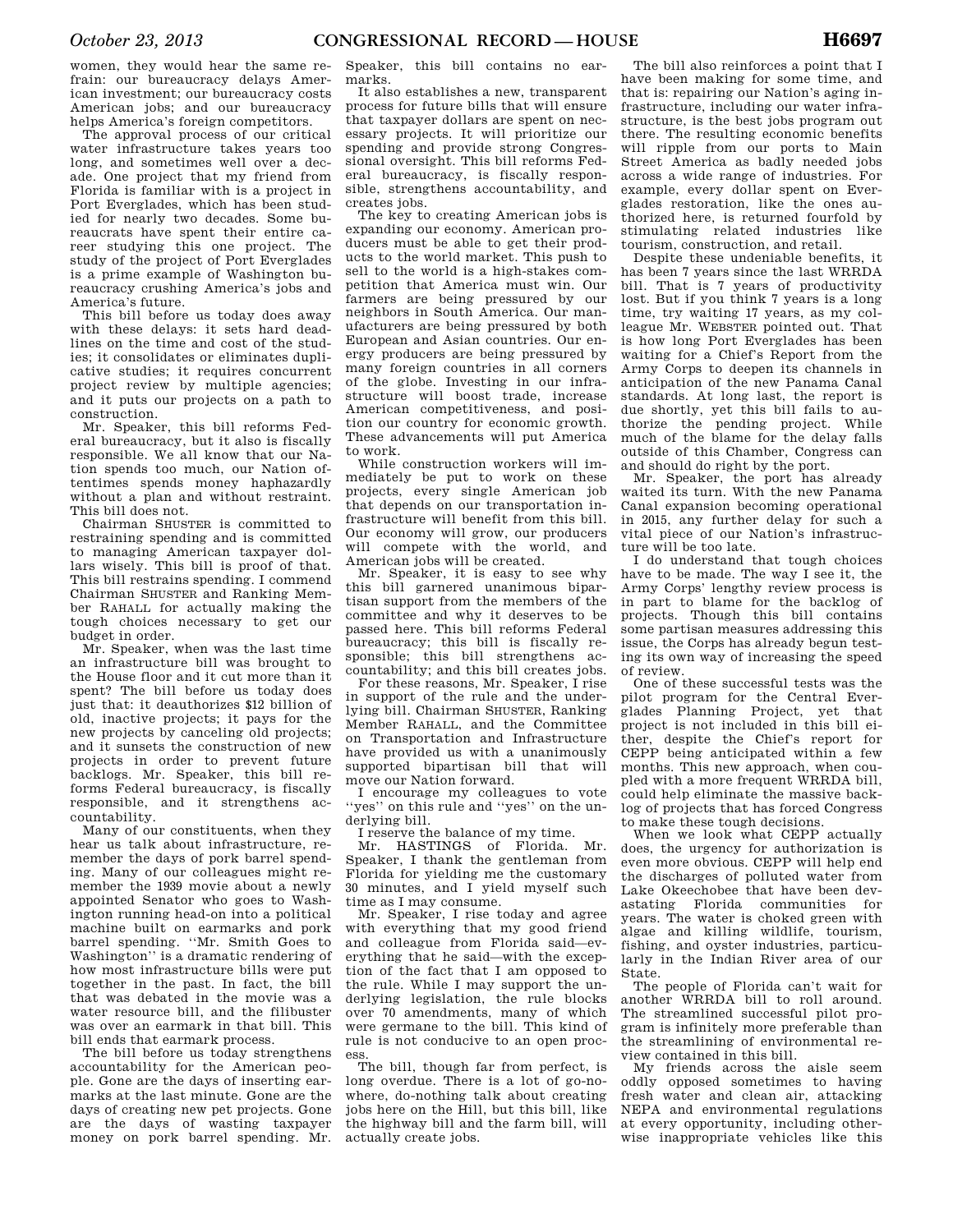women, they would hear the same refrain: our bureaucracy delays American investment; our bureaucracy costs American jobs; and our bureaucracy helps America's foreign competitors.

The approval process of our critical water infrastructure takes years too long, and sometimes well over a decade. One project that my friend from Florida is familiar with is a project in Port Everglades, which has been studied for nearly two decades. Some bureaucrats have spent their entire career studying this one project. The study of the project of Port Everglades is a prime example of Washington bureaucracy crushing America's jobs and America's future.

This bill before us today does away with these delays: it sets hard deadlines on the time and cost of the studies; it consolidates or eliminates duplicative studies; it requires concurrent project review by multiple agencies; and it puts our projects on a path to construction.

Mr. Speaker, this bill reforms Federal bureaucracy, but it also is fiscally responsible. We all know that our Nation spends too much, our Nation oftentimes spends money haphazardly without a plan and without restraint. This bill does not.

Chairman SHUSTER is committed to restraining spending and is committed to managing American taxpayer dollars wisely. This bill is proof of that. This bill restrains spending. I commend Chairman SHUSTER and Ranking Member RAHALL for actually making the tough choices necessary to get our budget in order.

Mr. Speaker, when was the last time an infrastructure bill was brought to the House floor and it cut more than it spent? The bill before us today does just that: it deauthorizes \$12 billion of old, inactive projects; it pays for the new projects by canceling old projects; and it sunsets the construction of new projects in order to prevent future backlogs. Mr. Speaker, this bill reforms Federal bureaucracy, is fiscally responsible, and it strengthens accountability.

Many of our constituents, when they hear us talk about infrastructure, remember the days of pork barrel spending. Many of our colleagues might remember the 1939 movie about a newly appointed Senator who goes to Washington running head-on into a political machine built on earmarks and pork barrel spending. ''Mr. Smith Goes to Washington'' is a dramatic rendering of how most infrastructure bills were put together in the past. In fact, the bill that was debated in the movie was a water resource bill, and the filibuster was over an earmark in that bill. This bill ends that earmark process.

The bill before us today strengthens accountability for the American people. Gone are the days of inserting earmarks at the last minute. Gone are the days of creating new pet projects. Gone are the days of wasting taxpayer money on pork barrel spending. Mr.

Speaker, this bill contains no earmarks.

It also establishes a new, transparent process for future bills that will ensure that taxpayer dollars are spent on necessary projects. It will prioritize our spending and provide strong Congressional oversight. This bill reforms Federal bureaucracy, is fiscally responsible, strengthens accountability, and creates jobs.

The key to creating American jobs is expanding our economy. American producers must be able to get their products to the world market. This push to sell to the world is a high-stakes competition that America must win. Our farmers are being pressured by our neighbors in South America. Our manufacturers are being pressured by both European and Asian countries. Our energy producers are being pressured by many foreign countries in all corners of the globe. Investing in our infrastructure will boost trade, increase American competitiveness, and position our country for economic growth. These advancements will put America to work.

While construction workers will immediately be put to work on these projects, every single American job that depends on our transportation infrastructure will benefit from this bill. Our economy will grow, our producers will compete with the world, and American jobs will be created.

Mr. Speaker, it is easy to see why this bill garnered unanimous bipartisan support from the members of the committee and why it deserves to be passed here. This bill reforms Federal bureaucracy; this bill is fiscally responsible; this bill strengthens accountability; and this bill creates jobs.

For these reasons, Mr. Speaker, I rise in support of the rule and the underlying bill. Chairman SHUSTER, Ranking Member RAHALL, and the Committee on Transportation and Infrastructure have provided us with a unanimously supported bipartisan bill that will move our Nation forward.

I encourage my colleagues to vote ''yes'' on this rule and ''yes'' on the underlying bill.

I reserve the balance of my time.

Mr. HASTINGS of Florida. Mr. Speaker, I thank the gentleman from Florida for yielding me the customary 30 minutes, and I yield myself such time as I may consume.

Mr. Speaker, I rise today and agree with everything that my good friend and colleague from Florida said—everything that he said—with the exception of the fact that I am opposed to the rule. While I may support the underlying legislation, the rule blocks over 70 amendments, many of which were germane to the bill. This kind of rule is not conducive to an open process.

The bill, though far from perfect, is long overdue. There is a lot of go-nowhere, do-nothing talk about creating jobs here on the Hill, but this bill, like the highway bill and the farm bill, will actually create jobs.

The bill also reinforces a point that I have been making for some time, and that is: repairing our Nation's aging infrastructure, including our water infrastructure, is the best jobs program out there. The resulting economic benefits will ripple from our ports to Main Street America as badly needed jobs across a wide range of industries. For example, every dollar spent on Everglades restoration, like the ones authorized here, is returned fourfold by stimulating related industries like tourism, construction, and retail.

Despite these undeniable benefits, it has been 7 years since the last WRRDA bill. That is 7 years of productivity lost. But if you think 7 years is a long time, try waiting 17 years, as my colleague Mr. WEBSTER pointed out. That is how long Port Everglades has been waiting for a Chief's Report from the Army Corps to deepen its channels in anticipation of the new Panama Canal standards. At long last, the report is due shortly, yet this bill fails to authorize the pending project. While much of the blame for the delay falls outside of this Chamber, Congress can and should do right by the port.

Mr. Speaker, the port has already waited its turn. With the new Panama Canal expansion becoming operational in 2015, any further delay for such a vital piece of our Nation's infrastructure will be too late.

I do understand that tough choices have to be made. The way I see it, the Army Corps' lengthy review process is in part to blame for the backlog of projects. Though this bill contains some partisan measures addressing this issue, the Corps has already begun testing its own way of increasing the speed of review.

One of these successful tests was the pilot program for the Central Everglades Planning Project, yet that project is not included in this bill either, despite the Chief's report for CEPP being anticipated within a few months. This new approach, when coupled with a more frequent WRRDA bill, could help eliminate the massive backlog of projects that has forced Congress to make these tough decisions.

When we look what CEPP actually does, the urgency for authorization is even more obvious. CEPP will help end the discharges of polluted water from Lake Okeechobee that have been devastating Florida communities for years. The water is choked green with algae and killing wildlife, tourism, fishing, and oyster industries, particularly in the Indian River area of our State.

The people of Florida can't wait for another WRRDA bill to roll around. The streamlined successful pilot program is infinitely more preferable than the streamlining of environmental review contained in this bill.

My friends across the aisle seem oddly opposed sometimes to having fresh water and clean air, attacking NEPA and environmental regulations at every opportunity, including otherwise inappropriate vehicles like this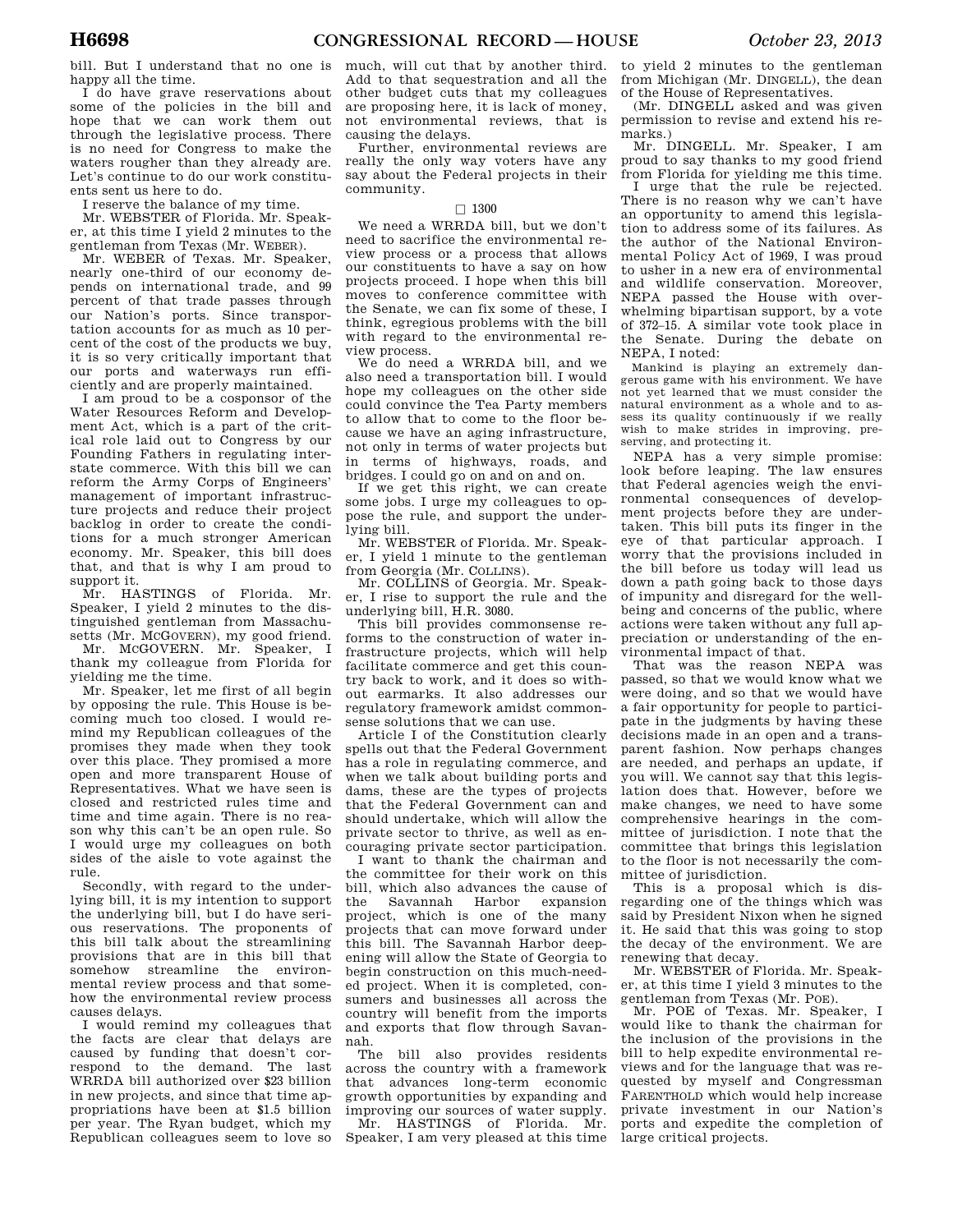bill. But I understand that no one is happy all the time.

I do have grave reservations about some of the policies in the bill and hope that we can work them out through the legislative process. There is no need for Congress to make the waters rougher than they already are. Let's continue to do our work constituents sent us here to do.

I reserve the balance of my time.

Mr. WEBSTER of Florida. Mr. Speaker, at this time I yield 2 minutes to the gentleman from Texas (Mr. WEBER).

Mr. WEBER of Texas. Mr. Speaker, nearly one-third of our economy depends on international trade, and 99 percent of that trade passes through our Nation's ports. Since transportation accounts for as much as 10 percent of the cost of the products we buy, it is so very critically important that our ports and waterways run efficiently and are properly maintained.

I am proud to be a cosponsor of the Water Resources Reform and Development Act, which is a part of the critical role laid out to Congress by our Founding Fathers in regulating interstate commerce. With this bill we can reform the Army Corps of Engineers' management of important infrastructure projects and reduce their project backlog in order to create the conditions for a much stronger American economy. Mr. Speaker, this bill does that, and that is why I am proud to support it.

Mr. HASTINGS of Florida. Mr. Speaker, I yield 2 minutes to the distinguished gentleman from Massachusetts (Mr. MCGOVERN), my good friend.

Mr. MCGOVERN. Mr. Speaker, I thank my colleague from Florida for yielding me the time.

Mr. Speaker, let me first of all begin by opposing the rule. This House is becoming much too closed. I would remind my Republican colleagues of the promises they made when they took over this place. They promised a more open and more transparent House of Representatives. What we have seen is closed and restricted rules time and time and time again. There is no reason why this can't be an open rule. So I would urge my colleagues on both sides of the aisle to vote against the rule.

Secondly, with regard to the underlying bill, it is my intention to support the underlying bill, but I do have serious reservations. The proponents of this bill talk about the streamlining provisions that are in this bill that somehow streamline the environmental review process and that somehow the environmental review process causes delays.

I would remind my colleagues that the facts are clear that delays are caused by funding that doesn't correspond to the demand. The last WRRDA bill authorized over \$23 billion in new projects, and since that time appropriations have been at \$1.5 billion per year. The Ryan budget, which my Republican colleagues seem to love so

much, will cut that by another third. Add to that sequestration and all the other budget cuts that my colleagues are proposing here, it is lack of money, not environmental reviews, that is causing the delays.

Further, environmental reviews are really the only way voters have any say about the Federal projects in their community.

# $\Box$  1300

We need a WRRDA bill, but we don't need to sacrifice the environmental review process or a process that allows our constituents to have a say on how projects proceed. I hope when this bill moves to conference committee with the Senate, we can fix some of these, I think, egregious problems with the bill with regard to the environmental review process.

We do need a WRRDA bill, and we also need a transportation bill. I would hope my colleagues on the other side could convince the Tea Party members to allow that to come to the floor because we have an aging infrastructure, not only in terms of water projects but in terms of highways, roads, and bridges. I could go on and on and on.

If we get this right, we can create some jobs. I urge my colleagues to oppose the rule, and support the underlying bill.

Mr. WEBSTER of Florida. Mr. Speaker, I yield 1 minute to the gentleman from Georgia (Mr. COLLINS).

Mr. COLLINS of Georgia. Mr. Speaker, I rise to support the rule and the underlying bill, H.R. 3080.

This bill provides commonsense reforms to the construction of water infrastructure projects, which will help facilitate commerce and get this country back to work, and it does so without earmarks. It also addresses our regulatory framework amidst commonsense solutions that we can use.

Article I of the Constitution clearly spells out that the Federal Government has a role in regulating commerce, and when we talk about building ports and dams, these are the types of projects that the Federal Government can and should undertake, which will allow the private sector to thrive, as well as encouraging private sector participation.

I want to thank the chairman and the committee for their work on this bill, which also advances the cause of the Savannah Harbor expansion project, which is one of the many projects that can move forward under this bill. The Savannah Harbor deepening will allow the State of Georgia to begin construction on this much-needed project. When it is completed, consumers and businesses all across the country will benefit from the imports and exports that flow through Savannah.

The bill also provides residents across the country with a framework that advances long-term economic growth opportunities by expanding and improving our sources of water supply.

Mr. HASTINGS of Florida. Mr. Speaker, I am very pleased at this time to yield 2 minutes to the gentleman from Michigan (Mr. DINGELL), the dean of the House of Representatives.

(Mr. DINGELL asked and was given permission to revise and extend his remarks)

Mr. DINGELL. Mr. Speaker, I am proud to say thanks to my good friend from Florida for yielding me this time.

I urge that the rule be rejected. There is no reason why we can't have an opportunity to amend this legislation to address some of its failures. As the author of the National Environmental Policy Act of 1969, I was proud to usher in a new era of environmental and wildlife conservation. Moreover, NEPA passed the House with overwhelming bipartisan support, by a vote of 372–15. A similar vote took place in the Senate. During the debate on NEPA, I noted:

Mankind is playing an extremely dangerous game with his environment. We have not yet learned that we must consider the natural environment as a whole and to assess its quality continuously if we really wish to make strides in improving, preserving, and protecting it.

NEPA has a very simple promise: look before leaping. The law ensures that Federal agencies weigh the environmental consequences of development projects before they are undertaken. This bill puts its finger in the eye of that particular approach. I worry that the provisions included in the bill before us today will lead us down a path going back to those days of impunity and disregard for the wellbeing and concerns of the public, where actions were taken without any full appreciation or understanding of the environmental impact of that.

That was the reason NEPA was passed, so that we would know what we were doing, and so that we would have a fair opportunity for people to participate in the judgments by having these decisions made in an open and a transparent fashion. Now perhaps changes are needed, and perhaps an update, if you will. We cannot say that this legislation does that. However, before we make changes, we need to have some comprehensive hearings in the committee of jurisdiction. I note that the committee that brings this legislation to the floor is not necessarily the committee of jurisdiction.

This is a proposal which is disregarding one of the things which was said by President Nixon when he signed it. He said that this was going to stop the decay of the environment. We are renewing that decay.

Mr. WEBSTER of Florida. Mr. Speaker, at this time I yield 3 minutes to the gentleman from Texas (Mr. POE).

Mr. POE of Texas. Mr. Speaker, I would like to thank the chairman for the inclusion of the provisions in the bill to help expedite environmental reviews and for the language that was requested by myself and Congressman FARENTHOLD which would help increase private investment in our Nation's ports and expedite the completion of large critical projects.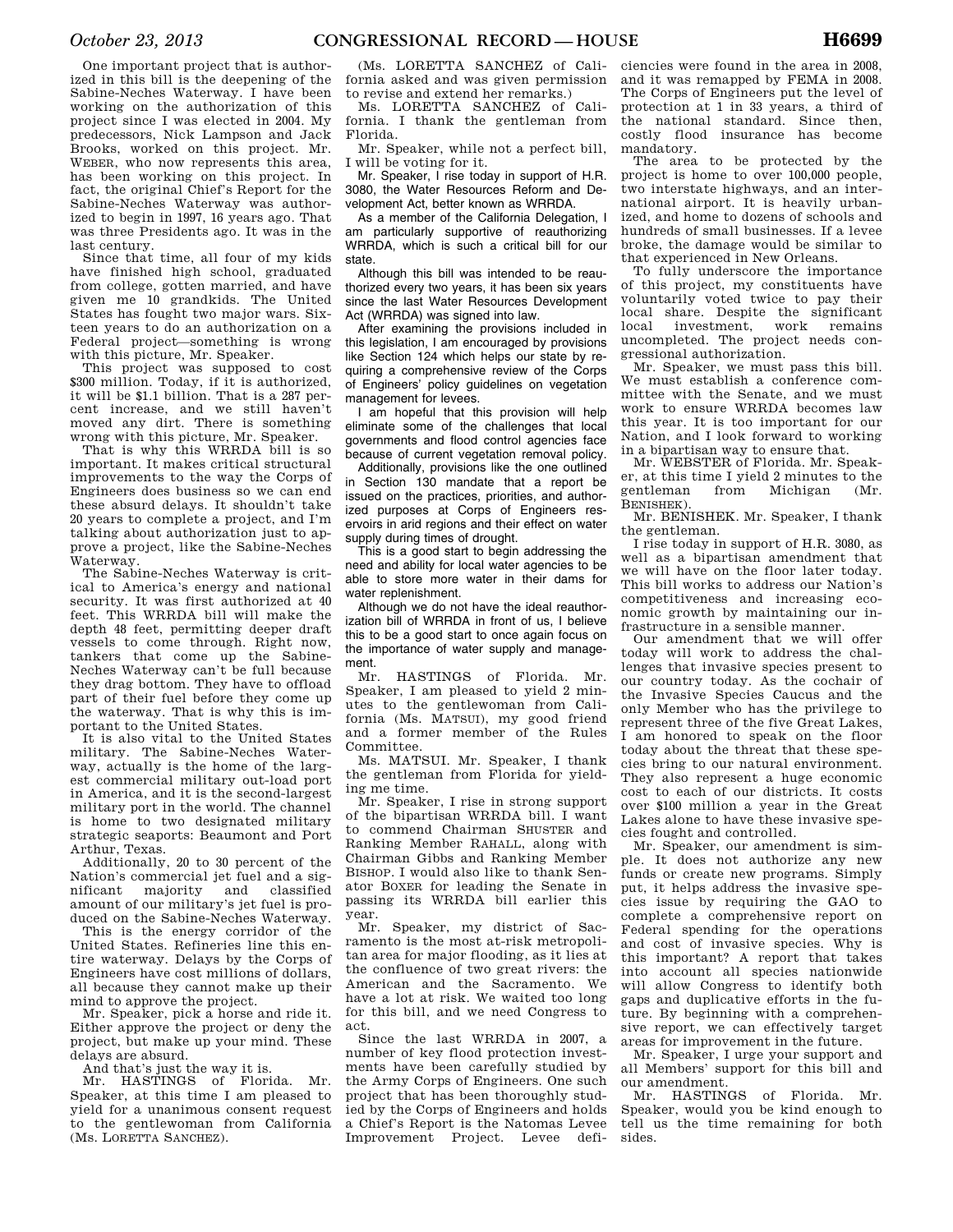One important project that is authorized in this bill is the deepening of the Sabine-Neches Waterway. I have been working on the authorization of this project since I was elected in 2004. My predecessors, Nick Lampson and Jack Brooks, worked on this project. Mr. WEBER, who now represents this area, has been working on this project. In fact, the original Chief's Report for the Sabine-Neches Waterway was authorized to begin in 1997, 16 years ago. That was three Presidents ago. It was in the last century.

Since that time, all four of my kids have finished high school, graduated from college, gotten married, and have given me 10 grandkids. The United States has fought two major wars. Sixteen years to do an authorization on a Federal project—something is wrong with this picture, Mr. Speaker.

This project was supposed to cost \$300 million. Today, if it is authorized, it will be \$1.1 billion. That is a 287 percent increase, and we still haven't moved any dirt. There is something wrong with this picture, Mr. Speaker.

That is why this WRRDA bill is so important. It makes critical structural improvements to the way the Corps of Engineers does business so we can end these absurd delays. It shouldn't take 20 years to complete a project, and I'm talking about authorization just to approve a project, like the Sabine-Neches Waterway.

The Sabine-Neches Waterway is critical to America's energy and national security. It was first authorized at 40 feet. This WRRDA bill will make the depth 48 feet, permitting deeper draft vessels to come through. Right now, tankers that come up the Sabine-Neches Waterway can't be full because they drag bottom. They have to offload part of their fuel before they come up the waterway. That is why this is important to the United States.

It is also vital to the United States military. The Sabine-Neches Waterway, actually is the home of the largest commercial military out-load port in America, and it is the second-largest military port in the world. The channel is home to two designated military strategic seaports: Beaumont and Port Arthur, Texas.

Additionally, 20 to 30 percent of the Nation's commercial jet fuel and a significant majority and classified amount of our military's jet fuel is produced on the Sabine-Neches Waterway.

This is the energy corridor of the United States. Refineries line this entire waterway. Delays by the Corps of Engineers have cost millions of dollars, all because they cannot make up their mind to approve the project.

Mr. Speaker, pick a horse and ride it. Either approve the project or deny the project, but make up your mind. These delays are absurd.

And that's just the way it is.

Mr. HASTINGS of Florida. Mr. Speaker, at this time I am pleased to yield for a unanimous consent request to the gentlewoman from California (Ms. LORETTA SANCHEZ).

(Ms. LORETTA SANCHEZ of California asked and was given permission to revise and extend her remarks.)

Ms. LORETTA SANCHEZ of California. I thank the gentleman from Florida.

Mr. Speaker, while not a perfect bill, I will be voting for it.

Mr. Speaker, I rise today in support of H.R. 3080, the Water Resources Reform and Development Act, better known as WRRDA.

As a member of the California Delegation, I am particularly supportive of reauthorizing WRRDA, which is such a critical bill for our state.

Although this bill was intended to be reauthorized every two years, it has been six years since the last Water Resources Development Act (WRRDA) was signed into law.

After examining the provisions included in this legislation, I am encouraged by provisions like Section 124 which helps our state by requiring a comprehensive review of the Corps of Engineers' policy guidelines on vegetation management for levees.

I am hopeful that this provision will help eliminate some of the challenges that local governments and flood control agencies face because of current vegetation removal policy.

Additionally, provisions like the one outlined in Section 130 mandate that a report be issued on the practices, priorities, and authorized purposes at Corps of Engineers reservoirs in arid regions and their effect on water supply during times of drought.

This is a good start to begin addressing the need and ability for local water agencies to be able to store more water in their dams for water replenishment.

Although we do not have the ideal reauthorization bill of WRRDA in front of us, I believe this to be a good start to once again focus on the importance of water supply and management.

Mr. HASTINGS of Florida. Mr. Speaker, I am pleased to yield 2 minutes to the gentlewoman from California (Ms. MATSUI), my good friend and a former member of the Rules Committee.

Ms. MATSUI. Mr. Speaker, I thank the gentleman from Florida for yielding me time.

Mr. Speaker, I rise in strong support of the bipartisan WRRDA bill. I want to commend Chairman SHUSTER and Ranking Member RAHALL, along with Chairman Gibbs and Ranking Member BISHOP. I would also like to thank Senator BOXER for leading the Senate in passing its WRRDA bill earlier this year.

Mr. Speaker, my district of Sacramento is the most at-risk metropolitan area for major flooding, as it lies at the confluence of two great rivers: the American and the Sacramento. We have a lot at risk. We waited too long for this bill, and we need Congress to act.

Since the last WRRDA in 2007, a number of key flood protection investments have been carefully studied by the Army Corps of Engineers. One such project that has been thoroughly studied by the Corps of Engineers and holds a Chief's Report is the Natomas Levee Improvement Project. Levee defi-

ciencies were found in the area in 2008, and it was remapped by FEMA in 2008. The Corps of Engineers put the level of protection at 1 in 33 years, a third of the national standard. Since then, costly flood insurance has become mandatory.

The area to be protected by the project is home to over 100,000 people, two interstate highways, and an international airport. It is heavily urbanized, and home to dozens of schools and hundreds of small businesses. If a levee broke, the damage would be similar to that experienced in New Orleans.

To fully underscore the importance of this project, my constituents have voluntarily voted twice to pay their local share. Despite the significant local investment, work remains uncompleted. The project needs congressional authorization.

Mr. Speaker, we must pass this bill. We must establish a conference committee with the Senate, and we must work to ensure WRRDA becomes law this year. It is too important for our Nation, and I look forward to working in a bipartisan way to ensure that.

Mr. WEBSTER of Florida. Mr. Speaker, at this time I yield 2 minutes to the gentleman from Michigan (Mr. BENISHEK).

Mr. BENISHEK. Mr. Speaker, I thank the gentleman.

I rise today in support of H.R. 3080, as well as a bipartisan amendment that we will have on the floor later today. This bill works to address our Nation's competitiveness and increasing economic growth by maintaining our infrastructure in a sensible manner.

Our amendment that we will offer today will work to address the challenges that invasive species present to our country today. As the cochair of the Invasive Species Caucus and the only Member who has the privilege to represent three of the five Great Lakes, I am honored to speak on the floor today about the threat that these species bring to our natural environment. They also represent a huge economic cost to each of our districts. It costs over \$100 million a year in the Great Lakes alone to have these invasive species fought and controlled.

Mr. Speaker, our amendment is simple. It does not authorize any new funds or create new programs. Simply put, it helps address the invasive species issue by requiring the GAO to complete a comprehensive report on Federal spending for the operations and cost of invasive species. Why is this important? A report that takes into account all species nationwide will allow Congress to identify both gaps and duplicative efforts in the future. By beginning with a comprehensive report, we can effectively target areas for improvement in the future.

Mr. Speaker, I urge your support and all Members' support for this bill and our amendment.

Mr. HASTINGS of Florida. Mr. Speaker, would you be kind enough to tell us the time remaining for both sides.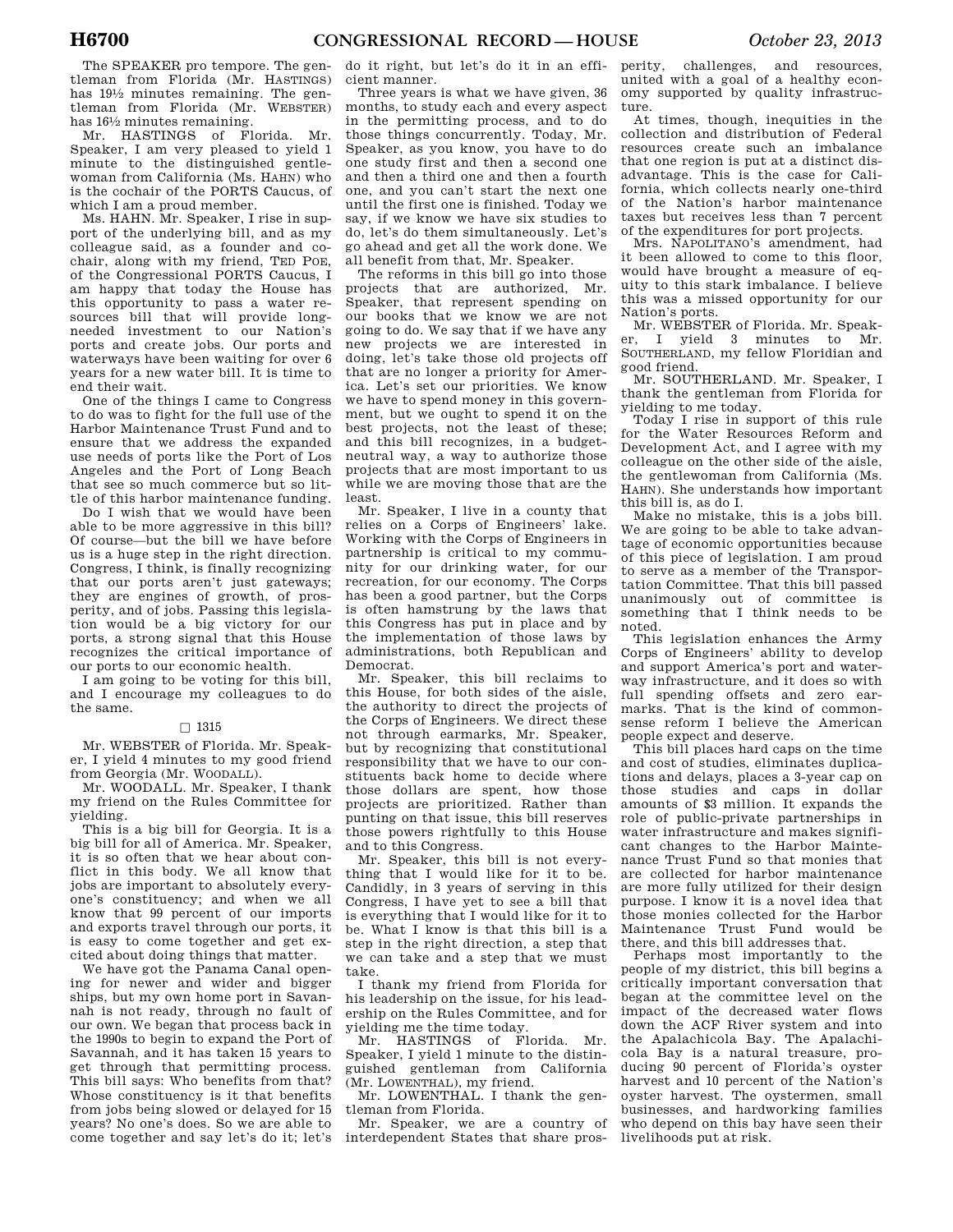The SPEAKER pro tempore. The gentleman from Florida (Mr. HASTINGS) has 191⁄2 minutes remaining. The gentleman from Florida (Mr. WEBSTER) has 161⁄2 minutes remaining.

Mr. HASTINGS of Florida. Mr. Speaker, I am very pleased to yield 1 minute to the distinguished gentlewoman from California (Ms. HAHN) who is the cochair of the PORTS Caucus, of which I am a proud member.

Ms. HAHN. Mr. Speaker, I rise in support of the underlying bill, and as my colleague said, as a founder and cochair, along with my friend, TED POE, of the Congressional PORTS Caucus, I am happy that today the House has this opportunity to pass a water resources bill that will provide longneeded investment to our Nation's ports and create jobs. Our ports and waterways have been waiting for over 6 years for a new water bill. It is time to end their wait.

One of the things I came to Congress to do was to fight for the full use of the Harbor Maintenance Trust Fund and to ensure that we address the expanded use needs of ports like the Port of Los Angeles and the Port of Long Beach that see so much commerce but so little of this harbor maintenance funding.

Do I wish that we would have been able to be more aggressive in this bill? Of course—but the bill we have before us is a huge step in the right direction. Congress, I think, is finally recognizing that our ports aren't just gateways; they are engines of growth, of prosperity, and of jobs. Passing this legislation would be a big victory for our ports, a strong signal that this House recognizes the critical importance of our ports to our economic health.

I am going to be voting for this bill, and I encourage my colleagues to do the same.

# $\Box$  1315

Mr. WEBSTER of Florida. Mr. Speaker, I yield 4 minutes to my good friend from Georgia (Mr. WOODALL).

Mr. WOODALL. Mr. Speaker, I thank my friend on the Rules Committee for yielding.

This is a big bill for Georgia. It is a big bill for all of America. Mr. Speaker, it is so often that we hear about conflict in this body. We all know that jobs are important to absolutely everyone's constituency; and when we all know that 99 percent of our imports and exports travel through our ports, it is easy to come together and get excited about doing things that matter.

We have got the Panama Canal opening for newer and wider and bigger ships, but my own home port in Savannah is not ready, through no fault of our own. We began that process back in the 1990s to begin to expand the Port of Savannah, and it has taken 15 years to get through that permitting process. This bill says: Who benefits from that? Whose constituency is it that benefits from jobs being slowed or delayed for 15 years? No one's does. So we are able to come together and say let's do it; let's

do it right, but let's do it in an efficient manner.

Three years is what we have given, 36 months, to study each and every aspect in the permitting process, and to do those things concurrently. Today, Mr. Speaker, as you know, you have to do one study first and then a second one and then a third one and then a fourth one, and you can't start the next one until the first one is finished. Today we say, if we know we have six studies to do, let's do them simultaneously. Let's go ahead and get all the work done. We all benefit from that, Mr. Speaker.

The reforms in this bill go into those projects that are authorized, Mr. Speaker, that represent spending on our books that we know we are not going to do. We say that if we have any new projects we are interested in doing, let's take those old projects off that are no longer a priority for America. Let's set our priorities. We know we have to spend money in this government, but we ought to spend it on the best projects, not the least of these; and this bill recognizes, in a budgetneutral way, a way to authorize those projects that are most important to us while we are moving those that are the least.

Mr. Speaker, I live in a county that relies on a Corps of Engineers' lake. Working with the Corps of Engineers in partnership is critical to my community for our drinking water, for our recreation, for our economy. The Corps has been a good partner, but the Corps is often hamstrung by the laws that this Congress has put in place and by the implementation of those laws by administrations, both Republican and Democrat.

Mr. Speaker, this bill reclaims to this House, for both sides of the aisle, the authority to direct the projects of the Corps of Engineers. We direct these not through earmarks, Mr. Speaker, but by recognizing that constitutional responsibility that we have to our constituents back home to decide where those dollars are spent, how those projects are prioritized. Rather than punting on that issue, this bill reserves those powers rightfully to this House and to this Congress.

Mr. Speaker, this bill is not everything that I would like for it to be. Candidly, in 3 years of serving in this Congress, I have yet to see a bill that is everything that I would like for it to be. What I know is that this bill is a step in the right direction, a step that we can take and a step that we must take.

I thank my friend from Florida for his leadership on the issue, for his leadership on the Rules Committee, and for yielding me the time today.

Mr. HASTINGS of Florida. Mr. Speaker, I yield 1 minute to the distinguished gentleman from California (Mr. LOWENTHAL), my friend.

Mr. LOWENTHAL. I thank the gentleman from Florida.

Mr. Speaker, we are a country of interdependent States that share prosperity, challenges, and resources, united with a goal of a healthy economy supported by quality infrastructure.

At times, though, inequities in the collection and distribution of Federal resources create such an imbalance that one region is put at a distinct disadvantage. This is the case for California, which collects nearly one-third of the Nation's harbor maintenance taxes but receives less than 7 percent of the expenditures for port projects.

Mrs. NAPOLITANO's amendment, had it been allowed to come to this floor, would have brought a measure of equity to this stark imbalance. I believe this was a missed opportunity for our Nation's ports.

Mr. WEBSTER of Florida. Mr. Speaker, I yield 3 minutes to Mr. SOUTHERLAND, my fellow Floridian and good friend.

Mr. SOUTHERLAND. Mr. Speaker, I thank the gentleman from Florida for yielding to me today.

Today I rise in support of this rule for the Water Resources Reform and Development Act, and I agree with my colleague on the other side of the aisle, the gentlewoman from California (Ms. HAHN). She understands how important this bill is, as do I.

Make no mistake, this is a jobs bill. We are going to be able to take advantage of economic opportunities because of this piece of legislation. I am proud to serve as a member of the Transportation Committee. That this bill passed unanimously out of committee is something that I think needs to be noted.

This legislation enhances the Army Corps of Engineers' ability to develop and support America's port and waterway infrastructure, and it does so with full spending offsets and zero earmarks. That is the kind of commonsense reform I believe the American people expect and deserve.

This bill places hard caps on the time and cost of studies, eliminates duplications and delays, places a 3-year cap on those studies and caps in dollar amounts of \$3 million. It expands the role of public-private partnerships in water infrastructure and makes significant changes to the Harbor Maintenance Trust Fund so that monies that are collected for harbor maintenance are more fully utilized for their design purpose. I know it is a novel idea that those monies collected for the Harbor Maintenance Trust Fund would be there, and this bill addresses that.

Perhaps most importantly to the people of my district, this bill begins a critically important conversation that began at the committee level on the impact of the decreased water flows down the ACF River system and into the Apalachicola Bay. The Apalachicola Bay is a natural treasure, producing 90 percent of Florida's oyster harvest and 10 percent of the Nation's oyster harvest. The oystermen, small businesses, and hardworking families who depend on this bay have seen their livelihoods put at risk.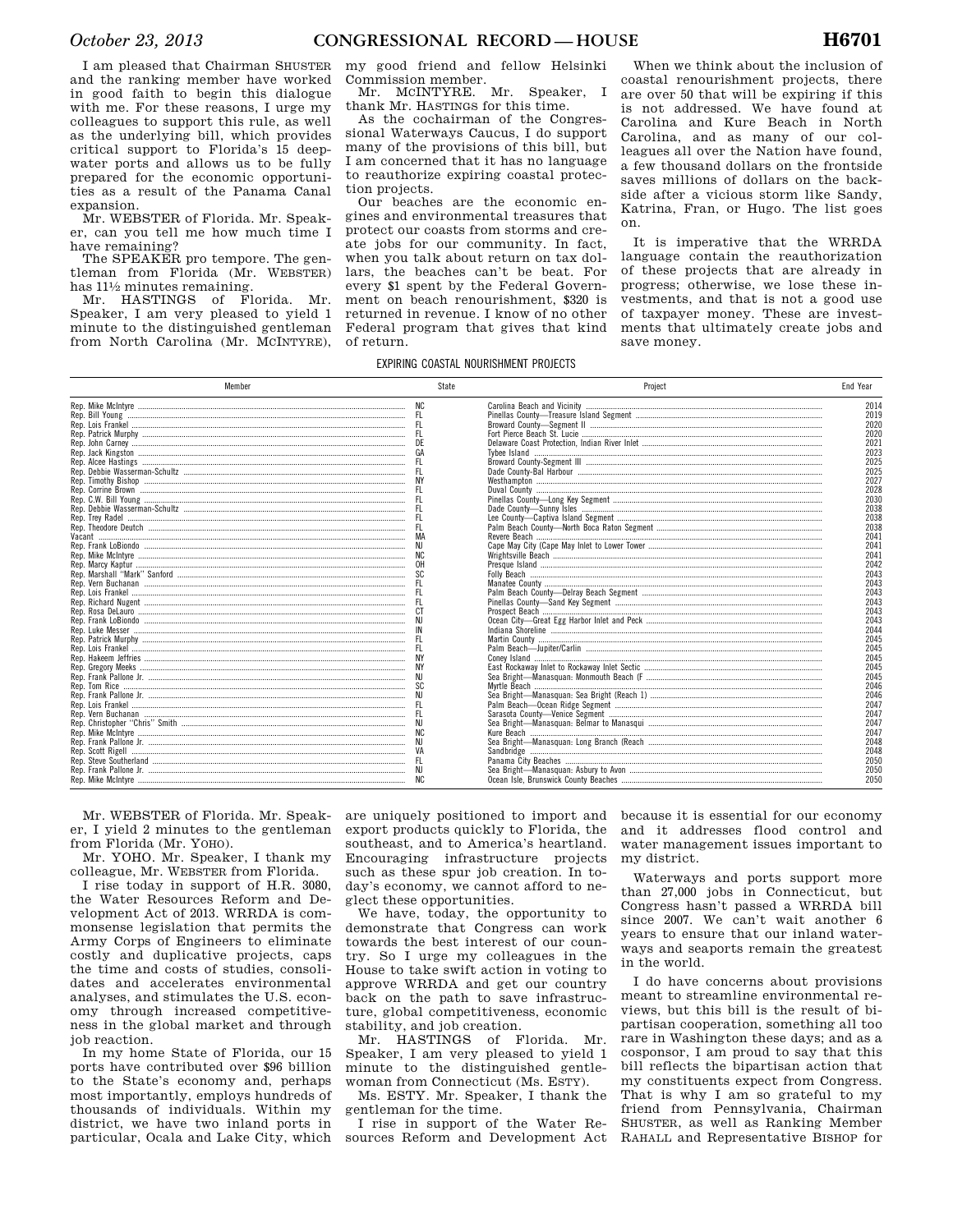I am pleased that Chairman SHUSTER and the ranking member have worked in good faith to begin this dialogue with me. For these reasons, I urge my colleagues to support this rule, as well as the underlying bill, which provides critical support to Florida's 15 deepwater ports and allows us to be fully prepared for the economic opportunities as a result of the Panama Canal expansion.

Mr. WEBSTER of Florida. Mr. Speaker, can you tell me how much time I have remaining?

The SPEAKER pro tempore. The gentleman from Florida (Mr. WEBSTER) has  $11\frac{1}{2}$  minutes remaining.

Mr. HASTINGS of Florida. Mr. Speaker, I am very pleased to yield 1 minute to the distinguished gentleman from North Carolina (Mr. MCINTYRE),

my good friend and fellow Helsinki Commission member.<br>Mr MCINTYRE Mr

Mr. MCINTYRE. Mr. Speaker, I thank Mr. HASTINGS for this time.

As the cochairman of the Congressional Waterways Caucus, I do support many of the provisions of this bill, but I am concerned that it has no language to reauthorize expiring coastal protection projects.

Our beaches are the economic engines and environmental treasures that protect our coasts from storms and create jobs for our community. In fact, when you talk about return on tax dollars, the beaches can't be beat. For every \$1 spent by the Federal Government on beach renourishment, \$320 is returned in revenue. I know of no other Federal program that gives that kind of return.

When we think about the inclusion of coastal renourishment projects, there are over 50 that will be expiring if this is not addressed. We have found at Carolina and Kure Beach in North Carolina, and as many of our colleagues all over the Nation have found, a few thousand dollars on the frontside saves millions of dollars on the backside after a vicious storm like Sandy, Katrina, Fran, or Hugo. The list goes on.

It is imperative that the WRRDA language contain the reauthorization of these projects that are already in progress; otherwise, we lose these investments, and that is not a good use of taxpayer money. These are investments that ultimately create jobs and save money.

# EXPIRING COASTAL NOURISHMENT PROJECTS

| Member | State | Project | <b>End Year</b> |
|--------|-------|---------|-----------------|
|        |       |         | 2014            |
|        |       |         | 2019            |
|        |       |         | 2020            |
|        |       |         | 2020            |
|        |       |         | 2021            |
|        |       |         | 2023            |
|        |       |         | 2025            |
|        |       |         | 2025            |
|        |       |         | 2027            |
|        |       |         | 2028            |
|        |       |         | 2030            |
|        |       |         | 2038            |
|        |       |         | 2038            |
|        |       |         | 2038            |
| Vacant |       |         | 2041            |
|        |       |         | 2041            |
|        |       |         | 2041            |
|        |       |         | 2042            |
|        |       |         | 2043            |
|        |       |         | 2043            |
|        |       |         | 2043            |
|        |       |         | 2043            |
|        |       |         | 2043            |
|        |       |         | 2043            |
|        |       |         | 2044            |
|        |       |         | 2045            |
|        |       |         | 2045            |
|        |       |         | 2045            |
|        |       |         |                 |
|        |       |         | 2045            |
|        |       |         | 2045            |
|        |       |         | 2046            |
|        |       |         | 2046            |
|        |       |         | 2047            |
|        |       |         | 2047            |
|        |       |         | 2047            |
|        |       |         | 2047            |
|        |       |         | 2048            |
|        |       |         | 2048            |
|        |       |         | 2050            |
|        |       |         | 2050            |
|        |       |         | 2050            |

Mr. WEBSTER of Florida. Mr. Speaker, I yield 2 minutes to the gentleman from Florida (Mr. YOHO).

Mr. YOHO. Mr. Speaker, I thank my colleague, Mr. WEBSTER from Florida.

I rise today in support of H.R. 3080, the Water Resources Reform and Development Act of 2013. WRRDA is commonsense legislation that permits the Army Corps of Engineers to eliminate costly and duplicative projects, caps the time and costs of studies, consolidates and accelerates environmental analyses, and stimulates the U.S. economy through increased competitiveness in the global market and through job reaction.

In my home State of Florida, our 15 ports have contributed over \$96 billion to the State's economy and, perhaps most importantly, employs hundreds of thousands of individuals. Within my district, we have two inland ports in particular, Ocala and Lake City, which are uniquely positioned to import and export products quickly to Florida, the southeast, and to America's heartland. Encouraging infrastructure projects such as these spur job creation. In today's economy, we cannot afford to neglect these opportunities.

We have, today, the opportunity to demonstrate that Congress can work towards the best interest of our country. So I urge my colleagues in the House to take swift action in voting to approve WRRDA and get our country back on the path to save infrastructure, global competitiveness, economic stability, and job creation.

Mr. HASTINGS of Florida. Mr. Speaker, I am very pleased to yield 1 minute to the distinguished gentlewoman from Connecticut (Ms. ESTY).

Ms. ESTY. Mr. Speaker, I thank the gentleman for the time.

I rise in support of the Water Resources Reform and Development Act because it is essential for our economy and it addresses flood control and water management issues important to my district.

Waterways and ports support more than 27,000 jobs in Connecticut, but Congress hasn't passed a WRRDA bill since 2007. We can't wait another 6 years to ensure that our inland waterways and seaports remain the greatest in the world.

I do have concerns about provisions meant to streamline environmental reviews, but this bill is the result of bipartisan cooperation, something all too rare in Washington these days; and as a cosponsor, I am proud to say that this bill reflects the bipartisan action that my constituents expect from Congress. That is why I am so grateful to my friend from Pennsylvania, Chairman SHUSTER, as well as Ranking Member RAHALL and Representative BISHOP for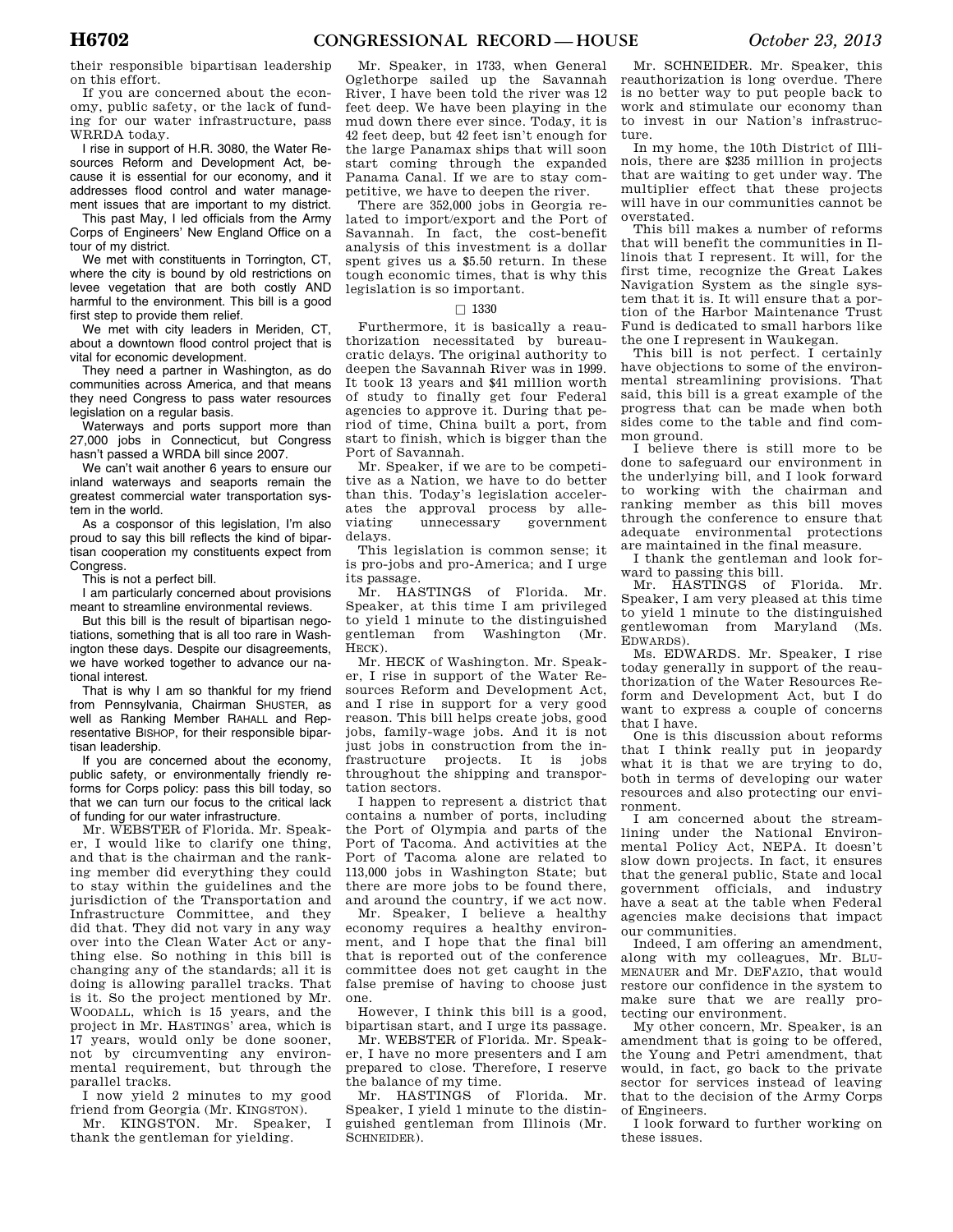their responsible bipartisan leadership on this effort.

If you are concerned about the economy, public safety, or the lack of funding for our water infrastructure, pass WRRDA today.

I rise in support of H.R. 3080, the Water Resources Reform and Development Act, because it is essential for our economy, and it addresses flood control and water management issues that are important to my district.

This past May, I led officials from the Army Corps of Engineers' New England Office on a tour of my district.

We met with constituents in Torrington, CT, where the city is bound by old restrictions on levee vegetation that are both costly AND harmful to the environment. This bill is a good first step to provide them relief.

We met with city leaders in Meriden, CT, about a downtown flood control project that is vital for economic development.

They need a partner in Washington, as do communities across America, and that means they need Congress to pass water resources legislation on a regular basis.

Waterways and ports support more than 27,000 jobs in Connecticut, but Congress hasn't passed a WRDA bill since 2007.

We can't wait another 6 years to ensure our inland waterways and seaports remain the greatest commercial water transportation system in the world.

As a cosponsor of this legislation, I'm also proud to say this bill reflects the kind of bipartisan cooperation my constituents expect from Congress.

This is not a perfect bill.

I am particularly concerned about provisions meant to streamline environmental reviews.

But this bill is the result of bipartisan negotiations, something that is all too rare in Washington these days. Despite our disagreements, we have worked together to advance our national interest.

That is why I am so thankful for my friend from Pennsylvania, Chairman SHUSTER, as well as Ranking Member RAHALL and Representative BISHOP, for their responsible bipartisan leadership.

If you are concerned about the economy, public safety, or environmentally friendly reforms for Corps policy: pass this bill today, so that we can turn our focus to the critical lack of funding for our water infrastructure.

Mr. WEBSTER of Florida. Mr. Speaker, I would like to clarify one thing, and that is the chairman and the ranking member did everything they could to stay within the guidelines and the jurisdiction of the Transportation and Infrastructure Committee, and they did that. They did not vary in any way over into the Clean Water Act or anything else. So nothing in this bill is changing any of the standards; all it is doing is allowing parallel tracks. That is it. So the project mentioned by Mr. WOODALL, which is 15 years, and the project in Mr. HASTINGS' area, which is 17 years, would only be done sooner, not by circumventing any environmental requirement, but through the parallel tracks.

I now yield 2 minutes to my good friend from Georgia (Mr. KINGSTON).

Mr. KINGSTON. Mr. Speaker, I thank the gentleman for yielding.

Mr. Speaker, in 1733, when General Oglethorpe sailed up the Savannah River, I have been told the river was 12 feet deep. We have been playing in the mud down there ever since. Today, it is 42 feet deep, but 42 feet isn't enough for the large Panamax ships that will soon start coming through the expanded Panama Canal. If we are to stay competitive, we have to deepen the river.

There are 352,000 jobs in Georgia related to import/export and the Port of Savannah. In fact, the cost-benefit analysis of this investment is a dollar spent gives us a \$5.50 return. In these tough economic times, that is why this legislation is so important.

# $\Box$  1330

Furthermore, it is basically a reauthorization necessitated by bureaucratic delays. The original authority to deepen the Savannah River was in 1999. It took 13 years and \$41 million worth of study to finally get four Federal agencies to approve it. During that period of time, China built a port, from start to finish, which is bigger than the Port of Savannah.

Mr. Speaker, if we are to be competitive as a Nation, we have to do better than this. Today's legislation accelerates the approval process by alleviating unnecessary government delays.

This legislation is common sense; it is pro-jobs and pro-America; and I urge its passage.

Mr. HASTINGS of Florida. Mr. Speaker, at this time I am privileged to yield 1 minute to the distinguished gentleman from Washington (Mr. HECK).

Mr. HECK of Washington. Mr. Speaker, I rise in support of the Water Resources Reform and Development Act, and I rise in support for a very good reason. This bill helps create jobs, good jobs, family-wage jobs. And it is not just jobs in construction from the infrastructure projects. It is jobs throughout the shipping and transportation sectors.

I happen to represent a district that contains a number of ports, including the Port of Olympia and parts of the Port of Tacoma. And activities at the Port of Tacoma alone are related to 113,000 jobs in Washington State; but there are more jobs to be found there, and around the country, if we act now.

Mr. Speaker, I believe a healthy economy requires a healthy environment, and I hope that the final bill that is reported out of the conference committee does not get caught in the false premise of having to choose just one.

However, I think this bill is a good, bipartisan start, and I urge its passage.

Mr. WEBSTER of Florida. Mr. Speaker, I have no more presenters and I am prepared to close. Therefore, I reserve the balance of my time.

Mr. HASTINGS of Florida. Mr. Speaker, I yield 1 minute to the distinguished gentleman from Illinois (Mr. SCHNEIDER).

Mr. SCHNEIDER. Mr. Speaker, this reauthorization is long overdue. There is no better way to put people back to work and stimulate our economy than to invest in our Nation's infrastructure.

In my home, the 10th District of Illinois, there are \$235 million in projects that are waiting to get under way. The multiplier effect that these projects will have in our communities cannot be overstated.

This bill makes a number of reforms that will benefit the communities in Illinois that I represent. It will, for the first time, recognize the Great Lakes Navigation System as the single system that it is. It will ensure that a portion of the Harbor Maintenance Trust Fund is dedicated to small harbors like the one I represent in Waukegan.

This bill is not perfect. I certainly have objections to some of the environmental streamlining provisions. That said, this bill is a great example of the progress that can be made when both sides come to the table and find common ground.

I believe there is still more to be done to safeguard our environment in the underlying bill, and I look forward to working with the chairman and ranking member as this bill moves through the conference to ensure that adequate environmental protections are maintained in the final measure.

I thank the gentleman and look forward to passing this bill.

Mr. HASTINGS of Florida. Mr. Speaker, I am very pleased at this time to yield 1 minute to the distinguished gentlewoman from Maryland (Ms. EDWARDS).

Ms. EDWARDS. Mr. Speaker, I rise today generally in support of the reauthorization of the Water Resources Reform and Development Act, but I do want to express a couple of concerns that I have.

One is this discussion about reforms that I think really put in jeopardy what it is that we are trying to do, both in terms of developing our water resources and also protecting our environment.

I am concerned about the streamlining under the National Environmental Policy Act, NEPA. It doesn't slow down projects. In fact, it ensures that the general public, State and local government officials, and industry have a seat at the table when Federal agencies make decisions that impact our communities.

Indeed, I am offering an amendment, along with my colleagues, Mr. BLU-MENAUER and Mr. DEFAZIO, that would restore our confidence in the system to make sure that we are really protecting our environment.

My other concern, Mr. Speaker, is an amendment that is going to be offered, the Young and Petri amendment, that would, in fact, go back to the private sector for services instead of leaving that to the decision of the Army Corps of Engineers.

I look forward to further working on these issues.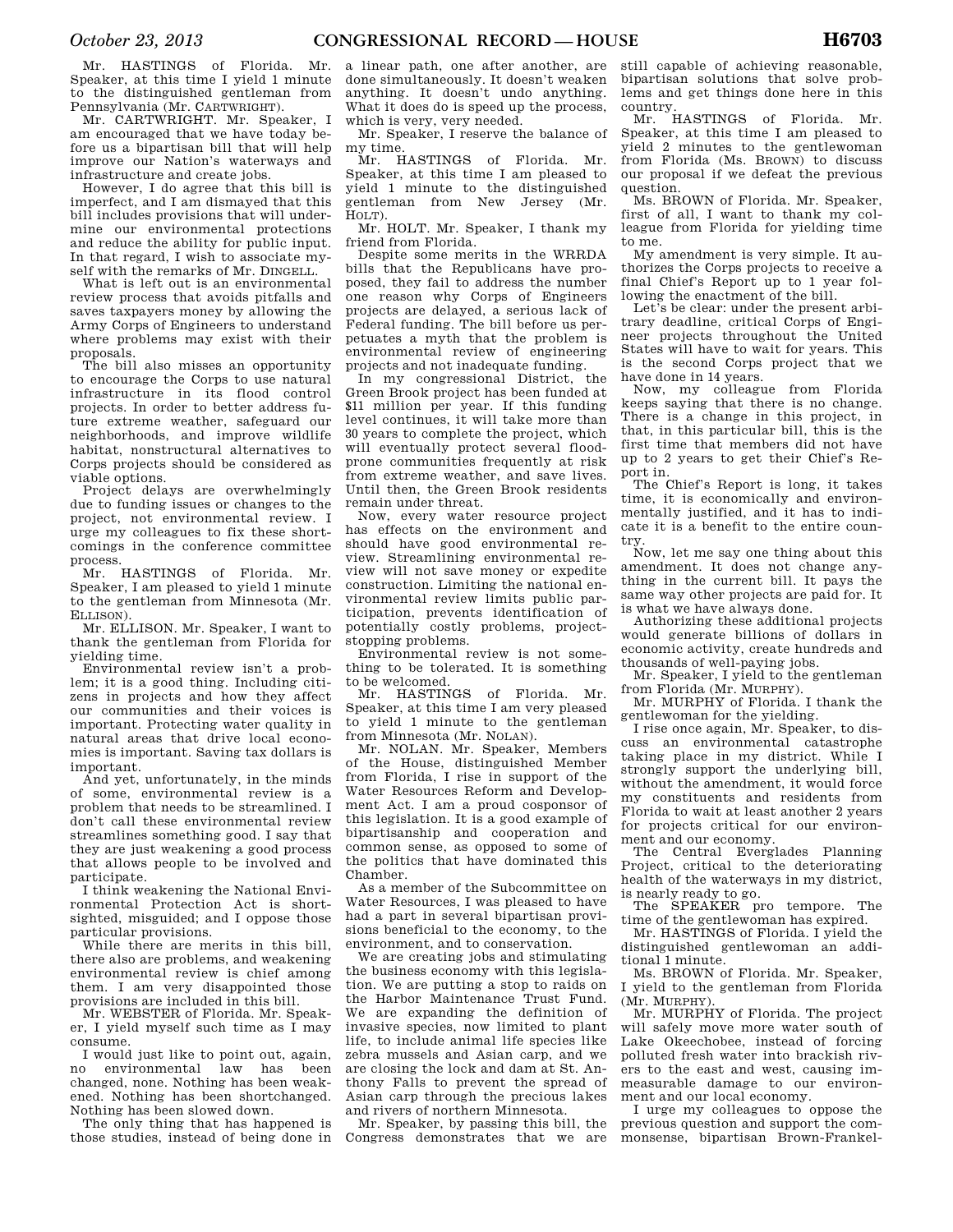Mr. HASTINGS of Florida. Mr. Speaker, at this time I yield 1 minute to the distinguished gentleman from Pennsylvania (Mr. CARTWRIGHT).

Mr. CARTWRIGHT. Mr. Speaker, I am encouraged that we have today before us a bipartisan bill that will help improve our Nation's waterways and infrastructure and create jobs.

However, I do agree that this bill is imperfect, and I am dismayed that this bill includes provisions that will undermine our environmental protections and reduce the ability for public input. In that regard, I wish to associate myself with the remarks of Mr. DINGELL.

What is left out is an environmental review process that avoids pitfalls and saves taxpayers money by allowing the Army Corps of Engineers to understand where problems may exist with their proposals.

The bill also misses an opportunity to encourage the Corps to use natural infrastructure in its flood control projects. In order to better address future extreme weather, safeguard our neighborhoods, and improve wildlife habitat, nonstructural alternatives to Corps projects should be considered as viable options.

Project delays are overwhelmingly due to funding issues or changes to the project, not environmental review. I urge my colleagues to fix these shortcomings in the conference committee process.

Mr. HASTINGS of Florida. Mr. Speaker, I am pleased to yield 1 minute to the gentleman from Minnesota (Mr. ELLISON).

Mr. ELLISON. Mr. Speaker, I want to thank the gentleman from Florida for yielding time.

Environmental review isn't a problem; it is a good thing. Including citizens in projects and how they affect our communities and their voices is important. Protecting water quality in natural areas that drive local economies is important. Saving tax dollars is important.

And yet, unfortunately, in the minds of some, environmental review is a problem that needs to be streamlined. I don't call these environmental review streamlines something good. I say that they are just weakening a good process that allows people to be involved and participate.

I think weakening the National Environmental Protection Act is shortsighted, misguided; and I oppose those particular provisions.

While there are merits in this bill, there also are problems, and weakening environmental review is chief among them. I am very disappointed those provisions are included in this bill.

Mr. WEBSTER of Florida. Mr. Speaker, I yield myself such time as I may consume.

I would just like to point out, again, no environmental law has been changed, none. Nothing has been weakened. Nothing has been shortchanged. Nothing has been slowed down.

The only thing that has happened is those studies, instead of being done in a linear path, one after another, are done simultaneously. It doesn't weaken anything. It doesn't undo anything. What it does do is speed up the process, which is very, very needed.

Mr. Speaker, I reserve the balance of my time.

Mr. HASTINGS of Florida. Mr. Speaker, at this time I am pleased to yield 1 minute to the distinguished gentleman from New Jersey (Mr. HOLT).

Mr. HOLT. Mr. Speaker, I thank my friend from Florida.

Despite some merits in the WRRDA bills that the Republicans have proposed, they fail to address the number one reason why Corps of Engineers projects are delayed, a serious lack of Federal funding. The bill before us perpetuates a myth that the problem is environmental review of engineering projects and not inadequate funding.

In my congressional District, the Green Brook project has been funded at \$11 million per year. If this funding level continues, it will take more than 30 years to complete the project, which will eventually protect several floodprone communities frequently at risk from extreme weather, and save lives. Until then, the Green Brook residents remain under threat.

Now, every water resource project has effects on the environment and should have good environmental review. Streamlining environmental review will not save money or expedite construction. Limiting the national environmental review limits public participation, prevents identification of potentially costly problems, projectstopping problems.

Environmental review is not something to be tolerated. It is something to be welcomed.

Mr. HASTINGS of Florida. Mr. Speaker, at this time I am very pleased to yield 1 minute to the gentleman from Minnesota (Mr. NOLAN).

Mr. NOLAN. Mr. Speaker, Members of the House, distinguished Member from Florida, I rise in support of the Water Resources Reform and Development Act. I am a proud cosponsor of this legislation. It is a good example of bipartisanship and cooperation and common sense, as opposed to some of the politics that have dominated this Chamber.

As a member of the Subcommittee on Water Resources, I was pleased to have had a part in several bipartisan provisions beneficial to the economy, to the environment, and to conservation.

We are creating jobs and stimulating the business economy with this legislation. We are putting a stop to raids on the Harbor Maintenance Trust Fund. We are expanding the definition of invasive species, now limited to plant life, to include animal life species like zebra mussels and Asian carp, and we are closing the lock and dam at St. Anthony Falls to prevent the spread of Asian carp through the precious lakes and rivers of northern Minnesota.

Mr. Speaker, by passing this bill, the Congress demonstrates that we are

still capable of achieving reasonable, bipartisan solutions that solve problems and get things done here in this country.

Mr. HASTINGS of Florida. Mr. Speaker, at this time I am pleased to yield 2 minutes to the gentlewoman from Florida (Ms. BROWN) to discuss our proposal if we defeat the previous question.

Ms. BROWN of Florida. Mr. Speaker, first of all, I want to thank my colleague from Florida for yielding time to me.

My amendment is very simple. It authorizes the Corps projects to receive a final Chief's Report up to 1 year following the enactment of the bill.

Let's be clear: under the present arbitrary deadline, critical Corps of Engineer projects throughout the United States will have to wait for years. This is the second Corps project that we have done in 14 years.

Now, my colleague from Florida keeps saying that there is no change. There is a change in this project, in that, in this particular bill, this is the first time that members did not have up to 2 years to get their Chief's Report in.

The Chief's Report is long, it takes time, it is economically and environmentally justified, and it has to indicate it is a benefit to the entire country.

Now, let me say one thing about this amendment. It does not change anything in the current bill. It pays the same way other projects are paid for. It is what we have always done.

Authorizing these additional projects would generate billions of dollars in economic activity, create hundreds and thousands of well-paying jobs.

Mr. Speaker, I yield to the gentleman from Florida (Mr. MURPHY).

Mr. MURPHY of Florida. I thank the gentlewoman for the yielding.

I rise once again, Mr. Speaker, to discuss an environmental catastrophe taking place in my district. While I strongly support the underlying bill, without the amendment, it would force my constituents and residents from Florida to wait at least another 2 years for projects critical for our environment and our economy.

The Central Everglades Planning Project, critical to the deteriorating health of the waterways in my district, is nearly ready to go.

The SPEAKER pro tempore. The time of the gentlewoman has expired.

Mr. HASTINGS of Florida. I yield the distinguished gentlewoman an additional 1 minute.

Ms. BROWN of Florida. Mr. Speaker, I yield to the gentleman from Florida (Mr. MURPHY).

Mr. MURPHY of Florida. The project will safely move more water south of Lake Okeechobee, instead of forcing polluted fresh water into brackish rivers to the east and west, causing immeasurable damage to our environment and our local economy.

I urge my colleagues to oppose the previous question and support the commonsense, bipartisan Brown-Frankel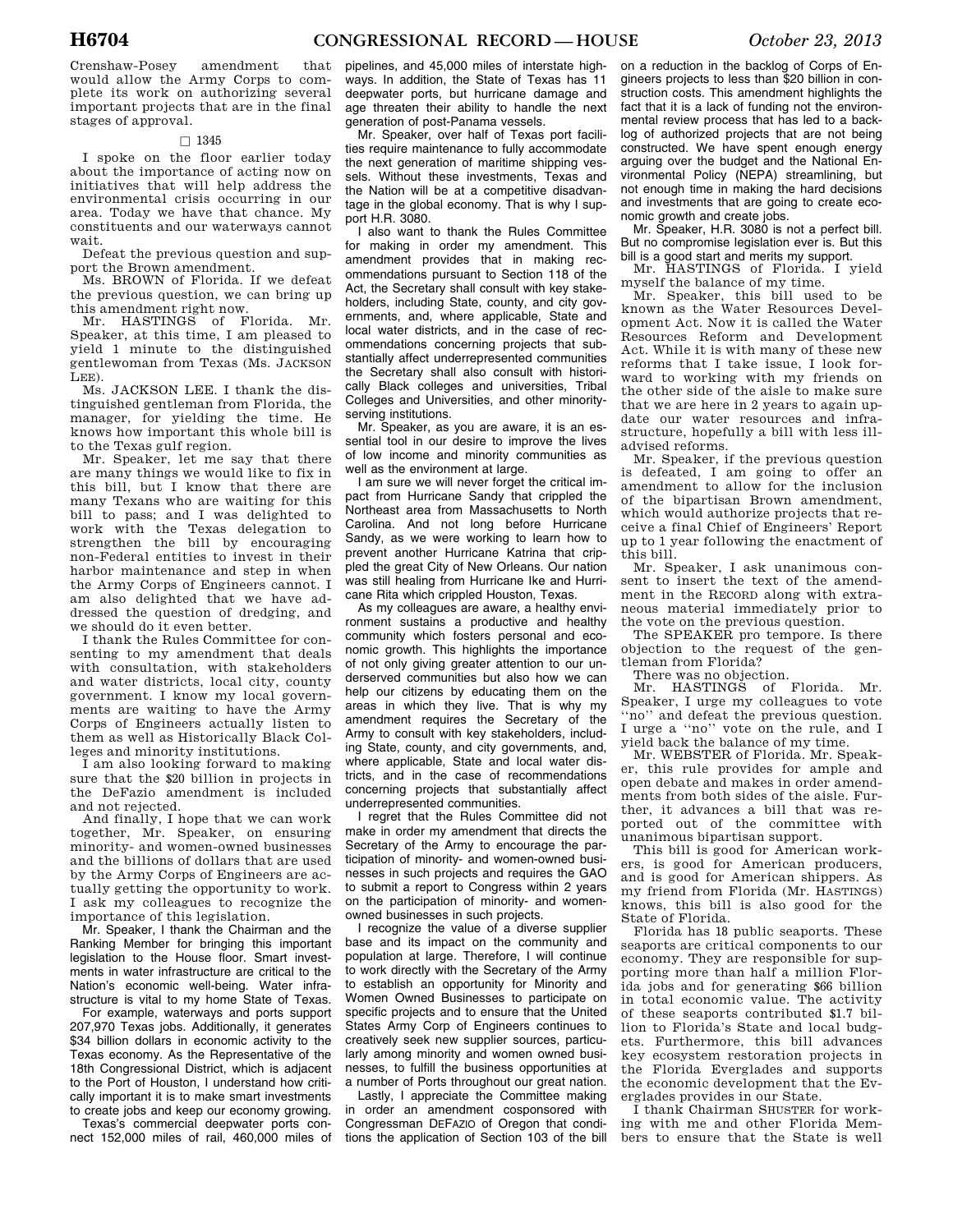Crenshaw-Posey amendment that would allow the Army Corps to complete its work on authorizing several important projects that are in the final stages of approval.

# $\Box$  1345

I spoke on the floor earlier today about the importance of acting now on initiatives that will help address the environmental crisis occurring in our area. Today we have that chance. My constituents and our waterways cannot wait.

Defeat the previous question and support the Brown amendment.

Ms. BROWN of Florida. If we defeat the previous question, we can bring up this amendment right now.

Mr. HASTINGS of Florida. Mr. Speaker, at this time, I am pleased to yield 1 minute to the distinguished gentlewoman from Texas (Ms. JACKSON LEE).

Ms. JACKSON LEE. I thank the distinguished gentleman from Florida, the manager, for yielding the time. He knows how important this whole bill is to the Texas gulf region.

Mr. Speaker, let me say that there are many things we would like to fix in this bill, but I know that there are many Texans who are waiting for this bill to pass; and I was delighted to work with the Texas delegation to strengthen the bill by encouraging non-Federal entities to invest in their harbor maintenance and step in when the Army Corps of Engineers cannot. I am also delighted that we have addressed the question of dredging, and we should do it even better.

I thank the Rules Committee for consenting to my amendment that deals with consultation, with stakeholders and water districts, local city, county government. I know my local governments are waiting to have the Army Corps of Engineers actually listen to them as well as Historically Black Colleges and minority institutions.

I am also looking forward to making sure that the \$20 billion in projects in the DeFazio amendment is included and not rejected.

And finally, I hope that we can work together, Mr. Speaker, on ensuring minority- and women-owned businesses and the billions of dollars that are used by the Army Corps of Engineers are actually getting the opportunity to work. I ask my colleagues to recognize the importance of this legislation.

Mr. Speaker, I thank the Chairman and the Ranking Member for bringing this important legislation to the House floor. Smart investments in water infrastructure are critical to the Nation's economic well-being. Water infrastructure is vital to my home State of Texas.

For example, waterways and ports support 207,970 Texas jobs. Additionally, it generates \$34 billion dollars in economic activity to the Texas economy. As the Representative of the 18th Congressional District, which is adjacent to the Port of Houston, I understand how critically important it is to make smart investments to create jobs and keep our economy growing.

Texas's commercial deepwater ports connect 152,000 miles of rail, 460,000 miles of pipelines, and 45,000 miles of interstate highways. In addition, the State of Texas has 11 deepwater ports, but hurricane damage and age threaten their ability to handle the next generation of post-Panama vessels.

Mr. Speaker, over half of Texas port facilities require maintenance to fully accommodate the next generation of maritime shipping vessels. Without these investments, Texas and the Nation will be at a competitive disadvantage in the global economy. That is why I support H.R. 3080.

I also want to thank the Rules Committee for making in order my amendment. This amendment provides that in making recommendations pursuant to Section 118 of the Act, the Secretary shall consult with key stakeholders, including State, county, and city governments, and, where applicable, State and local water districts, and in the case of recommendations concerning projects that substantially affect underrepresented communities the Secretary shall also consult with historically Black colleges and universities, Tribal Colleges and Universities, and other minorityserving institutions.

Mr. Speaker, as you are aware, it is an essential tool in our desire to improve the lives of low income and minority communities as well as the environment at large.

I am sure we will never forget the critical impact from Hurricane Sandy that crippled the Northeast area from Massachusetts to North Carolina. And not long before Hurricane Sandy, as we were working to learn how to prevent another Hurricane Katrina that crippled the great City of New Orleans. Our nation was still healing from Hurricane Ike and Hurricane Rita which crippled Houston, Texas.

As my colleagues are aware, a healthy environment sustains a productive and healthy community which fosters personal and economic growth. This highlights the importance of not only giving greater attention to our underserved communities but also how we can help our citizens by educating them on the areas in which they live. That is why my amendment requires the Secretary of the Army to consult with key stakeholders, including State, county, and city governments, and, where applicable, State and local water districts, and in the case of recommendations concerning projects that substantially affect underrepresented communities.

I regret that the Rules Committee did not make in order my amendment that directs the Secretary of the Army to encourage the participation of minority- and women-owned businesses in such projects and requires the GAO to submit a report to Congress within 2 years on the participation of minority- and womenowned businesses in such projects.

I recognize the value of a diverse supplier base and its impact on the community and population at large. Therefore, I will continue to work directly with the Secretary of the Army to establish an opportunity for Minority and Women Owned Businesses to participate on specific projects and to ensure that the United States Army Corp of Engineers continues to creatively seek new supplier sources, particularly among minority and women owned businesses, to fulfill the business opportunities at a number of Ports throughout our great nation.

Lastly, I appreciate the Committee making in order an amendment cosponsored with Congressman DEFAZIO of Oregon that conditions the application of Section 103 of the bill

on a reduction in the backlog of Corps of Engineers projects to less than \$20 billion in construction costs. This amendment highlights the fact that it is a lack of funding not the environmental review process that has led to a backlog of authorized projects that are not being constructed. We have spent enough energy arguing over the budget and the National Environmental Policy (NEPA) streamlining, but not enough time in making the hard decisions and investments that are going to create economic growth and create jobs.

Mr. Speaker, H.R. 3080 is not a perfect bill. But no compromise legislation ever is. But this bill is a good start and merits my support.

Mr. HASTINGS of Florida. I yield myself the balance of my time.

Mr. Speaker, this bill used to be known as the Water Resources Development Act. Now it is called the Water Resources Reform and Development Act. While it is with many of these new reforms that I take issue, I look forward to working with my friends on the other side of the aisle to make sure that we are here in 2 years to again update our water resources and infrastructure, hopefully a bill with less illadvised reforms.

Mr. Speaker, if the previous question is defeated, I am going to offer an amendment to allow for the inclusion of the bipartisan Brown amendment, which would authorize projects that receive a final Chief of Engineers' Report up to 1 year following the enactment of this bill.

Mr. Speaker, I ask unanimous consent to insert the text of the amendment in the RECORD along with extraneous material immediately prior to the vote on the previous question.

The SPEAKER pro tempore. Is there objection to the request of the gentleman from Florida?

There was no objection.

Mr. HASTINGS of Florida. Mr. Speaker, I urge my colleagues to vote ''no'' and defeat the previous question. I urge a ''no'' vote on the rule, and I yield back the balance of my time.

Mr. WEBSTER of Florida. Mr. Speaker, this rule provides for ample and open debate and makes in order amendments from both sides of the aisle. Further, it advances a bill that was reported out of the committee with unanimous bipartisan support.

This bill is good for American workers, is good for American producers, and is good for American shippers. As my friend from Florida (Mr. HASTINGS) knows, this bill is also good for the State of Florida.

Florida has 18 public seaports. These seaports are critical components to our economy. They are responsible for supporting more than half a million Florida jobs and for generating \$66 billion in total economic value. The activity of these seaports contributed \$1.7 billion to Florida's State and local budgets. Furthermore, this bill advances key ecosystem restoration projects in the Florida Everglades and supports the economic development that the Everglades provides in our State.

I thank Chairman SHUSTER for working with me and other Florida Members to ensure that the State is well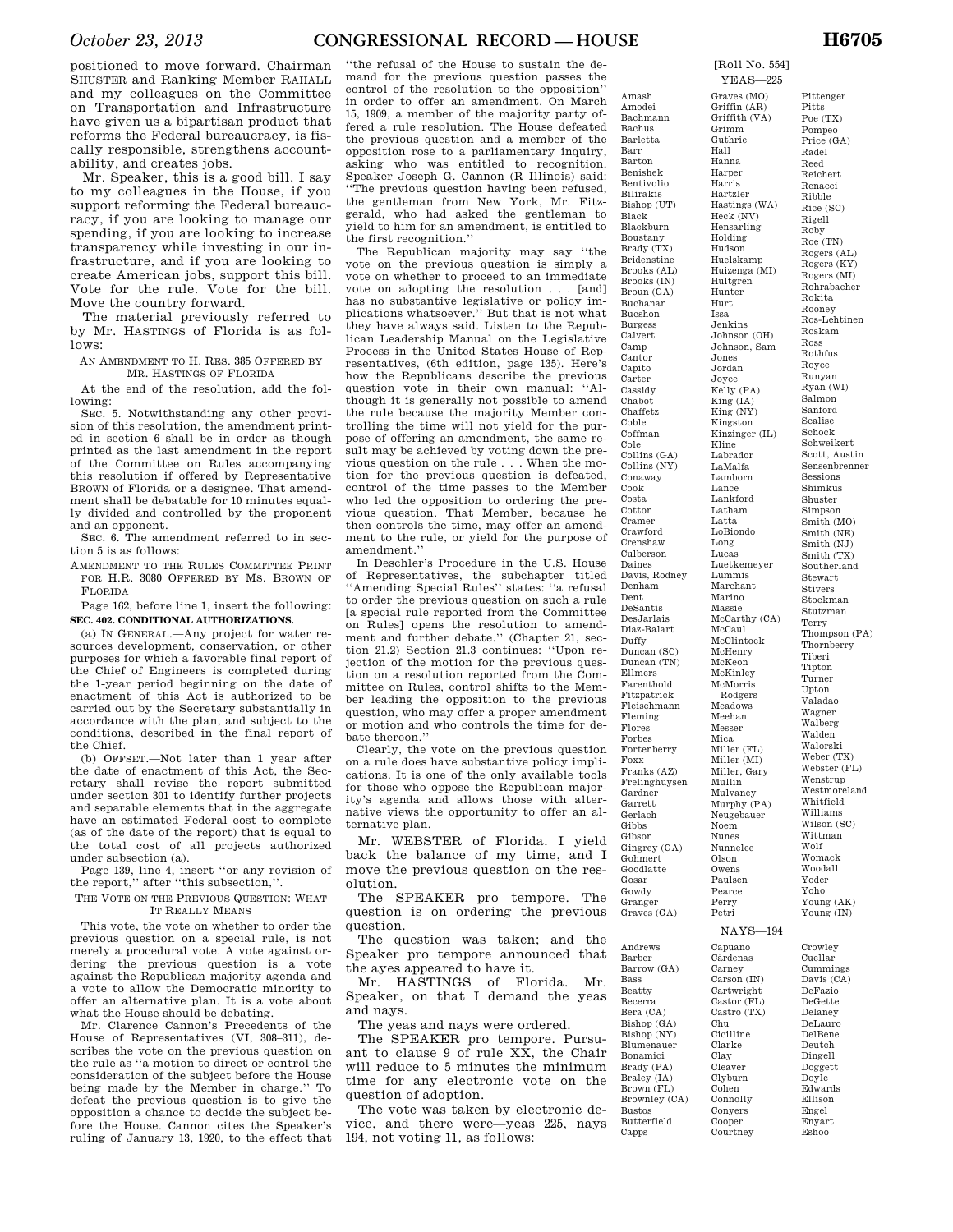positioned to move forward. Chairman SHUSTER and Ranking Member RAHALL and my colleagues on the Committee on Transportation and Infrastructure have given us a bipartisan product that reforms the Federal bureaucracy, is fiscally responsible, strengthens accountability, and creates jobs.

Mr. Speaker, this is a good bill. I say to my colleagues in the House, if you support reforming the Federal bureaucracy, if you are looking to manage our spending, if you are looking to increase transparency while investing in our infrastructure, and if you are looking to create American jobs, support this bill. Vote for the rule. Vote for the bill. Move the country forward.

The material previously referred to by Mr. HASTINGS of Florida is as follows:

AN AMENDMENT TO H. RES. 385 OFFERED BY MR. HASTINGS OF FLORIDA

At the end of the resolution, add the following:

SEC. 5. Notwithstanding any other provision of this resolution, the amendment printed in section 6 shall be in order as though printed as the last amendment in the report of the Committee on Rules accompanying this resolution if offered by Representative BROWN of Florida or a designee. That amendment shall be debatable for 10 minutes equally divided and controlled by the proponent and an opponent.

SEC. 6. The amendment referred to in section 5 is as follows:

AMENDMENT TO THE RULES COMMITTEE PRINT FOR H.R. 3080 OFFERED BY MS. BROWN OF FLORIDA

Page 162, before line 1, insert the following: **SEC. 402. CONDITIONAL AUTHORIZATIONS.** 

(a) IN GENERAL.—Any project for water resources development, conservation, or other purposes for which a favorable final report of the Chief of Engineers is completed during the 1-year period beginning on the date of enactment of this Act is authorized to be carried out by the Secretary substantially in accordance with the plan, and subject to the conditions, described in the final report of the Chief.

(b) OFFSET.—Not later than 1 year after the date of enactment of this Act, the Secretary shall revise the report submitted under section 301 to identify further projects and separable elements that in the aggregate have an estimated Federal cost to complete (as of the date of the report) that is equal to the total cost of all projects authorized under subsection (a).

Page 139, line 4, insert ''or any revision of the report,'' after ''this subsection,''.

THE VOTE ON THE PREVIOUS QUESTION: WHAT IT REALLY MEANS

This vote, the vote on whether to order the previous question on a special rule, is not merely a procedural vote. A vote against ordering the previous question is a vote against the Republican majority agenda and a vote to allow the Democratic minority to offer an alternative plan. It is a vote about what the House should be debating.

Mr. Clarence Cannon's Precedents of the House of Representatives (VI, 308–311), describes the vote on the previous question on the rule as ''a motion to direct or control the consideration of the subject before the House being made by the Member in charge.'' To defeat the previous question is to give the opposition a chance to decide the subject before the House. Cannon cites the Speaker's ruling of January 13, 1920, to the effect that ''the refusal of the House to sustain the demand for the previous question passes the control of the resolution to the opposition'' in order to offer an amendment. On March 15, 1909, a member of the majority party offered a rule resolution. The House defeated the previous question and a member of the opposition rose to a parliamentary inquiry, asking who was entitled to recognition. Speaker Joseph G. Cannon (R–Illinois) said: ''The previous question having been refused, the gentleman from New York, Mr. Fitzgerald, who had asked the gentleman to yield to him for an amendment, is entitled to the first recognition.''

The Republican majority may say ''the vote on the previous question is simply a vote on whether to proceed to an immediate vote on adopting the resolution . . . [and] has no substantive legislative or policy implications whatsoever.'' But that is not what they have always said. Listen to the Republican Leadership Manual on the Legislative Process in the United States House of Representatives, (6th edition, page 135). Here's how the Republicans describe the previous question vote in their own manual: ''Although it is generally not possible to amend the rule because the majority Member controlling the time will not yield for the purpose of offering an amendment, the same result may be achieved by voting down the previous question on the rule . . . When the motion for the previous question is defeated, control of the time passes to the Member who led the opposition to ordering the previous question. That Member, because he then controls the time, may offer an amendment to the rule, or yield for the purpose of amendment.''

In Deschler's Procedure in the U.S. House of Representatives, the subchapter titled ''Amending Special Rules'' states: ''a refusal to order the previous question on such a rule [a special rule reported from the Committee on Rules] opens the resolution to amendment and further debate.'' (Chapter 21, section 21.2) Section 21.3 continues: ''Upon rejection of the motion for the previous question on a resolution reported from the Committee on Rules, control shifts to the Member leading the opposition to the previous question, who may offer a proper amendment or motion and who controls the time for debate thereon.''

Clearly, the vote on the previous question on a rule does have substantive policy implications. It is one of the only available tools for those who oppose the Republican majority's agenda and allows those with alternative views the opportunity to offer an alternative plan.

Mr. WEBSTER of Florida. I yield back the balance of my time, and I move the previous question on the resolution.

The SPEAKER pro tempore. The question is on ordering the previous question.

The question was taken; and the Speaker pro tempore announced that the ayes appeared to have it.

Mr. HASTINGS of Florida. Mr. Speaker, on that I demand the yeas and nays.

The yeas and nays were ordered.

The SPEAKER pro tempore. Pursuant to clause 9 of rule XX, the Chair will reduce to 5 minutes the minimum time for any electronic vote on the question of adoption.

The vote was taken by electronic device, and there were—yeas 225, nays 194, not voting 11, as follows:

Amash Amodei Bachmann Bachus Barletta Barr Barton Benishek Bentivolio Bilirakis Bishop (UT) Black Blackburn Boustany Brady (TX) Bridenstine Brooks (AL) Brooks (IN) Broun (GA) Buchanan Bucshon Burgess Calvert Camp Cantor Capito Carter Cassidy Chabot Chaffetz Coble Coffman Cole Collins (GA) Collins (NY) Conaway Cook Costa Cotton Cramer Crawford Crenshaw Culberson Daines Davis, Rodney Denham Dent DeSantis DesJarlais Diaz-Balart Duffy Duncan (SC) Duncan (TN) Ellmers Farenthold Fitzpatrick Fleischmann Fleming Flores Forbes Fortenberry Foxx Franks (AZ) Frelinghuysen Gardner Garrett Gerlach Gibbs Gibson Gingrey (GA) Gohmert Goodlatte Gosar Gowdy Granger Graves (GA)

Andrews Barber Barrow (GA) Bass Beatty Becerra Bera (CA) Bishop (GA) Bishop (NY) Blumenauer Bonamici Brady (PA) Braley (IA) Brown (FL) Brownley (CA) Bustos Butterfield

Capps

[Roll No. 554] YEAS—225

Graves (MO) Griffin (AR) Griffith (VA) Grimm Guthrie Hall Hanna Harper Harris Hartzler Hastings (WA) Heck (NV) Hensarling Holding Hudson Huelskamp Huizenga (MI) Hultgren Hunter Hurt Issa Jenkins Johnson (OH) Johnson, Sam Jones Jordan Joyce Kelly (PA) King (IA) King (NY) Kingston Kinzinger (IL) Kline Labrador LaMalfa Lamborn Lance Lankford Latham Latta LoBiondo Long Lucas Luetkemeyer Lummis Marchant Marino Massie McCarthy (CA) McCaul McClintock McHenry McKeon McKinley McMorris Rodgers Meadows Meehan Messer Mica Miller (FL) Miller (MI) Miller, Gary Mullin Mulvaney Murphy (PA) Neugebauer Noem Nunes Nunnelee Olson Owens Paulsen Pearce Perry Petri

Pittenger Pitts Poe (TX) Pompeo Price (GA) Radel Reed Reichert Renacci Ribble Rice (SC) Rigell Roby Roe (TN) Rogers (AL) Rogers (KY) Rogers (MI) Rohrabacher Rokita Rooney Ros-Lehtinen Roskam Ross Rothfus Royce Runyan Ryan (WI) Salmon Sanford Scalise Schock Schweikert Scott, Austin Sensenbrenner Sessions Shimkus Shuster Simpson Smith (MO) Smith (NE) Smith (NJ) Smith (TX) Southerland Stewart Stivers Stockman Stutzman Terry Thompson (PA) Thornberry Tiberi Tipton Turner Upton Valadao Wagner Walberg Walden Walorski Weber (TX) Webster (FL) Wenstrup Westmoreland Whitfield Williams Wilson (SC) Wittman Wolf Womack Woodall Yoder Yoho Young (AK) Young (IN)

Crowley Cuellar Cummings Davis (CA) DeFazio DeGette Delaney DeLauro DelBene Deutch Dingell Doggett Doyle Edwards Ellison Engel Enyart Eshoo

NAYS—194

Capuano **C**árdenas Carney Carson (IN) Cartwright Castor (FL) Castro (TX) Chu Cicilline Clarke Clay Cleaver Clyburn Cohen Connolly Conyers Cooper Courtney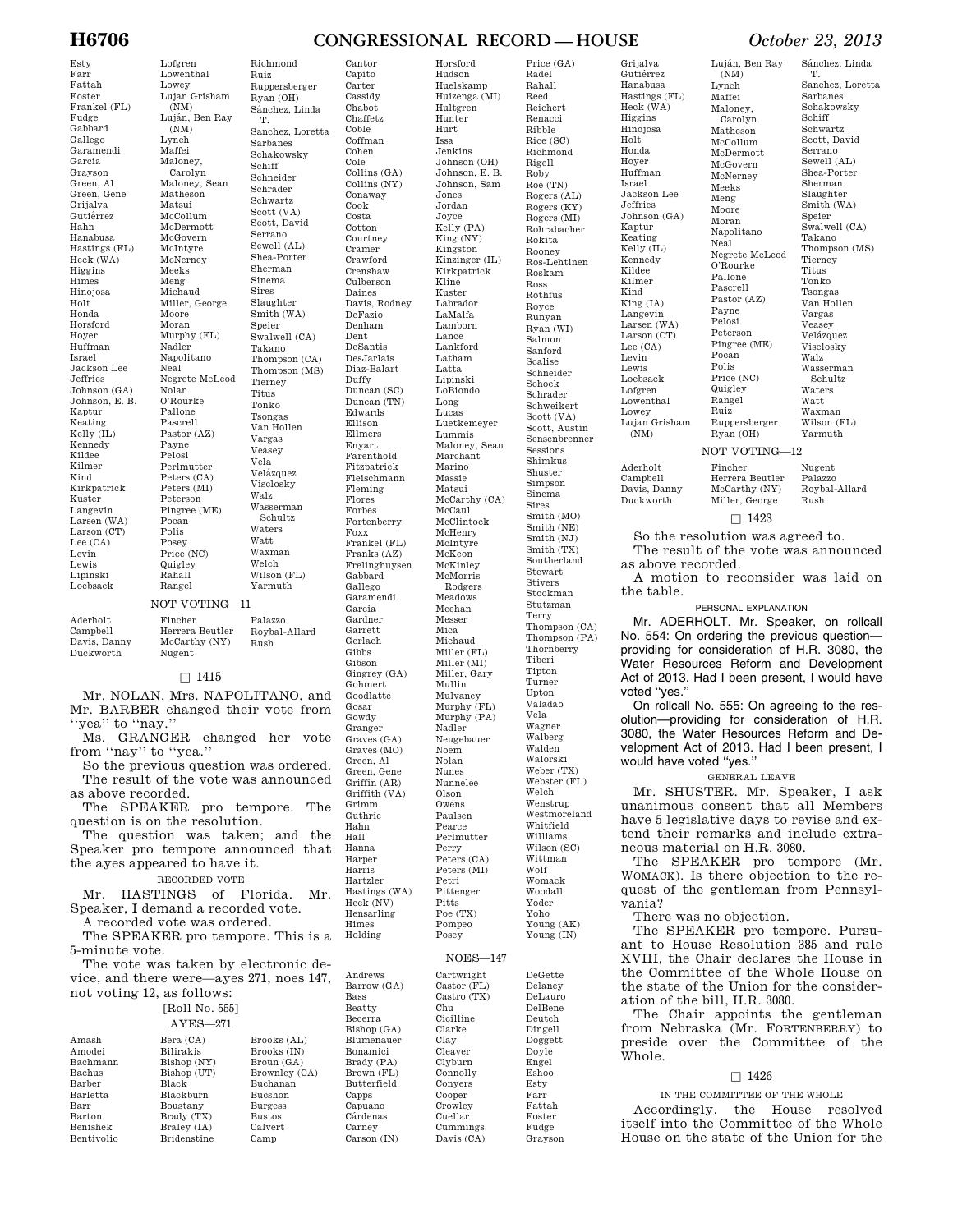#### Esty Farr Fattah Foster Frankel (FL) Fudge Gabbard Gallego Garamendi Garcia Grayson Green, Al Green, Gene Grijalva Gutiérrez Hahn Hanabusa Hastings (FL) Heck (WA) Higgins Himes Hinojosa Holt Honda Horsford Hoyer Huffman Israel Jackson Lee Jeffries Johnson (GA) Johnson, E. B. Kaptur Keating Kelly (IL) Kennedy Kildee Kilmer Kind Kirkpatrick Kuster Langevin

Larsen (WA) Larson (CT) Lee (CA) Levin Lewis Lipinski Loebsack

Lowenthal Lowey Lujan Grisham (NM) Luján, Ben Ray (NM) Lynch Maffei Maloney, Carolyn Maloney, Sean Matheson Matsui McCollum McDermott McGovern McIntyre McNerney Meeks Meng Michaud Miller, George Moore Moran Murphy (FL) Nadler Napolitano Neal Negrete McLeod Nolan O'Rourke Pallone Pascrell Pastor (AZ) Payne Pelosi Perlmutter Peters (CA) Peters (MI) Peterson Pingree (ME) Pocan Polis Posey Price (NC) **Quigley** Rahall Rangel

Lofgren

### Richmond Ruiz Ruppersberger Ryan (OH) Sánchez, Linda T. Sanchez, Loretta Sarbanes Schakowsky Schiff Schneider Schrader Schwartz Scott (VA) Scott, David Serrano Sewell (AL) Shea-Porter Sherman Sinema Sires Slaughter Smith (WA) Speier Swalwell (CA) Takano Thompson (CA) Thompson (MS) Tierney Titus Tonko Tsongas Van Hollen Vargas Veasey Vela Velázquez Visclosky Walz Wasserman Schultz Waters Watt Waxman Welch Wilson (FL) Yarmuth

# NOT VOTING—11

| Duckworth<br>Nugent |  | Rush |
|---------------------|--|------|
|---------------------|--|------|

# $\Box$  1415

Mr. NOLAN, Mrs. NAPOLITANO, and Mr. BARBER changed their vote from ''yea'' to ''nay.''

Ms. GRANGER changed her vote from ''nay'' to ''yea.''

So the previous question was ordered. The result of the vote was announced as above recorded.

The SPEAKER pro tempore. The question is on the resolution.

The question was taken; and the Speaker pro tempore announced that the ayes appeared to have it.

# RECORDED VOTE

Mr. HASTINGS of Florida. Mr. Speaker, I demand a recorded vote.

A recorded vote was ordered. The SPEAKER pro tempore. This is a 5-minute vote.

The vote was taken by electronic device, and there were—ayes 271, noes 147, not voting 12, as follows:

| [Roll No. 555] |
|----------------|
| $AYES - 271$   |

| Amash         |
|---------------|
| Amodei        |
| Bachmann      |
| Bachus        |
| Barber        |
| Barletta      |
| Barr          |
| <b>Barton</b> |
| Benishek      |
| Bentivolio    |

| Bera (CA)   | Brooks (AL)    |
|-------------|----------------|
| Bilirakis   | Brooks (IN)    |
| Bishop (NY) | Broun (GA)     |
| Bishop (UT) | Brownley (CA)  |
| Black       | Buchanan       |
| Blackburn   | <b>Bucshon</b> |
| Boustany    | <b>Burgess</b> |
| Brady (TX)  | <b>Bustos</b>  |
| Braley (IA) | Calvert        |
| Bridenstine | Camp           |

Cantor Capito Carter Cassidy Chabot Chaffetz Coble Coffman Cohen Cole Collins (GA) Collins (NY) Conaway Cook Costa Cotton Courtney Cramer Crawford Crenshaw Culberson Daines Davis, Rodney DeFazio Denham Dent DeSantis DesJarlais Diaz-Balart Duffy Duncan (SC) Duncan (TN) Edwards Ellison Ellmers Enyart Farenthold Fitzpatrick Fleischmann Fleming Flores Forbes Fortenberry Foxx Frankel (FL) Franks (AZ) Frelinghuysen Gabbard Gallego Garamendi Garcia Gardner Garrett Gerlach Gibbs Gibson Gohmert Goodlatte Gosar Gowdy Granger Graves (GA) Graves (MO) Green, Al Green, Gene Griffin (AR) Grimm Guthrie Hahn Hall Hanna Harper Harris

Horsford Hudson Huelskamp Huizenga (MI) Hultgren Hunter Hurt Issa Jenkins Johnson (OH) Johnson, E. B. Johnson, Sam Jones Jordan Joyce Kelly (PA) King (NY) Kingston Kinzinger (IL) Kirkpatrick Kline Kuster Labrador LaMalfa Lamborn Lance Lankford Latham Latta Lipinski LoBiondo Long Lucas Luetkemeyer Lummis Maloney, Sean Marchant Marino Massie Matsui McCarthy (CA) McCaul McClintock McHenry McIntyre McKeon McKinley McMorris Rodgers Meadows Meehan Messer Mica Michaud Miller (FL) Miller (MI) Miller, Gary Mullin Mulvaney Murphy (FL) Murphy (PA) Nadler Neugebauer Noem Nolan Nunes Nunnelee

Price (GA) Radel

Gingrey (GA) Griffith (VA) Hartzler Hastings (WA) Heck (NV) Hensarling

Himes Holding

Andrews Barrow (GA) Bass Beatty Becerra Bishop (GA) Blumenauer Bonamici Brady (PA) Brown (FL) Butterfield Capps Capuano **C**árdenas Carney Carson (IN)

Olson Owens Paulsen Pearce Perlmutter Perry Peters (CA) Peters (MI) Petri Pittenger Pitts Poe (TX) Pompeo Posey

# NOES—147

DeGette Delaney DeLauro DelBene Deutch Dingell **Doggett** Doyle Engel Eshoo Esty Farr Fattah Foster Fudge Grayson

| Cartwright<br>Castor (FL)<br>Castro (TX)<br>Chu<br>Cicilline<br>Clarke<br>Clav<br>Cleaver<br>Clyburn<br>Connolly<br>Conyers<br>Cooper |  |
|---------------------------------------------------------------------------------------------------------------------------------------|--|
|                                                                                                                                       |  |
| Crowley                                                                                                                               |  |
| Cuellar                                                                                                                               |  |
| Cummings<br>Davis (CA)                                                                                                                |  |

Rahall Reed Reichert Renacci Ribble Rice (SC) Richmond Rigell Roby Roe (TN) Rogers (AL) Rogers (KY) Rogers (MI) Rohrabacher Rokita Rooney Ros-Lehtinen Roskam Ross Rothfus Royce Runyan Ryan (WI) Salmon Sanford Scalise Schneider Schock Schrader Schweikert Scott (VA) Scott, Austin Sensenbrenner Sessions Shimkus Shuster Simpson Sinema Sires Smith (MO) Smith (NE)  $Smith(NJ)$ Smith (TX) Southerland Stewart Stivers Stockman Stutzman Terry Thompson (CA) Thompson (PA) Thornberry Tiberi Tipton Turner Upton Valadao Vela Wagner Walberg Walden Walorski Weber (TX) Webster (FL) Welch Wenstrup Westmoreland Whitfield Williams Wilson (SC) Wittman Wolf Womack Woodall Yoder Yoho Young (AK) Young (IN)

Grijalva Gutiérrez Hanabusa Hastings (FL) Heck (WA) Higgins Hinojosa Holt Honda Hoyer Huffman Israel Jackson Lee **Jeffries** Johnson (GA) Kaptur Keating Kelly (IL) Kennedy Kildee Kilmer Kind King (IA) Langevin Larsen (WA) Larson (CT) Lee (CA) Levin Lewis Loebsack Lofgren Lowenthal Lowey Lujan Grisham  $(NM)$ Aderholt

# **H6706 CONGRESSIONAL RECORD — HOUSE** *October 23, 2013*  Sánchez, Linda

Carolyn Matheson McCollum McDermott McGovern McNerney Napolitano Negrete McLeod Pastor (AZ) Pingree (ME) Price (NC) Ruppersberger Ryan (OH) T. Sanchez, Loretta Sarbanes Schakowsky Schiff Schwartz Scott, David Serrano Sewell (AL) Shea-Porter Sherman Slaughter Smith (WA) Speier Swalwell (CA) Takano Thompson (MS) Tierney Titus Tonko Tsongas Van Hollen Vargas Veasey Velázquez Visclosky Walz Wasserman Schultz Waters Watt Waxman Wilson (FL) Yarmuth

# NOT VOTING—12

Luján, Ben Ray (NM) Lynch Maffei Maloney,

Meeks Meng Moore Moran

Neal

Payne Pelosi Peterson

Pocan Polis

**Quigley** Rangel Ruiz

Fincher

O'Rourke Pallone Pascrell

Campbell Davis, Danny Duckworth

Herrera Beutler McCarthy (NY) Miller, George  $\Box$  1423

Nugent Palazzo Roybal-Allard Rush

So the resolution was agreed to. The result of the vote was announced as above recorded.

A motion to reconsider was laid on the table.

# PERSONAL EXPLANATION

Mr. ADERHOLT. Mr. Speaker, on rollcall No. 554: On ordering the previous question providing for consideration of H.R. 3080, the Water Resources Reform and Development Act of 2013. Had I been present, I would have voted ''yes.''

On rollcall No. 555: On agreeing to the resolution—providing for consideration of H.R. 3080, the Water Resources Reform and Development Act of 2013. Had I been present, I would have voted ''yes.''

# GENERAL LEAVE

Mr. SHUSTER. Mr. Speaker, I ask unanimous consent that all Members have 5 legislative days to revise and extend their remarks and include extraneous material on H.R. 3080.

The SPEAKER pro tempore (Mr. WOMACK). Is there objection to the request of the gentleman from Pennsylvania?

There was no objection.

The SPEAKER pro tempore. Pursuant to House Resolution 385 and rule XVIII, the Chair declares the House in the Committee of the Whole House on the state of the Union for the consideration of the bill, H.R. 3080.

The Chair appoints the gentleman from Nebraska (Mr. FORTENBERRY) to preside over the Committee of the Whole.

# $\Box$  1426

IN THE COMMITTEE OF THE WHOLE

Accordingly, the House resolved itself into the Committee of the Whole House on the state of the Union for the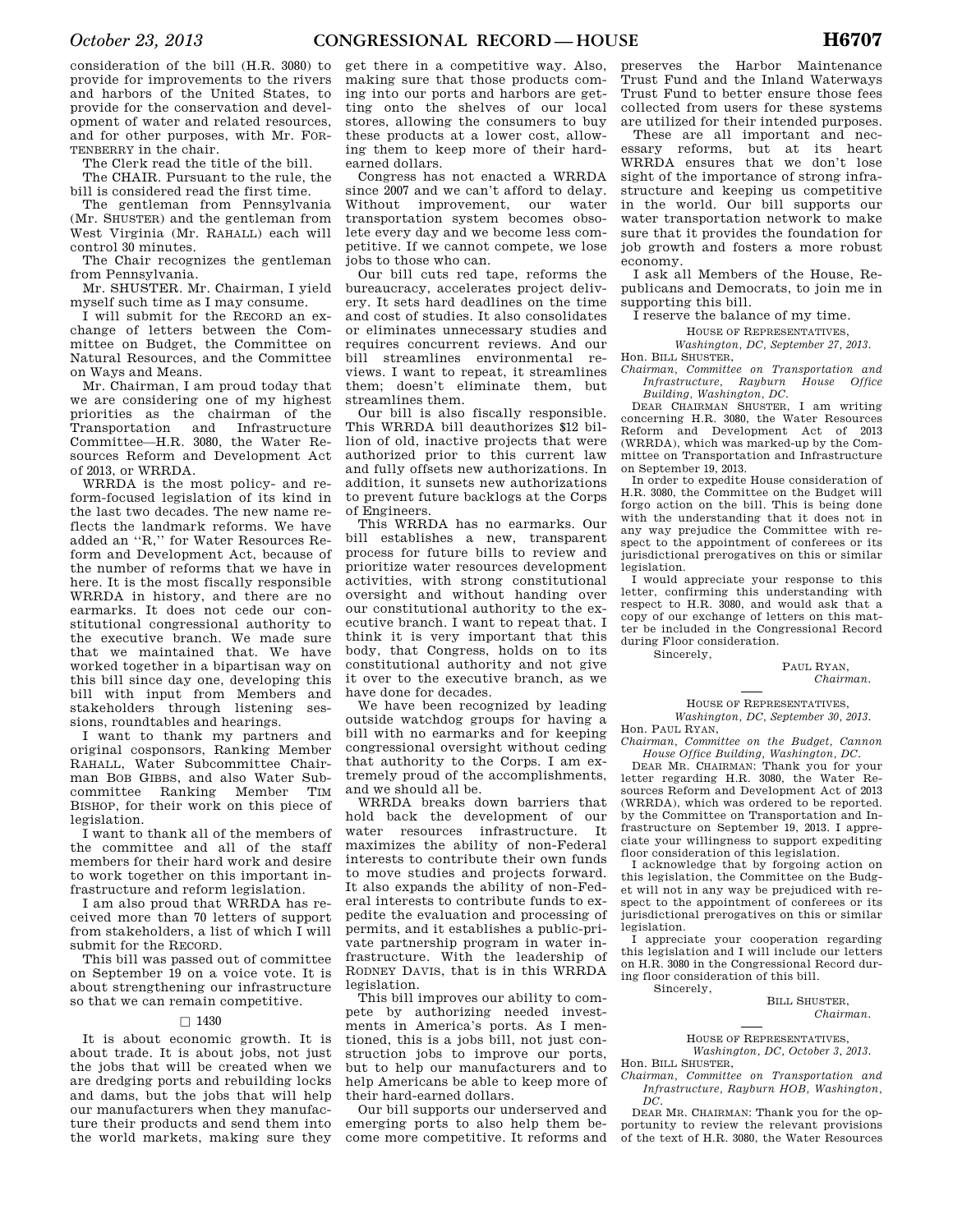consideration of the bill (H.R. 3080) to provide for improvements to the rivers and harbors of the United States, to provide for the conservation and development of water and related resources, and for other purposes, with Mr. FOR-TENBERRY in the chair.

The Clerk read the title of the bill.

The CHAIR. Pursuant to the rule, the bill is considered read the first time.

The gentleman from Pennsylvania (Mr. SHUSTER) and the gentleman from West Virginia (Mr. RAHALL) each will control 30 minutes.

The Chair recognizes the gentleman from Pennsylvania.

Mr. SHUSTER. Mr. Chairman, I yield myself such time as I may consume.

I will submit for the RECORD an exchange of letters between the Committee on Budget, the Committee on Natural Resources, and the Committee on Ways and Means.

Mr. Chairman, I am proud today that we are considering one of my highest priorities as the chairman of the Transportation and Infrastructure Committee—H.R. 3080, the Water Resources Reform and Development Act of 2013, or WRRDA.

WRRDA is the most policy- and reform-focused legislation of its kind in the last two decades. The new name reflects the landmark reforms. We have added an ''R,'' for Water Resources Reform and Development Act, because of the number of reforms that we have in here. It is the most fiscally responsible WRRDA in history, and there are no earmarks. It does not cede our constitutional congressional authority to the executive branch. We made sure that we maintained that. We have worked together in a bipartisan way on this bill since day one, developing this bill with input from Members and stakeholders through listening sessions, roundtables and hearings.

I want to thank my partners and original cosponsors, Ranking Member RAHALL, Water Subcommittee Chairman BOB GIBBS, and also Water Subcommittee Ranking Member TIM BISHOP, for their work on this piece of legislation.

I want to thank all of the members of the committee and all of the staff members for their hard work and desire to work together on this important infrastructure and reform legislation.

I am also proud that WRRDA has received more than 70 letters of support from stakeholders, a list of which I will submit for the RECORD.

This bill was passed out of committee on September 19 on a voice vote. It is about strengthening our infrastructure so that we can remain competitive.

# $\square$  1430

It is about economic growth. It is about trade. It is about jobs, not just the jobs that will be created when we are dredging ports and rebuilding locks and dams, but the jobs that will help our manufacturers when they manufacture their products and send them into the world markets, making sure they

get there in a competitive way. Also, making sure that those products coming into our ports and harbors are getting onto the shelves of our local stores, allowing the consumers to buy these products at a lower cost, allowing them to keep more of their hardearned dollars.

Congress has not enacted a WRRDA since 2007 and we can't afford to delay. Without improvement, our water transportation system becomes obsolete every day and we become less competitive. If we cannot compete, we lose jobs to those who can.

Our bill cuts red tape, reforms the bureaucracy, accelerates project delivery. It sets hard deadlines on the time and cost of studies. It also consolidates or eliminates unnecessary studies and requires concurrent reviews. And our bill streamlines environmental reviews. I want to repeat, it streamlines them; doesn't eliminate them, but streamlines them.

Our bill is also fiscally responsible. This WRRDA bill deauthorizes \$12 billion of old, inactive projects that were authorized prior to this current law and fully offsets new authorizations. In addition, it sunsets new authorizations to prevent future backlogs at the Corps of Engineers.

This WRRDA has no earmarks. Our bill establishes a new, transparent process for future bills to review and prioritize water resources development activities, with strong constitutional oversight and without handing over our constitutional authority to the executive branch. I want to repeat that. I think it is very important that this body, that Congress, holds on to its constitutional authority and not give it over to the executive branch, as we have done for decades.

We have been recognized by leading outside watchdog groups for having a bill with no earmarks and for keeping congressional oversight without ceding that authority to the Corps. I am extremely proud of the accomplishments, and we should all be.

WRRDA breaks down barriers that hold back the development of our water resources infrastructure. It maximizes the ability of non-Federal interests to contribute their own funds to move studies and projects forward. It also expands the ability of non-Federal interests to contribute funds to expedite the evaluation and processing of permits, and it establishes a public-private partnership program in water infrastructure. With the leadership of RODNEY DAVIS, that is in this WRRDA legislation.

This bill improves our ability to compete by authorizing needed investments in America's ports. As I mentioned, this is a jobs bill, not just construction jobs to improve our ports, but to help our manufacturers and to help Americans be able to keep more of their hard-earned dollars.

Our bill supports our underserved and emerging ports to also help them become more competitive. It reforms and

preserves the Harbor Maintenance Trust Fund and the Inland Waterways Trust Fund to better ensure those fees collected from users for these systems are utilized for their intended purposes.

These are all important and necessary reforms, but at its heart WRRDA ensures that we don't lose sight of the importance of strong infrastructure and keeping us competitive in the world. Our bill supports our water transportation network to make sure that it provides the foundation for job growth and fosters a more robust economy.

I ask all Members of the House, Republicans and Democrats, to join me in supporting this bill.

I reserve the balance of my time.

HOUSE OF REPRESENTATIVES,

*Washington, DC, September 27, 2013.* 

Hon. BILL SHUSTER,

*Chairman, Committee on Transportation and Infrastructure, Rayburn House Office Building, Washington, DC.* 

DEAR CHAIRMAN SHUSTER, I am writing concerning H.R. 3080, the Water Resources Reform and Development Act of 2013 (WRRDA), which was marked-up by the Committee on Transportation and Infrastructure on September 19, 2013.

In order to expedite House consideration of H.R. 3080, the Committee on the Budget will forgo action on the bill. This is being done with the understanding that it does not in any way prejudice the Committee with respect to the appointment of conferees or its jurisdictional prerogatives on this or similar legislation.

I would appreciate your response to this letter, confirming this understanding with respect to H.R. 3080, and would ask that a copy of our exchange of letters on this matter be included in the Congressional Record during Floor consideration.

Sincerely,

PAUL RYAN, *Chairman.* 

HOUSE OF REPRESENTATIVES, *Washington, DC, September 30, 2013.* 

Hon. PAUL RYAN, *Chairman, Committee on the Budget, Cannon* 

*House Office Building, Washington, DC.*  DEAR MR. CHAIRMAN: Thank you for your letter regarding H.R. 3080, the Water Resources Reform and Development Act of 2013 (WRRDA), which was ordered to be reported. by the Committee on Transportation and Infrastructure on September 19, 2013. I appreciate your willingness to support expediting floor consideration of this legislation.

I acknowledge that by forgoing action on this legislation, the Committee on the Budget will not in any way be prejudiced with respect to the appointment of conferees or its jurisdictional prerogatives on this or similar legislation.

I appreciate your cooperation regarding this legislation and I will include our letters on H.R. 3080 in the Congressional Record during floor consideration of this bill. Sincerely,

BILL SHUSTER, *Chairman.* 

HOUSE OF REPRESENTATIVES, *Washington, DC, October 3, 2013.* 

Hon. BILL SHUSTER,

*Chairman, Committee on Transportation and Infrastructure, Rayburn HOB, Washington,*   $\overline{DC}$ 

DEAR MR. CHAIRMAN: Thank you for the opportunity to review the relevant provisions of the text of H.R. 3080, the Water Resources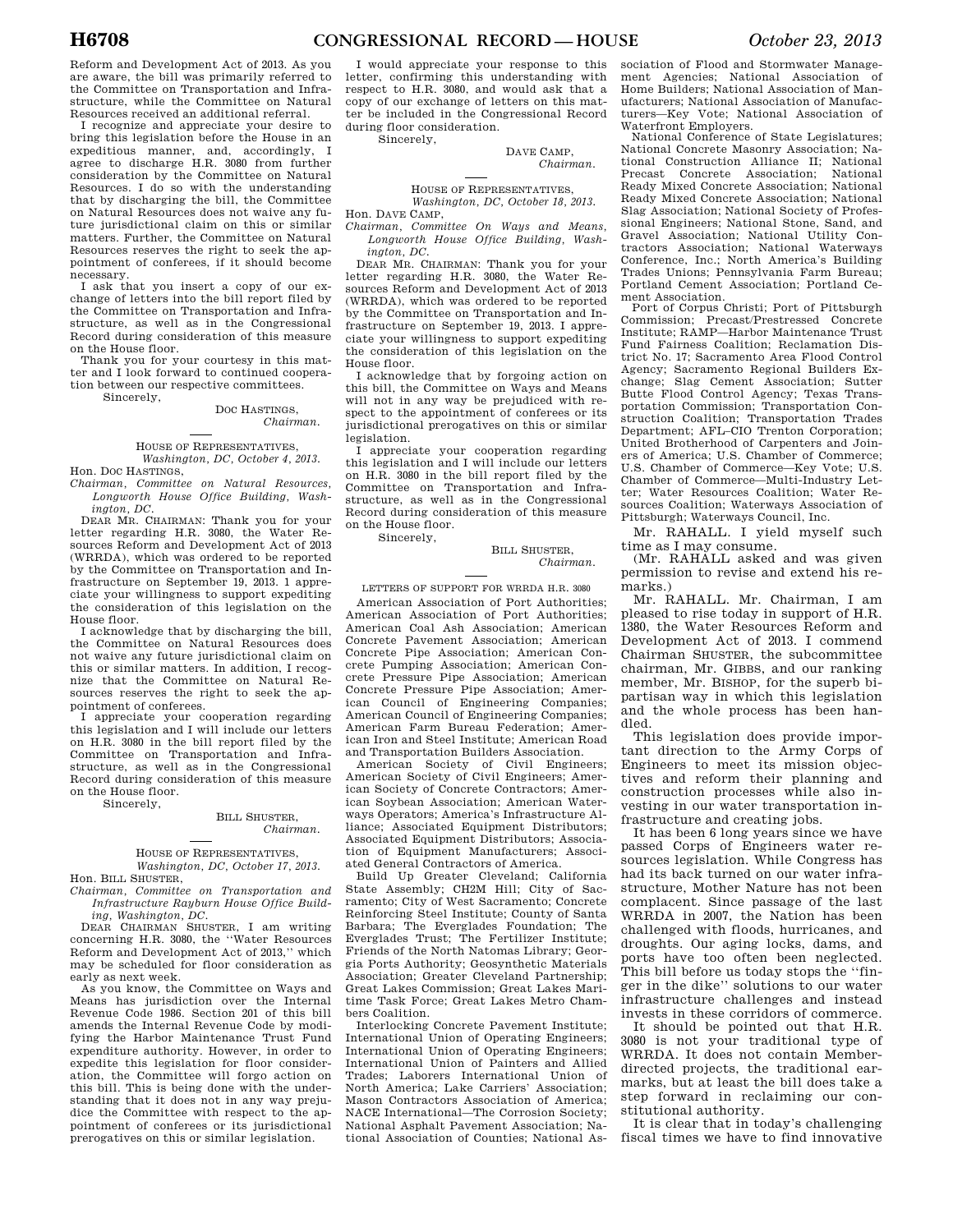Reform and Development Act of 2013. As you are aware, the bill was primarily referred to the Committee on Transportation and Infrastructure, while the Committee on Natural Resources received an additional referral.

I recognize and appreciate your desire to bring this legislation before the House in an expeditious manner, and, accordingly, I agree to discharge H.R. 3080 from further consideration by the Committee on Natural Resources. I do so with the understanding that by discharging the bill, the Committee on Natural Resources does not waive any future jurisdictional claim on this or similar matters. Further, the Committee on Natural Resources reserves the right to seek the appointment of conferees, if it should become necessary.

I ask that you insert a copy of our exchange of letters into the bill report filed by the Committee on Transportation and Infrastructure, as well as in the Congressional Record during consideration of this measure on the House floor.

Thank you for your courtesy in this matter and I look forward to continued cooperation between our respective committees.

Sincerely,

### DOC HASTINGS, *Chairman.*

# HOUSE OF REPRESENTATIVES, *Washington, DC, October 4, 2013.*

Hon. DOC HASTINGS, *Chairman, Committee on Natural Resources,* 

*Longworth House Office Building, Washington, DC.*  DEAR MR. CHAIRMAN: Thank you for your

letter regarding H.R. 3080, the Water Resources Reform and Development Act of 2013 (WRRDA), which was ordered to be reported by the Committee on Transportation and Infrastructure on September 19, 2013. 1 appreciate your willingness to support expediting the consideration of this legislation on the House floor.

I acknowledge that by discharging the bill, the Committee on Natural Resources does not waive any future jurisdictional claim on this or similar matters. In addition, I recognize that the Committee on Natural Resources reserves the right to seek the appointment of conferees.

I appreciate your cooperation regarding this legislation and I will include our letters on H.R. 3080 in the bill report filed by the Committee on Transportation and Infrastructure, as well as in the Congressional Record during consideration of this measure on the House floor.

Sincerely,

# BILL SHUSTER, *Chairman.*

HOUSE OF REPRESENTATIVES, *Washington, DC, October 17, 2013.*  Hon. BILL SHUSTER,

*Chairman, Committee on Transportation and Infrastructure Rayburn House Office Building, Washington, DC.* 

DEAR CHAIRMAN SHUSTER, I am writing concerning H.R. 3080, the ''Water Resources Reform and Development Act of 2013,'' which may be scheduled for floor consideration as early as next week.

As you know, the Committee on Ways and Means has jurisdiction over the Internal Revenue Code 1986. Section 201 of this bill amends the Internal Revenue Code by modifying the Harbor Maintenance Trust Fund expenditure authority. However, in order to expedite this legislation for floor consideration, the Committee will forgo action on this bill. This is being done with the understanding that it does not in any way prejudice the Committee with respect to the appointment of conferees or its jurisdictional prerogatives on this or similar legislation.

I would appreciate your response to this letter, confirming this understanding with respect to H.R. 3080, and would ask that a copy of our exchange of letters on this matter be included in the Congressional Record during floor consideration.

Sincerely,

DAVE CAMP, *Chairman.* 

# HOUSE OF REPRESENTATIVES, *Washington, DC, October 18, 2013.*

Hon. DAVE CAMP,

*Chairman, Committee On Ways and Means, Longworth House Office Building, Washington, DC.* 

DEAR MR. CHAIRMAN: Thank you for your letter regarding H.R. 3080, the Water Resources Reform and Development Act of 2013 (WRRDA), which was ordered to be reported by the Committee on Transportation and Infrastructure on September 19, 2013. I appreciate your willingness to support expediting the consideration of this legislation on the House floor.

I acknowledge that by forgoing action on this bill, the Committee on Ways and Means will not in any way be prejudiced with respect to the appointment of conferees or its jurisdictional prerogatives on this or similar legislation.

I appreciate your cooperation regarding this legislation and I will include our letters on H.R. 3080 in the bill report filed by the Committee on Transportation and Infrastructure, as well as in the Congressional Record during consideration of this measure on the House floor. Sincerely,

BILL SHUSTER, *Chairman.* 

# LETTERS OF SUPPORT FOR WRRDA H.R. 3080

American Association of Port Authorities; American Association of Port Authorities; American Coal Ash Association; American Concrete Pavement Association; American Concrete Pipe Association; American Concrete Pumping Association; American Concrete Pressure Pipe Association; American Concrete Pressure Pipe Association; American Council of Engineering Companies; American Council of Engineering Companies; American Farm Bureau Federation; American Iron and Steel Institute; American Road and Transportation Builders Association.

American Society of Civil Engineers; American Society of Civil Engineers; American Society of Concrete Contractors; American Soybean Association; American Waterways Operators; America's Infrastructure Alliance; Associated Equipment Distributors; Associated Equipment Distributors; Association of Equipment Manufacturers; Associated General Contractors of America.

Build Up Greater Cleveland; California State Assembly; CH2M Hill; City of Sacramento; City of West Sacramento; Concrete Reinforcing Steel Institute; County of Santa Barbara; The Everglades Foundation; The Everglades Trust; The Fertilizer Institute; Friends of the North Natomas Library; Georgia Ports Authority; Geosynthetic Materials Association; Greater Cleveland Partnership; Great Lakes Commission; Great Lakes Maritime Task Force; Great Lakes Metro Chambers Coalition.

Interlocking Concrete Pavement Institute; International Union of Operating Engineers; International Union of Operating Engineers; International Union of Painters and Allied Trades; Laborers International Union of North America; Lake Carriers' Association; Mason Contractors Association of America; NACE International—The Corrosion Society; National Asphalt Pavement Association; National Association of Counties; National As-

sociation of Flood and Stormwater Management Agencies; National Association of Home Builders; National Association of Manufacturers; National Association of Manufacturers—Key Vote; National Association of Waterfront Employers.

National Conference of State Legislatures; National Concrete Masonry Association; National Construction Alliance II; National Precast Concrete Association; National Ready Mixed Concrete Association; National Ready Mixed Concrete Association; National Slag Association; National Society of Professional Engineers; National Stone, Sand, and Gravel Association; National Utility Contractors Association; National Waterways Conference, Inc.; North America's Building Trades Unions; Pennsylvania Farm Bureau; Portland Cement Association; Portland Cement Association.

Port of Corpus Christi; Port of Pittsburgh Commission; Precast/Prestressed Concrete Institute; RAMP—Harbor Maintenance Trust Fund Fairness Coalition; Reclamation District No. 17; Sacramento Area Flood Control Agency; Sacramento Regional Builders Exchange; Slag Cement Association; Sutter Butte Flood Control Agency; Texas Transportation Commission; Transportation Construction Coalition; Transportation Trades Department; AFL–CIO Trenton Corporation; United Brotherhood of Carpenters and Joiners of America; U.S. Chamber of Commerce; U.S. Chamber of Commerce—Key Vote; U.S. Chamber of Commerce—Multi-Industry Letter; Water Resources Coalition; Water Resources Coalition; Waterways Association of Pittsburgh; Waterways Council, Inc.

Mr. RAHALL. I yield myself such time as I may consume.

(Mr. RAHALL asked and was given permission to revise and extend his remarks.)

Mr. RAHALL. Mr. Chairman, I am pleased to rise today in support of H.R. 1380, the Water Resources Reform and Development Act of 2013. I commend Chairman SHUSTER, the subcommittee chairman, Mr. GIBBS, and our ranking member, Mr. BISHOP, for the superb bipartisan way in which this legislation and the whole process has been handled.

This legislation does provide important direction to the Army Corps of Engineers to meet its mission objectives and reform their planning and construction processes while also investing in our water transportation infrastructure and creating jobs.

It has been 6 long years since we have passed Corps of Engineers water resources legislation. While Congress has had its back turned on our water infrastructure, Mother Nature has not been complacent. Since passage of the last WRRDA in 2007, the Nation has been challenged with floods, hurricanes, and droughts. Our aging locks, dams, and ports have too often been neglected. This bill before us today stops the ''finger in the dike'' solutions to our water infrastructure challenges and instead invests in these corridors of commerce.

It should be pointed out that H.R. 3080 is not your traditional type of WRRDA. It does not contain Memberdirected projects, the traditional earmarks, but at least the bill does take a step forward in reclaiming our constitutional authority.

It is clear that in today's challenging fiscal times we have to find innovative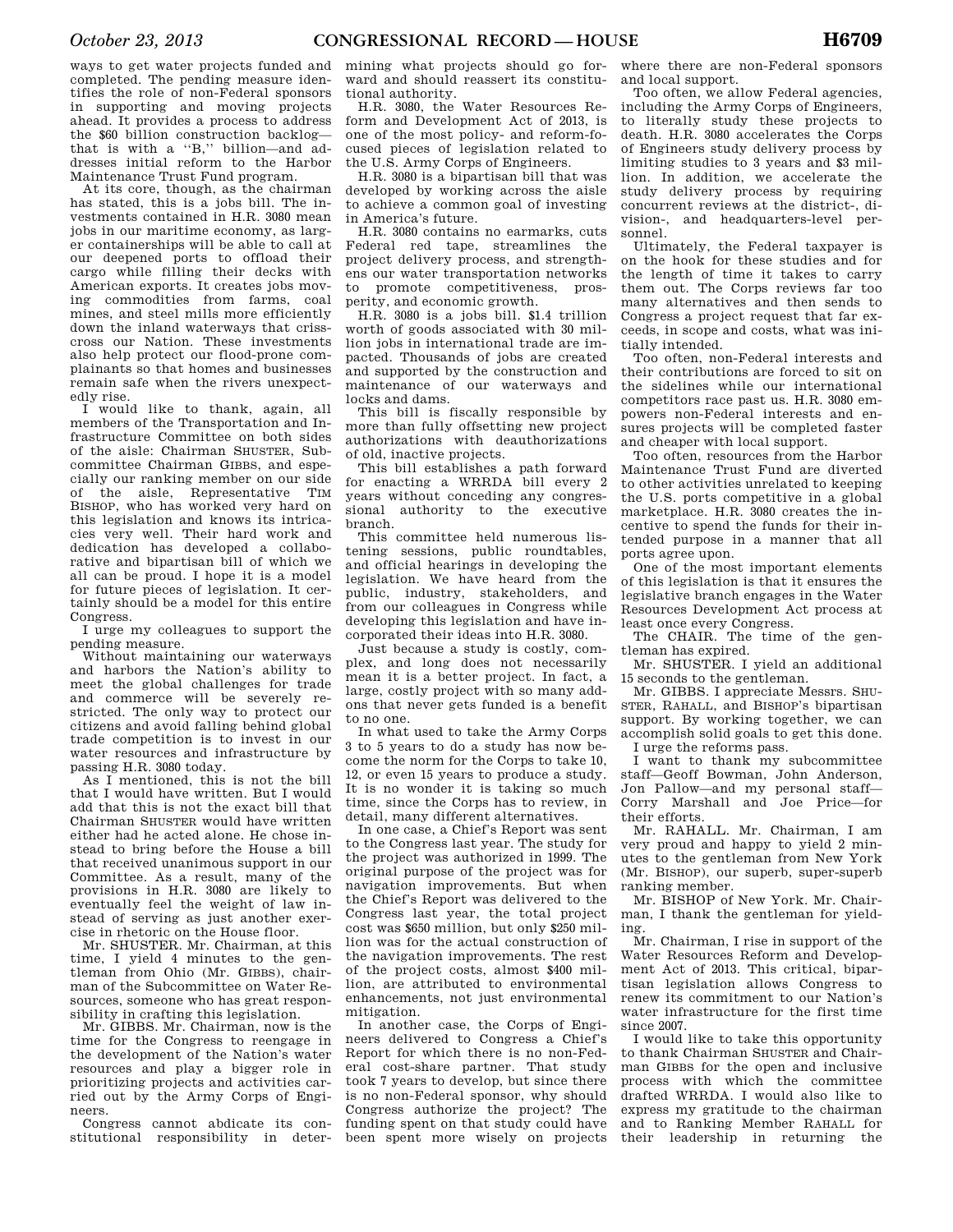ways to get water projects funded and completed. The pending measure identifies the role of non-Federal sponsors in supporting and moving projects ahead. It provides a process to address the \$60 billion construction backlog that is with a ''B,'' billion—and addresses initial reform to the Harbor Maintenance Trust Fund program.

At its core, though, as the chairman has stated, this is a jobs bill. The investments contained in H.R. 3080 mean jobs in our maritime economy, as larger containerships will be able to call at our deepened ports to offload their cargo while filling their decks with American exports. It creates jobs moving commodities from farms, coal mines, and steel mills more efficiently down the inland waterways that crisscross our Nation. These investments also help protect our flood-prone complainants so that homes and businesses remain safe when the rivers unexpectedly rise.

I would like to thank, again, all members of the Transportation and Infrastructure Committee on both sides of the aisle: Chairman SHUSTER, Subcommittee Chairman GIBBS, and especially our ranking member on our side of the aisle, Representative TIM BISHOP, who has worked very hard on this legislation and knows its intricacies very well. Their hard work and dedication has developed a collaborative and bipartisan bill of which we all can be proud. I hope it is a model for future pieces of legislation. It certainly should be a model for this entire Congress.

I urge my colleagues to support the pending measure.

Without maintaining our waterways and harbors the Nation's ability to meet the global challenges for trade and commerce will be severely restricted. The only way to protect our citizens and avoid falling behind global trade competition is to invest in our water resources and infrastructure by passing H.R. 3080 today.

As I mentioned, this is not the bill that I would have written. But I would add that this is not the exact bill that Chairman SHUSTER would have written either had he acted alone. He chose instead to bring before the House a bill that received unanimous support in our Committee. As a result, many of the provisions in H.R. 3080 are likely to eventually feel the weight of law instead of serving as just another exercise in rhetoric on the House floor.

Mr. SHUSTER. Mr. Chairman, at this time, I yield 4 minutes to the gentleman from Ohio (Mr. GIBBS), chairman of the Subcommittee on Water Resources, someone who has great responsibility in crafting this legislation.

Mr. GIBBS. Mr. Chairman, now is the time for the Congress to reengage in the development of the Nation's water resources and play a bigger role in prioritizing projects and activities carried out by the Army Corps of Engineers.

Congress cannot abdicate its constitutional responsibility in deter-

mining what projects should go forward and should reassert its constitutional authority.

H.R. 3080, the Water Resources Reform and Development Act of 2013, is one of the most policy- and reform-focused pieces of legislation related to the U.S. Army Corps of Engineers.

H.R. 3080 is a bipartisan bill that was developed by working across the aisle to achieve a common goal of investing in America's future.

H.R. 3080 contains no earmarks, cuts Federal red tape, streamlines the project delivery process, and strengthens our water transportation networks to promote competitiveness, prosperity, and economic growth.

H.R. 3080 is a jobs bill. \$1.4 trillion worth of goods associated with 30 million jobs in international trade are impacted. Thousands of jobs are created and supported by the construction and maintenance of our waterways and locks and dams.

This bill is fiscally responsible by more than fully offsetting new project authorizations with deauthorizations of old, inactive projects.

This bill establishes a path forward for enacting a WRRDA bill every 2 years without conceding any congressional authority to the executive branch.

This committee held numerous listening sessions, public roundtables, and official hearings in developing the legislation. We have heard from the public, industry, stakeholders, and from our colleagues in Congress while developing this legislation and have incorporated their ideas into H.R. 3080.

Just because a study is costly, complex, and long does not necessarily mean it is a better project. In fact, a large, costly project with so many addons that never gets funded is a benefit to no one.

In what used to take the Army Corps 3 to 5 years to do a study has now become the norm for the Corps to take 10, 12, or even 15 years to produce a study. It is no wonder it is taking so much time, since the Corps has to review, in detail, many different alternatives.

In one case, a Chief's Report was sent to the Congress last year. The study for the project was authorized in 1999. The original purpose of the project was for navigation improvements. But when the Chief's Report was delivered to the Congress last year, the total project cost was \$650 million, but only \$250 million was for the actual construction of the navigation improvements. The rest of the project costs, almost \$400 million, are attributed to environmental enhancements, not just environmental mitigation.

In another case, the Corps of Engineers delivered to Congress a Chief's Report for which there is no non-Federal cost-share partner. That study took 7 years to develop, but since there is no non-Federal sponsor, why should Congress authorize the project? The funding spent on that study could have been spent more wisely on projects

where there are non-Federal sponsors and local support.

Too often, we allow Federal agencies, including the Army Corps of Engineers, to literally study these projects to death. H.R. 3080 accelerates the Corps of Engineers study delivery process by limiting studies to 3 years and \$3 million. In addition, we accelerate the study delivery process by requiring concurrent reviews at the district-, division-, and headquarters-level personnel.

Ultimately, the Federal taxpayer is on the hook for these studies and for the length of time it takes to carry them out. The Corps reviews far too many alternatives and then sends to Congress a project request that far exceeds, in scope and costs, what was initially intended.

Too often, non-Federal interests and their contributions are forced to sit on the sidelines while our international competitors race past us. H.R. 3080 empowers non-Federal interests and ensures projects will be completed faster and cheaper with local support.

Too often, resources from the Harbor Maintenance Trust Fund are diverted to other activities unrelated to keeping the U.S. ports competitive in a global marketplace. H.R. 3080 creates the incentive to spend the funds for their intended purpose in a manner that all ports agree upon.

One of the most important elements of this legislation is that it ensures the legislative branch engages in the Water Resources Development Act process at least once every Congress.

The CHAIR. The time of the gentleman has expired.

Mr. SHUSTER. I yield an additional 15 seconds to the gentleman.

Mr. GIBBS. I appreciate Messrs. SHU-STER, RAHALL, and BISHOP's bipartisan support. By working together, we can accomplish solid goals to get this done. I urge the reforms pass.

I want to thank my subcommittee staff—Geoff Bowman, John Anderson, Jon Pallow—and my personal staff— Corry Marshall and Joe Price—for their efforts.

Mr. RAHALL. Mr. Chairman, I am very proud and happy to yield 2 minutes to the gentleman from New York (Mr. BISHOP), our superb, super-superb ranking member.

Mr. BISHOP of New York. Mr. Chairman, I thank the gentleman for yielding.

Mr. Chairman, I rise in support of the Water Resources Reform and Development Act of 2013. This critical, bipartisan legislation allows Congress to renew its commitment to our Nation's water infrastructure for the first time since 2007.

I would like to take this opportunity to thank Chairman SHUSTER and Chairman GIBBS for the open and inclusive process with which the committee drafted WRRDA. I would also like to express my gratitude to the chairman and to Ranking Member RAHALL for their leadership in returning the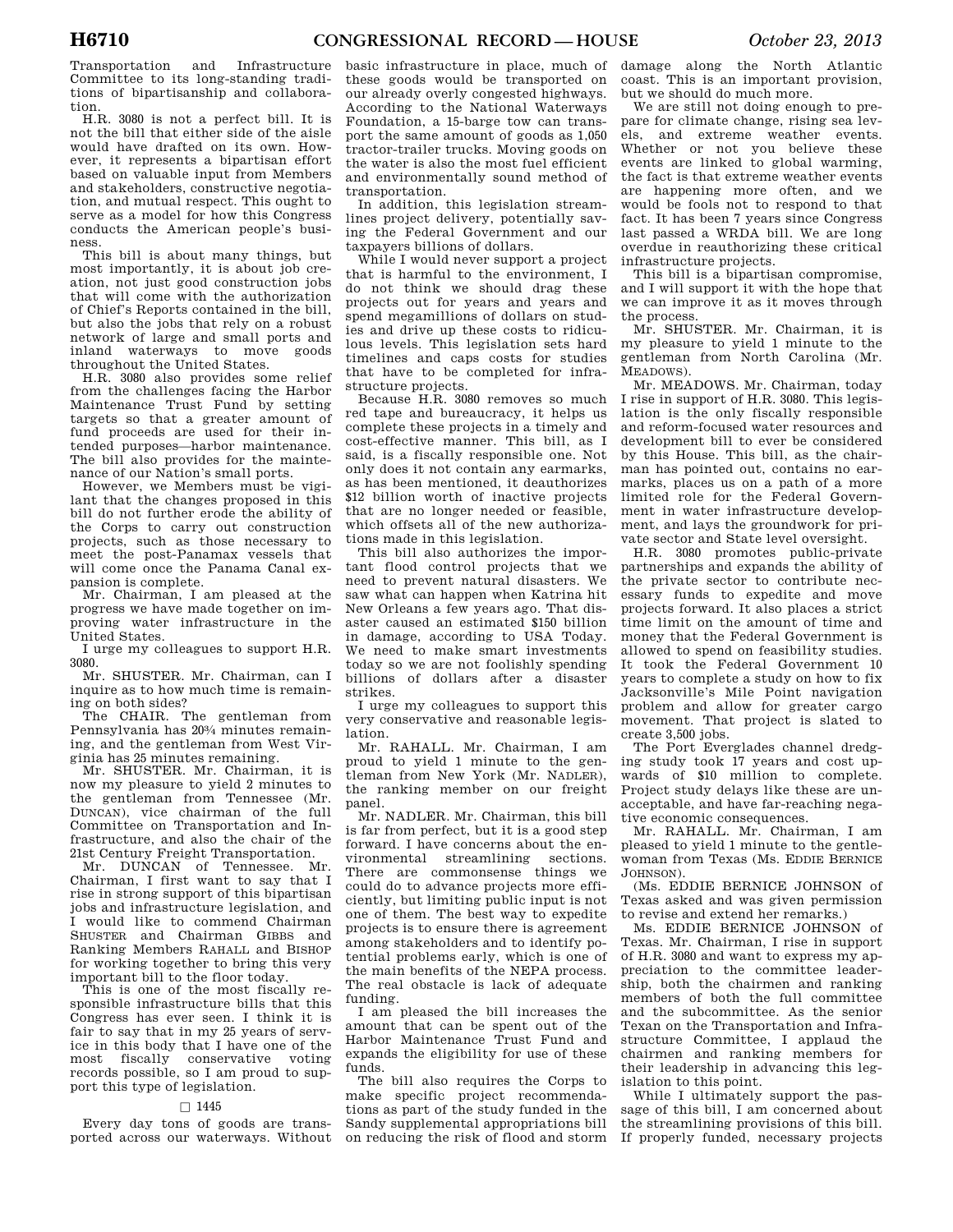Transportation and Infrastructure Committee to its long-standing traditions of bipartisanship and collaboration.

H.R. 3080 is not a perfect bill. It is not the bill that either side of the aisle would have drafted on its own. However, it represents a bipartisan effort based on valuable input from Members and stakeholders, constructive negotiation, and mutual respect. This ought to serve as a model for how this Congress conducts the American people's business.

This bill is about many things, but most importantly, it is about job creation, not just good construction jobs that will come with the authorization of Chief's Reports contained in the bill, but also the jobs that rely on a robust network of large and small ports and inland waterways to move goods throughout the United States.

H.R. 3080 also provides some relief from the challenges facing the Harbor Maintenance Trust Fund by setting targets so that a greater amount of fund proceeds are used for their intended purposes—harbor maintenance. The bill also provides for the maintenance of our Nation's small ports.

However, we Members must be vigilant that the changes proposed in this bill do not further erode the ability of the Corps to carry out construction projects, such as those necessary to meet the post-Panamax vessels that will come once the Panama Canal expansion is complete.

Mr. Chairman, I am pleased at the progress we have made together on improving water infrastructure in the United States.

I urge my colleagues to support H.R. 3080.

Mr. SHUSTER. Mr. Chairman, can I inquire as to how much time is remaining on both sides?

The CHAIR. The gentleman from Pennsylvania has 203⁄4 minutes remaining, and the gentleman from West Virginia has 25 minutes remaining.

Mr. SHUSTER. Mr. Chairman, it is now my pleasure to yield 2 minutes to the gentleman from Tennessee (Mr. DUNCAN), vice chairman of the full Committee on Transportation and Infrastructure, and also the chair of the 21st Century Freight Transportation.

Mr. DUNCAN of Tennessee. Mr. Chairman, I first want to say that I rise in strong support of this bipartisan jobs and infrastructure legislation, and I would like to commend Chairman SHUSTER and Chairman GIBBS and Ranking Members RAHALL and BISHOP for working together to bring this very important bill to the floor today.

This is one of the most fiscally responsible infrastructure bills that this Congress has ever seen. I think it is fair to say that in my 25 years of service in this body that I have one of the most fiscally conservative voting records possible, so I am proud to support this type of legislation.

# $\Box$  1445

Every day tons of goods are transported across our waterways. Without

basic infrastructure in place, much of these goods would be transported on our already overly congested highways. According to the National Waterways Foundation, a 15-barge tow can transport the same amount of goods as 1,050 tractor-trailer trucks. Moving goods on the water is also the most fuel efficient and environmentally sound method of transportation.

In addition, this legislation streamlines project delivery, potentially saving the Federal Government and our taxpayers billions of dollars.

While I would never support a project that is harmful to the environment, I do not think we should drag these projects out for years and years and spend megamillions of dollars on studies and drive up these costs to ridiculous levels. This legislation sets hard timelines and caps costs for studies that have to be completed for infrastructure projects.

Because H.R. 3080 removes so much red tape and bureaucracy, it helps us complete these projects in a timely and cost-effective manner. This bill, as I said, is a fiscally responsible one. Not only does it not contain any earmarks, as has been mentioned, it deauthorizes \$12 billion worth of inactive projects that are no longer needed or feasible, which offsets all of the new authorizations made in this legislation.

This bill also authorizes the important flood control projects that we need to prevent natural disasters. We saw what can happen when Katrina hit New Orleans a few years ago. That disaster caused an estimated \$150 billion in damage, according to USA Today. We need to make smart investments today so we are not foolishly spending billions of dollars after a disaster strikes.

I urge my colleagues to support this very conservative and reasonable legislation.

Mr. RAHALL. Mr. Chairman, I am proud to yield 1 minute to the gentleman from New York (Mr. NADLER), the ranking member on our freight panel.

Mr. NADLER. Mr. Chairman, this bill is far from perfect, but it is a good step forward. I have concerns about the environmental streamlining sections. There are commonsense things we could do to advance projects more efficiently, but limiting public input is not one of them. The best way to expedite projects is to ensure there is agreement among stakeholders and to identify potential problems early, which is one of the main benefits of the NEPA process. The real obstacle is lack of adequate funding.

I am pleased the bill increases the amount that can be spent out of the Harbor Maintenance Trust Fund and expands the eligibility for use of these funds.

The bill also requires the Corps to make specific project recommendations as part of the study funded in the Sandy supplemental appropriations bill on reducing the risk of flood and storm

damage along the North Atlantic coast. This is an important provision, but we should do much more.

We are still not doing enough to prepare for climate change, rising sea levels, and extreme weather events. Whether or not you believe these events are linked to global warming, the fact is that extreme weather events are happening more often, and we would be fools not to respond to that fact. It has been 7 years since Congress last passed a WRDA bill. We are long overdue in reauthorizing these critical infrastructure projects.

This bill is a bipartisan compromise, and I will support it with the hope that we can improve it as it moves through the process.

Mr. SHUSTER. Mr. Chairman, it is my pleasure to yield 1 minute to the gentleman from North Carolina (Mr. MEADOWS).

Mr. MEADOWS. Mr. Chairman, today I rise in support of H.R. 3080. This legislation is the only fiscally responsible and reform-focused water resources and development bill to ever be considered by this House. This bill, as the chairman has pointed out, contains no earmarks, places us on a path of a more limited role for the Federal Government in water infrastructure development, and lays the groundwork for private sector and State level oversight.

H.R. 3080 promotes public-private partnerships and expands the ability of the private sector to contribute necessary funds to expedite and move projects forward. It also places a strict time limit on the amount of time and money that the Federal Government is allowed to spend on feasibility studies. It took the Federal Government 10 years to complete a study on how to fix Jacksonville's Mile Point navigation problem and allow for greater cargo movement. That project is slated to create 3,500 jobs.

The Port Everglades channel dredging study took 17 years and cost upwards of \$10 million to complete. Project study delays like these are unacceptable, and have far-reaching negative economic consequences.

Mr. RAHALL. Mr. Chairman, I am pleased to yield 1 minute to the gentlewoman from Texas (Ms. EDDIE BERNICE JOHNSON).

(Ms. EDDIE BERNICE JOHNSON of Texas asked and was given permission to revise and extend her remarks.)

Ms. EDDIE BERNICE JOHNSON of Texas. Mr. Chairman, I rise in support of H.R. 3080 and want to express my appreciation to the committee leadership, both the chairmen and ranking members of both the full committee and the subcommittee. As the senior Texan on the Transportation and Infrastructure Committee, I applaud the chairmen and ranking members for their leadership in advancing this legislation to this point.

While I ultimately support the passage of this bill, I am concerned about the streamlining provisions of this bill. If properly funded, necessary projects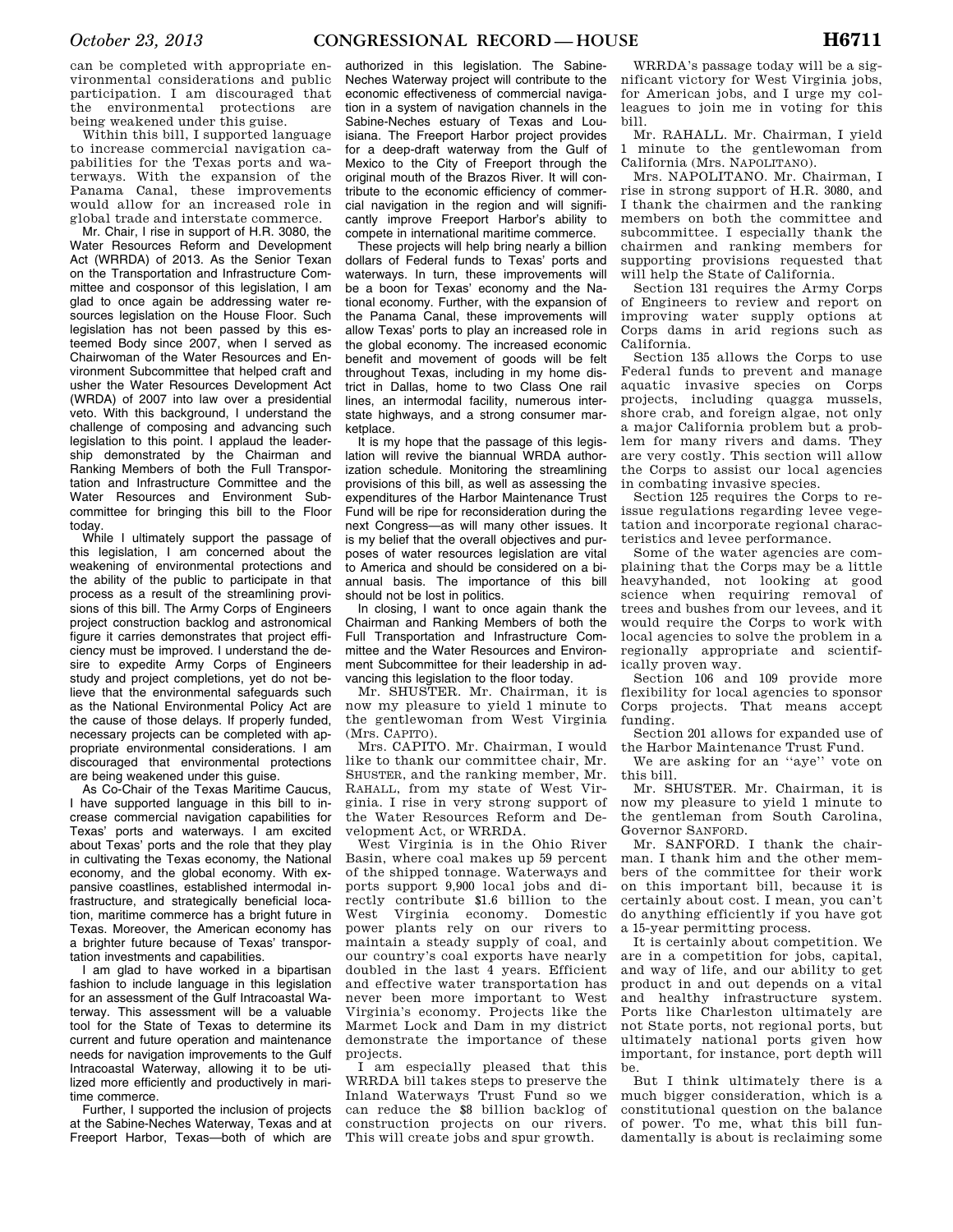can be completed with appropriate environmental considerations and public participation. I am discouraged that the environmental protections are being weakened under this guise.

Within this bill, I supported language to increase commercial navigation capabilities for the Texas ports and waterways. With the expansion of the Panama Canal, these improvements would allow for an increased role in global trade and interstate commerce.

Mr. Chair, I rise in support of H.R. 3080, the Water Resources Reform and Development Act (WRRDA) of 2013. As the Senior Texan on the Transportation and Infrastructure Committee and cosponsor of this legislation, I am glad to once again be addressing water resources legislation on the House Floor. Such legislation has not been passed by this esteemed Body since 2007, when I served as Chairwoman of the Water Resources and Environment Subcommittee that helped craft and usher the Water Resources Development Act (WRDA) of 2007 into law over a presidential veto. With this background, I understand the challenge of composing and advancing such legislation to this point. I applaud the leadership demonstrated by the Chairman and Ranking Members of both the Full Transportation and Infrastructure Committee and the Water Resources and Environment Subcommittee for bringing this bill to the Floor today.

While I ultimately support the passage of this legislation, I am concerned about the weakening of environmental protections and the ability of the public to participate in that process as a result of the streamlining provisions of this bill. The Army Corps of Engineers project construction backlog and astronomical figure it carries demonstrates that project efficiency must be improved. I understand the desire to expedite Army Corps of Engineers study and project completions, yet do not believe that the environmental safeguards such as the National Environmental Policy Act are the cause of those delays. If properly funded, necessary projects can be completed with appropriate environmental considerations. I am discouraged that environmental protections are being weakened under this guise.

As Co-Chair of the Texas Maritime Caucus, I have supported language in this bill to increase commercial navigation capabilities for Texas' ports and waterways. I am excited about Texas' ports and the role that they play in cultivating the Texas economy, the National economy, and the global economy. With expansive coastlines, established intermodal infrastructure, and strategically beneficial location, maritime commerce has a bright future in Texas. Moreover, the American economy has a brighter future because of Texas' transportation investments and capabilities.

I am glad to have worked in a bipartisan fashion to include language in this legislation for an assessment of the Gulf Intracoastal Waterway. This assessment will be a valuable tool for the State of Texas to determine its current and future operation and maintenance needs for navigation improvements to the Gulf Intracoastal Waterway, allowing it to be utilized more efficiently and productively in maritime commerce.

Further, I supported the inclusion of projects at the Sabine-Neches Waterway, Texas and at Freeport Harbor, Texas—both of which are

authorized in this legislation. The Sabine-Neches Waterway project will contribute to the economic effectiveness of commercial navigation in a system of navigation channels in the Sabine-Neches estuary of Texas and Louisiana. The Freeport Harbor project provides for a deep-draft waterway from the Gulf of Mexico to the City of Freeport through the original mouth of the Brazos River. It will contribute to the economic efficiency of commercial navigation in the region and will significantly improve Freeport Harbor's ability to compete in international maritime commerce.

These projects will help bring nearly a billion dollars of Federal funds to Texas' ports and waterways. In turn, these improvements will be a boon for Texas' economy and the National economy. Further, with the expansion of the Panama Canal, these improvements will allow Texas' ports to play an increased role in the global economy. The increased economic benefit and movement of goods will be felt throughout Texas, including in my home district in Dallas, home to two Class One rail lines, an intermodal facility, numerous interstate highways, and a strong consumer marketplace.

It is my hope that the passage of this legislation will revive the biannual WRDA authorization schedule. Monitoring the streamlining provisions of this bill, as well as assessing the expenditures of the Harbor Maintenance Trust Fund will be ripe for reconsideration during the next Congress—as will many other issues. It is my belief that the overall objectives and purposes of water resources legislation are vital to America and should be considered on a biannual basis. The importance of this bill should not be lost in politics.

In closing, I want to once again thank the Chairman and Ranking Members of both the Full Transportation and Infrastructure Committee and the Water Resources and Environment Subcommittee for their leadership in advancing this legislation to the floor today.

Mr. SHUSTER. Mr. Chairman, it is now my pleasure to yield 1 minute to the gentlewoman from West Virginia (Mrs. CAPITO).

Mrs. CAPITO. Mr. Chairman, I would like to thank our committee chair, Mr. SHUSTER, and the ranking member, Mr. RAHALL, from my state of West Virginia. I rise in very strong support of the Water Resources Reform and Development Act, or WRRDA.

West Virginia is in the Ohio River Basin, where coal makes up 59 percent of the shipped tonnage. Waterways and ports support 9,900 local jobs and directly contribute \$1.6 billion to the West Virginia economy Domestic Virginia economy. Domestic power plants rely on our rivers to maintain a steady supply of coal, and our country's coal exports have nearly doubled in the last 4 years. Efficient and effective water transportation has never been more important to West Virginia's economy. Projects like the Marmet Lock and Dam in my district demonstrate the importance of these projects.

I am especially pleased that this WRRDA bill takes steps to preserve the Inland Waterways Trust Fund so we can reduce the \$8 billion backlog of construction projects on our rivers. This will create jobs and spur growth.

WRRDA's passage today will be a significant victory for West Virginia jobs, for American jobs, and I urge my colleagues to join me in voting for this bill.

Mr. RAHALL. Mr. Chairman, I yield 1 minute to the gentlewoman from California (Mrs. NAPOLITANO).

Mrs. NAPOLITANO. Mr. Chairman, I rise in strong support of H.R. 3080, and I thank the chairmen and the ranking members on both the committee and subcommittee. I especially thank the chairmen and ranking members for supporting provisions requested that will help the State of California.

Section 131 requires the Army Corps of Engineers to review and report on improving water supply options at Corps dams in arid regions such as California.

Section 135 allows the Corps to use Federal funds to prevent and manage aquatic invasive species on Corps projects, including quagga mussels, shore crab, and foreign algae, not only a major California problem but a problem for many rivers and dams. They are very costly. This section will allow the Corps to assist our local agencies in combating invasive species.

Section 125 requires the Corps to reissue regulations regarding levee vegetation and incorporate regional characteristics and levee performance.

Some of the water agencies are complaining that the Corps may be a little heavyhanded, not looking at good science when requiring removal of trees and bushes from our levees, and it would require the Corps to work with local agencies to solve the problem in a regionally appropriate and scientifically proven way.

Section 106 and 109 provide more flexibility for local agencies to sponsor Corps projects. That means accept funding.

Section 201 allows for expanded use of the Harbor Maintenance Trust Fund.

We are asking for an ''aye'' vote on this bill.

Mr. SHUSTER. Mr. Chairman, it is now my pleasure to yield 1 minute to the gentleman from South Carolina, Governor SANFORD.

Mr. SANFORD. I thank the chairman. I thank him and the other members of the committee for their work on this important bill, because it is certainly about cost. I mean, you can't do anything efficiently if you have got a 15-year permitting process.

It is certainly about competition. We are in a competition for jobs, capital, and way of life, and our ability to get product in and out depends on a vital and healthy infrastructure system. Ports like Charleston ultimately are not State ports, not regional ports, but ultimately national ports given how important, for instance, port depth will be.

But I think ultimately there is a much bigger consideration, which is a constitutional question on the balance of power. To me, what this bill fundamentally is about is reclaiming some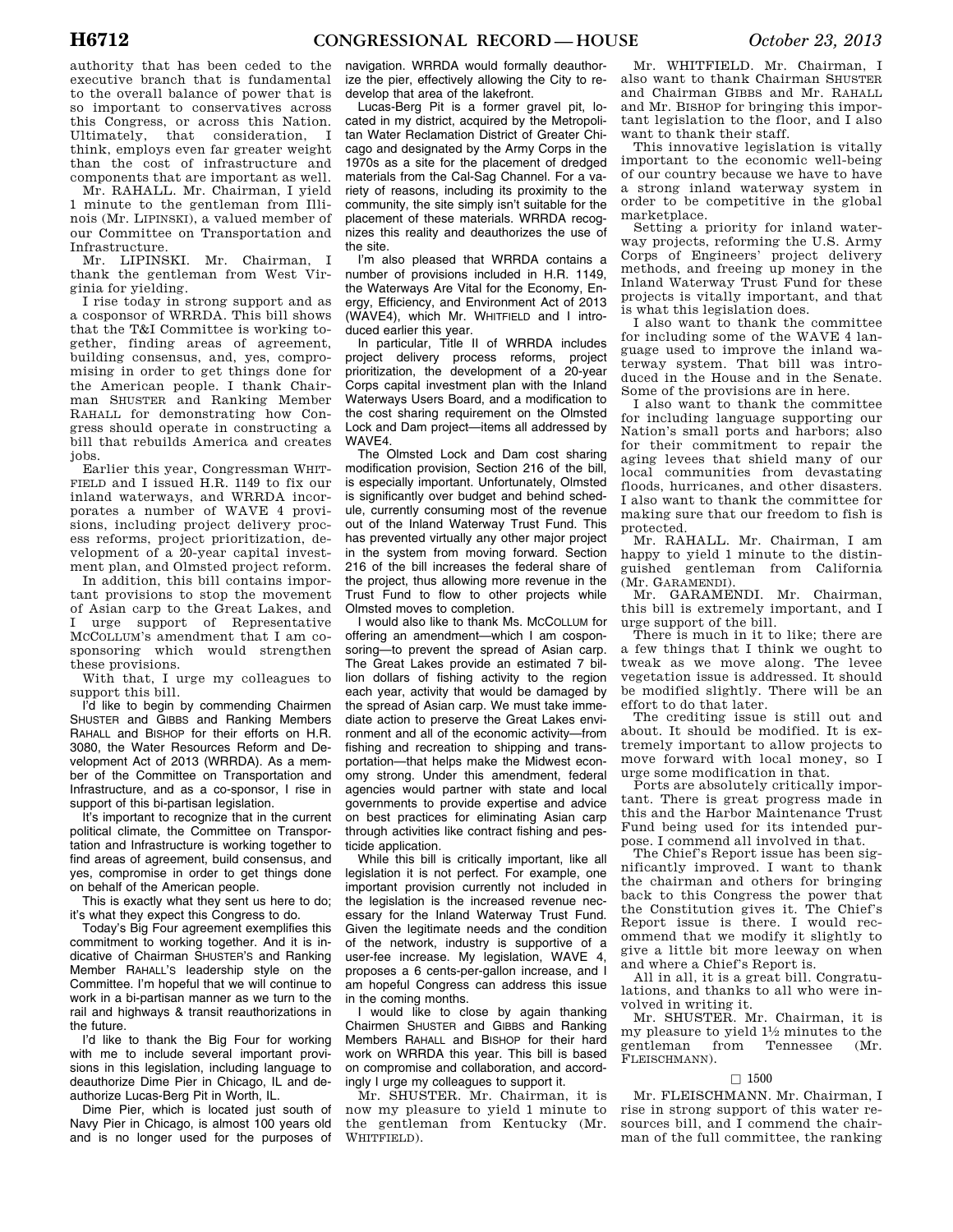authority that has been ceded to the executive branch that is fundamental to the overall balance of power that is so important to conservatives across this Congress, or across this Nation. Ultimately, that consideration, I think, employs even far greater weight than the cost of infrastructure and components that are important as well.

Mr. RAHALL. Mr. Chairman, I yield 1 minute to the gentleman from Illinois (Mr. LIPINSKI), a valued member of our Committee on Transportation and Infrastructure.

Mr. LIPINSKI. Mr. Chairman, I thank the gentleman from West Virginia for yielding.

I rise today in strong support and as a cosponsor of WRRDA. This bill shows that the T&I Committee is working together, finding areas of agreement, building consensus, and, yes, compromising in order to get things done for the American people. I thank Chairman SHUSTER and Ranking Member RAHALL for demonstrating how Congress should operate in constructing a bill that rebuilds America and creates jobs.

Earlier this year, Congressman WHIT-FIELD and I issued H.R. 1149 to fix our inland waterways, and WRRDA incorporates a number of WAVE 4 provisions, including project delivery process reforms, project prioritization, development of a 20-year capital investment plan, and Olmsted project reform.

In addition, this bill contains important provisions to stop the movement of Asian carp to the Great Lakes, and I urge support of Representative MCCOLLUM's amendment that I am cosponsoring which would strengthen these provisions.

With that, I urge my colleagues to support this bill.

I'd like to begin by commending Chairmen SHUSTER and GIBBS and Ranking Members RAHALL and BISHOP for their efforts on H.R. 3080, the Water Resources Reform and Development Act of 2013 (WRRDA). As a member of the Committee on Transportation and Infrastructure, and as a co-sponsor, I rise in support of this bi-partisan legislation.

It's important to recognize that in the current political climate, the Committee on Transportation and Infrastructure is working together to find areas of agreement, build consensus, and yes, compromise in order to get things done on behalf of the American people.

This is exactly what they sent us here to do; it's what they expect this Congress to do.

Today's Big Four agreement exemplifies this commitment to working together. And it is indicative of Chairman SHUSTER'S and Ranking Member RAHALL'S leadership style on the Committee. I'm hopeful that we will continue to work in a bi-partisan manner as we turn to the rail and highways & transit reauthorizations in the future.

I'd like to thank the Big Four for working with me to include several important provisions in this legislation, including language to deauthorize Dime Pier in Chicago, IL and deauthorize Lucas-Berg Pit in Worth, IL.

Dime Pier, which is located just south of Navy Pier in Chicago, is almost 100 years old and is no longer used for the purposes of

navigation. WRRDA would formally deauthorize the pier, effectively allowing the City to redevelop that area of the lakefront.

Lucas-Berg Pit is a former gravel pit, located in my district, acquired by the Metropolitan Water Reclamation District of Greater Chicago and designated by the Army Corps in the 1970s as a site for the placement of dredged materials from the Cal-Sag Channel. For a variety of reasons, including its proximity to the community, the site simply isn't suitable for the placement of these materials. WRRDA recognizes this reality and deauthorizes the use of the site.

I'm also pleased that WRRDA contains a number of provisions included in H.R. 1149, the Waterways Are Vital for the Economy, Energy, Efficiency, and Environment Act of 2013 (WAVE4), which Mr. WHITFIELD and I introduced earlier this year.

In particular, Title II of WRRDA includes project delivery process reforms, project prioritization, the development of a 20-year Corps capital investment plan with the Inland Waterways Users Board, and a modification to the cost sharing requirement on the Olmsted Lock and Dam project—items all addressed by WAVE4.

The Olmsted Lock and Dam cost sharing modification provision, Section 216 of the bill, is especially important. Unfortunately, Olmsted is significantly over budget and behind schedule, currently consuming most of the revenue out of the Inland Waterway Trust Fund. This has prevented virtually any other major project in the system from moving forward. Section 216 of the bill increases the federal share of the project, thus allowing more revenue in the Trust Fund to flow to other projects while Olmsted moves to completion.

I would also like to thank Ms. MCCOLLUM for offering an amendment—which I am cosponsoring—to prevent the spread of Asian carp. The Great Lakes provide an estimated 7 billion dollars of fishing activity to the region each year, activity that would be damaged by the spread of Asian carp. We must take immediate action to preserve the Great Lakes environment and all of the economic activity—from fishing and recreation to shipping and transportation—that helps make the Midwest economy strong. Under this amendment, federal agencies would partner with state and local governments to provide expertise and advice on best practices for eliminating Asian carp through activities like contract fishing and pesticide application.

While this bill is critically important, like all legislation it is not perfect. For example, one important provision currently not included in the legislation is the increased revenue necessary for the Inland Waterway Trust Fund. Given the legitimate needs and the condition of the network, industry is supportive of a user-fee increase. My legislation, WAVE 4, proposes a 6 cents-per-gallon increase, and I am hopeful Congress can address this issue in the coming months.

I would like to close by again thanking Chairmen SHUSTER and GIBBS and Ranking Members RAHALL and BISHOP for their hard work on WRRDA this year. This bill is based on compromise and collaboration, and accordingly I urge my colleagues to support it.

Mr. SHUSTER. Mr. Chairman, it is now my pleasure to yield 1 minute to the gentleman from Kentucky (Mr. WHITFIELD).

Mr. WHITFIELD. Mr. Chairman, I also want to thank Chairman SHUSTER and Chairman GIBBS and Mr. RAHALL and Mr. BISHOP for bringing this important legislation to the floor, and I also want to thank their staff.

This innovative legislation is vitally important to the economic well-being of our country because we have to have a strong inland waterway system in order to be competitive in the global marketplace.

Setting a priority for inland waterway projects, reforming the U.S. Army Corps of Engineers' project delivery methods, and freeing up money in the Inland Waterway Trust Fund for these projects is vitally important, and that is what this legislation does.

I also want to thank the committee for including some of the WAVE 4 language used to improve the inland waterway system. That bill was introduced in the House and in the Senate. Some of the provisions are in here.

I also want to thank the committee for including language supporting our Nation's small ports and harbors; also for their commitment to repair the aging levees that shield many of our local communities from devastating floods, hurricanes, and other disasters. I also want to thank the committee for making sure that our freedom to fish is protected.

Mr. RAHALL. Mr. Chairman, I am happy to yield 1 minute to the distinguished gentleman from California (Mr. GARAMENDI).

Mr. GARAMENDI. Mr. Chairman, this bill is extremely important, and I urge support of the bill.

There is much in it to like; there are a few things that I think we ought to tweak as we move along. The levee vegetation issue is addressed. It should be modified slightly. There will be an effort to do that later.

The crediting issue is still out and about. It should be modified. It is extremely important to allow projects to move forward with local money, so I urge some modification in that.

Ports are absolutely critically important. There is great progress made in this and the Harbor Maintenance Trust Fund being used for its intended purpose. I commend all involved in that.

The Chief's Report issue has been significantly improved. I want to thank the chairman and others for bringing back to this Congress the power that the Constitution gives it. The Chief's Report issue is there. I would recommend that we modify it slightly to give a little bit more leeway on when and where a Chief's Report is.

All in all, it is a great bill. Congratulations, and thanks to all who were involved in writing it.

Mr. SHUSTER. Mr. Chairman, it is my pleasure to yield 11⁄2 minutes to the gentleman from Tennessee (Mr. FLEISCHMANN).

# $\Box$  1500

Mr. FLEISCHMANN. Mr. Chairman, I rise in strong support of this water resources bill, and I commend the chairman of the full committee, the ranking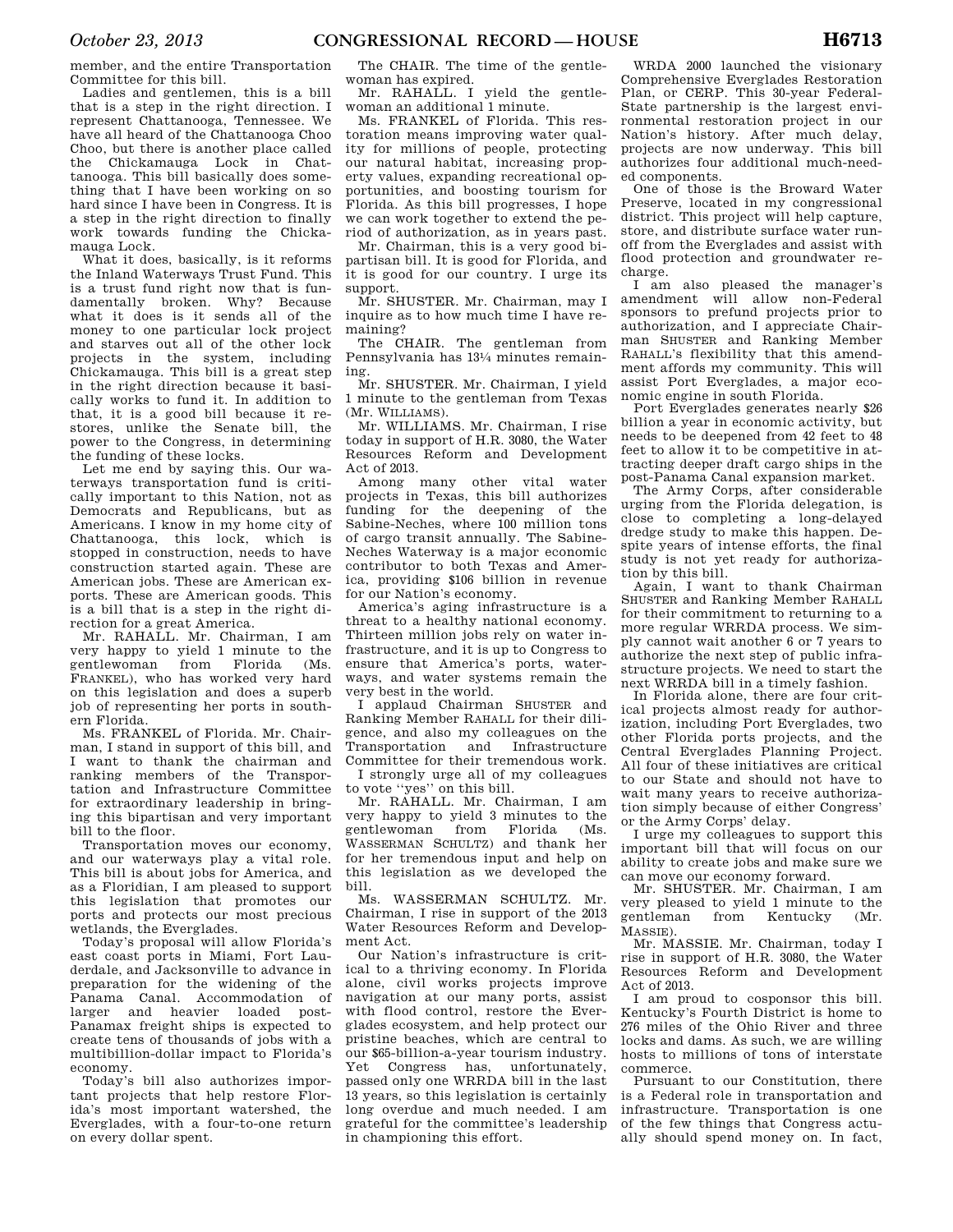member, and the entire Transportation Committee for this bill.

Ladies and gentlemen, this is a bill that is a step in the right direction. I represent Chattanooga, Tennessee. We have all heard of the Chattanooga Choo Choo, but there is another place called the Chickamauga Lock in Chattanooga. This bill basically does something that I have been working on so hard since I have been in Congress. It is a step in the right direction to finally work towards funding the Chickamauga Lock.

What it does, basically, is it reforms the Inland Waterways Trust Fund. This is a trust fund right now that is fundamentally broken. Why? Because what it does is it sends all of the money to one particular lock project and starves out all of the other lock projects in the system, including Chickamauga. This bill is a great step in the right direction because it basically works to fund it. In addition to that, it is a good bill because it restores, unlike the Senate bill, the power to the Congress, in determining the funding of these locks.

Let me end by saying this. Our waterways transportation fund is critically important to this Nation, not as Democrats and Republicans, but as Americans. I know in my home city of Chattanooga, this lock, which is stopped in construction, needs to have construction started again. These are American jobs. These are American exports. These are American goods. This is a bill that is a step in the right direction for a great America.

Mr. RAHALL. Mr. Chairman, I am very happy to yield 1 minute to the gentlewoman from Florida (Ms. FRANKEL), who has worked very hard on this legislation and does a superb job of representing her ports in southern Florida.

Ms. FRANKEL of Florida. Mr. Chairman, I stand in support of this bill, and I want to thank the chairman and ranking members of the Transportation and Infrastructure Committee for extraordinary leadership in bringing this bipartisan and very important bill to the floor.

Transportation moves our economy, and our waterways play a vital role. This bill is about jobs for America, and as a Floridian, I am pleased to support this legislation that promotes our ports and protects our most precious wetlands, the Everglades.

Today's proposal will allow Florida's east coast ports in Miami, Fort Lauderdale, and Jacksonville to advance in preparation for the widening of the Panama Canal. Accommodation of larger and heavier loaded post-Panamax freight ships is expected to create tens of thousands of jobs with a multibillion-dollar impact to Florida's economy.

Today's bill also authorizes important projects that help restore Florida's most important watershed, the Everglades, with a four-to-one return on every dollar spent.

The CHAIR. The time of the gentlewoman has expired.

Mr. RAHALL. I yield the gentlewoman an additional 1 minute.

Ms. FRANKEL of Florida. This restoration means improving water quality for millions of people, protecting our natural habitat, increasing property values, expanding recreational opportunities, and boosting tourism for Florida. As this bill progresses, I hope we can work together to extend the period of authorization, as in years past.

Mr. Chairman, this is a very good bipartisan bill. It is good for Florida, and it is good for our country. I urge its support.

Mr. SHUSTER. Mr. Chairman, may I inquire as to how much time I have remaining?

The CHAIR. The gentleman from Pennsylvania has 131⁄4 minutes remaining.

Mr. SHUSTER. Mr. Chairman, I yield 1 minute to the gentleman from Texas (Mr. WILLIAMS).

Mr. WILLIAMS. Mr. Chairman, I rise today in support of H.R. 3080, the Water Resources Reform and Development Act of 2013.

Among many other vital water projects in Texas, this bill authorizes funding for the deepening of the Sabine-Neches, where 100 million tons of cargo transit annually. The Sabine-Neches Waterway is a major economic contributor to both Texas and America, providing \$106 billion in revenue for our Nation's economy.

America's aging infrastructure is a threat to a healthy national economy. Thirteen million jobs rely on water infrastructure, and it is up to Congress to ensure that America's ports, waterways, and water systems remain the very best in the world.

I applaud Chairman SHUSTER and Ranking Member RAHALL for their diligence, and also my colleagues on the Transportation and Infrastructure Committee for their tremendous work.

I strongly urge all of my colleagues to vote ''yes'' on this bill.

Mr. RAHALL. Mr. Chairman, I am very happy to yield 3 minutes to the<br>gentlewoman from Florida (Ms. gentlewoman WASSERMAN SCHULTZ) and thank her for her tremendous input and help on this legislation as we developed the bill.

Ms. WASSERMAN SCHULTZ. Mr. Chairman, I rise in support of the 2013 Water Resources Reform and Development Act.

Our Nation's infrastructure is critical to a thriving economy. In Florida alone, civil works projects improve navigation at our many ports, assist with flood control, restore the Everglades ecosystem, and help protect our pristine beaches, which are central to our \$65-billion-a-year tourism industry. Yet Congress has, unfortunately, passed only one WRRDA bill in the last 13 years, so this legislation is certainly long overdue and much needed. I am grateful for the committee's leadership in championing this effort.

WRDA 2000 launched the visionary Comprehensive Everglades Restoration Plan, or CERP. This 30-year Federal-State partnership is the largest environmental restoration project in our Nation's history. After much delay, projects are now underway. This bill authorizes four additional much-needed components.

One of those is the Broward Water Preserve, located in my congressional district. This project will help capture, store, and distribute surface water runoff from the Everglades and assist with flood protection and groundwater recharge.

I am also pleased the manager's amendment will allow non-Federal sponsors to prefund projects prior to authorization, and I appreciate Chairman SHUSTER and Ranking Member RAHALL's flexibility that this amendment affords my community. This will assist Port Everglades, a major economic engine in south Florida.

Port Everglades generates nearly \$26 billion a year in economic activity, but needs to be deepened from 42 feet to 48 feet to allow it to be competitive in attracting deeper draft cargo ships in the post-Panama Canal expansion market.

The Army Corps, after considerable urging from the Florida delegation, is close to completing a long-delayed dredge study to make this happen. Despite years of intense efforts, the final study is not yet ready for authorization by this bill.

Again, I want to thank Chairman SHUSTER and Ranking Member RAHALL for their commitment to returning to a more regular WRRDA process. We simply cannot wait another 6 or 7 years to authorize the next step of public infrastructure projects. We need to start the next WRRDA bill in a timely fashion.

In Florida alone, there are four critical projects almost ready for authorization, including Port Everglades, two other Florida ports projects, and the Central Everglades Planning Project. All four of these initiatives are critical to our State and should not have to wait many years to receive authorization simply because of either Congress' or the Army Corps' delay.

I urge my colleagues to support this important bill that will focus on our ability to create jobs and make sure we can move our economy forward.

Mr. SHUSTER. Mr. Chairman, I am very pleased to yield 1 minute to the gentleman from Kentucky (Mr. MASSIE).

Mr. MASSIE. Mr. Chairman, today I rise in support of H.R. 3080, the Water Resources Reform and Development Act of 2013.

I am proud to cosponsor this bill. Kentucky's Fourth District is home to 276 miles of the Ohio River and three locks and dams. As such, we are willing hosts to millions of tons of interstate commerce.

Pursuant to our Constitution, there is a Federal role in transportation and infrastructure. Transportation is one of the few things that Congress actually should spend money on. In fact,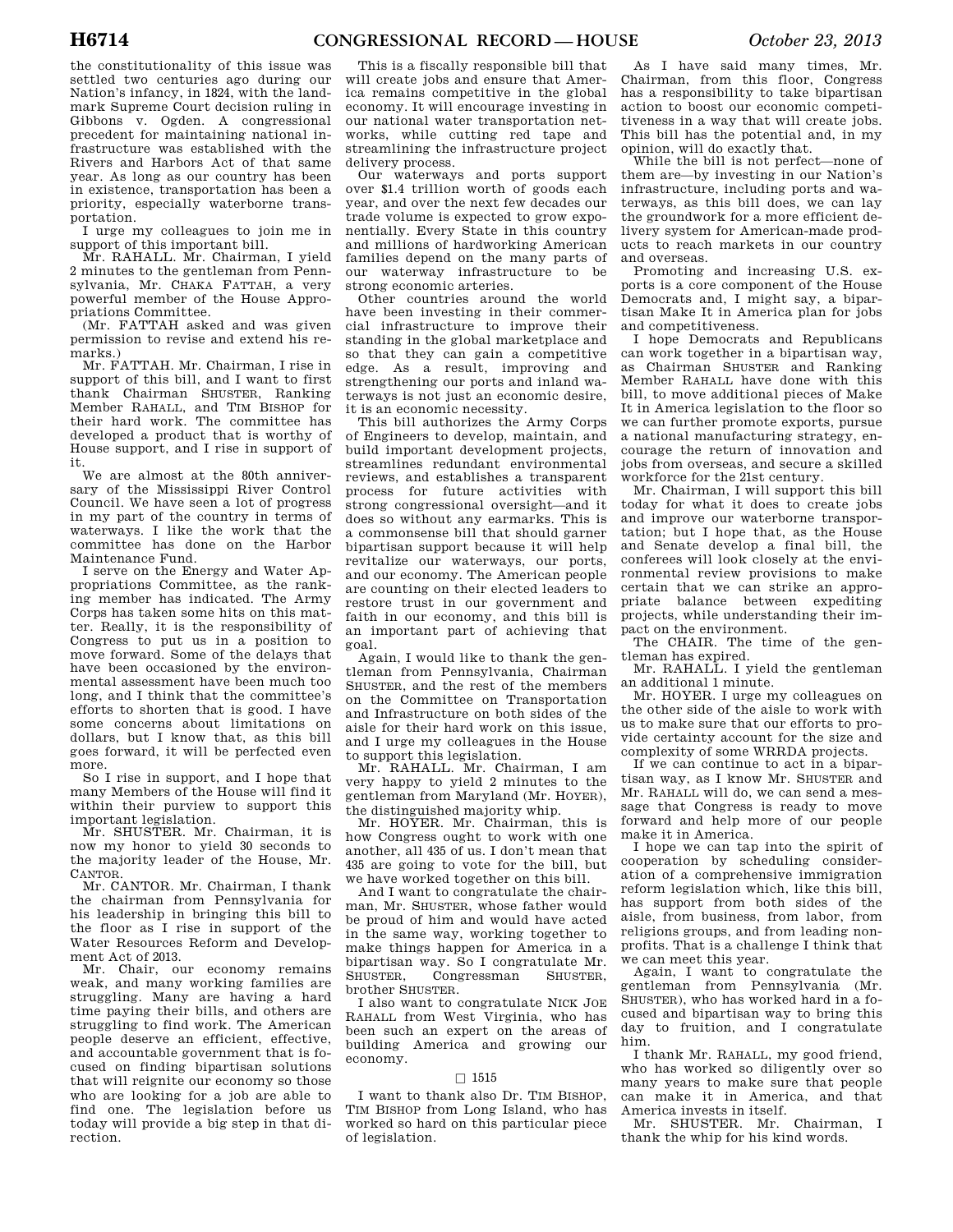the constitutionality of this issue was settled two centuries ago during our Nation's infancy, in 1824, with the landmark Supreme Court decision ruling in Gibbons v. Ogden. A congressional precedent for maintaining national infrastructure was established with the Rivers and Harbors Act of that same year. As long as our country has been in existence, transportation has been a priority, especially waterborne transportation.

I urge my colleagues to join me in support of this important bill.

Mr. RAHALL. Mr. Chairman, I yield 2 minutes to the gentleman from Pennsylvania, Mr. CHAKA FATTAH, a very powerful member of the House Appropriations Committee.

(Mr. FATTAH asked and was given permission to revise and extend his remarks.)

Mr. FATTAH. Mr. Chairman, I rise in support of this bill, and I want to first thank Chairman SHUSTER, Ranking Member RAHALL, and TIM BISHOP for their hard work. The committee has developed a product that is worthy of House support, and I rise in support of it.

We are almost at the 80th anniversary of the Mississippi River Control Council. We have seen a lot of progress in my part of the country in terms of waterways. I like the work that the committee has done on the Harbor Maintenance Fund.

I serve on the Energy and Water Appropriations Committee, as the ranking member has indicated. The Army Corps has taken some hits on this matter. Really, it is the responsibility of Congress to put us in a position to move forward. Some of the delays that have been occasioned by the environmental assessment have been much too long, and I think that the committee's efforts to shorten that is good. I have some concerns about limitations on dollars, but I know that, as this bill goes forward, it will be perfected even more.

So I rise in support, and I hope that many Members of the House will find it within their purview to support this important legislation.

Mr. SHUSTER. Mr. Chairman, it is now my honor to yield 30 seconds to the majority leader of the House, Mr. CANTOR.

Mr. CANTOR. Mr. Chairman, I thank the chairman from Pennsylvania for his leadership in bringing this bill to the floor as I rise in support of the Water Resources Reform and Development Act of 2013.

Mr. Chair, our economy remains weak, and many working families are struggling. Many are having a hard time paying their bills, and others are struggling to find work. The American people deserve an efficient, effective, and accountable government that is focused on finding bipartisan solutions that will reignite our economy so those who are looking for a job are able to find one. The legislation before us today will provide a big step in that direction.

This is a fiscally responsible bill that will create jobs and ensure that America remains competitive in the global economy. It will encourage investing in our national water transportation networks, while cutting red tape and streamlining the infrastructure project delivery process.

Our waterways and ports support over \$1.4 trillion worth of goods each year, and over the next few decades our trade volume is expected to grow exponentially. Every State in this country and millions of hardworking American families depend on the many parts of our waterway infrastructure to be strong economic arteries.

Other countries around the world have been investing in their commercial infrastructure to improve their standing in the global marketplace and so that they can gain a competitive edge. As a result, improving and strengthening our ports and inland waterways is not just an economic desire, it is an economic necessity.

This bill authorizes the Army Corps of Engineers to develop, maintain, and build important development projects, streamlines redundant environmental reviews, and establishes a transparent process for future activities with strong congressional oversight—and it does so without any earmarks. This is a commonsense bill that should garner bipartisan support because it will help revitalize our waterways, our ports, and our economy. The American people are counting on their elected leaders to restore trust in our government and faith in our economy, and this bill is an important part of achieving that goal.

Again, I would like to thank the gentleman from Pennsylvania, Chairman SHUSTER, and the rest of the members on the Committee on Transportation and Infrastructure on both sides of the aisle for their hard work on this issue, and I urge my colleagues in the House to support this legislation.

Mr. RAHALL. Mr. Chairman, I am very happy to yield 2 minutes to the gentleman from Maryland (Mr. HOYER), the distinguished majority whip.

Mr. HOYER. Mr. Chairman, this is how Congress ought to work with one another, all 435 of us. I don't mean that 435 are going to vote for the bill, but we have worked together on this bill.

And I want to congratulate the chairman, Mr. SHUSTER, whose father would be proud of him and would have acted in the same way, working together to make things happen for America in a bipartisan way. So I congratulate Mr. SHUSTER, Congressman brother SHUSTER.

I also want to congratulate NICK JOE RAHALL from West Virginia, who has been such an expert on the areas of building America and growing our economy.

# $\Box$  1515

I want to thank also Dr. TIM BISHOP, TIM BISHOP from Long Island, who has worked so hard on this particular piece of legislation.

As I have said many times, Mr. Chairman, from this floor, Congress has a responsibility to take bipartisan action to boost our economic competitiveness in a way that will create jobs. This bill has the potential and, in my opinion, will do exactly that.

While the bill is not perfect—none of them are—by investing in our Nation's infrastructure, including ports and waterways, as this bill does, we can lay the groundwork for a more efficient delivery system for American-made products to reach markets in our country and overseas.

Promoting and increasing U.S. exports is a core component of the House Democrats and, I might say, a bipartisan Make It in America plan for jobs and competitiveness.

I hope Democrats and Republicans can work together in a bipartisan way, as Chairman SHUSTER and Ranking Member RAHALL have done with this bill, to move additional pieces of Make It in America legislation to the floor so we can further promote exports, pursue a national manufacturing strategy, encourage the return of innovation and jobs from overseas, and secure a skilled workforce for the 21st century.

Mr. Chairman, I will support this bill today for what it does to create jobs and improve our waterborne transportation; but I hope that, as the House and Senate develop a final bill, the conferees will look closely at the environmental review provisions to make certain that we can strike an appropriate balance between expediting projects, while understanding their impact on the environment.

The CHAIR. The time of the gentleman has expired.

Mr. RAHALL. I yield the gentleman an additional 1 minute.

Mr. HOYER. I urge my colleagues on the other side of the aisle to work with us to make sure that our efforts to provide certainty account for the size and complexity of some WRRDA projects.

If we can continue to act in a bipartisan way, as I know Mr. SHUSTER and Mr. RAHALL will do, we can send a message that Congress is ready to move forward and help more of our people make it in America.

I hope we can tap into the spirit of cooperation by scheduling consideration of a comprehensive immigration reform legislation which, like this bill, has support from both sides of the aisle, from business, from labor, from religions groups, and from leading nonprofits. That is a challenge I think that we can meet this year.

Again, I want to congratulate the gentleman from Pennsylvania (Mr. SHUSTER), who has worked hard in a focused and bipartisan way to bring this day to fruition, and I congratulate him.

I thank Mr. RAHALL, my good friend, who has worked so diligently over so many years to make sure that people can make it in America, and that America invests in itself.

Mr. SHUSTER. Mr. Chairman, I thank the whip for his kind words.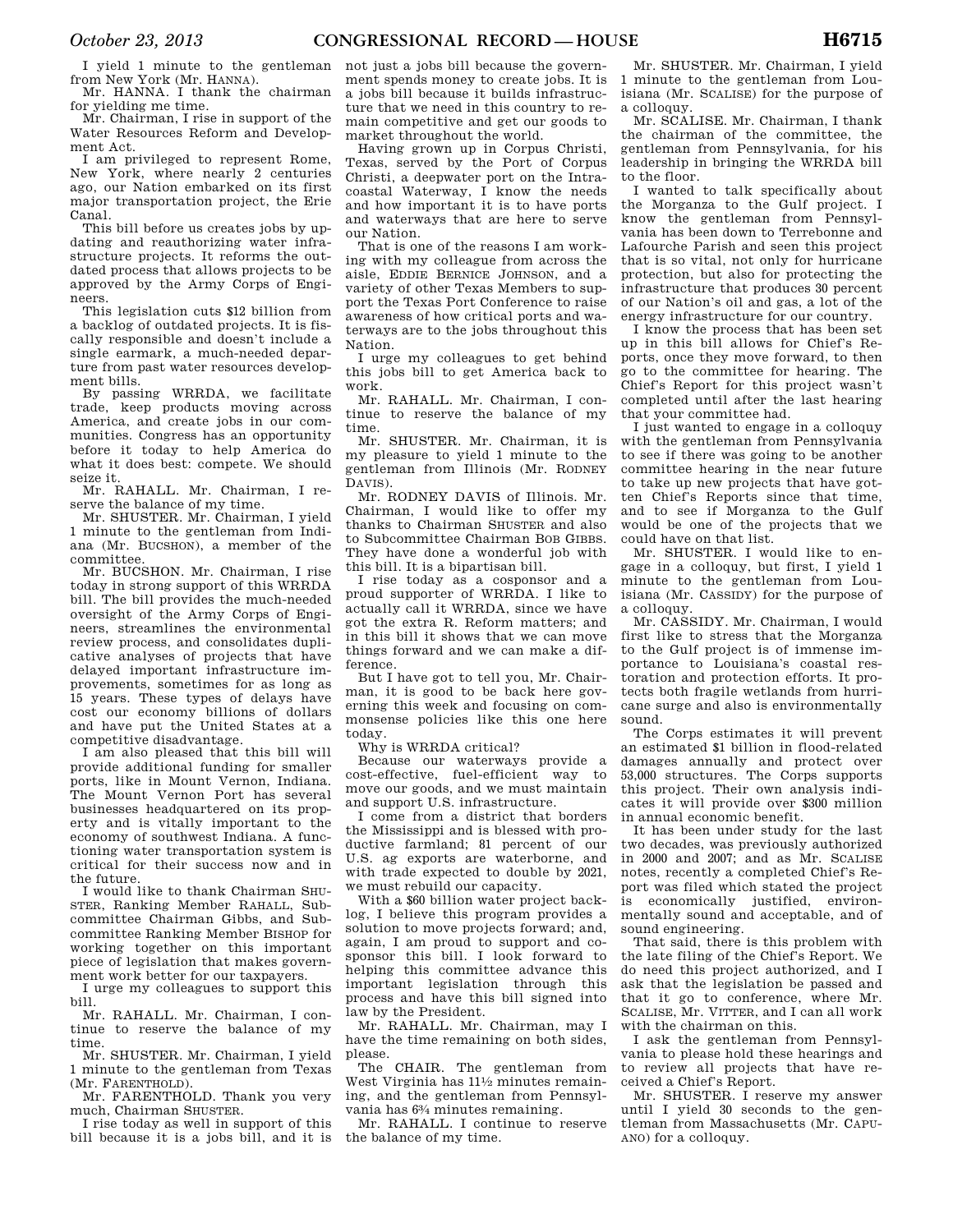I yield 1 minute to the gentleman from New York (Mr. HANNA).

Mr. HANNA. I thank the chairman for yielding me time.

Mr. Chairman, I rise in support of the Water Resources Reform and Development Act.

I am privileged to represent Rome, New York, where nearly 2 centuries ago, our Nation embarked on its first major transportation project, the Erie Canal.

This bill before us creates jobs by updating and reauthorizing water infrastructure projects. It reforms the outdated process that allows projects to be approved by the Army Corps of Engineers.

This legislation cuts \$12 billion from a backlog of outdated projects. It is fiscally responsible and doesn't include a single earmark, a much-needed departure from past water resources development bills.

By passing WRRDA, we facilitate trade, keep products moving across America, and create jobs in our communities. Congress has an opportunity before it today to help America do what it does best: compete. We should seize it.

Mr. RAHALL. Mr. Chairman, I reserve the balance of my time.

Mr. SHUSTER. Mr. Chairman, I yield 1 minute to the gentleman from Indiana (Mr. BUCSHON), a member of the committee.

Mr. BUCSHON. Mr. Chairman, I rise today in strong support of this WRRDA bill. The bill provides the much-needed oversight of the Army Corps of Engineers, streamlines the environmental review process, and consolidates duplicative analyses of projects that have delayed important infrastructure improvements, sometimes for as long as 15 years. These types of delays have cost our economy billions of dollars and have put the United States at a competitive disadvantage.

I am also pleased that this bill will provide additional funding for smaller ports, like in Mount Vernon, Indiana. The Mount Vernon Port has several businesses headquartered on its property and is vitally important to the economy of southwest Indiana. A functioning water transportation system is critical for their success now and in the future.

I would like to thank Chairman SHU-STER, Ranking Member RAHALL, Subcommittee Chairman Gibbs, and Subcommittee Ranking Member BISHOP for working together on this important piece of legislation that makes government work better for our taxpayers.

I urge my colleagues to support this bill.

Mr. RAHALL. Mr. Chairman, I continue to reserve the balance of my time.

Mr. SHUSTER. Mr. Chairman, I yield 1 minute to the gentleman from Texas (Mr. FARENTHOLD).

Mr. FARENTHOLD. Thank you very much, Chairman SHUSTER.

I rise today as well in support of this bill because it is a jobs bill, and it is not just a jobs bill because the government spends money to create jobs. It is a jobs bill because it builds infrastructure that we need in this country to remain competitive and get our goods to market throughout the world.

Having grown up in Corpus Christi, Texas, served by the Port of Corpus Christi, a deepwater port on the Intracoastal Waterway, I know the needs and how important it is to have ports and waterways that are here to serve our Nation.

That is one of the reasons I am working with my colleague from across the aisle, EDDIE BERNICE JOHNSON, and a variety of other Texas Members to support the Texas Port Conference to raise awareness of how critical ports and waterways are to the jobs throughout this Nation.

I urge my colleagues to get behind this jobs bill to get America back to work.

Mr. RAHALL. Mr. Chairman, I continue to reserve the balance of my time.

Mr. SHUSTER. Mr. Chairman, it is my pleasure to yield 1 minute to the gentleman from Illinois (Mr. RODNEY DAVIS).

Mr. RODNEY DAVIS of Illinois. Mr. Chairman, I would like to offer my thanks to Chairman SHUSTER and also to Subcommittee Chairman BOB GIBBS. They have done a wonderful job with this bill. It is a bipartisan bill.

I rise today as a cosponsor and a proud supporter of WRRDA. I like to actually call it WRRDA, since we have got the extra R. Reform matters; and in this bill it shows that we can move things forward and we can make a difference.

But I have got to tell you, Mr. Chairman, it is good to be back here governing this week and focusing on commonsense policies like this one here today.

Why is WRRDA critical?

Because our waterways provide a cost-effective, fuel-efficient way to move our goods, and we must maintain and support U.S. infrastructure.

I come from a district that borders the Mississippi and is blessed with productive farmland; 81 percent of our U.S. ag exports are waterborne, and with trade expected to double by 2021, we must rebuild our capacity.

With a \$60 billion water project backlog, I believe this program provides a solution to move projects forward; and, again, I am proud to support and cosponsor this bill. I look forward to helping this committee advance this important legislation through this process and have this bill signed into law by the President.

Mr. RAHALL. Mr. Chairman, may I have the time remaining on both sides, please.

The CHAIR. The gentleman from West Virginia has 111⁄2 minutes remaining, and the gentleman from Pennsylvania has 63⁄4 minutes remaining.

Mr. RAHALL. I continue to reserve the balance of my time.

Mr. SHUSTER. Mr. Chairman, I yield 1 minute to the gentleman from Louisiana (Mr. SCALISE) for the purpose of a colloquy.

Mr. SCALISE. Mr. Chairman, I thank the chairman of the committee, the gentleman from Pennsylvania, for his leadership in bringing the WRRDA bill to the floor.

I wanted to talk specifically about the Morganza to the Gulf project. I know the gentleman from Pennsylvania has been down to Terrebonne and Lafourche Parish and seen this project that is so vital, not only for hurricane protection, but also for protecting the infrastructure that produces 30 percent of our Nation's oil and gas, a lot of the energy infrastructure for our country.

I know the process that has been set up in this bill allows for Chief's Reports, once they move forward, to then go to the committee for hearing. The Chief's Report for this project wasn't completed until after the last hearing that your committee had.

I just wanted to engage in a colloquy with the gentleman from Pennsylvania to see if there was going to be another committee hearing in the near future to take up new projects that have gotten Chief's Reports since that time, and to see if Morganza to the Gulf would be one of the projects that we could have on that list.

Mr. SHUSTER. I would like to engage in a colloquy, but first, I yield 1 minute to the gentleman from Louisiana (Mr. CASSIDY) for the purpose of a colloquy.

Mr. CASSIDY. Mr. Chairman, I would first like to stress that the Morganza to the Gulf project is of immense importance to Louisiana's coastal restoration and protection efforts. It protects both fragile wetlands from hurricane surge and also is environmentally sound.

The Corps estimates it will prevent an estimated \$1 billion in flood-related damages annually and protect over 53,000 structures. The Corps supports this project. Their own analysis indicates it will provide over \$300 million in annual economic benefit.

It has been under study for the last two decades, was previously authorized in 2000 and 2007; and as Mr. SCALISE notes, recently a completed Chief's Report was filed which stated the project is economically justified, environmentally sound and acceptable, and of sound engineering.

That said, there is this problem with the late filing of the Chief's Report. We do need this project authorized, and I ask that the legislation be passed and that it go to conference, where Mr. SCALISE, Mr. VITTER, and I can all work with the chairman on this.

I ask the gentleman from Pennsylvania to please hold these hearings and to review all projects that have received a Chief's Report.

Mr. SHUSTER. I reserve my answer until I yield 30 seconds to the gentleman from Massachusetts (Mr. CAPU-ANO) for a colloquy.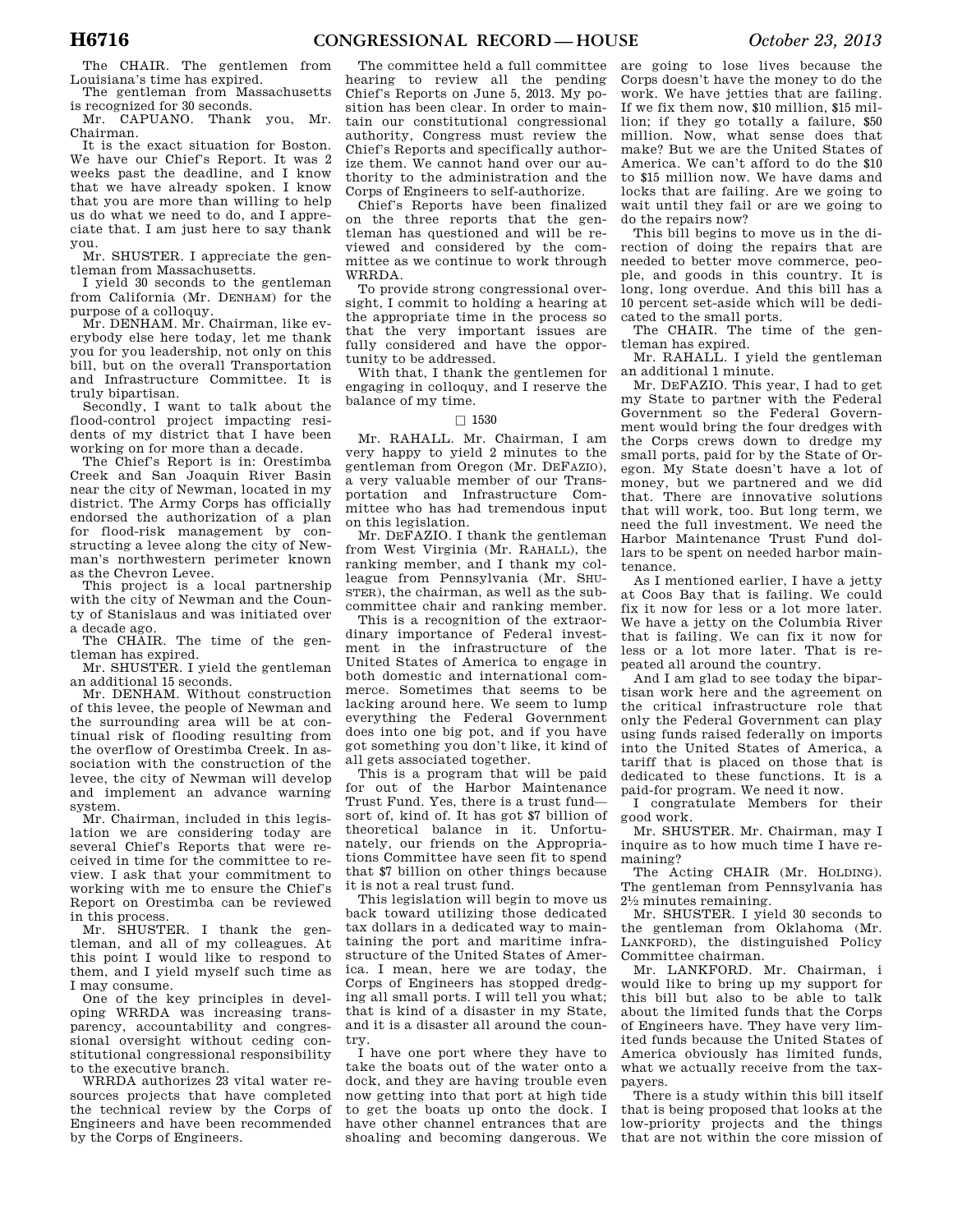The CHAIR. The gentlemen from Louisiana's time has expired.

The gentleman from Massachusetts is recognized for 30 seconds.

Mr. CAPUANO. Thank you, Mr. Chairman.

It is the exact situation for Boston. We have our Chief's Report. It was 2 weeks past the deadline, and I know that we have already spoken. I know that you are more than willing to help us do what we need to do, and I appreciate that. I am just here to say thank you.

Mr. SHUSTER. I appreciate the gentleman from Massachusetts.

I yield 30 seconds to the gentleman from California (Mr. DENHAM) for the purpose of a colloquy.

Mr. DENHAM. Mr. Chairman, like everybody else here today, let me thank you for you leadership, not only on this bill, but on the overall Transportation and Infrastructure Committee. It is truly bipartisan.

Secondly, I want to talk about the flood-control project impacting residents of my district that I have been working on for more than a decade.

The Chief's Report is in: Orestimba Creek and San Joaquin River Basin near the city of Newman, located in my district. The Army Corps has officially endorsed the authorization of a plan for flood-risk management by constructing a levee along the city of Newman's northwestern perimeter known as the Chevron Levee.

This project is a local partnership with the city of Newman and the County of Stanislaus and was initiated over a decade ago.

The CHAIR. The time of the gentleman has expired.

Mr. SHUSTER. I yield the gentleman an additional 15 seconds.

Mr. DENHAM. Without construction of this levee, the people of Newman and the surrounding area will be at continual risk of flooding resulting from the overflow of Orestimba Creek. In association with the construction of the levee, the city of Newman will develop and implement an advance warning system.

Mr. Chairman, included in this legislation we are considering today are several Chief's Reports that were received in time for the committee to review. I ask that your commitment to working with me to ensure the Chief's Report on Orestimba can be reviewed in this process.

Mr. SHUSTER. I thank the gentleman, and all of my colleagues. At this point I would like to respond to them, and I yield myself such time as I may consume.

One of the key principles in developing WRRDA was increasing transparency, accountability and congressional oversight without ceding constitutional congressional responsibility to the executive branch.

WRRDA authorizes 23 vital water resources projects that have completed the technical review by the Corps of Engineers and have been recommended by the Corps of Engineers.

The committee held a full committee hearing to review all the pending Chief's Reports on June 5, 2013. My position has been clear. In order to maintain our constitutional congressional authority, Congress must review the Chief's Reports and specifically authorize them. We cannot hand over our authority to the administration and the Corps of Engineers to self-authorize.

Chief's Reports have been finalized on the three reports that the gentleman has questioned and will be reviewed and considered by the committee as we continue to work through WRRDA.

To provide strong congressional oversight, I commit to holding a hearing at the appropriate time in the process so that the very important issues are fully considered and have the opportunity to be addressed.

With that, I thank the gentlemen for engaging in colloquy, and I reserve the balance of my time.

# $\Box$  1530

Mr. RAHALL. Mr. Chairman, I am very happy to yield 2 minutes to the gentleman from Oregon (Mr. DEFAZIO), a very valuable member of our Transportation and Infrastructure Committee who has had tremendous input on this legislation.

Mr. DEFAZIO. I thank the gentleman from West Virginia (Mr. RAHALL), the ranking member, and I thank my colleague from Pennsylvania (Mr. SHU-STER), the chairman, as well as the subcommittee chair and ranking member.

This is a recognition of the extraordinary importance of Federal investment in the infrastructure of the United States of America to engage in both domestic and international commerce. Sometimes that seems to be lacking around here. We seem to lump everything the Federal Government does into one big pot, and if you have got something you don't like, it kind of all gets associated together.

This is a program that will be paid for out of the Harbor Maintenance Trust Fund. Yes, there is a trust fund sort of, kind of. It has got \$7 billion of theoretical balance in it. Unfortunately, our friends on the Appropriations Committee have seen fit to spend that \$7 billion on other things because it is not a real trust fund.

This legislation will begin to move us back toward utilizing those dedicated tax dollars in a dedicated way to maintaining the port and maritime infrastructure of the United States of America. I mean, here we are today, the Corps of Engineers has stopped dredging all small ports. I will tell you what; that is kind of a disaster in my State, and it is a disaster all around the country.

I have one port where they have to take the boats out of the water onto a dock, and they are having trouble even now getting into that port at high tide to get the boats up onto the dock. I have other channel entrances that are shoaling and becoming dangerous. We

are going to lose lives because the Corps doesn't have the money to do the work. We have jetties that are failing. If we fix them now, \$10 million, \$15 million; if they go totally a failure, \$50 million. Now, what sense does that make? But we are the United States of America. We can't afford to do the \$10 to \$15 million now. We have dams and locks that are failing. Are we going to wait until they fail or are we going to do the repairs now?

This bill begins to move us in the direction of doing the repairs that are needed to better move commerce, people, and goods in this country. It is long, long overdue. And this bill has a 10 percent set-aside which will be dedicated to the small ports.

The CHAIR. The time of the gentleman has expired.

Mr. RAHALL. I yield the gentleman an additional 1 minute.

Mr. DEFAZIO. This year, I had to get my State to partner with the Federal Government so the Federal Government would bring the four dredges with the Corps crews down to dredge my small ports, paid for by the State of Oregon. My State doesn't have a lot of money, but we partnered and we did that. There are innovative solutions that will work, too. But long term, we need the full investment. We need the Harbor Maintenance Trust Fund dollars to be spent on needed harbor maintenance.

As I mentioned earlier, I have a jetty at Coos Bay that is failing. We could fix it now for less or a lot more later. We have a jetty on the Columbia River that is failing. We can fix it now for less or a lot more later. That is repeated all around the country.

And I am glad to see today the bipartisan work here and the agreement on the critical infrastructure role that only the Federal Government can play using funds raised federally on imports into the United States of America, a tariff that is placed on those that is dedicated to these functions. It is a paid-for program. We need it now.

I congratulate Members for their good work.

Mr. SHUSTER. Mr. Chairman, may I inquire as to how much time I have remaining?

The Acting CHAIR (Mr. HOLDING). The gentleman from Pennsylvania has 21⁄2 minutes remaining.

Mr. SHUSTER. I yield 30 seconds to the gentleman from Oklahoma (Mr. LANKFORD), the distinguished Policy Committee chairman.

Mr. LANKFORD. Mr. Chairman, i would like to bring up my support for this bill but also to be able to talk about the limited funds that the Corps of Engineers have. They have very limited funds because the United States of America obviously has limited funds, what we actually receive from the taxpayers.

There is a study within this bill itself that is being proposed that looks at the low-priority projects and the things that are not within the core mission of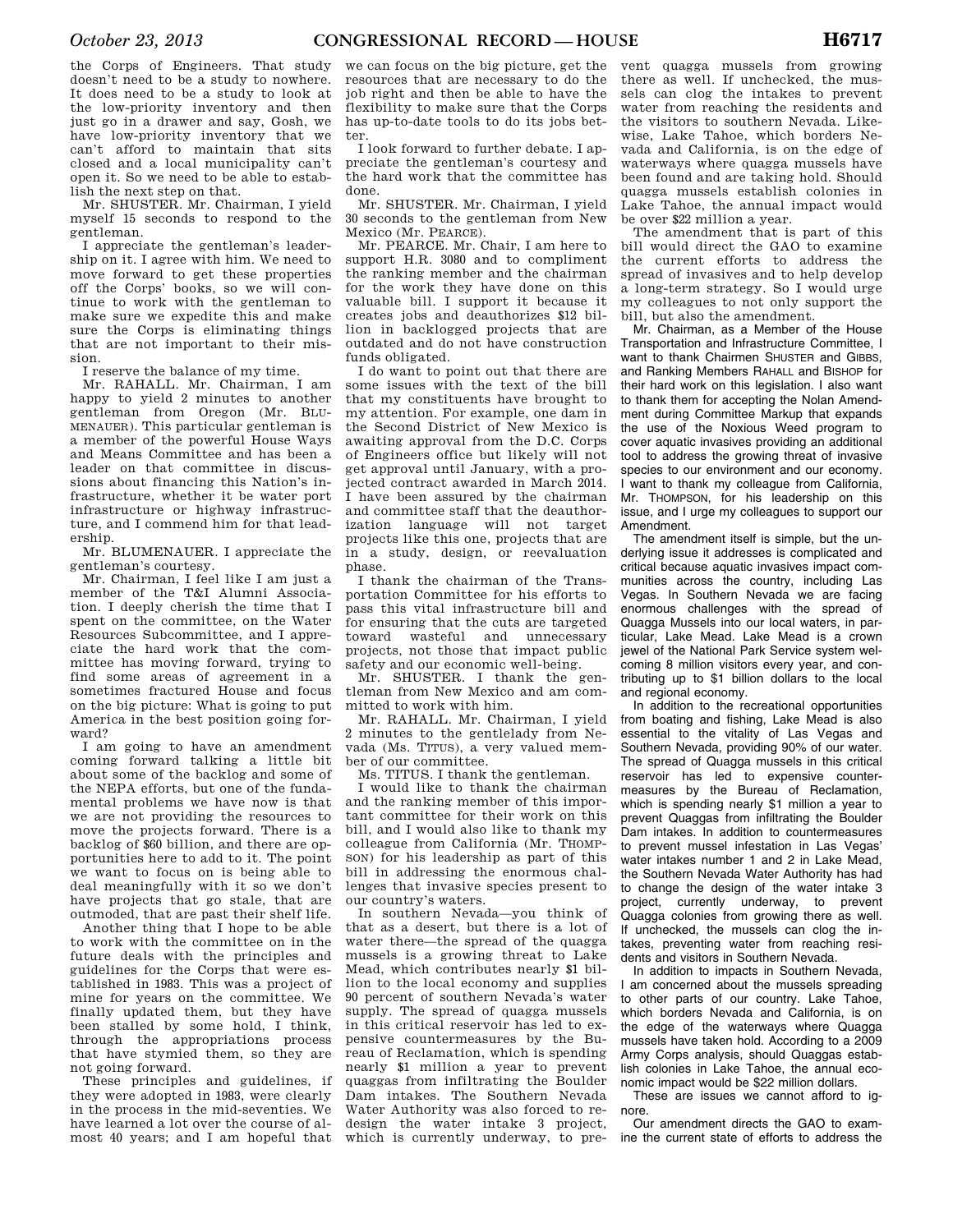the Corps of Engineers. That study doesn't need to be a study to nowhere. It does need to be a study to look at the low-priority inventory and then just go in a drawer and say, Gosh, we have low-priority inventory that we can't afford to maintain that sits closed and a local municipality can't open it. So we need to be able to establish the next step on that.

Mr. SHUSTER. Mr. Chairman, I yield myself 15 seconds to respond to the gentleman.

I appreciate the gentleman's leadership on it. I agree with him. We need to move forward to get these properties off the Corps' books, so we will continue to work with the gentleman to make sure we expedite this and make sure the Corps is eliminating things that are not important to their mission.

I reserve the balance of my time.

Mr. RAHALL. Mr. Chairman, I am happy to yield 2 minutes to another gentleman from Oregon (Mr. BLU-MENAUER). This particular gentleman is a member of the powerful House Ways and Means Committee and has been a leader on that committee in discussions about financing this Nation's infrastructure, whether it be water port infrastructure or highway infrastructure, and I commend him for that leadership.

Mr. BLUMENAUER. I appreciate the gentleman's courtesy.

Mr. Chairman, I feel like I am just a member of the T&I Alumni Association. I deeply cherish the time that I spent on the committee, on the Water Resources Subcommittee, and I appreciate the hard work that the committee has moving forward, trying to find some areas of agreement in a sometimes fractured House and focus on the big picture: What is going to put America in the best position going forward?

I am going to have an amendment coming forward talking a little bit about some of the backlog and some of the NEPA efforts, but one of the fundamental problems we have now is that we are not providing the resources to move the projects forward. There is a backlog of \$60 billion, and there are opportunities here to add to it. The point we want to focus on is being able to deal meaningfully with it so we don't have projects that go stale, that are outmoded, that are past their shelf life.

Another thing that I hope to be able to work with the committee on in the future deals with the principles and guidelines for the Corps that were established in 1983. This was a project of mine for years on the committee. We finally updated them, but they have been stalled by some hold, I think, through the appropriations process that have stymied them, so they are not going forward.

These principles and guidelines, if they were adopted in 1983, were clearly in the process in the mid-seventies. We have learned a lot over the course of almost 40 years; and I am hopeful that

we can focus on the big picture, get the resources that are necessary to do the job right and then be able to have the flexibility to make sure that the Corps has up-to-date tools to do its jobs better.

I look forward to further debate. I appreciate the gentleman's courtesy and the hard work that the committee has done.

Mr. SHUSTER. Mr. Chairman, I yield 30 seconds to the gentleman from New Mexico (Mr. PEARCE).

Mr. PEARCE. Mr. Chair, I am here to support H.R. 3080 and to compliment the ranking member and the chairman for the work they have done on this valuable bill. I support it because it creates jobs and deauthorizes \$12 billion in backlogged projects that are outdated and do not have construction funds obligated.

I do want to point out that there are some issues with the text of the bill that my constituents have brought to my attention. For example, one dam in the Second District of New Mexico is awaiting approval from the D.C. Corps of Engineers office but likely will not get approval until January, with a projected contract awarded in March 2014. I have been assured by the chairman and committee staff that the deauthorization language will not target projects like this one, projects that are in a study, design, or reevaluation phase.

I thank the chairman of the Transportation Committee for his efforts to pass this vital infrastructure bill and for ensuring that the cuts are targeted toward wasteful and unnecessary projects, not those that impact public safety and our economic well-being.

Mr. SHUSTER. I thank the gentleman from New Mexico and am committed to work with him.

Mr. RAHALL. Mr. Chairman, I yield 2 minutes to the gentlelady from Nevada (Ms. TITUS), a very valued member of our committee.

Ms. TITUS. I thank the gentleman.

I would like to thank the chairman and the ranking member of this important committee for their work on this bill, and I would also like to thank my colleague from California (Mr. THOMP-SON) for his leadership as part of this bill in addressing the enormous challenges that invasive species present to our country's waters.

In southern Nevada—you think of that as a desert, but there is a lot of water there—the spread of the quagga mussels is a growing threat to Lake Mead, which contributes nearly \$1 billion to the local economy and supplies 90 percent of southern Nevada's water supply. The spread of quagga mussels in this critical reservoir has led to expensive countermeasures by the Bureau of Reclamation, which is spending nearly \$1 million a year to prevent quaggas from infiltrating the Boulder Dam intakes. The Southern Nevada Water Authority was also forced to redesign the water intake 3 project, which is currently underway, to pre-

vent quagga mussels from growing there as well. If unchecked, the mussels can clog the intakes to prevent water from reaching the residents and the visitors to southern Nevada. Likewise, Lake Tahoe, which borders Nevada and California, is on the edge of waterways where quagga mussels have been found and are taking hold. Should quagga mussels establish colonies in Lake Tahoe, the annual impact would be over \$22 million a year.

The amendment that is part of this bill would direct the GAO to examine the current efforts to address the spread of invasives and to help develop a long-term strategy. So I would urge my colleagues to not only support the bill, but also the amendment.

Mr. Chairman, as a Member of the House Transportation and Infrastructure Committee, I want to thank Chairmen SHUSTER and GIBBS, and Ranking Members RAHALL and BISHOP for their hard work on this legislation. I also want to thank them for accepting the Nolan Amendment during Committee Markup that expands the use of the Noxious Weed program to cover aquatic invasives providing an additional tool to address the growing threat of invasive species to our environment and our economy. I want to thank my colleague from California, Mr. THOMPSON, for his leadership on this issue, and I urge my colleagues to support our Amendment.

The amendment itself is simple, but the underlying issue it addresses is complicated and critical because aquatic invasives impact communities across the country, including Las Vegas. In Southern Nevada we are facing enormous challenges with the spread of Quagga Mussels into our local waters, in particular, Lake Mead. Lake Mead is a crown jewel of the National Park Service system welcoming 8 million visitors every year, and contributing up to \$1 billion dollars to the local and regional economy.

In addition to the recreational opportunities from boating and fishing, Lake Mead is also essential to the vitality of Las Vegas and Southern Nevada, providing 90% of our water. The spread of Quagga mussels in this critical reservoir has led to expensive countermeasures by the Bureau of Reclamation, which is spending nearly \$1 million a year to prevent Quaggas from infiltrating the Boulder Dam intakes. In addition to countermeasures to prevent mussel infestation in Las Vegas' water intakes number 1 and 2 in Lake Mead. the Southern Nevada Water Authority has had to change the design of the water intake 3 project, currently underway, to prevent Quagga colonies from growing there as well. If unchecked, the mussels can clog the intakes, preventing water from reaching residents and visitors in Southern Nevada.

In addition to impacts in Southern Nevada, I am concerned about the mussels spreading to other parts of our country. Lake Tahoe, which borders Nevada and California, is on the edge of the waterways where Quagga mussels have taken hold. According to a 2009 Army Corps analysis, should Quaggas establish colonies in Lake Tahoe, the annual economic impact would be \$22 million dollars.

These are issues we cannot afford to ignore.

Our amendment directs the GAO to examine the current state of efforts to address the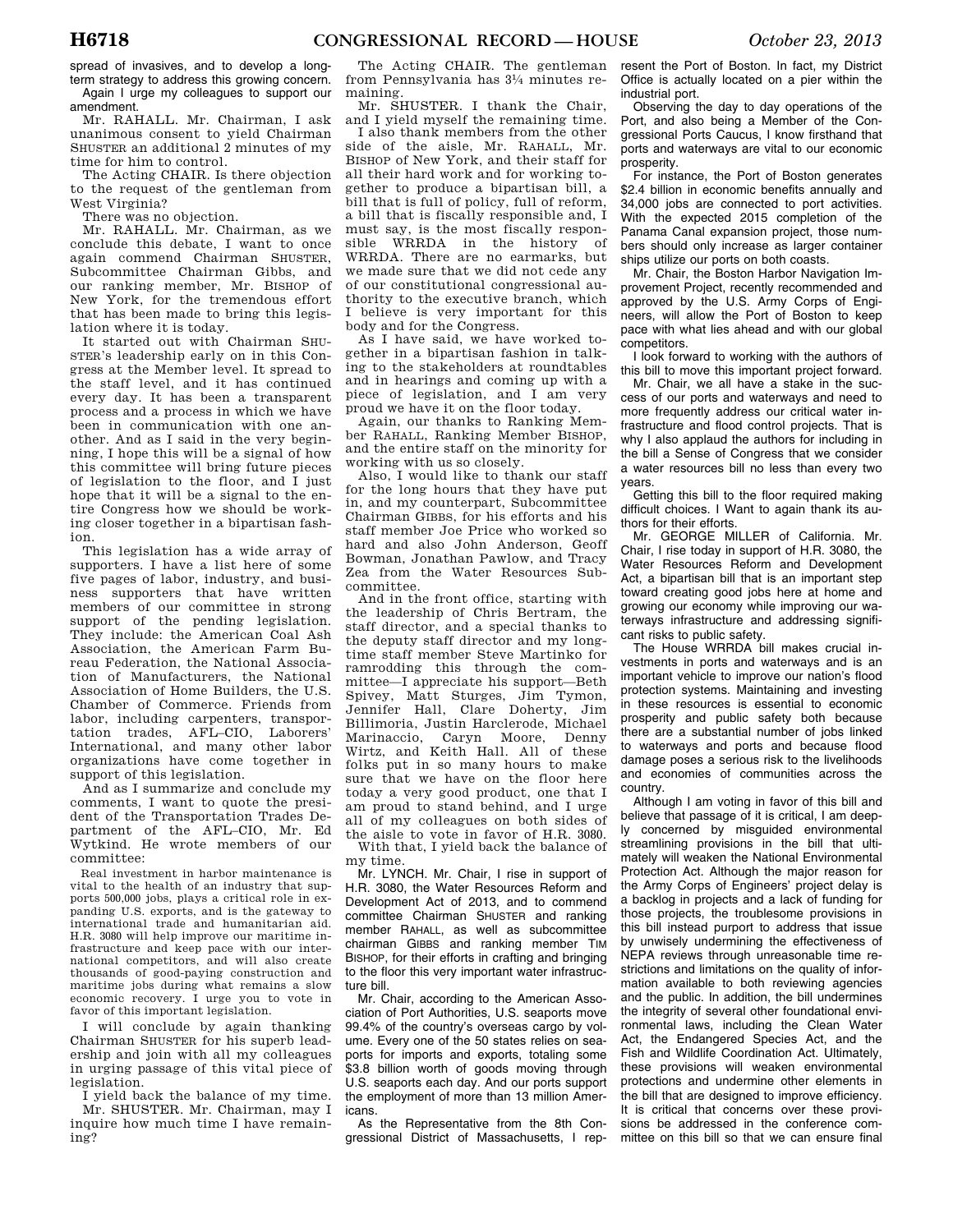spread of invasives, and to develop a longterm strategy to address this growing concern. Again I urge my colleagues to support our amendment.

Mr. RAHALL. Mr. Chairman, I ask unanimous consent to yield Chairman SHUSTER an additional 2 minutes of my time for him to control.

The Acting CHAIR. Is there objection to the request of the gentleman from West Virginia?

There was no objection.

Mr. RAHALL. Mr. Chairman, as we conclude this debate, I want to once again commend Chairman SHUSTER, Subcommittee Chairman Gibbs, and our ranking member, Mr. BISHOP of New York, for the tremendous effort that has been made to bring this legislation where it is today.

It started out with Chairman SHU-STER's leadership early on in this Congress at the Member level. It spread to the staff level, and it has continued every day. It has been a transparent process and a process in which we have been in communication with one another. And as I said in the very beginning, I hope this will be a signal of how this committee will bring future pieces of legislation to the floor, and I just hope that it will be a signal to the entire Congress how we should be working closer together in a bipartisan fashion.

This legislation has a wide array of supporters. I have a list here of some five pages of labor, industry, and business supporters that have written members of our committee in strong support of the pending legislation. They include: the American Coal Ash Association, the American Farm Bureau Federation, the National Association of Manufacturers, the National Association of Home Builders, the U.S. Chamber of Commerce. Friends from labor, including carpenters, transportation trades, AFL–CIO, Laborers' International, and many other labor organizations have come together in support of this legislation.

And as I summarize and conclude my comments, I want to quote the president of the Transportation Trades Department of the AFL–CIO, Mr. Ed Wytkind. He wrote members of our committee:

Real investment in harbor maintenance is vital to the health of an industry that supports 500,000 jobs, plays a critical role in expanding U.S. exports, and is the gateway to international trade and humanitarian aid. H.R. 3080 will help improve our maritime infrastructure and keep pace with our international competitors, and will also create thousands of good-paying construction and maritime jobs during what remains a slow economic recovery. I urge you to vote in favor of this important legislation.

I will conclude by again thanking Chairman SHUSTER for his superb leadership and join with all my colleagues in urging passage of this vital piece of legislation.

I yield back the balance of my time. Mr. SHUSTER. Mr. Chairman, may I inquire how much time I have remaining?

The Acting CHAIR. The gentleman from Pennsylvania has 31⁄4 minutes remaining.

Mr. SHUSTER. I thank the Chair, and I yield myself the remaining time.

I also thank members from the other side of the aisle, Mr. RAHALL, Mr. BISHOP of New York, and their staff for all their hard work and for working together to produce a bipartisan bill, a bill that is full of policy, full of reform, a bill that is fiscally responsible and, I must say, is the most fiscally responsible WRRDA in the history of WRRDA. There are no earmarks, but we made sure that we did not cede any of our constitutional congressional authority to the executive branch, which I believe is very important for this body and for the Congress.

As I have said, we have worked together in a bipartisan fashion in talking to the stakeholders at roundtables and in hearings and coming up with a piece of legislation, and I am very proud we have it on the floor today.

Again, our thanks to Ranking Member RAHALL, Ranking Member BISHOP, and the entire staff on the minority for working with us so closely.

Also, I would like to thank our staff for the long hours that they have put in, and my counterpart, Subcommittee Chairman GIBBS, for his efforts and his staff member Joe Price who worked so hard and also John Anderson, Geoff Bowman, Jonathan Pawlow, and Tracy Zea from the Water Resources Subcommittee.

And in the front office, starting with the leadership of Chris Bertram, the staff director, and a special thanks to the deputy staff director and my longtime staff member Steve Martinko for ramrodding this through the committee—I appreciate his support—Beth Spivey, Matt Sturges, Jim Tymon, Jennifer Hall, Clare Doherty, Jim Billimoria, Justin Harclerode, Michael Marinaccio, Caryn Moore, Denny Wirtz, and Keith Hall. All of these folks put in so many hours to make sure that we have on the floor here today a very good product, one that I am proud to stand behind, and I urge all of my colleagues on both sides of the aisle to vote in favor of H.R. 3080.

With that, I yield back the balance of my time.

Mr. LYNCH. Mr. Chair, I rise in support of H.R. 3080, the Water Resources Reform and Development Act of 2013, and to commend committee Chairman SHUSTER and ranking member RAHALL, as well as subcommittee chairman GIBBS and ranking member TIM BISHOP, for their efforts in crafting and bringing to the floor this very important water infrastructure bill.

Mr. Chair, according to the American Association of Port Authorities, U.S. seaports move 99.4% of the country's overseas cargo by volume. Every one of the 50 states relies on seaports for imports and exports, totaling some \$3.8 billion worth of goods moving through U.S. seaports each day. And our ports support the employment of more than 13 million Americans.

As the Representative from the 8th Congressional District of Massachusetts, I represent the Port of Boston. In fact, my District Office is actually located on a pier within the industrial port.

Observing the day to day operations of the Port, and also being a Member of the Congressional Ports Caucus, I know firsthand that ports and waterways are vital to our economic prosperity.

For instance, the Port of Boston generates \$2.4 billion in economic benefits annually and 34,000 jobs are connected to port activities. With the expected 2015 completion of the Panama Canal expansion project, those numbers should only increase as larger container ships utilize our ports on both coasts.

Mr. Chair, the Boston Harbor Navigation Improvement Project, recently recommended and approved by the U.S. Army Corps of Engineers, will allow the Port of Boston to keep pace with what lies ahead and with our global competitors.

I look forward to working with the authors of this bill to move this important project forward.

Mr. Chair, we all have a stake in the success of our ports and waterways and need to more frequently address our critical water infrastructure and flood control projects. That is why I also applaud the authors for including in the bill a Sense of Congress that we consider a water resources bill no less than every two years.

Getting this bill to the floor required making difficult choices. I Want to again thank its authors for their efforts.

Mr. GEORGE MILLER of California. Mr. Chair, I rise today in support of H.R. 3080, the Water Resources Reform and Development Act, a bipartisan bill that is an important step toward creating good jobs here at home and growing our economy while improving our waterways infrastructure and addressing significant risks to public safety.

The House WRRDA bill makes crucial investments in ports and waterways and is an important vehicle to improve our nation's flood protection systems. Maintaining and investing in these resources is essential to economic prosperity and public safety both because there are a substantial number of jobs linked to waterways and ports and because flood damage poses a serious risk to the livelihoods and economies of communities across the country.

Although I am voting in favor of this bill and believe that passage of it is critical, I am deeply concerned by misguided environmental streamlining provisions in the bill that ultimately will weaken the National Environmental Protection Act. Although the major reason for the Army Corps of Engineers' project delay is a backlog in projects and a lack of funding for those projects, the troublesome provisions in this bill instead purport to address that issue by unwisely undermining the effectiveness of NEPA reviews through unreasonable time restrictions and limitations on the quality of information available to both reviewing agencies and the public. In addition, the bill undermines the integrity of several other foundational environmental laws, including the Clean Water Act, the Endangered Species Act, and the Fish and Wildlife Coordination Act. Ultimately, these provisions will weaken environmental protections and undermine other elements in the bill that are designed to improve efficiency. It is critical that concerns over these provisions be addressed in the conference committee on this bill so that we can ensure final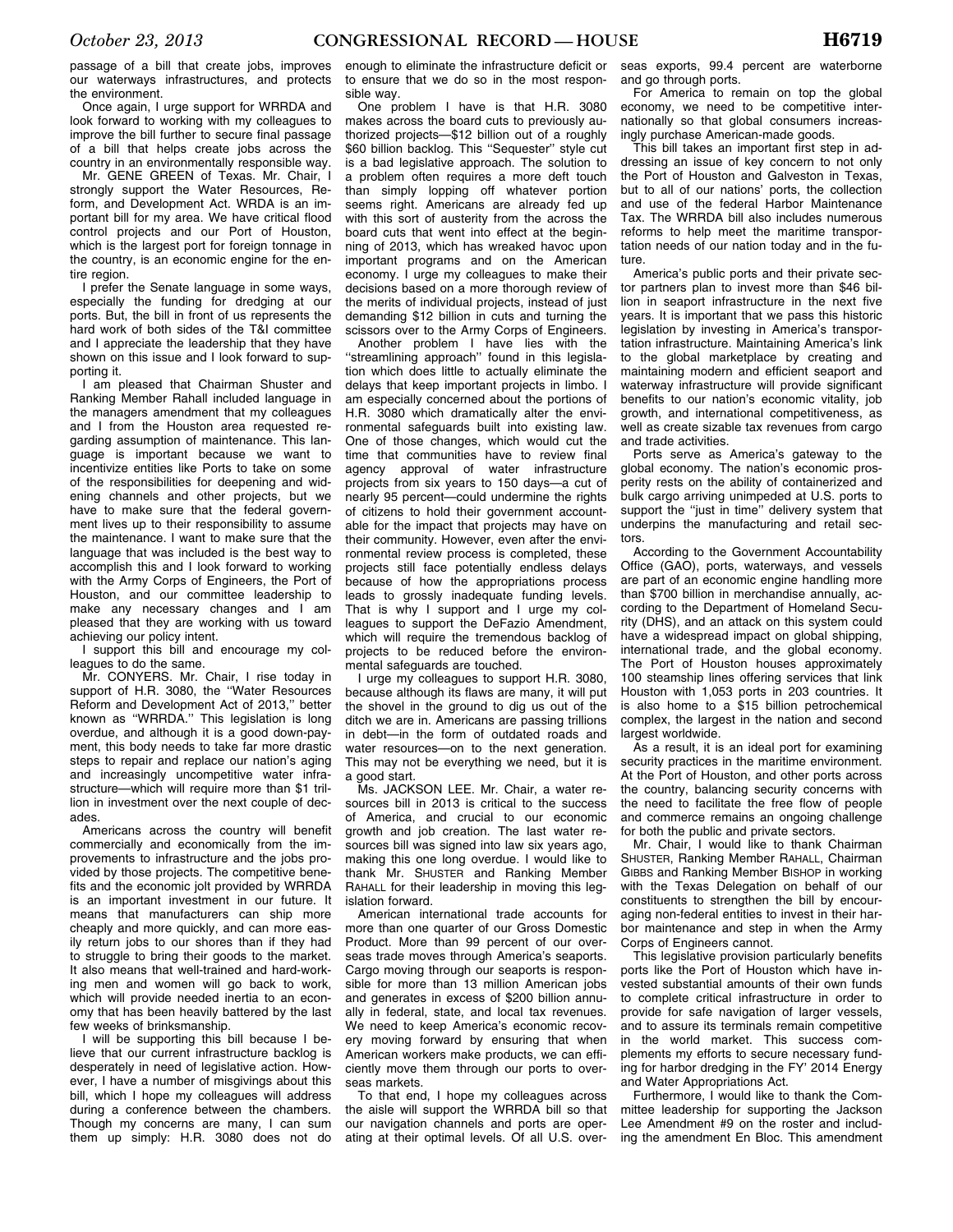passage of a bill that create jobs, improves our waterways infrastructures, and protects the environment.

Once again, I urge support for WRRDA and look forward to working with my colleagues to improve the bill further to secure final passage of a bill that helps create jobs across the country in an environmentally responsible way.

Mr. GENE GREEN of Texas. Mr. Chair, I strongly support the Water Resources, Reform, and Development Act. WRDA is an important bill for my area. We have critical flood control projects and our Port of Houston, which is the largest port for foreign tonnage in the country, is an economic engine for the entire region.

I prefer the Senate language in some ways, especially the funding for dredging at our ports. But, the bill in front of us represents the hard work of both sides of the T&I committee and I appreciate the leadership that they have shown on this issue and I look forward to supporting it.

I am pleased that Chairman Shuster and Ranking Member Rahall included language in the managers amendment that my colleagues and I from the Houston area requested regarding assumption of maintenance. This language is important because we want to incentivize entities like Ports to take on some of the responsibilities for deepening and widening channels and other projects, but we have to make sure that the federal government lives up to their responsibility to assume the maintenance. I want to make sure that the language that was included is the best way to accomplish this and I look forward to working with the Army Corps of Engineers, the Port of Houston, and our committee leadership to make any necessary changes and I am pleased that they are working with us toward achieving our policy intent.

I support this bill and encourage my colleagues to do the same.

Mr. CONYERS. Mr. Chair, I rise today in support of H.R. 3080, the ''Water Resources Reform and Development Act of 2013,'' better known as ''WRRDA.'' This legislation is long overdue, and although it is a good down-payment, this body needs to take far more drastic steps to repair and replace our nation's aging and increasingly uncompetitive water infrastructure—which will require more than \$1 trillion in investment over the next couple of decades.

Americans across the country will benefit commercially and economically from the improvements to infrastructure and the jobs provided by those projects. The competitive benefits and the economic jolt provided by WRRDA is an important investment in our future. It means that manufacturers can ship more cheaply and more quickly, and can more easily return jobs to our shores than if they had to struggle to bring their goods to the market. It also means that well-trained and hard-working men and women will go back to work, which will provide needed inertia to an economy that has been heavily battered by the last few weeks of brinksmanship.

I will be supporting this bill because I believe that our current infrastructure backlog is desperately in need of legislative action. However, I have a number of misgivings about this bill, which I hope my colleagues will address during a conference between the chambers. Though my concerns are many, I can sum them up simply: H.R. 3080 does not do

enough to eliminate the infrastructure deficit or to ensure that we do so in the most responsible way.

One problem I have is that H.R. 3080 makes across the board cuts to previously authorized projects—\$12 billion out of a roughly \$60 billion backlog. This ''Sequester'' style cut is a bad legislative approach. The solution to a problem often requires a more deft touch than simply lopping off whatever portion seems right. Americans are already fed up with this sort of austerity from the across the board cuts that went into effect at the beginning of 2013, which has wreaked havoc upon important programs and on the American economy. I urge my colleagues to make their decisions based on a more thorough review of the merits of individual projects, instead of just demanding \$12 billion in cuts and turning the scissors over to the Army Corps of Engineers.

Another problem I have lies with the ''streamlining approach'' found in this legislation which does little to actually eliminate the delays that keep important projects in limbo. I am especially concerned about the portions of H.R. 3080 which dramatically alter the environmental safeguards built into existing law. One of those changes, which would cut the time that communities have to review final agency approval of water infrastructure projects from six years to 150 days—a cut of nearly 95 percent—could undermine the rights of citizens to hold their government accountable for the impact that projects may have on their community. However, even after the environmental review process is completed, these projects still face potentially endless delays because of how the appropriations process leads to grossly inadequate funding levels. That is why I support and I urge my colleagues to support the DeFazio Amendment, which will require the tremendous backlog of projects to be reduced before the environmental safeguards are touched.

I urge my colleagues to support H.R. 3080, because although its flaws are many, it will put the shovel in the ground to dig us out of the ditch we are in. Americans are passing trillions in debt—in the form of outdated roads and water resources—on to the next generation. This may not be everything we need, but it is a good start.

Ms. JACKSON LEE. Mr. Chair, a water resources bill in 2013 is critical to the success of America, and crucial to our economic growth and job creation. The last water resources bill was signed into law six years ago, making this one long overdue. I would like to thank Mr. SHUSTER and Ranking Member RAHALL for their leadership in moving this legislation forward.

American international trade accounts for more than one quarter of our Gross Domestic Product. More than 99 percent of our overseas trade moves through America's seaports. Cargo moving through our seaports is responsible for more than 13 million American jobs and generates in excess of \$200 billion annually in federal, state, and local tax revenues. We need to keep America's economic recovery moving forward by ensuring that when American workers make products, we can efficiently move them through our ports to overseas markets.

To that end, I hope my colleagues across the aisle will support the WRRDA bill so that our navigation channels and ports are operating at their optimal levels. Of all U.S. over-

seas exports, 99.4 percent are waterborne and go through ports.

For America to remain on top the global economy, we need to be competitive internationally so that global consumers increasingly purchase American-made goods.

This bill takes an important first step in addressing an issue of key concern to not only the Port of Houston and Galveston in Texas, but to all of our nations' ports, the collection and use of the federal Harbor Maintenance Tax. The WRRDA bill also includes numerous reforms to help meet the maritime transportation needs of our nation today and in the future.

America's public ports and their private sector partners plan to invest more than \$46 billion in seaport infrastructure in the next five years. It is important that we pass this historic legislation by investing in America's transportation infrastructure. Maintaining America's link to the global marketplace by creating and maintaining modern and efficient seaport and waterway infrastructure will provide significant benefits to our nation's economic vitality, job growth, and international competitiveness, as well as create sizable tax revenues from cargo and trade activities.

Ports serve as America's gateway to the global economy. The nation's economic prosperity rests on the ability of containerized and bulk cargo arriving unimpeded at U.S. ports to support the "just in time" delivery system that underpins the manufacturing and retail sectors.

According to the Government Accountability Office (GAO), ports, waterways, and vessels are part of an economic engine handling more than \$700 billion in merchandise annually, according to the Department of Homeland Security (DHS), and an attack on this system could have a widespread impact on global shipping, international trade, and the global economy. The Port of Houston houses approximately 100 steamship lines offering services that link Houston with 1,053 ports in 203 countries. It is also home to a \$15 billion petrochemical complex, the largest in the nation and second largest worldwide.

As a result, it is an ideal port for examining security practices in the maritime environment. At the Port of Houston, and other ports across the country, balancing security concerns with the need to facilitate the free flow of people and commerce remains an ongoing challenge for both the public and private sectors.

Mr. Chair, I would like to thank Chairman SHUSTER, Ranking Member RAHALL, Chairman GIBBS and Ranking Member BISHOP in working with the Texas Delegation on behalf of our constituents to strengthen the bill by encouraging non-federal entities to invest in their harbor maintenance and step in when the Army Corps of Engineers cannot.

This legislative provision particularly benefits ports like the Port of Houston which have invested substantial amounts of their own funds to complete critical infrastructure in order to provide for safe navigation of larger vessels, and to assure its terminals remain competitive in the world market. This success complements my efforts to secure necessary funding for harbor dredging in the FY' 2014 Energy and Water Appropriations Act.

Furthermore, I would like to thank the Committee leadership for supporting the Jackson Lee Amendment #9 on the roster and including the amendment En Bloc. This amendment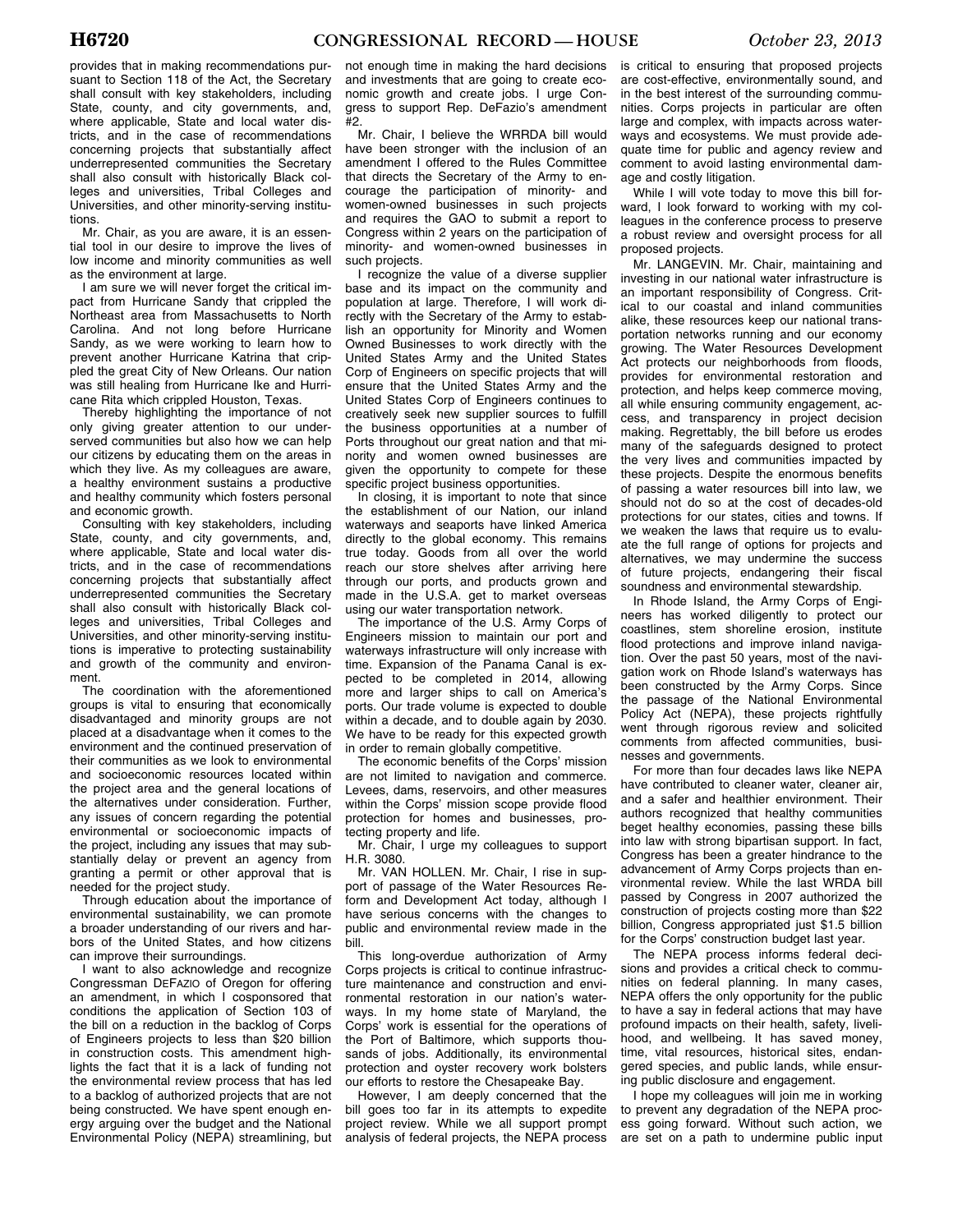provides that in making recommendations pursuant to Section 118 of the Act, the Secretary shall consult with key stakeholders, including State, county, and city governments, and, where applicable, State and local water districts, and in the case of recommendations concerning projects that substantially affect underrepresented communities the Secretary shall also consult with historically Black colleges and universities, Tribal Colleges and Universities, and other minority-serving institutions.

Mr. Chair, as you are aware, it is an essential tool in our desire to improve the lives of low income and minority communities as well as the environment at large.

I am sure we will never forget the critical impact from Hurricane Sandy that crippled the Northeast area from Massachusetts to North Carolina. And not long before Hurricane Sandy, as we were working to learn how to prevent another Hurricane Katrina that crippled the great City of New Orleans. Our nation was still healing from Hurricane Ike and Hurricane Rita which crippled Houston, Texas.

Thereby highlighting the importance of not only giving greater attention to our underserved communities but also how we can help our citizens by educating them on the areas in which they live. As my colleagues are aware, a healthy environment sustains a productive and healthy community which fosters personal and economic growth.

Consulting with key stakeholders, including State, county, and city governments, and, where applicable, State and local water districts, and in the case of recommendations concerning projects that substantially affect underrepresented communities the Secretary shall also consult with historically Black colleges and universities, Tribal Colleges and Universities, and other minority-serving institutions is imperative to protecting sustainability and growth of the community and environment.

The coordination with the aforementioned groups is vital to ensuring that economically disadvantaged and minority groups are not placed at a disadvantage when it comes to the environment and the continued preservation of their communities as we look to environmental and socioeconomic resources located within the project area and the general locations of the alternatives under consideration. Further, any issues of concern regarding the potential environmental or socioeconomic impacts of the project, including any issues that may substantially delay or prevent an agency from granting a permit or other approval that is needed for the project study.

Through education about the importance of environmental sustainability, we can promote a broader understanding of our rivers and harbors of the United States, and how citizens can improve their surroundings.

I want to also acknowledge and recognize Congressman DEFAZIO of Oregon for offering an amendment, in which I cosponsored that conditions the application of Section 103 of the bill on a reduction in the backlog of Corps of Engineers projects to less than \$20 billion in construction costs. This amendment highlights the fact that it is a lack of funding not the environmental review process that has led to a backlog of authorized projects that are not being constructed. We have spent enough energy arguing over the budget and the National Environmental Policy (NEPA) streamlining, but

not enough time in making the hard decisions and investments that are going to create economic growth and create jobs. I urge Congress to support Rep. DeFazio's amendment #2.

Mr. Chair, I believe the WRRDA bill would have been stronger with the inclusion of an amendment I offered to the Rules Committee that directs the Secretary of the Army to encourage the participation of minority- and women-owned businesses in such projects and requires the GAO to submit a report to Congress within 2 years on the participation of minority- and women-owned businesses in such projects.

I recognize the value of a diverse supplier base and its impact on the community and population at large. Therefore, I will work directly with the Secretary of the Army to establish an opportunity for Minority and Women Owned Businesses to work directly with the United States Army and the United States Corp of Engineers on specific projects that will ensure that the United States Army and the United States Corp of Engineers continues to creatively seek new supplier sources to fulfill the business opportunities at a number of Ports throughout our great nation and that minority and women owned businesses are given the opportunity to compete for these specific project business opportunities.

In closing, it is important to note that since the establishment of our Nation, our inland waterways and seaports have linked America directly to the global economy. This remains true today. Goods from all over the world reach our store shelves after arriving here through our ports, and products grown and made in the U.S.A. get to market overseas using our water transportation network.

The importance of the U.S. Army Corps of Engineers mission to maintain our port and waterways infrastructure will only increase with time. Expansion of the Panama Canal is expected to be completed in 2014, allowing more and larger ships to call on America's ports. Our trade volume is expected to double within a decade, and to double again by 2030. We have to be ready for this expected growth in order to remain globally competitive.

The economic benefits of the Corps' mission are not limited to navigation and commerce. Levees, dams, reservoirs, and other measures within the Corps' mission scope provide flood protection for homes and businesses, protecting property and life.

Mr. Chair, I urge my colleagues to support H.R. 3080.

Mr. VAN HOLLEN. Mr. Chair, I rise in support of passage of the Water Resources Reform and Development Act today, although I have serious concerns with the changes to public and environmental review made in the bill.

This long-overdue authorization of Army Corps projects is critical to continue infrastructure maintenance and construction and environmental restoration in our nation's waterways. In my home state of Maryland, the Corps' work is essential for the operations of the Port of Baltimore, which supports thousands of jobs. Additionally, its environmental protection and oyster recovery work bolsters our efforts to restore the Chesapeake Bay.

However, I am deeply concerned that the bill goes too far in its attempts to expedite project review. While we all support prompt analysis of federal projects, the NEPA process

is critical to ensuring that proposed projects are cost-effective, environmentally sound, and in the best interest of the surrounding communities. Corps projects in particular are often large and complex, with impacts across waterways and ecosystems. We must provide adequate time for public and agency review and comment to avoid lasting environmental damage and costly litigation.

While I will vote today to move this bill forward, I look forward to working with my colleagues in the conference process to preserve a robust review and oversight process for all proposed projects.

Mr. LANGEVIN. Mr. Chair, maintaining and investing in our national water infrastructure is an important responsibility of Congress. Critical to our coastal and inland communities alike, these resources keep our national transportation networks running and our economy growing. The Water Resources Development Act protects our neighborhoods from floods, provides for environmental restoration and protection, and helps keep commerce moving, all while ensuring community engagement, access, and transparency in project decision making. Regrettably, the bill before us erodes many of the safeguards designed to protect the very lives and communities impacted by these projects. Despite the enormous benefits of passing a water resources bill into law, we should not do so at the cost of decades-old protections for our states, cities and towns. If we weaken the laws that require us to evaluate the full range of options for projects and alternatives, we may undermine the success of future projects, endangering their fiscal soundness and environmental stewardship.

In Rhode Island, the Army Corps of Engineers has worked diligently to protect our coastlines, stem shoreline erosion, institute flood protections and improve inland navigation. Over the past 50 years, most of the navigation work on Rhode Island's waterways has been constructed by the Army Corps. Since the passage of the National Environmental Policy Act (NEPA), these projects rightfully went through rigorous review and solicited comments from affected communities, businesses and governments.

For more than four decades laws like NEPA have contributed to cleaner water, cleaner air, and a safer and healthier environment. Their authors recognized that healthy communities beget healthy economies, passing these bills into law with strong bipartisan support. In fact, Congress has been a greater hindrance to the advancement of Army Corps projects than environmental review. While the last WRDA bill passed by Congress in 2007 authorized the construction of projects costing more than \$22 billion, Congress appropriated just \$1.5 billion for the Corps' construction budget last year.

The NEPA process informs federal decisions and provides a critical check to communities on federal planning. In many cases, NEPA offers the only opportunity for the public to have a say in federal actions that may have profound impacts on their health, safety, livelihood, and wellbeing. It has saved money, time, vital resources, historical sites, endangered species, and public lands, while ensuring public disclosure and engagement.

I hope my colleagues will join me in working to prevent any degradation of the NEPA process going forward. Without such action, we are set on a path to undermine public input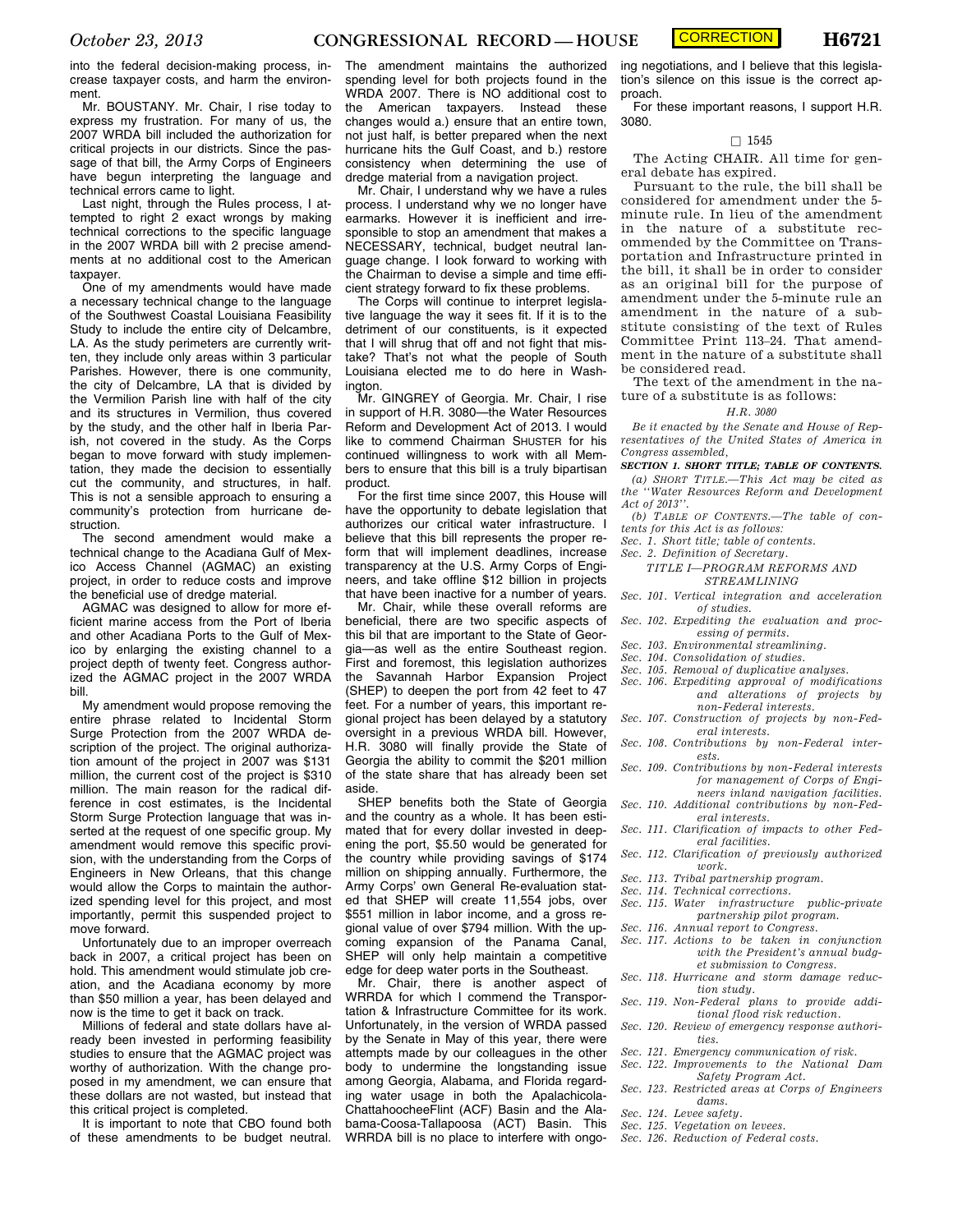**CORRECTION** 

into the federal decision-making process, increase taxpayer costs, and harm the environment.

Mr. BOUSTANY. Mr. Chair, I rise today to express my frustration. For many of us, the 2007 WRDA bill included the authorization for critical projects in our districts. Since the passage of that bill, the Army Corps of Engineers have begun interpreting the language and technical errors came to light.

Last night, through the Rules process, I attempted to right 2 exact wrongs by making technical corrections to the specific language in the 2007 WRDA bill with 2 precise amendments at no additional cost to the American taxpayer.

One of my amendments would have made a necessary technical change to the language of the Southwest Coastal Louisiana Feasibility Study to include the entire city of Delcambre, LA. As the study perimeters are currently written, they include only areas within 3 particular Parishes. However, there is one community, the city of Delcambre, LA that is divided by the Vermilion Parish line with half of the city and its structures in Vermilion, thus covered by the study, and the other half in Iberia Parish, not covered in the study. As the Corps began to move forward with study implementation, they made the decision to essentially cut the community, and structures, in half. This is not a sensible approach to ensuring a community's protection from hurricane destruction.

The second amendment would make a technical change to the Acadiana Gulf of Mexico Access Channel (AGMAC) an existing project, in order to reduce costs and improve the beneficial use of dredge material.

AGMAC was designed to allow for more efficient marine access from the Port of Iberia and other Acadiana Ports to the Gulf of Mexico by enlarging the existing channel to a project depth of twenty feet. Congress authorized the AGMAC project in the 2007 WRDA bill.

My amendment would propose removing the entire phrase related to Incidental Storm Surge Protection from the 2007 WRDA description of the project. The original authorization amount of the project in 2007 was \$131 million, the current cost of the project is \$310 million. The main reason for the radical difference in cost estimates, is the Incidental Storm Surge Protection language that was inserted at the request of one specific group. My amendment would remove this specific provision, with the understanding from the Corps of Engineers in New Orleans, that this change would allow the Corps to maintain the authorized spending level for this project, and most importantly, permit this suspended project to move forward.

Unfortunately due to an improper overreach back in 2007, a critical project has been on hold. This amendment would stimulate job creation, and the Acadiana economy by more than \$50 million a year, has been delayed and now is the time to get it back on track.

Millions of federal and state dollars have already been invested in performing feasibility studies to ensure that the AGMAC project was worthy of authorization. With the change proposed in my amendment, we can ensure that these dollars are not wasted, but instead that this critical project is completed.

It is important to note that CBO found both of these amendments to be budget neutral. The amendment maintains the authorized spending level for both projects found in the WRDA 2007. There is NO additional cost to the American taxpayers. Instead these changes would a.) ensure that an entire town, not just half, is better prepared when the next hurricane hits the Gulf Coast, and b.) restore consistency when determining the use of dredge material from a navigation project.

Mr. Chair, I understand why we have a rules process. I understand why we no longer have earmarks. However it is inefficient and irresponsible to stop an amendment that makes a NECESSARY, technical, budget neutral language change. I look forward to working with the Chairman to devise a simple and time efficient strategy forward to fix these problems.

The Corps will continue to interpret legislative language the way it sees fit. If it is to the detriment of our constituents, is it expected that I will shrug that off and not fight that mistake? That's not what the people of South Louisiana elected me to do here in Washington.

Mr. GINGREY of Georgia. Mr. Chair, I rise in support of H.R. 3080—the Water Resources Reform and Development Act of 2013. I would like to commend Chairman SHUSTER for his continued willingness to work with all Members to ensure that this bill is a truly bipartisan product.

For the first time since 2007, this House will have the opportunity to debate legislation that authorizes our critical water infrastructure. I believe that this bill represents the proper reform that will implement deadlines, increase transparency at the U.S. Army Corps of Engineers, and take offline \$12 billion in projects that have been inactive for a number of years.

Mr. Chair, while these overall reforms are beneficial, there are two specific aspects of this bil that are important to the State of Georgia—as well as the entire Southeast region. First and foremost, this legislation authorizes the Savannah Harbor Expansion Project (SHEP) to deepen the port from 42 feet to 47 feet. For a number of years, this important regional project has been delayed by a statutory oversight in a previous WRDA bill. However, H.R. 3080 will finally provide the State of Georgia the ability to commit the \$201 million of the state share that has already been set aside.

SHEP benefits both the State of Georgia and the country as a whole. It has been estimated that for every dollar invested in deepening the port, \$5.50 would be generated for the country while providing savings of \$174 million on shipping annually. Furthermore, the Army Corps' own General Re-evaluation stated that SHEP will create 11,554 jobs, over \$551 million in labor income, and a gross regional value of over \$794 million. With the upcoming expansion of the Panama Canal, SHEP will only help maintain a competitive edge for deep water ports in the Southeast.

Mr. Chair, there is another aspect of WRRDA for which I commend the Transportation & Infrastructure Committee for its work. Unfortunately, in the version of WRDA passed by the Senate in May of this year, there were attempts made by our colleagues in the other body to undermine the longstanding issue among Georgia, Alabama, and Florida regarding water usage in both the Apalachicola-ChattahoocheeFlint (ACF) Basin and the Alabama-Coosa-Tallapoosa (ACT) Basin. This WRRDA bill is no place to interfere with ongo-

ing negotiations, and I believe that this legislation's silence on this issue is the correct approach.

For these important reasons, I support H.R. 3080.

# $\Box$  1545

The Acting CHAIR. All time for general debate has expired.

Pursuant to the rule, the bill shall be considered for amendment under the 5 minute rule. In lieu of the amendment in the nature of a substitute recommended by the Committee on Transportation and Infrastructure printed in the bill, it shall be in order to consider as an original bill for the purpose of amendment under the 5-minute rule an amendment in the nature of a substitute consisting of the text of Rules Committee Print 113–24. That amendment in the nature of a substitute shall be considered read.

The text of the amendment in the nature of a substitute is as follows:

## *H.R. 3080*

*Be it enacted by the Senate and House of Representatives of the United States of America in Congress assembled,* 

*SECTION 1. SHORT TITLE; TABLE OF CONTENTS.* 

- *(a) SHORT TITLE.—This Act may be cited as the ''Water Resources Reform and Development Act of 2013''.*
- *(b) TABLE OF CONTENTS.—The table of contents for this Act is as follows:*
- *Sec. 1. Short title; table of contents.*
- *Sec. 2. Definition of Secretary.*

# *TITLE I—PROGRAM REFORMS AND STREAMLINING*

- *Sec. 101. Vertical integration and acceleration of studies.*
- *Sec. 102. Expediting the evaluation and processing of permits.*
- *Sec. 103. Environmental streamlining.*
- *Sec. 104. Consolidation of studies.*
- *Sec. 105. Removal of duplicative analyses.*
- *Sec. 106. Expediting approval of modifications and alterations of projects by non-Federal interests.*
- *Sec. 107. Construction of projects by non-Federal interests.*
- *Sec. 108. Contributions by non-Federal interests.*
- *Sec. 109. Contributions by non-Federal interests for management of Corps of Engi-*
- *neers inland navigation facilities. Sec. 110. Additional contributions by non-Fed-*
- *eral interests. Sec. 111. Clarification of impacts to other Federal facilities.*
- *Sec. 112. Clarification of previously authorized work.*
- *Sec. 113. Tribal partnership program.*
- *Sec. 114. Technical corrections.*
- *Sec. 115. Water infrastructure public-private partnership pilot program.*
- *Sec. 116. Annual report to Congress.*
- *Sec. 117. Actions to be taken in conjunction with the President's annual budget submission to Congress.*
- *Sec. 118. Hurricane and storm damage reduction study.*
- *Sec. 119. Non-Federal plans to provide additional flood risk reduction.*
- *Sec. 120. Review of emergency response authorities.*
- *Sec. 121. Emergency communication of risk.*
- *Sec. 122. Improvements to the National Dam Safety Program Act.*
- *Sec. 123. Restricted areas at Corps of Engineers dams.*
- *Sec. 124. Levee safety.*
- *Sec. 125. Vegetation on levees.*
- *Sec. 126. Reduction of Federal costs.*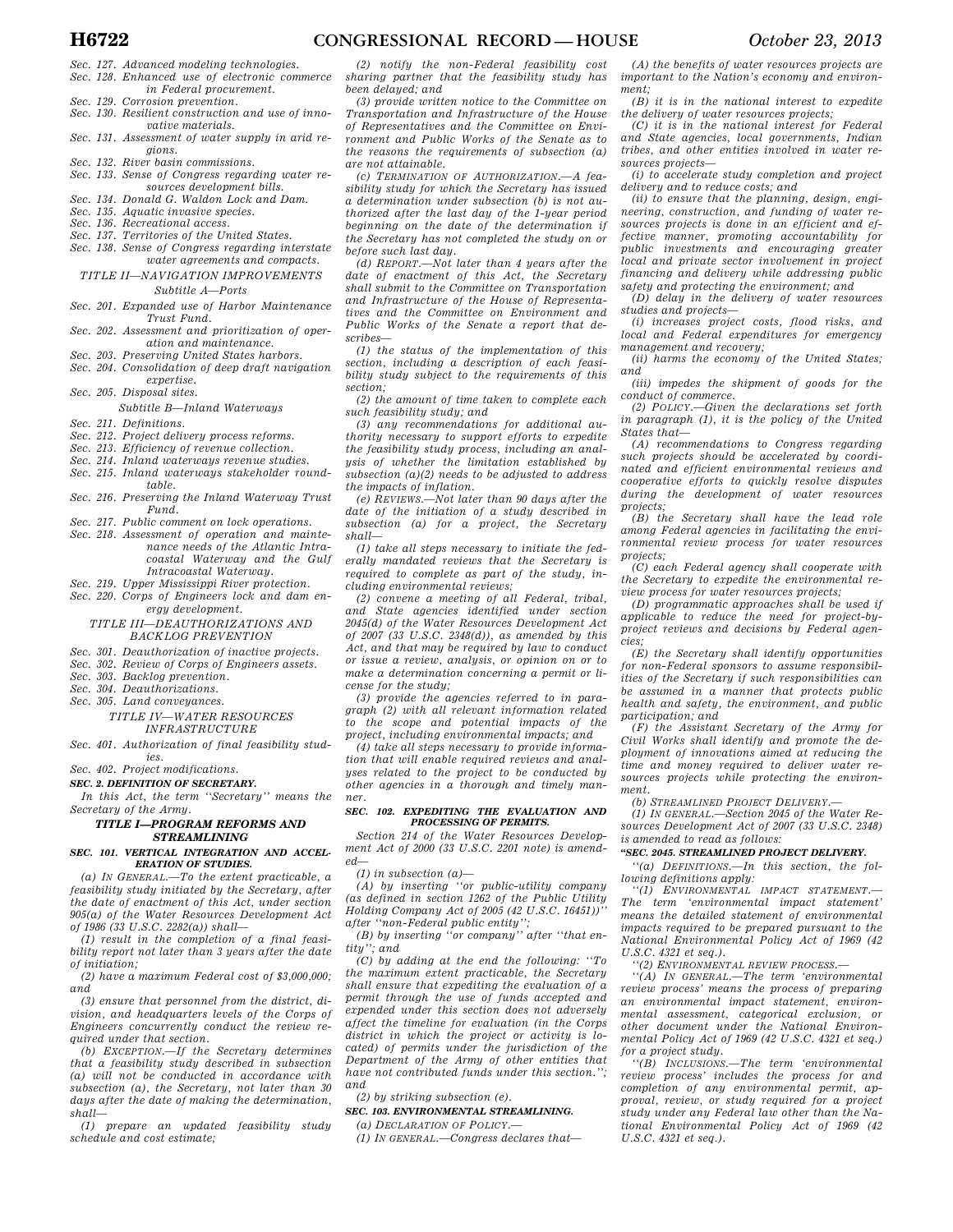- *Sec. 127. Advanced modeling technologies. Sec. 128. Enhanced use of electronic commerce*
- *in Federal procurement.*
- *Sec. 129. Corrosion prevention.*
- *Sec. 130. Resilient construction and use of inno-*
- *vative materials. Sec. 131. Assessment of water supply in arid regions.*
- *Sec. 132. River basin commissions.*
- *Sec. 133. Sense of Congress regarding water resources development bills.*
- *Sec. 134. Donald G. Waldon Lock and Dam.*
- *Sec. 135. Aquatic invasive species.*
- *Sec. 136. Recreational access.*
- *Sec. 137. Territories of the United States.*
- *Sec. 138. Sense of Congress regarding interstate water agreements and compacts.*
- *TITLE II—NAVIGATION IMPROVEMENTS Subtitle A—Ports*

- *Sec. 201. Expanded use of Harbor Maintenance Trust Fund.*
- *Sec. 202. Assessment and prioritization of operation and maintenance.*
- *Sec. 203. Preserving United States harbors. Sec. 204. Consolidation of deep draft navigation expertise.*
- *Sec. 205. Disposal sites.*
- *Subtitle B—Inland Waterways*
- *Sec. 211. Definitions.*
- *Sec. 212. Project delivery process reforms.*
- *Sec. 213. Efficiency of revenue collection.*
- *Sec. 214. Inland waterways revenue studies.*
- *Sec. 215. Inland waterways stakeholder round-*
- *table. Sec. 216. Preserving the Inland Waterway Trust Fund.*
- *Sec. 217. Public comment on lock operations.*
- *Sec. 218. Assessment of operation and maintenance needs of the Atlantic Intracoastal Waterway and the Gulf Intracoastal Waterway.*
- *Sec. 219. Upper Mississippi River protection.*
- *Sec. 220. Corps of Engineers lock and dam energy development.*

# *TITLE III—DEAUTHORIZATIONS AND BACKLOG PREVENTION*

- *Sec. 301. Deauthorization of inactive projects.*
- *Sec. 302. Review of Corps of Engineers assets.*
- *Sec. 303. Backlog prevention.*
- *Sec. 304. Deauthorizations.*
- *Sec. 305. Land conveyances.*

# *TITLE IV—WATER RESOURCES INFRASTRUCTURE*

*Sec. 401. Authorization of final feasibility studies.* 

*Sec. 402. Project modifications.* 

### *SEC. 2. DEFINITION OF SECRETARY.*

*In this Act, the term ''Secretary'' means the Secretary of the Army.* 

# *TITLE I—PROGRAM REFORMS AND STREAMLINING*

### *SEC. 101. VERTICAL INTEGRATION AND ACCEL-ERATION OF STUDIES.*

*(a) IN GENERAL.—To the extent practicable, a feasibility study initiated by the Secretary, after the date of enactment of this Act, under section 905(a) of the Water Resources Development Act of 1986 (33 U.S.C. 2282(a)) shall—* 

*(1) result in the completion of a final feasibility report not later than 3 years after the date of initiation;* 

*(2) have a maximum Federal cost of \$3,000,000; and* 

*(3) ensure that personnel from the district, division, and headquarters levels of the Corps of Engineers concurrently conduct the review required under that section.* 

*(b) EXCEPTION.—If the Secretary determines that a feasibility study described in subsection (a) will not be conducted in accordance with subsection (a), the Secretary, not later than 30 days after the date of making the determination, shall—* 

*(1) prepare an updated feasibility study schedule and cost estimate;* 

*(2) notify the non-Federal feasibility cost sharing partner that the feasibility study has been delayed; and* 

*(3) provide written notice to the Committee on Transportation and Infrastructure of the House of Representatives and the Committee on Environment and Public Works of the Senate as to the reasons the requirements of subsection (a) are not attainable.* 

*(c) TERMINATION OF AUTHORIZATION.—A feasibility study for which the Secretary has issued a determination under subsection (b) is not authorized after the last day of the 1-year period beginning on the date of the determination if the Secretary has not completed the study on or before such last day.* 

*(d) REPORT.—Not later than 4 years after the date of enactment of this Act, the Secretary shall submit to the Committee on Transportation and Infrastructure of the House of Representatives and the Committee on Environment and Public Works of the Senate a report that describes—* 

*(1) the status of the implementation of this section, including a description of each feasibility study subject to the requirements of this section;* 

*(2) the amount of time taken to complete each such feasibility study; and* 

*(3) any recommendations for additional authority necessary to support efforts to expedite the feasibility study process, including an analysis of whether the limitation established by subsection (a)(2) needs to be adjusted to address the impacts of inflation.* 

*(e) REVIEWS.—Not later than 90 days after the date of the initiation of a study described in subsection (a) for a project, the Secretary shall—* 

*(1) take all steps necessary to initiate the federally mandated reviews that the Secretary is required to complete as part of the study, including environmental reviews;* 

*(2) convene a meeting of all Federal, tribal, and State agencies identified under section 2045(d) of the Water Resources Development Act of 2007 (33 U.S.C. 2348(d)), as amended by this Act, and that may be required by law to conduct or issue a review, analysis, or opinion on or to make a determination concerning a permit or license for the study;* 

*(3) provide the agencies referred to in paragraph (2) with all relevant information related to the scope and potential impacts of the project, including environmental impacts; and* 

*(4) take all steps necessary to provide information that will enable required reviews and analyses related to the project to be conducted by other agencies in a thorough and timely manner.* 

# *SEC. 102. EXPEDITING THE EVALUATION AND PROCESSING OF PERMITS.*

*Section 214 of the Water Resources Development Act of 2000 (33 U.S.C. 2201 note) is amended—* 

*(1) in subsection (a)—* 

*(A) by inserting ''or public-utility company (as defined in section 1262 of the Public Utility Holding Company Act of 2005 (42 U.S.C. 16451))'' after ''non-Federal public entity'';* 

*(B) by inserting ''or company'' after ''that entity''; and* 

*(C) by adding at the end the following: ''To the maximum extent practicable, the Secretary shall ensure that expediting the evaluation of a permit through the use of funds accepted and expended under this section does not adversely affect the timeline for evaluation (in the Corps district in which the project or activity is located) of permits under the jurisdiction of the Department of the Army of other entities that have not contributed funds under this section.''; and* 

*(2) by striking subsection (e).* 

*SEC. 103. ENVIRONMENTAL STREAMLINING. (a) DECLARATION OF POLICY.—* 

*(1) IN GENERAL.—Congress declares that—* 

*(A) the benefits of water resources projects are important to the Nation's economy and environment;* 

*(B) it is in the national interest to expedite the delivery of water resources projects;* 

*(C) it is in the national interest for Federal and State agencies, local governments, Indian tribes, and other entities involved in water resources projects—* 

*(i) to accelerate study completion and project delivery and to reduce costs; and* 

*(ii) to ensure that the planning, design, engineering, construction, and funding of water resources projects is done in an efficient and effective manner, promoting accountability for public investments and encouraging greater local and private sector involvement in project financing and delivery while addressing public safety and protecting the environment; and* 

*(D) delay in the delivery of water resources studies and projects—* 

*(i) increases project costs, flood risks, and local and Federal expenditures for emergency management and recovery;* 

*(ii) harms the economy of the United States; and* 

*(iii) impedes the shipment of goods for the conduct of commerce.* 

*(2) POLICY.—Given the declarations set forth in paragraph (1), it is the policy of the United States that—* 

*(A) recommendations to Congress regarding such projects should be accelerated by coordinated and efficient environmental reviews and cooperative efforts to quickly resolve disputes during the development of water resources projects;* 

*(B) the Secretary shall have the lead role among Federal agencies in facilitating the environmental review process for water resources projects;* 

*(C) each Federal agency shall cooperate with the Secretary to expedite the environmental review process for water resources projects;* 

*(D) programmatic approaches shall be used if applicable to reduce the need for project-byproject reviews and decisions by Federal agencies;* 

*(E) the Secretary shall identify opportunities for non-Federal sponsors to assume responsibilities of the Secretary if such responsibilities can be assumed in a manner that protects public health and safety, the environment, and public participation; and* 

*(F) the Assistant Secretary of the Army for Civil Works shall identify and promote the deployment of innovations aimed at reducing the time and money required to deliver water resources projects while protecting the environment.* 

*(b) STREAMLINED PROJECT DELIVERY.—* 

*(1) IN GENERAL.—Section 2045 of the Water Resources Development Act of 2007 (33 U.S.C. 2348) is amended to read as follows:* 

# *''SEC. 2045. STREAMLINED PROJECT DELIVERY.*

*''(a) DEFINITIONS.—In this section, the following definitions apply:* 

*''(1) ENVIRONMENTAL IMPACT STATEMENT.— The term 'environmental impact statement' means the detailed statement of environmental impacts required to be prepared pursuant to the National Environmental Policy Act of 1969 (42 U.S.C. 4321 et seq.).* 

*''(2) ENVIRONMENTAL REVIEW PROCESS.—* 

*''(A) IN GENERAL.—The term 'environmental review process' means the process of preparing an environmental impact statement, environmental assessment, categorical exclusion, or other document under the National Environmental Policy Act of 1969 (42 U.S.C. 4321 et seq.) for a project study.* 

*''(B) INCLUSIONS.—The term 'environmental review process' includes the process for and completion of any environmental permit, approval, review, or study required for a project study under any Federal law other than the National Environmental Policy Act of 1969 (42 U.S.C. 4321 et seq.).*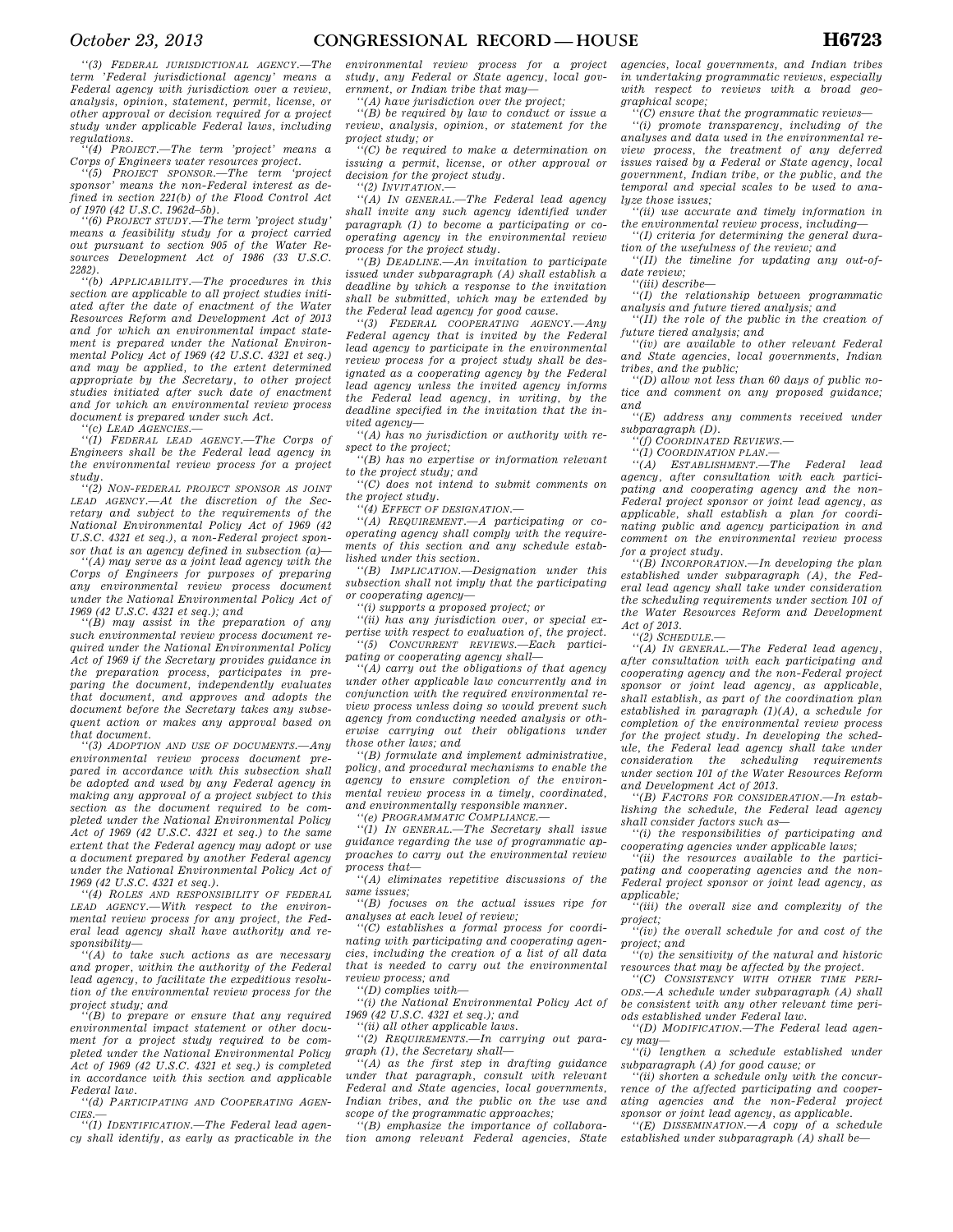*''(3) FEDERAL JURISDICTIONAL AGENCY.—The term 'Federal jurisdictional agency' means a Federal agency with jurisdiction over a review, analysis, opinion, statement, permit, license, or other approval or decision required for a project study under applicable Federal laws, including regulations.* 

*''(4) PROJECT.—The term 'project' means a Corps of Engineers water resources project.* 

*''(5) PROJECT SPONSOR.—The term 'project sponsor' means the non-Federal interest as defined in section 221(b) of the Flood Control Act of 1970 (42 U.S.C. 1962d–5b).* 

*''(6) PROJECT STUDY.—The term 'project study' means a feasibility study for a project carried out pursuant to section 905 of the Water Resources Development Act of 1986 (33 U.S.C. 2282).* 

*''(b) APPLICABILITY.—The procedures in this section are applicable to all project studies initiated after the date of enactment of the Water Resources Reform and Development Act of 2013 and for which an environmental impact statement is prepared under the National Environmental Policy Act of 1969 (42 U.S.C. 4321 et seq.) and may be applied, to the extent determined appropriate by the Secretary, to other project studies initiated after such date of enactment and for which an environmental review process document is prepared under such Act.* 

*''(c) LEAD AGENCIES.—* 

*''(1) FEDERAL LEAD AGENCY.—The Corps of Engineers shall be the Federal lead agency in the environmental review process for a project study.* 

*''(2) NON-FEDERAL PROJECT SPONSOR AS JOINT LEAD AGENCY.—At the discretion of the Secretary and subject to the requirements of the National Environmental Policy Act of 1969 (42 U.S.C. 4321 et seq.), a non-Federal project sponsor that is an agency defined in subsection (a)—* 

*''(A) may serve as a joint lead agency with the Corps of Engineers for purposes of preparing any environmental review process document under the National Environmental Policy Act of 1969 (42 U.S.C. 4321 et seq.); and* 

*''(B) may assist in the preparation of any such environmental review process document required under the National Environmental Policy Act of 1969 if the Secretary provides guidance in the preparation process, participates in preparing the document, independently evaluates that document, and approves and adopts the document before the Secretary takes any subsequent action or makes any approval based on that document.* 

*''(3) ADOPTION AND USE OF DOCUMENTS.—Any environmental review process document prepared in accordance with this subsection shall be adopted and used by any Federal agency in making any approval of a project subject to this section as the document required to be completed under the National Environmental Policy Act of 1969 (42 U.S.C. 4321 et seq.) to the same extent that the Federal agency may adopt or use a document prepared by another Federal agency under the National Environmental Policy Act of 1969 (42 U.S.C. 4321 et seq.).* 

*''(4) ROLES AND RESPONSIBILITY OF FEDERAL LEAD AGENCY.—With respect to the environmental review process for any project, the Federal lead agency shall have authority and responsibility—* 

*''(A) to take such actions as are necessary and proper, within the authority of the Federal lead agency, to facilitate the expeditious resolution of the environmental review process for the project study; and* 

*''(B) to prepare or ensure that any required environmental impact statement or other document for a project study required to be completed under the National Environmental Policy Act of 1969 (42 U.S.C. 4321 et seq.) is completed in accordance with this section and applicable Federal law.* 

*''(d) PARTICIPATING AND COOPERATING AGEN-CIES.—* 

*''(1) IDENTIFICATION.—The Federal lead agency shall identify, as early as practicable in the*  *environmental review process for a project study, any Federal or State agency, local government, or Indian tribe that may—* 

*''(A) have jurisdiction over the project;* 

*''(B) be required by law to conduct or issue a review, analysis, opinion, or statement for the project study; or* 

*''(C) be required to make a determination on issuing a permit, license, or other approval or decision for the project study.* 

*''(2) INVITATION.—* 

*''(A) IN GENERAL.—The Federal lead agency shall invite any such agency identified under paragraph (1) to become a participating or cooperating agency in the environmental review process for the project study.* 

*''(B) DEADLINE.—An invitation to participate issued under subparagraph (A) shall establish a deadline by which a response to the invitation shall be submitted, which may be extended by the Federal lead agency for good cause.* 

 $'$ (3) FEDERAL COOPERATING AGENCY. *Federal agency that is invited by the Federal lead agency to participate in the environmental review process for a project study shall be designated as a cooperating agency by the Federal lead agency unless the invited agency informs the Federal lead agency, in writing, by the deadline specified in the invitation that the invited agency—* 

*''(A) has no jurisdiction or authority with respect to the project;* 

*''(B) has no expertise or information relevant to the project study; and* 

*''(C) does not intend to submit comments on the project study.* 

*''(4) EFFECT OF DESIGNATION.—* 

*''(A) REQUIREMENT.—A participating or cooperating agency shall comply with the requirements of this section and any schedule established under this section.* 

*''(B) IMPLICATION.—Designation under this subsection shall not imply that the participating or cooperating agency—* 

*''(i) supports a proposed project; or* 

*''(ii) has any jurisdiction over, or special expertise with respect to evaluation of, the project. ''(5) CONCURRENT REVIEWS.—Each participating or cooperating agency shall—* 

*''(A) carry out the obligations of that agency under other applicable law concurrently and in conjunction with the required environmental review process unless doing so would prevent such agency from conducting needed analysis or otherwise carrying out their obligations under those other laws; and* 

*''(B) formulate and implement administrative, policy, and procedural mechanisms to enable the agency to ensure completion of the environmental review process in a timely, coordinated, and environmentally responsible manner.* 

*''(e) PROGRAMMATIC COMPLIANCE.—* 

*''(1) IN GENERAL.—The Secretary shall issue guidance regarding the use of programmatic approaches to carry out the environmental review process that—* 

*''(A) eliminates repetitive discussions of the same issues;* 

*''(B) focuses on the actual issues ripe for analyses at each level of review;* 

*''(C) establishes a formal process for coordinating with participating and cooperating agencies, including the creation of a list of all data that is needed to carry out the environmental review process; and* 

*''(D) complies with—* 

*''(i) the National Environmental Policy Act of 1969 (42 U.S.C. 4321 et seq.); and* 

*''(ii) all other applicable laws.* 

*''(2) REQUIREMENTS.—In carrying out paragraph (1), the Secretary shall—* 

*''(A) as the first step in drafting guidance under that paragraph, consult with relevant Federal and State agencies, local governments, Indian tribes, and the public on the use and scope of the programmatic approaches;* 

*''(B) emphasize the importance of collaboration among relevant Federal agencies, State*  *agencies, local governments, and Indian tribes in undertaking programmatic reviews, especially with respect to reviews with a broad geographical scope;* 

*''(C) ensure that the programmatic reviews—* 

*''(i) promote transparency, including of the analyses and data used in the environmental review process, the treatment of any deferred issues raised by a Federal or State agency, local government, Indian tribe, or the public, and the temporal and special scales to be used to analyze those issues;* 

*''(ii) use accurate and timely information in the environmental review process, including—* 

*''(I) criteria for determining the general duration of the usefulness of the review; and* 

*''(II) the timeline for updating any out-ofdate review;* 

*''(iii) describe—* 

*''(I) the relationship between programmatic analysis and future tiered analysis; and* 

*''(II) the role of the public in the creation of future tiered analysis; and* 

*''(iv) are available to other relevant Federal and State agencies, local governments, Indian tribes, and the public;* 

*''(D) allow not less than 60 days of public notice and comment on any proposed guidance; and* 

*''(E) address any comments received under subparagraph (D).* 

*''(f) COORDINATED REVIEWS.—* 

*''(1) COORDINATION PLAN.— ''(A) ESTABLISHMENT.—The Federal lead* 

*agency, after consultation with each participating and cooperating agency and the non-Federal project sponsor or joint lead agency, as applicable, shall establish a plan for coordinating public and agency participation in and comment on the environmental review process for a project study.* 

*''(B) INCORPORATION.—In developing the plan established under subparagraph (A), the Federal lead agency shall take under consideration the scheduling requirements under section 101 of the Water Resources Reform and Development Act of 2013.* 

*''(2) SCHEDULE.—* 

*''(A) IN GENERAL.—The Federal lead agency, after consultation with each participating and cooperating agency and the non-Federal project sponsor or joint lead agency, as applicable, shall establish, as part of the coordination plan established in paragraph (1)(A), a schedule for completion of the environmental review process for the project study. In developing the schedule, the Federal lead agency shall take under consideration the scheduling requirements under section 101 of the Water Resources Reform and Development Act of 2013.* 

*''(B) FACTORS FOR CONSIDERATION.—In establishing the schedule, the Federal lead agency shall consider factors such as—* 

*''(i) the responsibilities of participating and cooperating agencies under applicable laws;* 

*''(ii) the resources available to the participating and cooperating agencies and the non-Federal project sponsor or joint lead agency, as applicable;* 

*''(iii) the overall size and complexity of the project;* 

*''(iv) the overall schedule for and cost of the project; and* 

*''(v) the sensitivity of the natural and historic resources that may be affected by the project.* 

*''(C) CONSISTENCY WITH OTHER TIME PERI-ODS.—A schedule under subparagraph (A) shall be consistent with any other relevant time periods established under Federal law.* 

*''(D) MODIFICATION.—The Federal lead agency may—* 

*''(i) lengthen a schedule established under subparagraph (A) for good cause; or* 

*''(ii) shorten a schedule only with the concurrence of the affected participating and cooperating agencies and the non-Federal project sponsor or joint lead agency, as applicable.* 

*''(E) DISSEMINATION.—A copy of a schedule established under subparagraph (A) shall be—*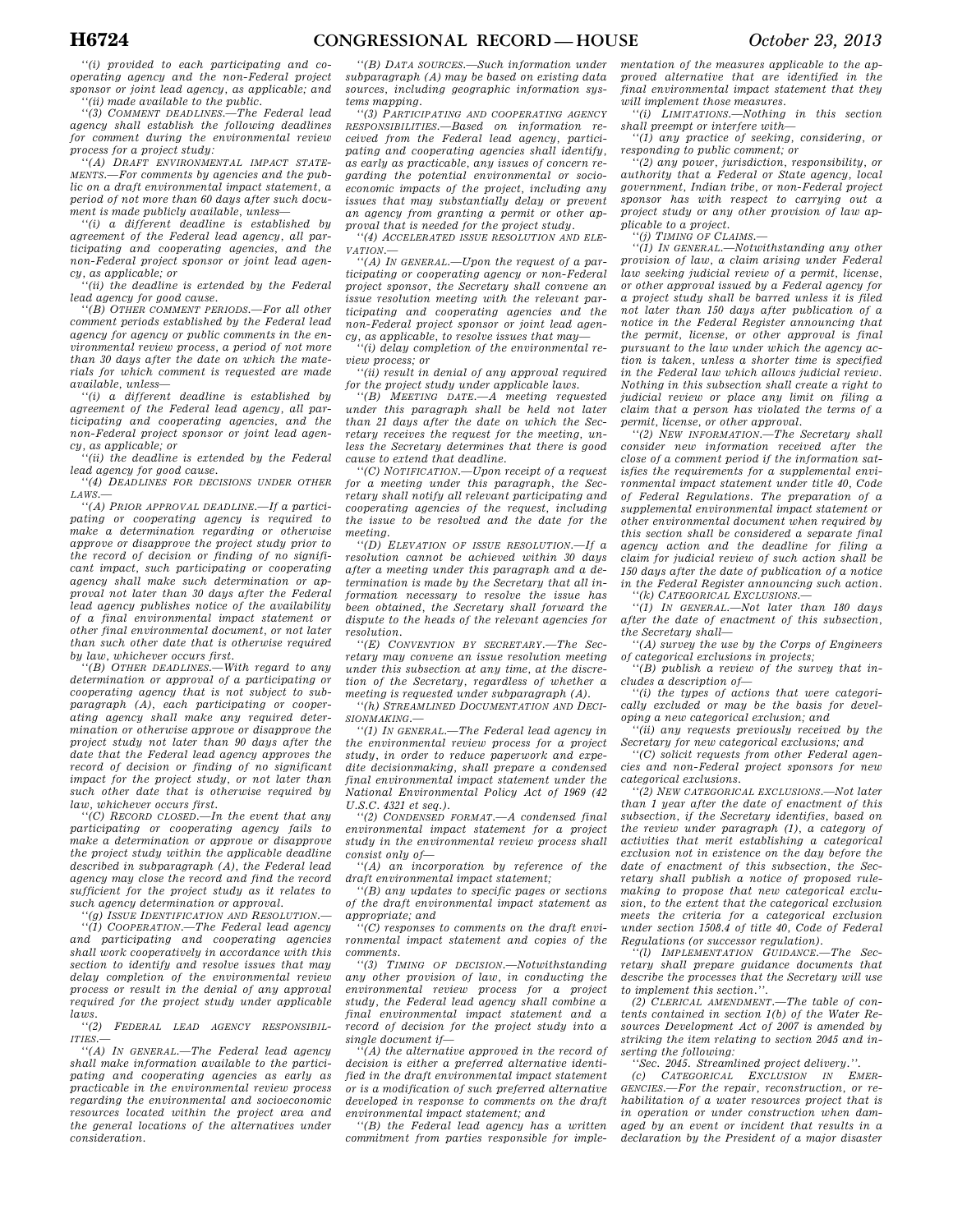*''(i) provided to each participating and cooperating agency and the non-Federal project sponsor or joint lead agency, as applicable; and ''(ii) made available to the public.* 

*''(3) COMMENT DEADLINES.—The Federal lead agency shall establish the following deadlines for comment during the environmental review process for a project study:* 

*''(A) DRAFT ENVIRONMENTAL IMPACT STATE-MENTS.—For comments by agencies and the public on a draft environmental impact statement, a period of not more than 60 days after such document is made publicly available, unless—* 

*''(i) a different deadline is established by agreement of the Federal lead agency, all participating and cooperating agencies, and the non-Federal project sponsor or joint lead agency, as applicable; or* 

*''(ii) the deadline is extended by the Federal lead agency for good cause.* 

*''(B) OTHER COMMENT PERIODS.—For all other comment periods established by the Federal lead agency for agency or public comments in the environmental review process, a period of not more than 30 days after the date on which the materials for which comment is requested are made available, unless—* 

*''(i) a different deadline is established by agreement of the Federal lead agency, all participating and cooperating agencies, and the non-Federal project sponsor or joint lead agency, as applicable; or* 

*''(ii) the deadline is extended by the Federal lead agency for good cause.* 

*''(4) DEADLINES FOR DECISIONS UNDER OTHER LAWS.—* 

*''(A) PRIOR APPROVAL DEADLINE.—If a participating or cooperating agency is required to make a determination regarding or otherwise approve or disapprove the project study prior to the record of decision or finding of no significant impact, such participating or cooperating agency shall make such determination or approval not later than 30 days after the Federal lead agency publishes notice of the availability of a final environmental impact statement or other final environmental document, or not later than such other date that is otherwise required by law, whichever occurs first.* 

*''(B) OTHER DEADLINES.—With regard to any determination or approval of a participating or cooperating agency that is not subject to subparagraph (A), each participating or cooperating agency shall make any required determination or otherwise approve or disapprove the project study not later than 90 days after the date that the Federal lead agency approves the record of decision or finding of no significant impact for the project study, or not later than such other date that is otherwise required by law, whichever occurs first.* 

*''(C) RECORD CLOSED.—In the event that any participating or cooperating agency fails to make a determination or approve or disapprove the project study within the applicable deadline described in subparagraph (A), the Federal lead agency may close the record and find the record sufficient for the project study as it relates to such agency determination or approval.* 

*''(g) ISSUE IDENTIFICATION AND RESOLUTION.—* 

*''(1) COOPERATION.—The Federal lead agency and participating and cooperating agencies shall work cooperatively in accordance with this section to identify and resolve issues that may delay completion of the environmental review process or result in the denial of any approval required for the project study under applicable laws.* 

*''(2) FEDERAL LEAD AGENCY RESPONSIBIL-ITIES.—* 

*''(A) IN GENERAL.—The Federal lead agency shall make information available to the participating and cooperating agencies as early as practicable in the environmental review process regarding the environmental and socioeconomic resources located within the project area and the general locations of the alternatives under consideration.* 

*''(B) DATA SOURCES.—Such information under subparagraph (A) may be based on existing data sources, including geographic information systems mapping.* 

*''(3) PARTICIPATING AND COOPERATING AGENCY RESPONSIBILITIES.—Based on information received from the Federal lead agency, participating and cooperating agencies shall identify, as early as practicable, any issues of concern regarding the potential environmental or socioeconomic impacts of the project, including any issues that may substantially delay or prevent an agency from granting a permit or other approval that is needed for the project study.* 

*''(4) ACCELERATED ISSUE RESOLUTION AND ELE-VATION.—* 

*''(A) IN GENERAL.—Upon the request of a participating or cooperating agency or non-Federal project sponsor, the Secretary shall convene an issue resolution meeting with the relevant participating and cooperating agencies and the non-Federal project sponsor or joint lead agency, as applicable, to resolve issues that may—* 

*''(i) delay completion of the environmental review process; or* 

*''(ii) result in denial of any approval required for the project study under applicable laws.* 

*''(B) MEETING DATE.—A meeting requested under this paragraph shall be held not later than 21 days after the date on which the Secretary receives the request for the meeting, unless the Secretary determines that there is good cause to extend that deadline.* 

*''(C) NOTIFICATION.—Upon receipt of a request for a meeting under this paragraph, the Secretary shall notify all relevant participating and cooperating agencies of the request, including the issue to be resolved and the date for the meeting.* 

*''(D) ELEVATION OF ISSUE RESOLUTION.—If a resolution cannot be achieved within 30 days after a meeting under this paragraph and a determination is made by the Secretary that all information necessary to resolve the issue has been obtained, the Secretary shall forward the dispute to the heads of the relevant agencies for resolution.* 

*''(E) CONVENTION BY SECRETARY.—The Secretary may convene an issue resolution meeting under this subsection at any time, at the discretion of the Secretary, regardless of whether a meeting is requested under subparagraph (A).* 

*''(h) STREAMLINED DOCUMENTATION AND DECI-SIONMAKING.—* 

*''(1) IN GENERAL.—The Federal lead agency in the environmental review process for a project study, in order to reduce paperwork and expedite decisionmaking, shall prepare a condensed final environmental impact statement under the National Environmental Policy Act of 1969 (42 U.S.C. 4321 et seq.).* 

*''(2) CONDENSED FORMAT.—A condensed final environmental impact statement for a project study in the environmental review process shall consist only of—* 

*''(A) an incorporation by reference of the draft environmental impact statement;* 

*''(B) any updates to specific pages or sections of the draft environmental impact statement as appropriate; and* 

*''(C) responses to comments on the draft environmental impact statement and copies of the comments.* 

*''(3) TIMING OF DECISION.—Notwithstanding any other provision of law, in conducting the environmental review process for a project study, the Federal lead agency shall combine a final environmental impact statement and a record of decision for the project study into a single document if—* 

*''(A) the alternative approved in the record of decision is either a preferred alternative identified in the draft environmental impact statement or is a modification of such preferred alternative developed in response to comments on the draft environmental impact statement; and* 

*''(B) the Federal lead agency has a written commitment from parties responsible for imple-*

*mentation of the measures applicable to the approved alternative that are identified in the final environmental impact statement that they will implement those measures.* 

*''(i) LIMITATIONS.—Nothing in this section shall preempt or interfere with—* 

*''(1) any practice of seeking, considering, or responding to public comment; or* 

*''(2) any power, jurisdiction, responsibility, or authority that a Federal or State agency, local government, Indian tribe, or non-Federal project sponsor has with respect to carrying out a project study or any other provision of law applicable to a project.* 

*''(j) TIMING OF CLAIMS.—* 

*''(1) IN GENERAL.—Notwithstanding any other provision of law, a claim arising under Federal law seeking judicial review of a permit, license, or other approval issued by a Federal agency for a project study shall be barred unless it is filed not later than 150 days after publication of a notice in the Federal Register announcing that the permit, license, or other approval is final pursuant to the law under which the agency action is taken, unless a shorter time is specified in the Federal law which allows judicial review. Nothing in this subsection shall create a right to judicial review or place any limit on filing a claim that a person has violated the terms of a permit, license, or other approval.* 

*''(2) NEW INFORMATION.—The Secretary shall consider new information received after the close of a comment period if the information satisfies the requirements for a supplemental environmental impact statement under title 40, Code of Federal Regulations. The preparation of a supplemental environmental impact statement or other environmental document when required by this section shall be considered a separate final agency action and the deadline for filing a claim for judicial review of such action shall be 150 days after the date of publication of a notice in the Federal Register announcing such action.* 

*''(k) CATEGORICAL EXCLUSIONS.—* 

*''(1) IN GENERAL.—Not later than 180 days after the date of enactment of this subsection, the Secretary shall—* 

*''(A) survey the use by the Corps of Engineers of categorical exclusions in projects;* 

*''(B) publish a review of the survey that includes a description of—* 

*''(i) the types of actions that were categorically excluded or may be the basis for developing a new categorical exclusion; and* 

*''(ii) any requests previously received by the Secretary for new categorical exclusions; and* 

*''(C) solicit requests from other Federal agencies and non-Federal project sponsors for new categorical exclusions.* 

*''(2) NEW CATEGORICAL EXCLUSIONS.—Not later than 1 year after the date of enactment of this subsection, if the Secretary identifies, based on the review under paragraph (1), a category of activities that merit establishing a categorical exclusion not in existence on the day before the date of enactment of this subsection, the Secretary shall publish a notice of proposed rulemaking to propose that new categorical exclusion, to the extent that the categorical exclusion meets the criteria for a categorical exclusion under section 1508.4 of title 40, Code of Federal Regulations (or successor regulation).* 

*''(l) IMPLEMENTATION GUIDANCE.—The Secretary shall prepare guidance documents that describe the processes that the Secretary will use to implement this section.''.* 

*(2) CLERICAL AMENDMENT.—The table of contents contained in section 1(b) of the Water Resources Development Act of 2007 is amended by striking the item relating to section 2045 and inserting the following:* 

*''Sec. 2045. Streamlined project delivery.''.* 

*(c) CATEGORICAL EXCLUSION IN EMER-GENCIES.—For the repair, reconstruction, or rehabilitation of a water resources project that is in operation or under construction when damaged by an event or incident that results in a declaration by the President of a major disaster*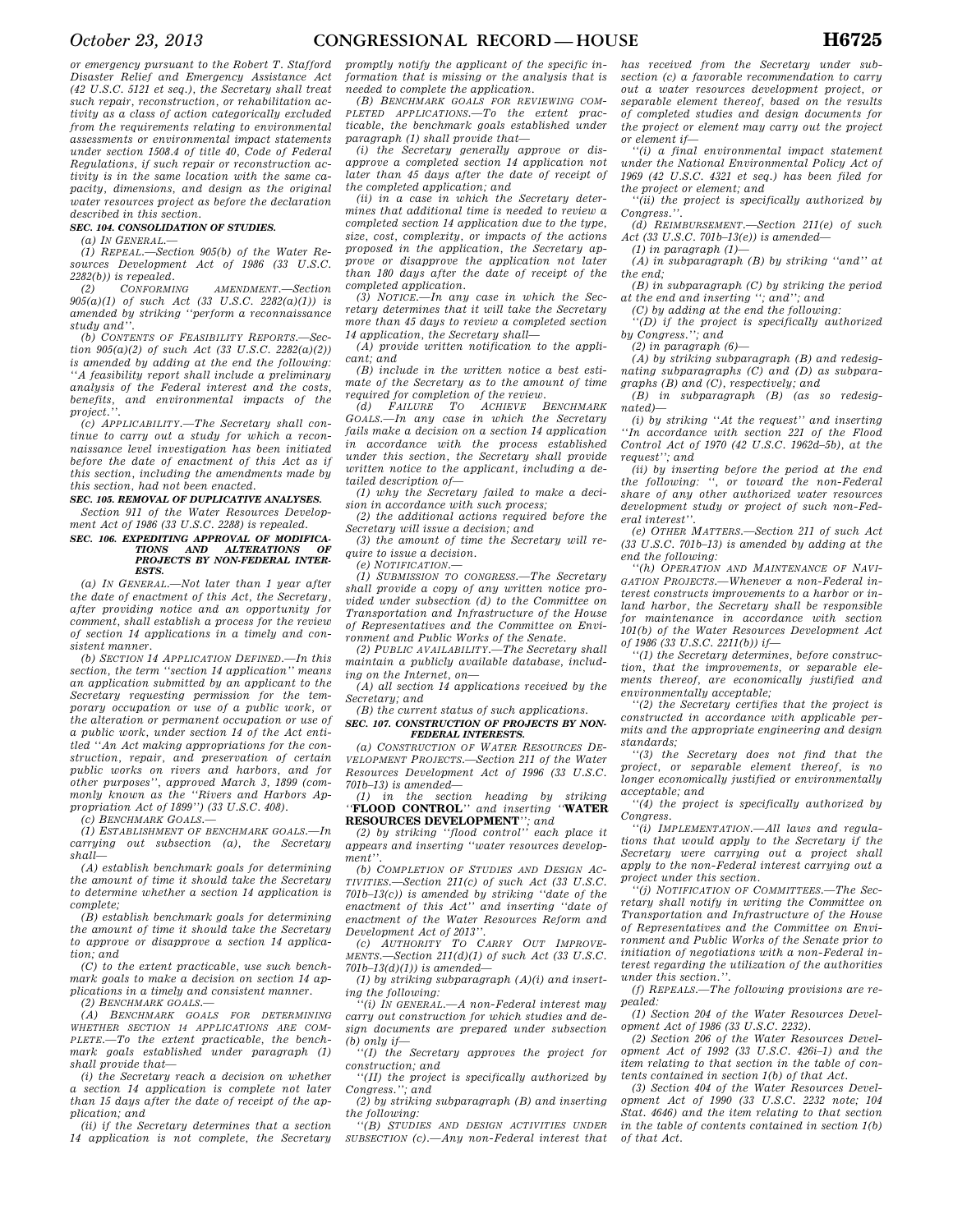*or emergency pursuant to the Robert T. Stafford Disaster Relief and Emergency Assistance Act (42 U.S.C. 5121 et seq.), the Secretary shall treat such repair, reconstruction, or rehabilitation activity as a class of action categorically excluded from the requirements relating to environmental assessments or environmental impact statements under section 1508.4 of title 40, Code of Federal Regulations, if such repair or reconstruction activity is in the same location with the same capacity, dimensions, and design as the original water resources project as before the declaration described in this section.* 

### *SEC. 104. CONSOLIDATION OF STUDIES.*

*(a) IN GENERAL.—* 

*(1) REPEAL.—Section 905(b) of the Water Resources Development Act of 1986 (33 U.S.C. 2282(b)) is repealed.* 

*(2) CONFORMING AMENDMENT.—Section 905(a)(1) of such Act (33 U.S.C. 2282(a)(1)) is amended by striking ''perform a reconnaissance study and''.* 

*(b) CONTENTS OF FEASIBILITY REPORTS.—Section 905(a)(2) of such Act (33 U.S.C. 2282(a)(2)) is amended by adding at the end the following: ''A feasibility report shall include a preliminary analysis of the Federal interest and the costs, benefits, and environmental impacts of the project.''.* 

*(c) APPLICABILITY.—The Secretary shall continue to carry out a study for which a reconnaissance level investigation has been initiated before the date of enactment of this Act as if this section, including the amendments made by this section, had not been enacted.* 

#### *SEC. 105. REMOVAL OF DUPLICATIVE ANALYSES.*

*Section 911 of the Water Resources Development Act of 1986 (33 U.S.C. 2288) is repealed.* 

# *SEC. 106. EXPEDITING APPROVAL OF MODIFICA-TIONS AND ALTERATIONS OF PROJECTS BY NON-FEDERAL INTER-ESTS.*

*(a) IN GENERAL.—Not later than 1 year after the date of enactment of this Act, the Secretary, after providing notice and an opportunity for comment, shall establish a process for the review of section 14 applications in a timely and consistent manner.* 

*(b) SECTION 14 APPLICATION DEFINED.—In this section, the term ''section 14 application'' means an application submitted by an applicant to the Secretary requesting permission for the temporary occupation or use of a public work, or the alteration or permanent occupation or use of a public work, under section 14 of the Act entitled ''An Act making appropriations for the construction, repair, and preservation of certain public works on rivers and harbors, and for other purposes'', approved March 3, 1899 (commonly known as the ''Rivers and Harbors Appropriation Act of 1899'') (33 U.S.C. 408).* 

*(c) BENCHMARK GOALS.—* 

*(1) ESTABLISHMENT OF BENCHMARK GOALS.—In carrying out subsection (a), the Secretary shall—* 

*(A) establish benchmark goals for determining the amount of time it should take the Secretary to determine whether a section 14 application is complete;* 

*(B) establish benchmark goals for determining the amount of time it should take the Secretary to approve or disapprove a section 14 application; and* 

*(C) to the extent practicable, use such benchmark goals to make a decision on section 14 applications in a timely and consistent manner. (2) BENCHMARK GOALS.—* 

*(A) BENCHMARK GOALS FOR DETERMINING WHETHER SECTION 14 APPLICATIONS ARE COM-PLETE.—To the extent practicable, the benchmark goals established under paragraph (1) shall provide that—* 

*(i) the Secretary reach a decision on whether a section 14 application is complete not later than 15 days after the date of receipt of the application; and* 

*(ii) if the Secretary determines that a section 14 application is not complete, the Secretary*  *promptly notify the applicant of the specific information that is missing or the analysis that is needed to complete the application.* 

*(B) BENCHMARK GOALS FOR REVIEWING COM-PLETED APPLICATIONS.—To the extent practicable, the benchmark goals established under paragraph (1) shall provide that—* 

*(i) the Secretary generally approve or disapprove a completed section 14 application not later than 45 days after the date of receipt of the completed application; and* 

*(ii) in a case in which the Secretary determines that additional time is needed to review a completed section 14 application due to the type, size, cost, complexity, or impacts of the actions proposed in the application, the Secretary approve or disapprove the application not later than 180 days after the date of receipt of the completed application.* 

*(3) NOTICE.—In any case in which the Secretary determines that it will take the Secretary more than 45 days to review a completed section 14 application, the Secretary shall—* 

*(A) provide written notification to the applicant; and* 

*(B) include in the written notice a best estimate of the Secretary as to the amount of time required for completion of the review.*<br>
(d) FAILURE TO ACHIEVE BENCHMARK

 $\overline{d}$  *FAILURE TO ACHIEVE GOALS.—In any case in which the Secretary fails make a decision on a section 14 application in accordance with the process established under this section, the Secretary shall provide written notice to the applicant, including a detailed description of—* 

*(1) why the Secretary failed to make a decision in accordance with such process;* 

*(2) the additional actions required before the Secretary will issue a decision; and* 

*(3) the amount of time the Secretary will require to issue a decision.* 

*(e) NOTIFICATION.—* 

*(1) SUBMISSION TO CONGRESS.—The Secretary shall provide a copy of any written notice provided under subsection (d) to the Committee on Transportation and Infrastructure of the House of Representatives and the Committee on Environment and Public Works of the Senate.* 

*(2) PUBLIC AVAILABILITY.—The Secretary shall maintain a publicly available database, includ-*

*ing on the Internet, on— (A) all section 14 applications received by the Secretary; and* 

*(B) the current status of such applications.* 

### *SEC. 107. CONSTRUCTION OF PROJECTS BY NON-FEDERAL INTERESTS.*

*(a) CONSTRUCTION OF WATER RESOURCES DE-VELOPMENT PROJECTS.—Section 211 of the Water Resources Development Act of 1996 (33 U.S.C. 701b–13) is amended—* 

*(1) in the section heading by striking ''***FLOOD CONTROL***'' and inserting ''***WATER** 

**RESOURCES DEVELOPMENT***''; and (2) by striking ''flood control'' each place it appears and inserting ''water resources development''.* 

*(b) COMPLETION OF STUDIES AND DESIGN AC-TIVITIES.—Section 211(c) of such Act (33 U.S.C. 701b–13(c)) is amended by striking ''date of the enactment of this Act'' and inserting ''date of enactment of the Water Resources Reform and* 

*Development Act of 2013''. (c) AUTHORITY TO CARRY OUT IMPROVE-MENTS.—Section 211(d)(1) of such Act (33 U.S.C. 701b–13(d)(1)) is amended—* 

*(1) by striking subparagraph (A)(i) and inserting the following:* 

*''(i) IN GENERAL.—A non-Federal interest may carry out construction for which studies and design documents are prepared under subsection (b) only if—* 

*''(I) the Secretary approves the project for construction; and* 

*''(II) the project is specifically authorized by Congress.''; and* 

*(2) by striking subparagraph (B) and inserting the following:* 

*''(B) STUDIES AND DESIGN ACTIVITIES UNDER SUBSECTION (c).—Any non-Federal interest that*  *has received from the Secretary under subsection (c) a favorable recommendation to carry out a water resources development project, or separable element thereof, based on the results of completed studies and design documents for the project or element may carry out the project or element if—* 

*''(i) a final environmental impact statement under the National Environmental Policy Act of 1969 (42 U.S.C. 4321 et seq.) has been filed for the project or element; and* 

*''(ii) the project is specifically authorized by Congress.''.* 

*(d) REIMBURSEMENT.—Section 211(e) of such Act (33 U.S.C. 701b–13(e)) is amended—* 

*(1) in paragraph (1)—* 

*(A) in subparagraph (B) by striking ''and'' at the end;* 

*(B) in subparagraph (C) by striking the period at the end and inserting ''; and''; and* 

*(C) by adding at the end the following: ''(D) if the project is specifically authorized by Congress.''; and* 

*(2) in paragraph (6)—* 

*(A) by striking subparagraph (B) and redesignating subparagraphs (C) and (D) as subparagraphs (B) and (C), respectively; and* 

*(B) in subparagraph (B) (as so redesignated)—* 

*(i) by striking ''At the request'' and inserting ''In accordance with section 221 of the Flood Control Act of 1970 (42 U.S.C. 1962d–5b), at the request''; and* 

*(ii) by inserting before the period at the end the following: '', or toward the non-Federal share of any other authorized water resources development study or project of such non-Federal interest''.* 

*(e) OTHER MATTERS.—Section 211 of such Act (33 U.S.C. 701b–13) is amended by adding at the end the following:* 

*''(h) OPERATION AND MAINTENANCE OF NAVI-GATION PROJECTS.—Whenever a non-Federal interest constructs improvements to a harbor or inland harbor, the Secretary shall be responsible for maintenance in accordance with section 101(b) of the Water Resources Development Act of 1986 (33 U.S.C. 2211(b)) if—* 

*''(1) the Secretary determines, before construction, that the improvements, or separable elements thereof, are economically justified and environmentally acceptable;* 

*''(2) the Secretary certifies that the project is constructed in accordance with applicable permits and the appropriate engineering and design standards;* 

*''(3) the Secretary does not find that the project, or separable element thereof, is no longer economically justified or environmentally acceptable; and* 

*''(4) the project is specifically authorized by Congress.* 

*''(i) IMPLEMENTATION.—All laws and regulations that would apply to the Secretary if the Secretary were carrying out a project shall apply to the non-Federal interest carrying out a project under this section.* 

*''(j) NOTIFICATION OF COMMITTEES.—The Secretary shall notify in writing the Committee on Transportation and Infrastructure of the House of Representatives and the Committee on Environment and Public Works of the Senate prior to initiation of negotiations with a non-Federal interest regarding the utilization of the authorities under this section.''.* 

*(f) REPEALS.—The following provisions are repealed:* 

*(1) Section 204 of the Water Resources Development Act of 1986 (33 U.S.C. 2232).* 

*(2) Section 206 of the Water Resources Development Act of 1992 (33 U.S.C. 426i–1) and the item relating to that section in the table of contents contained in section 1(b) of that Act.* 

*(3) Section 404 of the Water Resources Development Act of 1990 (33 U.S.C. 2232 note; 104 Stat. 4646) and the item relating to that section in the table of contents contained in section 1(b) of that Act.*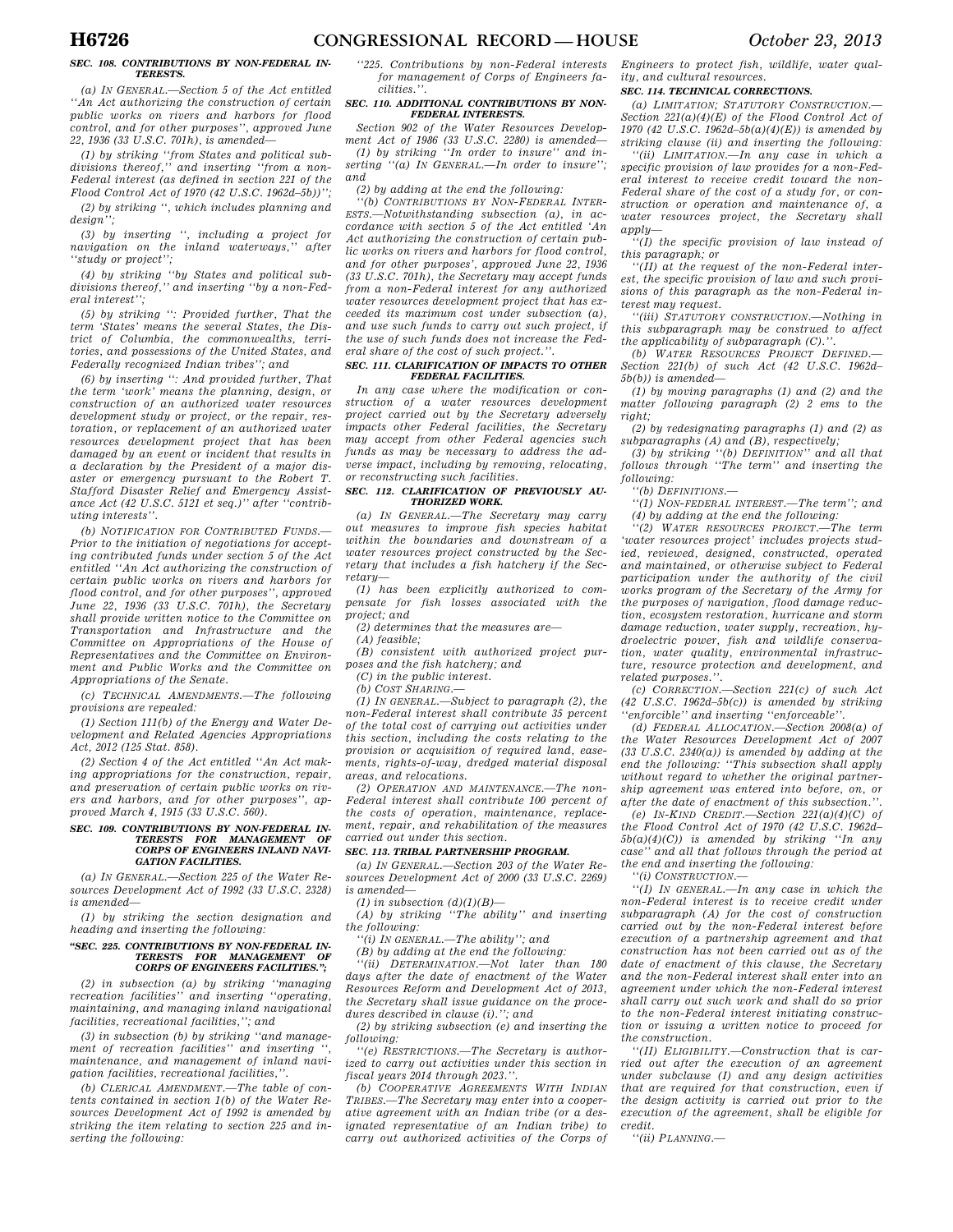# *SEC. 108. CONTRIBUTIONS BY NON-FEDERAL IN-TERESTS.*

*(a) IN GENERAL.—Section 5 of the Act entitled ''An Act authorizing the construction of certain public works on rivers and harbors for flood control, and for other purposes'', approved June 22, 1936 (33 U.S.C. 701h), is amended—* 

*(1) by striking ''from States and political sub-divisions thereof,'' and inserting ''from a non-Federal interest (as defined in section 221 of the Flood Control Act of 1970 (42 U.S.C. 1962d–5b))''; (2) by striking '', which includes planning and design'';* 

*(3) by inserting '', including a project for*   $\overline{n}$ *avigation on the inland waterways*," *''study or project'';* 

*(4) by striking ''by States and political subdivisions thereof,'' and inserting ''by a non-Federal interest'';* 

*(5) by striking '': Provided further, That the term 'States' means the several States, the District of Columbia, the commonwealths, territories, and possessions of the United States, and Federally recognized Indian tribes''; and* 

*(6) by inserting '': And provided further, That the term 'work' means the planning, design, or construction of an authorized water resources development study or project, or the repair, restoration, or replacement of an authorized water resources development project that has been damaged by an event or incident that results in a declaration by the President of a major disaster or emergency pursuant to the Robert T. Stafford Disaster Relief and Emergency Assistance Act (42 U.S.C. 5121 et seq.)'' after ''contributing interests''.* 

*(b) NOTIFICATION FOR CONTRIBUTED FUNDS.— Prior to the initiation of negotiations for accepting contributed funds under section 5 of the Act entitled ''An Act authorizing the construction of certain public works on rivers and harbors for flood control, and for other purposes'', approved June 22, 1936 (33 U.S.C. 701h), the Secretary shall provide written notice to the Committee on Transportation and Infrastructure and the Committee on Appropriations of the House of Representatives and the Committee on Environment and Public Works and the Committee on Appropriations of the Senate.* 

*(c) TECHNICAL AMENDMENTS.—The following provisions are repealed:* 

*(1) Section 111(b) of the Energy and Water Development and Related Agencies Appropriations Act, 2012 (125 Stat. 858).* 

*(2) Section 4 of the Act entitled ''An Act making appropriations for the construction, repair, and preservation of certain public works on rivers and harbors, and for other purposes'', approved March 4, 1915 (33 U.S.C. 560).* 

# *SEC. 109. CONTRIBUTIONS BY NON-FEDERAL IN-TERESTS FOR MANAGEMENT OF CORPS OF ENGINEERS INLAND NAVI-GATION FACILITIES.*

*(a) IN GENERAL.—Section 225 of the Water Resources Development Act of 1992 (33 U.S.C. 2328) is amended—* 

*(1) by striking the section designation and heading and inserting the following:* 

## *''SEC. 225. CONTRIBUTIONS BY NON-FEDERAL IN-TERESTS FOR MANAGEMENT CORPS OF ENGINEERS FACILITIES.'';*

*(2) in subsection (a) by striking ''managing recreation facilities'' and inserting ''operating, maintaining, and managing inland navigational facilities, recreational facilities,''; and* 

*(3) in subsection (b) by striking ''and manage*ment of recreation facilities" and inserting *maintenance, and management of inland navigation facilities, recreational facilities,''.* 

*(b) CLERICAL AMENDMENT.—The table of contents contained in section 1(b) of the Water Resources Development Act of 1992 is amended by striking the item relating to section 225 and inserting the following:* 

*''225. Contributions by non-Federal interests for management of Corps of Engineers facilities.''.* 

### *SEC. 110. ADDITIONAL CONTRIBUTIONS BY NON-FEDERAL INTERESTS.*

*Section 902 of the Water Resources Development Act of 1986 (33 U.S.C. 2280) is amended— (1) by striking ''In order to insure'' and inserting ''(a) IN GENERAL.—In order to insure''; and* 

*(2) by adding at the end the following:* 

*''(b) CONTRIBUTIONS BY NON-FEDERAL INTER-ESTS.—Notwithstanding subsection (a), in accordance with section 5 of the Act entitled 'An Act authorizing the construction of certain public works on rivers and harbors for flood control, and for other purposes', approved June 22, 1936 (33 U.S.C. 701h), the Secretary may accept funds from a non-Federal interest for any authorized water resources development project that has exceeded its maximum cost under subsection (a), and use such funds to carry out such project, if the use of such funds does not increase the Federal share of the cost of such project.''.* 

## *SEC. 111. CLARIFICATION OF IMPACTS TO OTHER FEDERAL FACILITIES.*

*In any case where the modification or construction of a water resources development project carried out by the Secretary adversely impacts other Federal facilities, the Secretary may accept from other Federal agencies such funds as may be necessary to address the adverse impact, including by removing, relocating, or reconstructing such facilities.* 

# *SEC. 112. CLARIFICATION OF PREVIOUSLY AU-THORIZED WORK.*

*(a) IN GENERAL.—The Secretary may carry out measures to improve fish species habitat within the boundaries and downstream of a water resources project constructed by the Secretary that includes a fish hatchery if the Secretary—* 

*(1) has been explicitly authorized to compensate for fish losses associated with the project; and* 

*(2) determines that the measures are—* 

*(A) feasible;* 

*(B) consistent with authorized project purposes and the fish hatchery; and* 

*(C) in the public interest.* 

*(b)* COST SHARING.

*(1) IN GENERAL.—Subject to paragraph (2), the non-Federal interest shall contribute 35 percent of the total cost of carrying out activities under this section, including the costs relating to the provision or acquisition of required land, easements, rights-of-way, dredged material disposal areas, and relocations.* 

*(2) OPERATION AND MAINTENANCE.—The non-Federal interest shall contribute 100 percent of the costs of operation, maintenance, replacement, repair, and rehabilitation of the measures carried out under this section.* 

# *SEC. 113. TRIBAL PARTNERSHIP PROGRAM.*

*(a) IN GENERAL.—Section 203 of the Water Re-*

*sources Development Act of 2000 (33 U.S.C. 2269)* 

*(1) in subsection (d)(1)(B)—* 

*is amended—* 

*(A) by striking ''The ability'' and inserting the following:* 

*''(i) IN GENERAL.—The ability''; and* 

*(B) by adding at the end the following:* 

*''(ii) DETERMINATION.—Not later than 180 days after the date of enactment of the Water Resources Reform and Development Act of 2013, the Secretary shall issue guidance on the procedures described in clause (i).''; and* 

*(2) by striking subsection (e) and inserting the following:* 

*''(e) RESTRICTIONS.—The Secretary is authorized to carry out activities under this section in fiscal years 2014 through 2023.''.* 

*(b) COOPERATIVE AGREEMENTS WITH INDIAN TRIBES.—The Secretary may enter into a cooperative agreement with an Indian tribe (or a designated representative of an Indian tribe) to carry out authorized activities of the Corps of* 

*Engineers to protect fish, wildlife, water quality, and cultural resources.* 

# *SEC. 114. TECHNICAL CORRECTIONS.*

*(a) LIMITATION; STATUTORY CONSTRUCTION.— Section 221(a)(4)(E) of the Flood Control Act of 1970 (42 U.S.C. 1962d–5b(a)(4)(E)) is amended by striking clause (ii) and inserting the following:* 

*''(ii) LIMITATION.—In any case in which a specific provision of law provides for a non-Federal interest to receive credit toward the non-Federal share of the cost of a study for, or construction or operation and maintenance of, a water resources project, the Secretary shall apply—* 

*''(I) the specific provision of law instead of this paragraph; or* 

*''(II) at the request of the non-Federal interest, the specific provision of law and such provisions of this paragraph as the non-Federal interest may request.* 

*''(iii) STATUTORY CONSTRUCTION.—Nothing in this subparagraph may be construed to affect the applicability of subparagraph (C).''.* 

*(b) WATER RESOURCES PROJECT DEFINED.— Section 221(b) of such Act (42 U.S.C. 1962d– 5b(b)) is amended—* 

*(1) by moving paragraphs (1) and (2) and the matter following paragraph (2) 2 ems to the right;* 

*(2) by redesignating paragraphs (1) and (2) as subparagraphs (A) and (B), respectively;* 

*(3) by striking ''(b) DEFINITION'' and all that follows through ''The term'' and inserting the following:* 

*''(b) DEFINITIONS.—* 

*''(1) NON-FEDERAL INTEREST.—The term''; and (4) by adding at the end the following:* 

*''(2) WATER RESOURCES PROJECT.—The term 'water resources project' includes projects studied, reviewed, designed, constructed, operated and maintained, or otherwise subject to Federal participation under the authority of the civil works program of the Secretary of the Army for the purposes of navigation, flood damage reduction, ecosystem restoration, hurricane and storm damage reduction, water supply, recreation, hydroelectric power, fish and wildlife conservation, water quality, environmental infrastructure, resource protection and development, and related purposes.''.* 

*(c) CORRECTION.—Section 221(c) of such Act (42 U.S.C. 1962d–5b(c)) is amended by striking ''enforcible'' and inserting ''enforceable''.* 

*(d) FEDERAL ALLOCATION.—Section 2008(a) of the Water Resources Development Act of 2007 (33 U.S.C. 2340(a)) is amended by adding at the end the following: ''This subsection shall apply without regard to whether the original partnership agreement was entered into before, on, or after the date of enactment of this subsection.''.* 

*(e) IN-KIND CREDIT.—Section 221(a)(4)(C) of the Flood Control Act of 1970 (42 U.S.C. 1962d– 5b(a)(4)(C)) is amended by striking ''In any case'' and all that follows through the period at the end and inserting the following:* 

*''(i) CONSTRUCTION.—* 

*''(I) IN GENERAL.—In any case in which the non-Federal interest is to receive credit under subparagraph (A) for the cost of construction carried out by the non-Federal interest before execution of a partnership agreement and that construction has not been carried out as of the date of enactment of this clause, the Secretary and the non-Federal interest shall enter into an agreement under which the non-Federal interest shall carry out such work and shall do so prior to the non-Federal interest initiating construction or issuing a written notice to proceed for the construction.* 

*''(II) ELIGIBILITY.—Construction that is carried out after the execution of an agreement under subclause (I) and any design activities that are required for that construction, even if the design activity is carried out prior to the execution of the agreement, shall be eligible for credit.* 

*''(ii) PLANNING.—*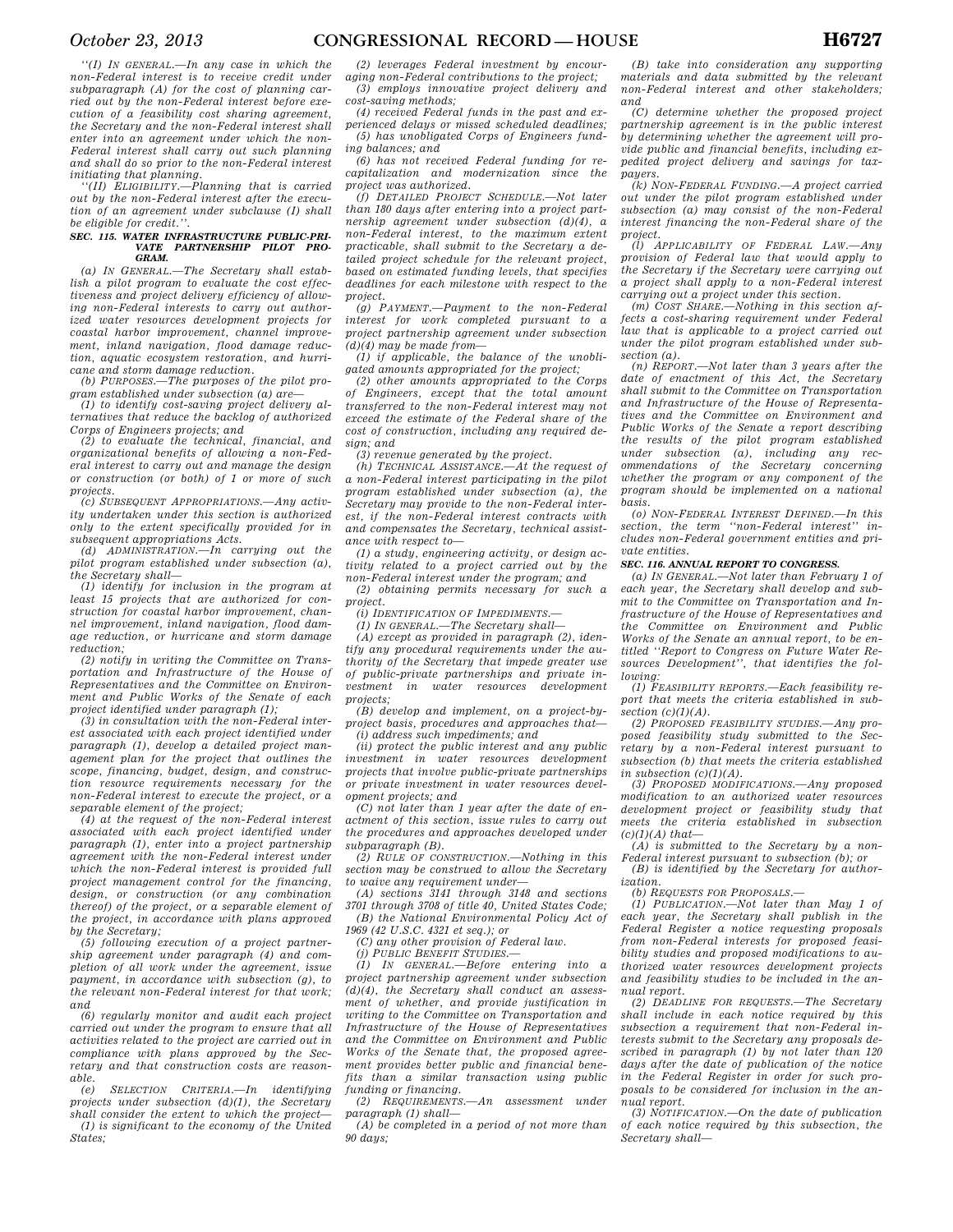*''(I) IN GENERAL.—In any case in which the non-Federal interest is to receive credit under subparagraph (A) for the cost of planning carried out by the non-Federal interest before execution of a feasibility cost sharing agreement, the Secretary and the non-Federal interest shall enter into an agreement under which the non-Federal interest shall carry out such planning and shall do so prior to the non-Federal interest* 

*initiating that planning. ''(II) ELIGIBILITY.—Planning that is carried out by the non-Federal interest after the execution of an agreement under subclause (I) shall be eligible for credit.''.* 

#### *SEC. 115. WATER INFRASTRUCTURE PUBLIC-PRI-VATE PARTNERSHIP PILOT PRO-GRAM.*

*(a) IN GENERAL.—The Secretary shall establish a pilot program to evaluate the cost effectiveness and project delivery efficiency of allowing non-Federal interests to carry out authorized water resources development projects for coastal harbor improvement, channel improvement, inland navigation, flood damage reduction, aquatic ecosystem restoration, and hurricane and storm damage reduction.* 

*(b) PURPOSES.—The purposes of the pilot program established under subsection (a) are—* 

*(1) to identify cost-saving project delivery alternatives that reduce the backlog of authorized Corps of Engineers projects; and (2) to evaluate the technical, financial, and* 

*organizational benefits of allowing a non-Federal interest to carry out and manage the design or construction (or both) of 1 or more of such projects.* 

*(c) SUBSEQUENT APPROPRIATIONS.—Any activity undertaken under this section is authorized only to the extent specifically provided for in subsequent appropriations Acts.* 

*(d) ADMINISTRATION.—In carrying out the pilot program established under subsection (a), the Secretary shall—* 

*(1) identify for inclusion in the program at least 15 projects that are authorized for construction for coastal harbor improvement, channel improvement, inland navigation, flood damage reduction, or hurricane and storm damage reduction;* 

*(2) notify in writing the Committee on Transportation and Infrastructure of the House of Representatives and the Committee on Environment and Public Works of the Senate of each* 

*project identified under paragraph (1); (3) in consultation with the non-Federal interest associated with each project identified under paragraph (1), develop a detailed project management plan for the project that outlines the scope, financing, budget, design, and construction resource requirements necessary for the non-Federal interest to execute the project, or a separable element of the project;* 

*(4) at the request of the non-Federal interest associated with each project identified under paragraph (1), enter into a project partnership agreement with the non-Federal interest under which the non-Federal interest is provided full project management control for the financing, design, or construction (or any combination thereof) of the project, or a separable element of the project, in accordance with plans approved by the Secretary;* 

*(5) following execution of a project partnership agreement under paragraph (4) and completion of all work under the agreement, issue payment, in accordance with subsection (g), to the relevant non-Federal interest for that work; and* 

*(6) regularly monitor and audit each project carried out under the program to ensure that all activities related to the project are carried out in compliance with plans approved by the Secretary and that construction costs are reasonable.* 

*(e) SELECTION CRITERIA.—In identifying projects under subsection (d)(1), the Secretary shall consider the extent to which the project—* 

*(1) is significant to the economy of the United States;* 

*(2) leverages Federal investment by encouraging non-Federal contributions to the project; (3) employs innovative project delivery and cost-saving methods;* 

*(4) received Federal funds in the past and experienced delays or missed scheduled deadlines; (5) has unobligated Corps of Engineers fund-*

*ing balances; and (6) has not received Federal funding for recapitalization and modernization since the project was authorized.* 

*(f) DETAILED PROJECT SCHEDULE.—Not later than 180 days after entering into a project partnership agreement under subsection (d)(4), a non-Federal interest, to the maximum extent practicable, shall submit to the Secretary a detailed project schedule for the relevant project, based on estimated funding levels, that specifies deadlines for each milestone with respect to the project.* 

*(g) PAYMENT.—Payment to the non-Federal interest for work completed pursuant to a project partnership agreement under subsection (d)(4) may be made from—* 

*(1) if applicable, the balance of the unobligated amounts appropriated for the project;* 

*(2) other amounts appropriated to the Corps of Engineers, except that the total amount transferred to the non-Federal interest may not exceed the estimate of the Federal share of the cost of construction, including any required design; and* 

*(3) revenue generated by the project.* 

*(h) TECHNICAL ASSISTANCE.—At the request of a non-Federal interest participating in the pilot program established under subsection (a), the Secretary may provide to the non-Federal interest, if the non-Federal interest contracts with and compensates the Secretary, technical assistance with respect to—* 

*(1) a study, engineering activity, or design activity related to a project carried out by the non-Federal interest under the program; and* 

*(2) obtaining permits necessary for such a project.* 

*(i) IDENTIFICATION OF IMPEDIMENTS.—* 

*(1) IN GENERAL.—The Secretary shall— (A) except as provided in paragraph (2), identify any procedural requirements under the authority of the Secretary that impede greater use of public-private partnerships and private investment in water resources development projects;* 

*(B) develop and implement, on a project-byproject basis, procedures and approaches that— (i) address such impediments; and* 

*(ii) protect the public interest and any public investment in water resources development projects that involve public-private partnerships or private investment in water resources development projects; and* 

*(C) not later than 1 year after the date of enactment of this section, issue rules to carry out the procedures and approaches developed under subparagraph (B).* 

*(2) RULE OF CONSTRUCTION.—Nothing in this section may be construed to allow the Secretary to waive any requirement under—* 

*(A) sections 3141 through 3148 and sections 3701 through 3708 of title 40, United States Code; (B) the National Environmental Policy Act of* 

*1969 (42 U.S.C. 4321 et seq.); or* 

*(C) any other provision of Federal law. (j) PUBLIC BENEFIT STUDIES.—* 

*(1) IN GENERAL.—Before entering into a project partnership agreement under subsection (d)(4), the Secretary shall conduct an assessment of whether, and provide justification in writing to the Committee on Transportation and Infrastructure of the House of Representatives and the Committee on Environment and Public Works of the Senate that, the proposed agreement provides better public and financial benefits than a similar transaction using public funding or financing.* 

*(2) REQUIREMENTS.—An assessment under paragraph (1) shall—* 

*(A) be completed in a period of not more than 90 days;* 

*(B) take into consideration any supporting materials and data submitted by the relevant non-Federal interest and other stakeholders; and* 

*(C) determine whether the proposed project partnership agreement is in the public interest by determining whether the agreement will provide public and financial benefits, including expedited project delivery and savings for taxpayers.* 

*(k) NON-FEDERAL FUNDING.—A project carried out under the pilot program established under subsection (a) may consist of the non-Federal interest financing the non-Federal share of the project.* 

*(l) APPLICABILITY OF FEDERAL LAW. provision of Federal law that would apply to the Secretary if the Secretary were carrying out a project shall apply to a non-Federal interest carrying out a project under this section.* 

*(m) COST SHARE.—Nothing in this section affects a cost-sharing requirement under Federal law that is applicable to a project carried out under the pilot program established under subsection (a).* 

*(n) REPORT.—Not later than 3 years after the date of enactment of this Act, the Secretary shall submit to the Committee on Transportation and Infrastructure of the House of Representatives and the Committee on Environment and Public Works of the Senate a report describing the results of the pilot program established under subsection (a), including any recommendations of the Secretary concerning whether the program or any component of the program should be implemented on a national basis.* 

*(o) NON-FEDERAL INTEREST DEFINED.—In this section, the term ''non-Federal interest'' includes non-Federal government entities and private entities.* 

# *SEC. 116. ANNUAL REPORT TO CONGRESS.*

*(a) IN GENERAL.—Not later than February 1 of each year, the Secretary shall develop and submit to the Committee on Transportation and Infrastructure of the House of Representatives and the Committee on Environment and Public Works of the Senate an annual report, to be entitled ''Report to Congress on Future Water Resources Development'', that identifies the following:* 

*(1) FEASIBILITY REPORTS.—Each feasibility report that meets the criteria established in subsection (c)(1)(A).* 

*(2) PROPOSED FEASIBILITY STUDIES.—Any proposed feasibility study submitted to the Secretary by a non-Federal interest pursuant to subsection (b) that meets the criteria established in subsection (c)(1)(A).* 

*(3) PROPOSED MODIFICATIONS.—Any proposed modification to an authorized water resources development project or feasibility study that meets the criteria established in subsection (c)(1)(A) that—* 

*(A) is submitted to the Secretary by a non-Federal interest pursuant to subsection (b); or* 

*(B) is identified by the Secretary for authorization.* 

*(b) REQUESTS FOR PROPOSALS.— (1) PUBLICATION.—Not later than May 1 of each year, the Secretary shall publish in the Federal Register a notice requesting proposals from non-Federal interests for proposed feasibility studies and proposed modifications to authorized water resources development projects and feasibility studies to be included in the annual report.* 

*(2) DEADLINE FOR REQUESTS.—The Secretary shall include in each notice required by this subsection a requirement that non-Federal interests submit to the Secretary any proposals described in paragraph (1) by not later than 120 days after the date of publication of the notice in the Federal Register in order for such proposals to be considered for inclusion in the annual report.* 

*(3) NOTIFICATION.—On the date of publication of each notice required by this subsection, the Secretary shall—*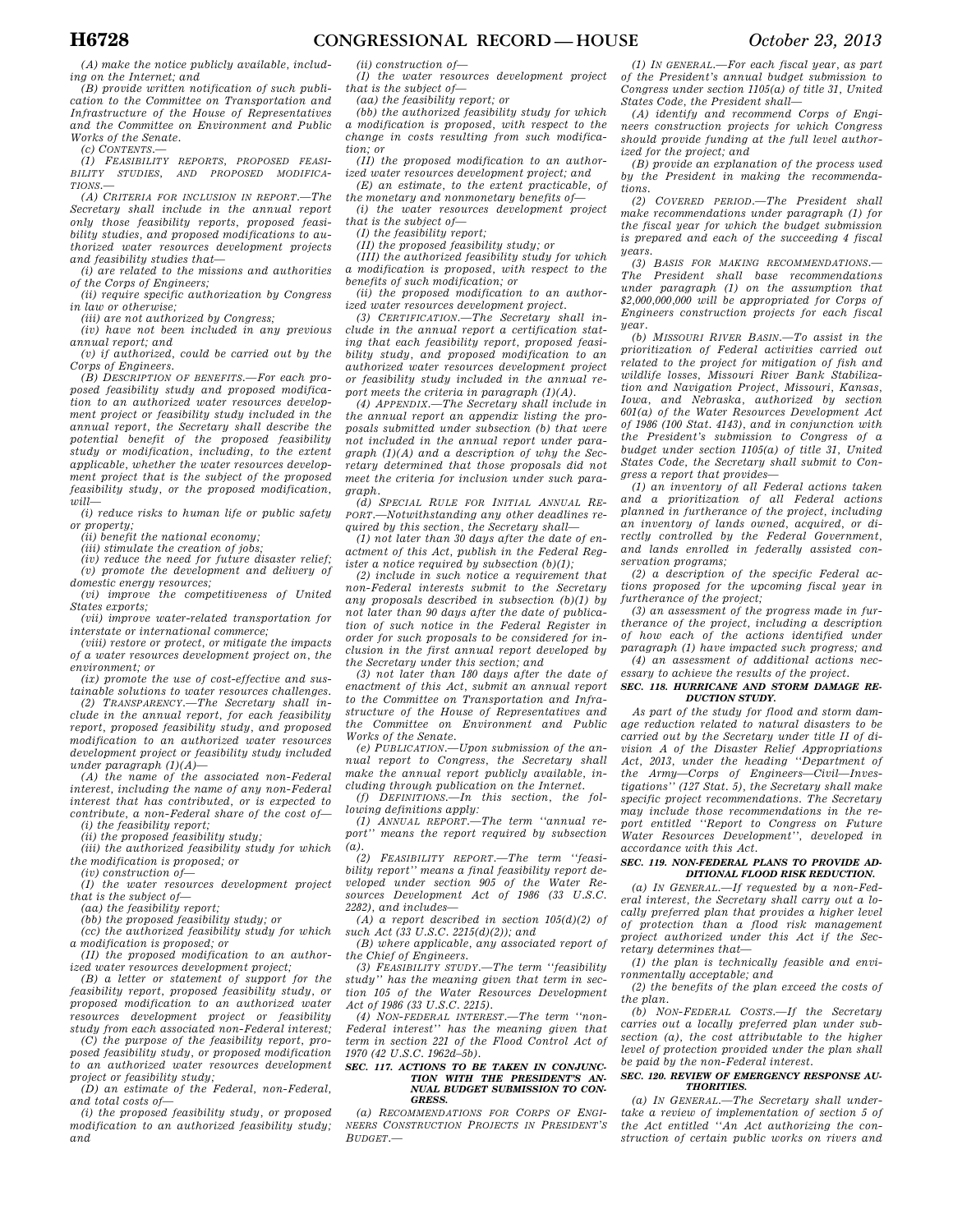*(A) make the notice publicly available, including on the Internet; and* 

*(B) provide written notification of such publication to the Committee on Transportation and Infrastructure of the House of Representatives and the Committee on Environment and Public Works of the Senate.* 

*(c) CONTENTS.—* 

*(1) FEASIBILITY REPORTS, PROPOSED FEASI-BILITY STUDIES, AND PROPOSED MODIFICA-TIONS.—* 

*(A) CRITERIA FOR INCLUSION IN REPORT.—The Secretary shall include in the annual report only those feasibility reports, proposed feasibility studies, and proposed modifications to authorized water resources development projects and feasibility studies that—* 

*(i) are related to the missions and authorities of the Corps of Engineers;* 

*(ii) require specific authorization by Congress in law or otherwise;* 

*(iii) are not authorized by Congress;* 

*(iv) have not been included in any previous annual report; and (v) if authorized, could be carried out by the* 

*Corps of Engineers.* 

*(B) DESCRIPTION OF BENEFITS.—For each proposed feasibility study and proposed modification to an authorized water resources development project or feasibility study included in the annual report, the Secretary shall describe the potential benefit of the proposed feasibility study or modification, including, to the extent applicable, whether the water resources development project that is the subject of the proposed feasibility study, or the proposed modification,*   $\n *will*$ 

*(i) reduce risks to human life or public safety or property;* 

*(ii) benefit the national economy;* 

*(iii) stimulate the creation of jobs;* 

*(iv) reduce the need for future disaster relief; (v) promote the development and delivery of domestic energy resources;* 

*(vi) improve the competitiveness of United States exports;* 

*(vii) improve water-related transportation for interstate or international commerce;* 

*(viii) restore or protect, or mitigate the impacts of a water resources development project on, the environment; or* 

*(ix) promote the use of cost-effective and sustainable solutions to water resources challenges.* 

*(2) TRANSPARENCY.—The Secretary shall include in the annual report, for each feasibility report, proposed feasibility study, and proposed modification to an authorized water resources development project or feasibility study included under paragraph (1)(A)—* 

*(A) the name of the associated non-Federal interest, including the name of any non-Federal interest that has contributed, or is expected to contribute, a non-Federal share of the cost of— (i) the feasibility report;* 

*(ii) the proposed feasibility study;* 

*(iii) the authorized feasibility study for which the modification is proposed; or* 

*(iv) construction of— (I) the water resources development project that is the subject of—* 

*(aa) the feasibility report;* 

*(bb) the proposed feasibility study; or* 

*(cc) the authorized feasibility study for which a modification is proposed; or* 

*(II) the proposed modification to an authorized water resources development project;* 

*(B) a letter or statement of support for the feasibility report, proposed feasibility study, or proposed modification to an authorized water resources development project or feasibility study from each associated non-Federal interest;* 

*(C) the purpose of the feasibility report, proposed feasibility study, or proposed modification to an authorized water resources development project or feasibility study;* 

*(D) an estimate of the Federal, non-Federal, and total costs of—* 

*(i) the proposed feasibility study, or proposed modification to an authorized feasibility study; and* 

*(ii) construction of—* 

*(I) the water resources development project that is the subject of—* 

*(aa) the feasibility report; or* 

*(bb) the authorized feasibility study for which a modification is proposed, with respect to the change in costs resulting from such modification; or* 

*(II) the proposed modification to an authorized water resources development project; and* 

*(E) an estimate, to the extent practicable, of the monetary and nonmonetary benefits of—* 

*(i) the water resources development project that is the subject of—* 

*(I) the feasibility report;* 

*(II) the proposed feasibility study; or* 

*(III) the authorized feasibility study for which a modification is proposed, with respect to the benefits of such modification; or* 

*(ii) the proposed modification to an authorized water resources development project.* 

*(3) CERTIFICATION.—The Secretary shall include in the annual report a certification stating that each feasibility report, proposed feasibility study, and proposed modification to an authorized water resources development project or feasibility study included in the annual report meets the criteria in paragraph (1)(A).* 

*(4) APPENDIX.—The Secretary shall include in the annual report an appendix listing the proposals submitted under subsection (b) that were not included in the annual report under paragraph (1)(A) and a description of why the Secretary determined that those proposals did not meet the criteria for inclusion under such paragraph.* 

*(d) SPECIAL RULE FOR INITIAL ANNUAL RE-PORT.—Notwithstanding any other deadlines required by this section, the Secretary shall—* 

*(1) not later than 30 days after the date of enactment of this Act, publish in the Federal Register a notice required by subsection (b)(1);* 

*(2) include in such notice a requirement that non-Federal interests submit to the Secretary any proposals described in subsection (b)(1) by not later than 90 days after the date of publication of such notice in the Federal Register in order for such proposals to be considered for inclusion in the first annual report developed by the Secretary under this section; and* 

*(3) not later than 180 days after the date of enactment of this Act, submit an annual report to the Committee on Transportation and Infrastructure of the House of Representatives and the Committee on Environment and Public Works of the Senate.* 

*(e) PUBLICATION.—Upon submission of the annual report to Congress, the Secretary shall make the annual report publicly available, including through publication on the Internet.* 

*(f) DEFINITIONS.—In this section, the following definitions apply:* 

*(1) ANNUAL REPORT.—The term ''annual report'' means the report required by subsection (a).* 

*(2) FEASIBILITY REPORT.—The term ''feasibility report'' means a final feasibility report developed under section 905 of the Water Resources Development Act of 1986 (33 U.S.C. 2282), and includes—* 

*(A) a report described in section 105(d)(2) of such Act (33 U.S.C. 2215(d)(2)); and* 

*(B) where applicable, any associated report of the Chief of Engineers.* 

*(3) FEASIBILITY STUDY.—The term ''feasibility study'' has the meaning given that term in section 105 of the Water Resources Development Act of 1986 (33 U.S.C. 2215).* 

*(4) NON-FEDERAL INTEREST.—The term ''non-Federal interest'' has the meaning given that term in section 221 of the Flood Control Act of 1970 (42 U.S.C. 1962d–5b).* 

#### *SEC. 117. ACTIONS TO BE TAKEN IN CONJUNC-TION WITH THE PRESIDENT'S AN-NUAL BUDGET SUBMISSION TO CON-GRESS.*

*(a) RECOMMENDATIONS FOR CORPS OF ENGI-NEERS CONSTRUCTION PROJECTS IN PRESIDENT'S BUDGET.—* 

*(1) IN GENERAL.—For each fiscal year, as part of the President's annual budget submission to Congress under section 1105(a) of title 31, United States Code, the President shall—* 

*(A) identify and recommend Corps of Engineers construction projects for which Congress should provide funding at the full level authorized for the project; and* 

*(B) provide an explanation of the process used by the President in making the recommendations.* 

*(2) COVERED PERIOD.—The President shall make recommendations under paragraph (1) for the fiscal year for which the budget submission is prepared and each of the succeeding 4 fiscal years.* 

*(3) BASIS FOR MAKING RECOMMENDATIONS.— The President shall base recommendations under paragraph (1) on the assumption that \$2,000,000,000 will be appropriated for Corps of Engineers construction projects for each fiscal year.* 

*(b) MISSOURI RIVER BASIN.—To assist in the prioritization of Federal activities carried out related to the project for mitigation of fish and wildlife losses, Missouri River Bank Stabilization and Navigation Project, Missouri, Kansas, Iowa, and Nebraska, authorized by section 601(a) of the Water Resources Development Act of 1986 (100 Stat. 4143), and in conjunction with the President's submission to Congress of a budget under section 1105(a) of title 31, United States Code, the Secretary shall submit to Congress a report that provides—* 

*(1) an inventory of all Federal actions taken and a prioritization of all Federal actions planned in furtherance of the project, including an inventory of lands owned, acquired, or directly controlled by the Federal Government, and lands enrolled in federally assisted conservation programs;* 

*(2) a description of the specific Federal actions proposed for the upcoming fiscal year in furtherance of the project;* 

*(3) an assessment of the progress made in furtherance of the project, including a description of how each of the actions identified under paragraph (1) have impacted such progress; and (4) an assessment of additional actions nec-*

### *essary to achieve the results of the project. SEC. 118. HURRICANE AND STORM DAMAGE RE-DUCTION STUDY.*

*As part of the study for flood and storm damage reduction related to natural disasters to be carried out by the Secretary under title II of division A of the Disaster Relief Appropriations Act, 2013, under the heading ''Department of the Army—Corps of Engineers—Civil—Investigations'' (127 Stat. 5), the Secretary shall make specific project recommendations. The Secretary may include those recommendations in the report entitled ''Report to Congress on Future Water Resources Development'', developed in accordance with this Act.* 

# *SEC. 119. NON-FEDERAL PLANS TO PROVIDE AD-DITIONAL FLOOD RISK REDUCTION.*

*(a) IN GENERAL.—If requested by a non-Federal interest, the Secretary shall carry out a locally preferred plan that provides a higher level of protection than a flood risk management project authorized under this Act if the Secretary determines that—* 

*(1) the plan is technically feasible and environmentally acceptable; and* 

*(2) the benefits of the plan exceed the costs of the plan.* 

*(b) NON-FEDERAL COSTS.—If the Secretary carries out a locally preferred plan under subsection (a), the cost attributable to the higher level of protection provided under the plan shall be paid by the non-Federal interest.* 

# *SEC. 120. REVIEW OF EMERGENCY RESPONSE AU-THORITIES.*

*(a) IN GENERAL.—The Secretary shall undertake a review of implementation of section 5 of the Act entitled ''An Act authorizing the construction of certain public works on rivers and*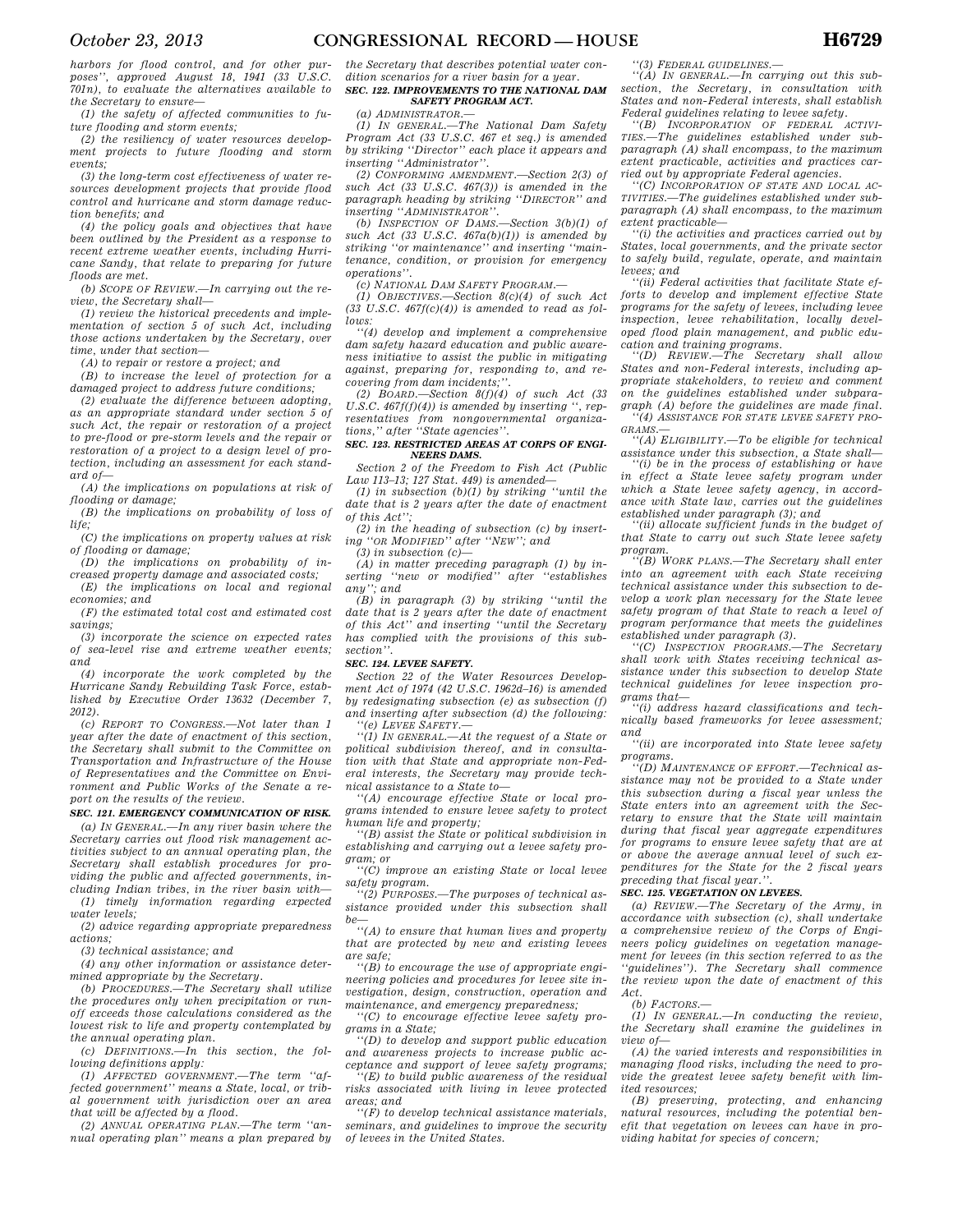*harbors for flood control, and for other purposes'', approved August 18, 1941 (33 U.S.C. 701n), to evaluate the alternatives available to the Secretary to ensure—* 

*(1) the safety of affected communities to future flooding and storm events;* 

*(2) the resiliency of water resources development projects to future flooding and storm events;* 

*(3) the long-term cost effectiveness of water resources development projects that provide flood control and hurricane and storm damage reduction benefits; and* 

*(4) the policy goals and objectives that have been outlined by the President as a response to recent extreme weather events, including Hurricane Sandy, that relate to preparing for future floods are met.* 

*(b) SCOPE OF REVIEW.—In carrying out the review, the Secretary shall—* 

*(1) review the historical precedents and implementation of section 5 of such Act, including those actions undertaken by the Secretary, over time, under that section—* 

*(A) to repair or restore a project; and* 

*(B) to increase the level of protection for a damaged project to address future conditions;* 

*(2) evaluate the difference between adopting, as an appropriate standard under section 5 of such Act, the repair or restoration of a project to pre-flood or pre-storm levels and the repair or restoration of a project to a design level of protection, including an assessment for each standard of—* 

*(A) the implications on populations at risk of flooding or damage;* 

*(B) the implications on probability of loss of life;* 

*(C) the implications on property values at risk of flooding or damage;* 

*(D) the implications on probability of increased property damage and associated costs;* 

*(E) the implications on local and regional economies; and* 

*(F) the estimated total cost and estimated cost savings;* 

*(3) incorporate the science on expected rates of sea-level rise and extreme weather events; and* 

*(4) incorporate the work completed by the Hurricane Sandy Rebuilding Task Force, established by Executive Order 13632 (December 7, 2012).* 

*(c) REPORT TO CONGRESS.—Not later than 1 year after the date of enactment of this section, the Secretary shall submit to the Committee on Transportation and Infrastructure of the House of Representatives and the Committee on Environment and Public Works of the Senate a report on the results of the review.* 

# *SEC. 121. EMERGENCY COMMUNICATION OF RISK.*

*(a) IN GENERAL.—In any river basin where the Secretary carries out flood risk management activities subject to an annual operating plan, the Secretary shall establish procedures for providing the public and affected governments, including Indian tribes, in the river basin with— (1) timely information regarding expected* 

*water levels; (2) advice regarding appropriate preparedness actions;* 

*(3) technical assistance; and (4) any other information or assistance deter-*

*mined appropriate by the Secretary.* 

*(b) PROCEDURES.—The Secretary shall utilize the procedures only when precipitation or runoff exceeds those calculations considered as the lowest risk to life and property contemplated by the annual operating plan.* 

*(c) DEFINITIONS.—In this section, the following definitions apply:* 

*(1) AFFECTED GOVERNMENT.—The term ''affected government'' means a State, local, or tribal government with jurisdiction over an area that will be affected by a flood.* 

*(2) ANNUAL OPERATING PLAN.—The term ''annual operating plan'' means a plan prepared by*  *the Secretary that describes potential water condition scenarios for a river basin for a year.* 

# *SEC. 122. IMPROVEMENTS TO THE NATIONAL DAM SAFETY PROGRAM ACT.*

*(a) ADMINISTRATOR.— (1) IN GENERAL.—The National Dam Safety Program Act (33 U.S.C. 467 et seq.) is amended by striking ''Director'' each place it appears and inserting ''Administrator''.* 

*(2) CONFORMING AMENDMENT.—Section 2(3) of such Act (33 U.S.C. 467(3)) is amended in the paragraph heading by striking ''DIRECTOR'' and inserting ''ADMINISTRATOR''.* 

*(b) INSPECTION OF DAMS.—Section 3(b)(1) of such Act (33 U.S.C. 467a(b)(1)) is amended by striking ''or maintenance'' and inserting ''maintenance, condition, or provision for emergency operations''.* 

*(c) NATIONAL DAM SAFETY PROGRAM.—* 

*(1) OBJECTIVES.—Section 8(c)(4) of such Act (33 U.S.C. 467f(c)(4)) is amended to read as follows:* 

*''(4) develop and implement a comprehensive dam safety hazard education and public awareness initiative to assist the public in mitigating against, preparing for, responding to, and recovering from dam incidents;''.* 

*(2) BOARD.—Section 8(f)(4) of such Act (33 U.S.C. 467f(f)(4)) is amended by inserting '', representatives from nongovernmental organizations,'' after ''State agencies''.* 

# *SEC. 123. RESTRICTED AREAS AT CORPS OF ENGI-NEERS DAMS.*

*Section 2 of the Freedom to Fish Act (Public Law 113–13; 127 Stat. 449) is amended—* 

*(1) in subsection (b)(1) by striking ''until the date that is 2 years after the date of enactment of this Act'';* 

*(2) in the heading of subsection (c) by inserting ''OR MODIFIED'' after ''NEW''; and* 

*(3) in subsection (c)—* 

*(A) in matter preceding paragraph (1) by inserting ''new or modified'' after ''establishes any''; and* 

*(B) in paragraph (3) by striking ''until the date that is 2 years after the date of enactment of this Act'' and inserting ''until the Secretary has complied with the provisions of this subsection''.* 

#### *SEC. 124. LEVEE SAFETY.*

*Section 22 of the Water Resources Development Act of 1974 (42 U.S.C. 1962d–16) is amended by redesignating subsection (e) as subsection (f) and inserting after subsection (d) the following: ''(e) LEVEE SAFETY.—* 

*''(1) IN GENERAL.—At the request of a State or political subdivision thereof, and in consultation with that State and appropriate non-Federal interests, the Secretary may provide technical assistance to a State to—* 

*''(A) encourage effective State or local programs intended to ensure levee safety to protect human life and property; ''(B) assist the State or political subdivision in* 

*establishing and carrying out a levee safety program; or* 

*''(C) improve an existing State or local levee safety program.* 

*''(2) PURPOSES.—The purposes of technical assistance provided under this subsection shall* 

*be— ''(A) to ensure that human lives and property that are protected by new and existing levees are safe;* 

*''(B) to encourage the use of appropriate engineering policies and procedures for levee site investigation, design, construction, operation and maintenance, and emergency preparedness;* 

*''(C) to encourage effective levee safety programs in a State;* 

*''(D) to develop and support public education and awareness projects to increase public acceptance and support of levee safety programs;* 

*''(E) to build public awareness of the residual risks associated with living in levee protected areas; and* 

*''(F) to develop technical assistance materials, seminars, and guidelines to improve the security of levees in the United States.* 

*''(3) FEDERAL GUIDELINES.—* 

*''(A) IN GENERAL.—In carrying out this subsection, the Secretary, in consultation with States and non-Federal interests, shall establish Federal guidelines relating to levee safety.* 

*''(B) INCORPORATION OF FEDERAL ACTIVI-TIES.—The guidelines established under subparagraph (A) shall encompass, to the maximum extent practicable, activities and practices carried out by appropriate Federal agencies.* 

*''(C) INCORPORATION OF STATE AND LOCAL AC-TIVITIES.—The guidelines established under subparagraph (A) shall encompass, to the maximum extent practicable—* 

*''(i) the activities and practices carried out by States, local governments, and the private sector to safely build, regulate, operate, and maintain levees; and* 

*''(ii) Federal activities that facilitate State efforts to develop and implement effective State programs for the safety of levees, including levee inspection, levee rehabilitation, locally developed flood plain management, and public edu-*

*cation and training programs. ''(D) REVIEW.—The Secretary shall allow States and non-Federal interests, including appropriate stakeholders, to review and comment on the guidelines established under subparagraph (A) before the guidelines are made final. ''(4) ASSISTANCE FOR STATE LEVEE SAFETY PRO-GRAMS.—* 

*''(A) ELIGIBILITY.—To be eligible for technical assistance under this subsection, a State shall—* 

*''(i) be in the process of establishing or have in effect a State levee safety program under which a State levee safety agency, in accordance with State law, carries out the guidelines established under paragraph (3); and* 

*''(ii) allocate sufficient funds in the budget of that State to carry out such State levee safety program.* 

*''(B) WORK PLANS.—The Secretary shall enter into an agreement with each State receiving technical assistance under this subsection to develop a work plan necessary for the State levee safety program of that State to reach a level of program performance that meets the guidelines established under paragraph (3).* 

*''(C) INSPECTION PROGRAMS.—The Secretary shall work with States receiving technical assistance under this subsection to develop State technical guidelines for levee inspection programs that—* 

*''(i) address hazard classifications and technically based frameworks for levee assessment; and* 

*''(ii) are incorporated into State levee safety programs.* 

*''(D) MAINTENANCE OF EFFORT.—Technical assistance may not be provided to a State under this subsection during a fiscal year unless the State enters into an agreement with the Secretary to ensure that the State will maintain during that fiscal year aggregate expenditures for programs to ensure levee safety that are at or above the average annual level of such expenditures for the State for the 2 fiscal years preceding that fiscal year.''.* 

#### *SEC. 125. VEGETATION ON LEVEES.*

*(a) REVIEW.—The Secretary of the Army, in accordance with subsection (c), shall undertake a comprehensive review of the Corps of Engineers policy guidelines on vegetation management for levees (in this section referred to as the ''guidelines''). The Secretary shall commence the review upon the date of enactment of this Act.* 

*(b) FACTORS.—* 

*(1) IN GENERAL.—In conducting the review, the Secretary shall examine the guidelines in view of—* 

*(A) the varied interests and responsibilities in managing flood risks, including the need to provide the greatest levee safety benefit with limited resources;* 

*(B) preserving, protecting, and enhancing natural resources, including the potential benefit that vegetation on levees can have in providing habitat for species of concern;*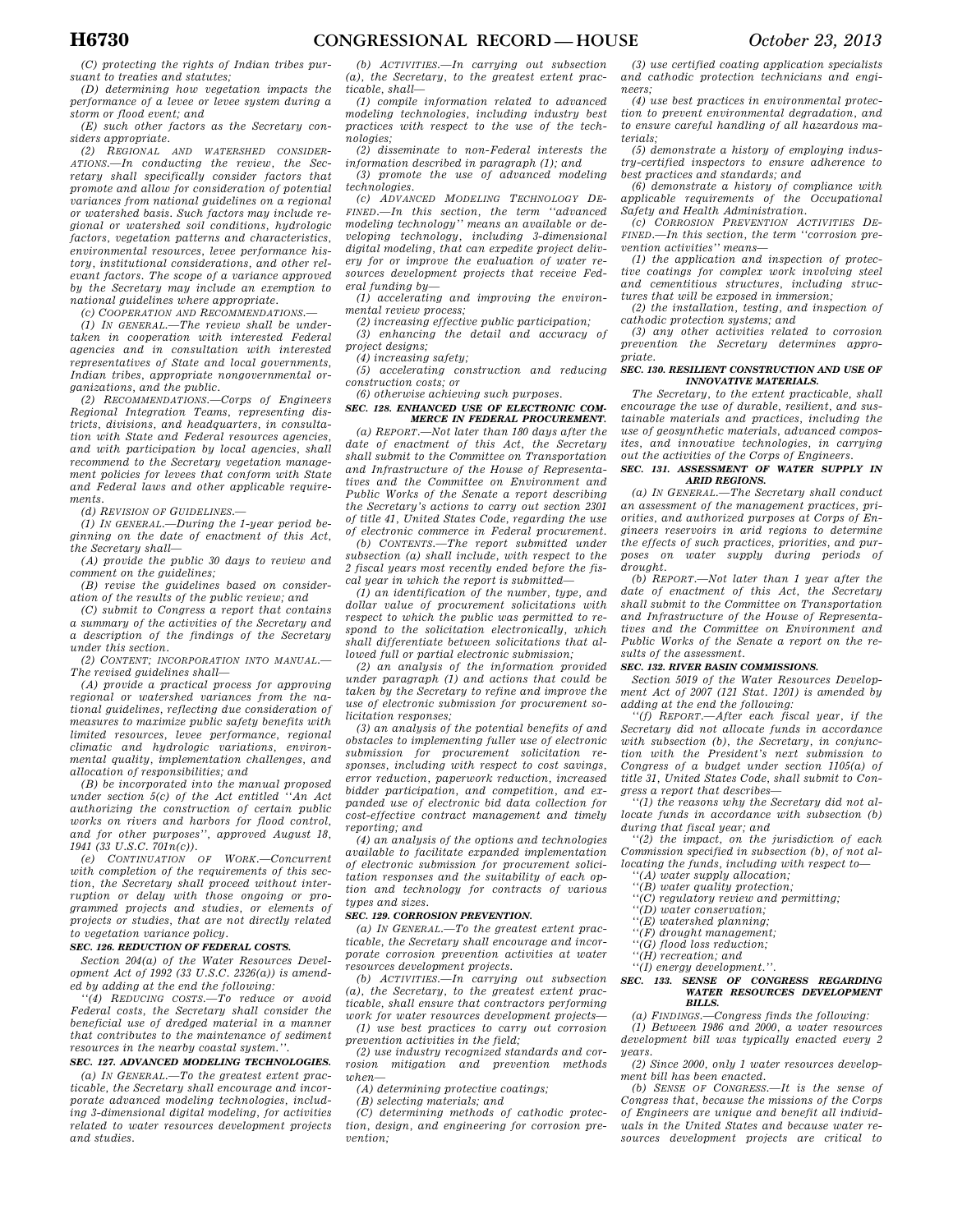*(C) protecting the rights of Indian tribes pursuant to treaties and statutes;* 

*(D) determining how vegetation impacts the performance of a levee or levee system during a storm or flood event; and* 

*(E) such other factors as the Secretary considers appropriate.* 

*(2) REGIONAL AND WATERSHED CONSIDER-ATIONS.—In conducting the review, the Secretary shall specifically consider factors that promote and allow for consideration of potential variances from national guidelines on a regional or watershed basis. Such factors may include regional or watershed soil conditions, hydrologic factors, vegetation patterns and characteristics, environmental resources, levee performance history, institutional considerations, and other relevant factors. The scope of a variance approved by the Secretary may include an exemption to national guidelines where appropriate.* 

*(c) COOPERATION AND RECOMMENDATIONS.—* 

*(1) IN GENERAL.—The review shall be undertaken in cooperation with interested Federal agencies and in consultation with interested representatives of State and local governments, Indian tribes, appropriate nongovernmental organizations, and the public.* 

*(2) RECOMMENDATIONS.—Corps of Engineers Regional Integration Teams, representing districts, divisions, and headquarters, in consultation with State and Federal resources agencies, and with participation by local agencies, shall recommend to the Secretary vegetation management policies for levees that conform with State and Federal laws and other applicable requirements.* 

*(d) REVISION OF GUIDELINES.—* 

*(1) IN GENERAL.—During the 1-year period beginning on the date of enactment of this Act, the Secretary shall—* 

*(A) provide the public 30 days to review and comment on the guidelines;* 

*(B) revise the guidelines based on consideration of the results of the public review; and* 

*(C) submit to Congress a report that contains a summary of the activities of the Secretary and a description of the findings of the Secretary under this section.* 

*(2) CONTENT; INCORPORATION INTO MANUAL.— The revised guidelines shall—* 

*(A) provide a practical process for approving regional or watershed variances from the national guidelines, reflecting due consideration of measures to maximize public safety benefits with limited resources, levee performance, regional climatic and hydrologic variations, environmental quality, implementation challenges, and allocation of responsibilities; and* 

*(B) be incorporated into the manual proposed under section 5(c) of the Act entitled ''An Act authorizing the construction of certain public works on rivers and harbors for flood control, and for other purposes'', approved August 18, 1941 (33 U.S.C. 701n(c)).* 

*(e) CONTINUATION OF WORK.—Concurrent with completion of the requirements of this section, the Secretary shall proceed without interruption or delay with those ongoing or programmed projects and studies, or elements of projects or studies, that are not directly related to vegetation variance policy.* 

## *SEC. 126. REDUCTION OF FEDERAL COSTS.*

*Section 204(a) of the Water Resources Development Act of 1992 (33 U.S.C. 2326(a)) is amended by adding at the end the following:* 

*''(4) REDUCING COSTS.—To reduce or avoid Federal costs, the Secretary shall consider the beneficial use of dredged material in a manner that contributes to the maintenance of sediment resources in the nearby coastal system.''.* 

*SEC. 127. ADVANCED MODELING TECHNOLOGIES.* 

*(a) IN GENERAL.—To the greatest extent practicable, the Secretary shall encourage and incorporate advanced modeling technologies, including 3-dimensional digital modeling, for activities related to water resources development projects and studies.* 

*(b) ACTIVITIES.—In carrying out subsection (a), the Secretary, to the greatest extent practicable, shall—* 

*(1) compile information related to advanced modeling technologies, including industry best practices with respect to the use of the technologies;* 

*(2) disseminate to non-Federal interests the information described in paragraph (1); and* 

*(3) promote the use of advanced modeling technologies.* 

*(c) ADVANCED MODELING TECHNOLOGY DE-FINED.—In this section, the term ''advanced modeling technology'' means an available or developing technology, including 3-dimensional digital modeling, that can expedite project delivery for or improve the evaluation of water resources development projects that receive Federal funding by—* 

*(1) accelerating and improving the environmental review process;* 

*(2) increasing effective public participation;* 

*(3) enhancing the detail and accuracy of project designs;* 

*(4) increasing safety;* 

*(5) accelerating construction and reducing construction costs; or* 

*(6) otherwise achieving such purposes.* 

# *SEC. 128. ENHANCED USE OF ELECTRONIC COM-MERCE IN FEDERAL PROCUREMENT.*

*(a) REPORT.—Not later than 180 days after the date of enactment of this Act, the Secretary shall submit to the Committee on Transportation and Infrastructure of the House of Representatives and the Committee on Environment and Public Works of the Senate a report describing the Secretary's actions to carry out section 2301 of title 41, United States Code, regarding the use of electronic commerce in Federal procurement.* 

*(b) CONTENTS.—The report submitted under subsection (a) shall include, with respect to the 2 fiscal years most recently ended before the fiscal year in which the report is submitted—* 

*(1) an identification of the number, type, and dollar value of procurement solicitations with respect to which the public was permitted to respond to the solicitation electronically, which shall differentiate between solicitations that allowed full or partial electronic submission;* 

*(2) an analysis of the information provided under paragraph (1) and actions that could be taken by the Secretary to refine and improve the use of electronic submission for procurement solicitation responses;* 

*(3) an analysis of the potential benefits of and obstacles to implementing fuller use of electronic submission for procurement solicitation responses, including with respect to cost savings, error reduction, paperwork reduction, increased bidder participation, and competition, and expanded use of electronic bid data collection for cost-effective contract management and timely reporting; and* 

*(4) an analysis of the options and technologies available to facilitate expanded implementation of electronic submission for procurement solicitation responses and the suitability of each option and technology for contracts of various types and sizes.* 

# *SEC. 129. CORROSION PREVENTION.*

*(a) IN GENERAL.—To the greatest extent practicable, the Secretary shall encourage and incorporate corrosion prevention activities at water resources development projects.* 

*(b) ACTIVITIES.—In carrying out subsection (a), the Secretary, to the greatest extent practicable, shall ensure that contractors performing work for water resources development projects— (1) use best practices to carry out corrosion* 

*prevention activities in the field;* 

*(2) use industry recognized standards and corrosion mitigation and prevention methods when—* 

*(A) determining protective coatings;* 

*(B) selecting materials; and* 

*(C) determining methods of cathodic protection, design, and engineering for corrosion prevention;* 

*(3) use certified coating application specialists and cathodic protection technicians and engineers;* 

*(4) use best practices in environmental protection to prevent environmental degradation, and to ensure careful handling of all hazardous materials;* 

*(5) demonstrate a history of employing industry-certified inspectors to ensure adherence to best practices and standards; and* 

*(6) demonstrate a history of compliance with applicable requirements of the Occupational Safety and Health Administration.* 

*(c) CORROSION PREVENTION ACTIVITIES DE-FINED.—In this section, the term ''corrosion prevention activities'' means—* 

*(1) the application and inspection of protective coatings for complex work involving steel and cementitious structures, including structures that will be exposed in immersion;* 

*(2) the installation, testing, and inspection of cathodic protection systems; and* 

*(3) any other activities related to corrosion prevention the Secretary determines appropriate.* 

# *SEC. 130. RESILIENT CONSTRUCTION AND USE OF INNOVATIVE MATERIALS.*

*The Secretary, to the extent practicable, shall encourage the use of durable, resilient, and sustainable materials and practices, including the use of geosynthetic materials, advanced composites, and innovative technologies, in carrying out the activities of the Corps of Engineers.* 

# *SEC. 131. ASSESSMENT OF WATER SUPPLY IN ARID REGIONS.*

*(a) IN GENERAL.—The Secretary shall conduct an assessment of the management practices, priorities, and authorized purposes at Corps of Engineers reservoirs in arid regions to determine the effects of such practices, priorities, and purposes on water supply during periods of drought.* 

*(b) REPORT.—Not later than 1 year after the date of enactment of this Act, the Secretary shall submit to the Committee on Transportation and Infrastructure of the House of Representatives and the Committee on Environment and Public Works of the Senate a report on the results of the assessment.* 

# *SEC. 132. RIVER BASIN COMMISSIONS.*

*Section 5019 of the Water Resources Development Act of 2007 (121 Stat. 1201) is amended by adding at the end the following:* 

*''(f) REPORT.—After each fiscal year, if the Secretary did not allocate funds in accordance with subsection (b), the Secretary, in conjunction with the President's next submission to Congress of a budget under section 1105(a) of title 31, United States Code, shall submit to Congress a report that describes—* 

*''(1) the reasons why the Secretary did not allocate funds in accordance with subsection (b) during that fiscal year; and* 

*''(2) the impact, on the jurisdiction of each Commission specified in subsection (b), of not allocating the funds, including with respect to—* 

- *''(A) water supply allocation;*
- *''(B) water quality protection;*
- *''(C) regulatory review and permitting;*
- *''(D) water conservation;*
- *''(E) watershed planning;*
- *''(F) drought management;*
- *''(G) flood loss reduction;*
- *''(H) recreation; and*
- *''(I) energy development.''.*

### *SEC. 133. SENSE OF CONGRESS REGARDING WATER RESOURCES DEVELOPMENT BILLS.*

*(a) FINDINGS.—Congress finds the following:* 

*(1) Between 1986 and 2000, a water resources development bill was typically enacted every 2 years.* 

*(2) Since 2000, only 1 water resources development bill has been enacted.* 

*(b) SENSE OF CONGRESS.—It is the sense of Congress that, because the missions of the Corps of Engineers are unique and benefit all individuals in the United States and because water resources development projects are critical to*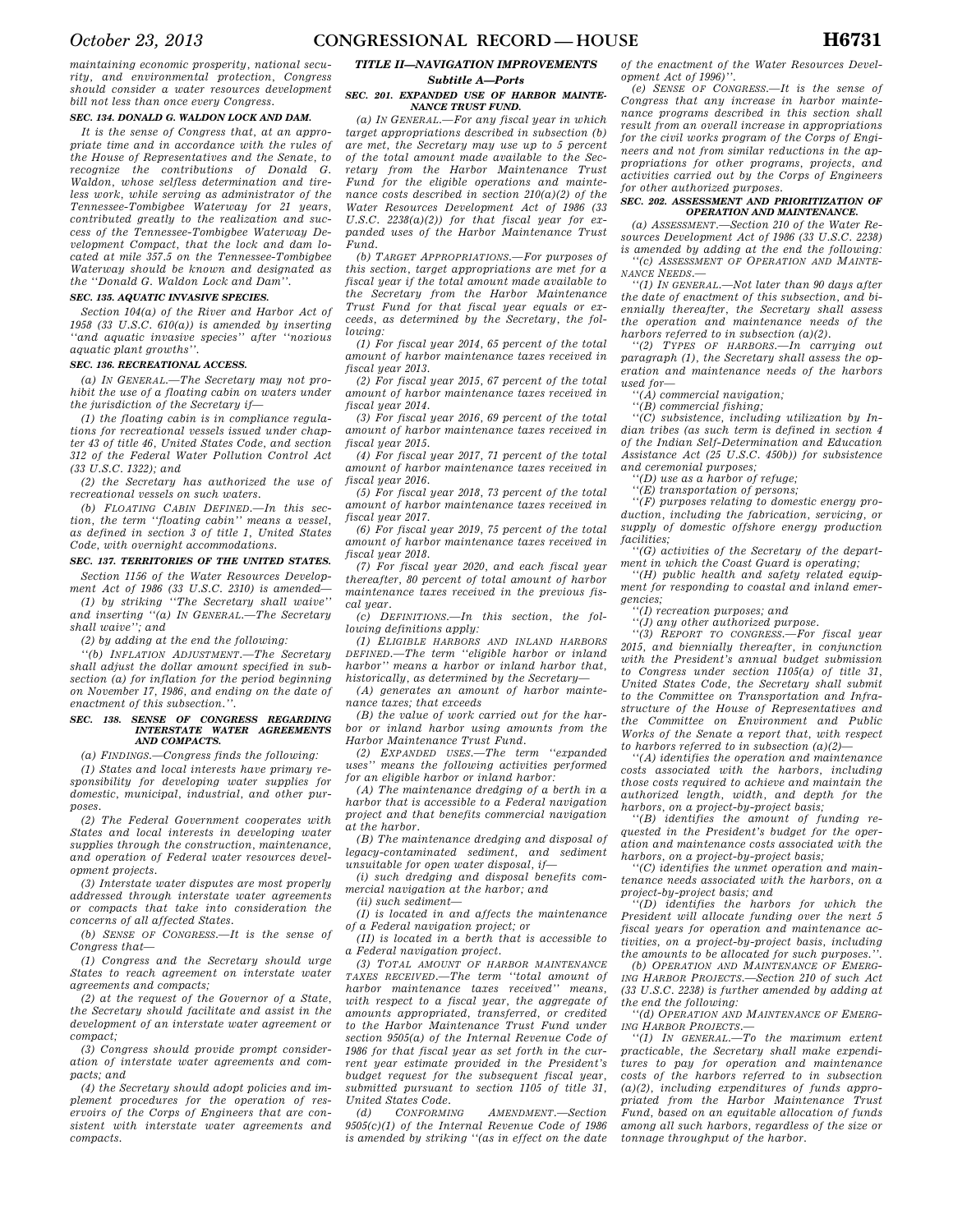*maintaining economic prosperity, national security, and environmental protection, Congress should consider a water resources development bill not less than once every Congress.* 

# *SEC. 134. DONALD G. WALDON LOCK AND DAM.*

*It is the sense of Congress that, at an appropriate time and in accordance with the rules of the House of Representatives and the Senate, to recognize the contributions of Donald G. Waldon, whose selfless determination and tireless work, while serving as administrator of the Tennessee-Tombigbee Waterway for 21 years, contributed greatly to the realization and success of the Tennessee-Tombigbee Waterway Development Compact, that the lock and dam located at mile 357.5 on the Tennessee-Tombigbee Waterway should be known and designated as the ''Donald G. Waldon Lock and Dam''.* 

# *SEC. 135. AQUATIC INVASIVE SPECIES.*

*Section 104(a) of the River and Harbor Act of 1958 (33 U.S.C. 610(a)) is amended by inserting ''and aquatic invasive species'' after ''noxious aquatic plant growths''.* 

# *SEC. 136. RECREATIONAL ACCESS.*

*(a) IN GENERAL.—The Secretary may not prohibit the use of a floating cabin on waters under the jurisdiction of the Secretary if—* 

*(1) the floating cabin is in compliance regulations for recreational vessels issued under chapter 43 of title 46, United States Code, and section 312 of the Federal Water Pollution Control Act (33 U.S.C. 1322); and* 

*(2) the Secretary has authorized the use of recreational vessels on such waters.* 

*(b) FLOATING CABIN DEFINED.—In this section, the term ''floating cabin'' means a vessel, as defined in section 3 of title 1, United States Code, with overnight accommodations.* 

## *SEC. 137. TERRITORIES OF THE UNITED STATES.*

*Section 1156 of the Water Resources Development Act of 1986 (33 U.S.C. 2310) is amended— (1) by striking ''The Secretary shall waive'' and inserting ''(a) IN GENERAL.—The Secretary* 

*shall waive''; and* 

*(2) by adding at the end the following:* 

*''(b) INFLATION ADJUSTMENT.—The Secretary shall adjust the dollar amount specified in subsection (a) for inflation for the period beginning on November 17, 1986, and ending on the date of enactment of this subsection.''.* 

# *SEC. 138. SENSE OF CONGRESS REGARDING INTERSTATE WATER AGREEMENTS AND COMPACTS.*

*(a) FINDINGS.—Congress finds the following:* 

*(1) States and local interests have primary responsibility for developing water supplies for domestic, municipal, industrial, and other purposes.* 

*(2) The Federal Government cooperates with States and local interests in developing water supplies through the construction, maintenance, and operation of Federal water resources development projects.* 

*(3) Interstate water disputes are most properly addressed through interstate water agreements or compacts that take into consideration the concerns of all affected States.* 

*(b) SENSE OF CONGRESS.—It is the sense of Congress that—* 

*(1) Congress and the Secretary should urge States to reach agreement on interstate water agreements and compacts;* 

*(2) at the request of the Governor of a State, the Secretary should facilitate and assist in the development of an interstate water agreement or compact;* 

*(3) Congress should provide prompt consideration of interstate water agreements and compacts; and* 

*(4) the Secretary should adopt policies and implement procedures for the operation of reservoirs of the Corps of Engineers that are consistent with interstate water agreements and compacts.* 

# *TITLE II—NAVIGATION IMPROVEMENTS Subtitle A—Ports*

### *SEC. 201. EXPANDED USE OF HARBOR MAINTE-NANCE TRUST FUND.*

*(a) IN GENERAL.—For any fiscal year in which target appropriations described in subsection (b) are met, the Secretary may use up to 5 percent of the total amount made available to the Secretary from the Harbor Maintenance Trust Fund for the eligible operations and maintenance costs described in section 210(a)(2) of the Water Resources Development Act of 1986 (33 U.S.C. 2238(a)(2)) for that fiscal year for expanded uses of the Harbor Maintenance Trust Fund.* 

*(b) TARGET APPROPRIATIONS.—For purposes of this section, target appropriations are met for a fiscal year if the total amount made available to the Secretary from the Harbor Maintenance Trust Fund for that fiscal year equals or exceeds, as determined by the Secretary, the following:* 

*(1) For fiscal year 2014, 65 percent of the total amount of harbor maintenance taxes received in fiscal year 2013.* 

*(2) For fiscal year 2015, 67 percent of the total amount of harbor maintenance taxes received in fiscal year 2014.* 

*(3) For fiscal year 2016, 69 percent of the total amount of harbor maintenance taxes received in fiscal year 2015.* 

*(4) For fiscal year 2017, 71 percent of the total amount of harbor maintenance taxes received in fiscal year 2016.* 

*(5) For fiscal year 2018, 73 percent of the total amount of harbor maintenance taxes received in fiscal year 2017.* 

*(6) For fiscal year 2019, 75 percent of the total amount of harbor maintenance taxes received in fiscal year 2018.* 

*(7) For fiscal year 2020, and each fiscal year thereafter, 80 percent of total amount of harbor maintenance taxes received in the previous fiscal year.* 

*(c) DEFINITIONS.—In this section, the following definitions apply:* 

*(1) ELIGIBLE HARBORS AND INLAND HARBORS DEFINED.—The term ''eligible harbor or inland harbor'' means a harbor or inland harbor that, historically, as determined by the Secretary—* 

*(A) generates an amount of harbor maintenance taxes; that exceeds* 

*(B) the value of work carried out for the harbor or inland harbor using amounts from the Harbor Maintenance Trust Fund.* 

*(2) EXPANDED USES.—The term ''expanded uses'' means the following activities performed for an eligible harbor or inland harbor:* 

*(A) The maintenance dredging of a berth in a harbor that is accessible to a Federal navigation project and that benefits commercial navigation at the harbor.* 

*(B) The maintenance dredging and disposal of legacy-contaminated sediment, and sediment unsuitable for open water disposal, if—* 

*(i) such dredging and disposal benefits commercial navigation at the harbor; and* 

*(ii) such sediment—* 

*(I) is located in and affects the maintenance of a Federal navigation project; or* 

*(II) is located in a berth that is accessible to a Federal navigation project.* 

*(3) TOTAL AMOUNT OF HARBOR MAINTENANCE TAXES RECEIVED.—The term ''total amount of harbor maintenance taxes received'' means, with respect to a fiscal year, the aggregate of amounts appropriated, transferred, or credited to the Harbor Maintenance Trust Fund under section 9505(a) of the Internal Revenue Code of 1986 for that fiscal year as set forth in the current year estimate provided in the President's budget request for the subsequent fiscal year, submitted pursuant to section 1105 of title 31, United States Code.* 

*(d) CONFORMING AMENDMENT.—Section 9505(c)(1) of the Internal Revenue Code of 1986 is amended by striking ''(as in effect on the date*  *of the enactment of the Water Resources Development Act of 1996)''.* 

*(e) SENSE OF CONGRESS.—It is the sense of Congress that any increase in harbor maintenance programs described in this section shall result from an overall increase in appropriations for the civil works program of the Corps of Engineers and not from similar reductions in the appropriations for other programs, projects, and activities carried out by the Corps of Engineers for other authorized purposes.* 

### *SEC. 202. ASSESSMENT AND PRIORITIZATION OF OPERATION AND MAINTENANCE.*

*(a) ASSESSMENT.—Section 210 of the Water Resources Development Act of 1986 (33 U.S.C. 2238) is amended by adding at the end the following:* 

*''(c) ASSESSMENT OF OPERATION AND MAINTE-NANCE NEEDS.—* 

*''(1) IN GENERAL.—Not later than 90 days after the date of enactment of this subsection, and biennially thereafter, the Secretary shall assess the operation and maintenance needs of the harbors referred to in subsection (a)(2).* 

*''(2) TYPES OF HARBORS.—In carrying out paragraph (1), the Secretary shall assess the operation and maintenance needs of the harbors used for—* 

*''(A) commercial navigation;* 

*''(B) commercial fishing;* 

*''(C) subsistence, including utilization by Indian tribes (as such term is defined in section 4 of the Indian Self-Determination and Education Assistance Act (25 U.S.C. 450b)) for subsistence and ceremonial purposes;* 

*''(D) use as a harbor of refuge;* 

*''(E) transportation of persons;* 

*''(F) purposes relating to domestic energy production, including the fabrication, servicing, or supply of domestic offshore energy production facilities;* 

*''(G) activities of the Secretary of the department in which the Coast Guard is operating;* 

*''(H) public health and safety related equipment for responding to coastal and inland emergencies;* 

*''(I) recreation purposes; and* 

*''(J) any other authorized purpose.* 

*''(3) REPORT TO CONGRESS.—For fiscal year 2015, and biennially thereafter, in conjunction with the President's annual budget submission to Congress under section 1105(a) of title 31, United States Code, the Secretary shall submit to the Committee on Transportation and Infrastructure of the House of Representatives and the Committee on Environment and Public Works of the Senate a report that, with respect to harbors referred to in subsection (a)(2)—* 

*''(A) identifies the operation and maintenance costs associated with the harbors, including those costs required to achieve and maintain the authorized length, width, and depth for the harbors, on a project-by-project basis;* 

*''(B) identifies the amount of funding requested in the President's budget for the operation and maintenance costs associated with the harbors, on a project-by-project basis;* 

*''(C) identifies the unmet operation and maintenance needs associated with the harbors, on a* 

*project-by-project basis; and ''(D) identifies the harbors for which the President will allocate funding over the next 5 fiscal years for operation and maintenance activities, on a project-by-project basis, including the amounts to be allocated for such purposes.''.* 

*(b) OPERATION AND MAINTENANCE OF EMERG-ING HARBOR PROJECTS.—Section 210 of such Act (33 U.S.C. 2238) is further amended by adding at the end the following:* 

*''(d) OPERATION AND MAINTENANCE OF EMERG-ING HARBOR PROJECTS.—* 

*''(1) IN GENERAL.—To the maximum extent practicable, the Secretary shall make expenditures to pay for operation and maintenance costs of the harbors referred to in subsection (a)(2), including expenditures of funds appropriated from the Harbor Maintenance Trust Fund, based on an equitable allocation of funds among all such harbors, regardless of the size or tonnage throughput of the harbor.*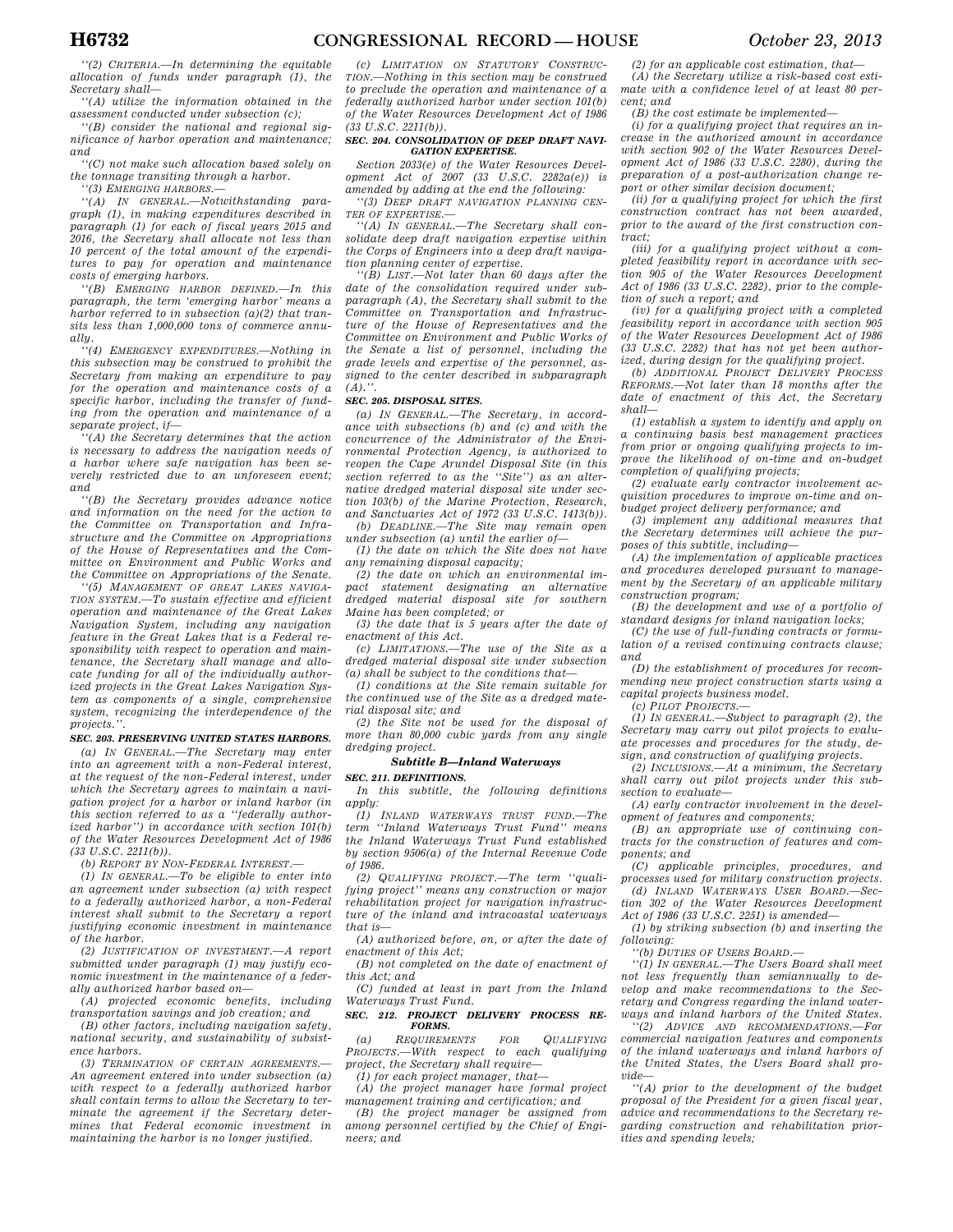*''(2) CRITERIA.—In determining the equitable allocation of funds under paragraph (1), the Secretary shall—* 

*''(A) utilize the information obtained in the assessment conducted under subsection (c);* 

*''(B) consider the national and regional significance of harbor operation and maintenance; and* 

*''(C) not make such allocation based solely on the tonnage transiting through a harbor.* 

*''(3) EMERGING HARBORS.—* 

*''(A) IN GENERAL.—Notwithstanding paragraph (1), in making expenditures described in paragraph (1) for each of fiscal years 2015 and 2016, the Secretary shall allocate not less than 10 percent of the total amount of the expenditures to pay for operation and maintenance costs of emerging harbors.* 

*''(B) EMERGING HARBOR DEFINED.—In this paragraph, the term 'emerging harbor' means a harbor referred to in subsection (a)(2) that transits less than 1,000,000 tons of commerce annually.* 

*''(4) EMERGENCY EXPENDITURES.—Nothing in this subsection may be construed to prohibit the Secretary from making an expenditure to pay for the operation and maintenance costs of a specific harbor, including the transfer of funding from the operation and maintenance of a separate project, if—* 

*''(A) the Secretary determines that the action is necessary to address the navigation needs of a harbor where safe navigation has been severely restricted due to an unforeseen event; and* 

*''(B) the Secretary provides advance notice and information on the need for the action to the Committee on Transportation and Infrastructure and the Committee on Appropriations of the House of Representatives and the Committee on Environment and Public Works and the Committee on Appropriations of the Senate.* 

*''(5) MANAGEMENT OF GREAT LAKES NAVIGA-TION SYSTEM.—To sustain effective and efficient operation and maintenance of the Great Lakes Navigation System, including any navigation feature in the Great Lakes that is a Federal responsibility with respect to operation and maintenance, the Secretary shall manage and allocate funding for all of the individually authorized projects in the Great Lakes Navigation System as components of a single, comprehensive system, recognizing the interdependence of the projects.''.* 

# *SEC. 203. PRESERVING UNITED STATES HARBORS.*

*(a) IN GENERAL.—The Secretary may enter into an agreement with a non-Federal interest, at the request of the non-Federal interest, under which the Secretary agrees to maintain a navigation project for a harbor or inland harbor (in this section referred to as a ''federally authorized harbor'') in accordance with section 101(b) of the Water Resources Development Act of 1986 (33 U.S.C. 2211(b)).* 

*(b) REPORT BY NON-FEDERAL INTEREST.—* 

*(1) IN GENERAL.—To be eligible to enter into an agreement under subsection (a) with respect to a federally authorized harbor, a non-Federal interest shall submit to the Secretary a report justifying economic investment in maintenance of the harbor.* 

*(2) JUSTIFICATION OF INVESTMENT.—A report submitted under paragraph (1) may justify economic investment in the maintenance of a federally authorized harbor based on—* 

*(A) projected economic benefits, including transportation savings and job creation; and* 

*(B) other factors, including navigation safety, national security, and sustainability of subsistence harbors.* 

*(3) TERMINATION OF CERTAIN AGREEMENTS.— An agreement entered into under subsection (a) with respect to a federally authorized harbor shall contain terms to allow the Secretary to terminate the agreement if the Secretary determines that Federal economic investment in maintaining the harbor is no longer justified.* 

*(c) LIMITATION ON STATUTORY CONSTRUC-TION.—Nothing in this section may be construed to preclude the operation and maintenance of a federally authorized harbor under section 101(b) of the Water Resources Development Act of 1986 (33 U.S.C. 2211(b)).* 

## *SEC. 204. CONSOLIDATION OF DEEP DRAFT NAVI-GATION EXPERTISE.*

*Section 2033(e) of the Water Resources Development Act of 2007 (33 U.S.C. 2282a(e)) is amended by adding at the end the following:* 

*''(3) DEEP DRAFT NAVIGATION PLANNING CEN-TER OF EXPERTISE.—* 

*''(A) IN GENERAL.—The Secretary shall consolidate deep draft navigation expertise within the Corps of Engineers into a deep draft navigation planning center of expertise.* 

*''(B) LIST.—Not later than 60 days after the date of the consolidation required under subparagraph (A), the Secretary shall submit to the Committee on Transportation and Infrastructure of the House of Representatives and the Committee on Environment and Public Works of the Senate a list of personnel, including the grade levels and expertise of the personnel, assigned to the center described in subparagraph*   $(A)$ .'

## *SEC. 205. DISPOSAL SITES.*

*(a) IN GENERAL.—The Secretary, in accordance with subsections (b) and (c) and with the concurrence of the Administrator of the Environmental Protection Agency, is authorized to reopen the Cape Arundel Disposal Site (in this section referred to as the ''Site'') as an alternative dredged material disposal site under section 103(b) of the Marine Protection, Research, and Sanctuaries Act of 1972 (33 U.S.C. 1413(b)).* 

*(b) DEADLINE.—The Site may remain open under subsection (a) until the earlier of—* 

*(1) the date on which the Site does not have any remaining disposal capacity;* 

*(2) the date on which an environmental impact statement designating an alternative dredged material disposal site for southern Maine has been completed; or* 

*(3) the date that is 5 years after the date of enactment of this Act.* 

*(c) LIMITATIONS.—The use of the Site as a dredged material disposal site under subsection (a) shall be subject to the conditions that—* 

*(1) conditions at the Site remain suitable for the continued use of the Site as a dredged material disposal site; and* 

*(2) the Site not be used for the disposal of more than 80,000 cubic yards from any single dredging project.* 

# *Subtitle B—Inland Waterways*

# *SEC. 211. DEFINITIONS.*

*In this subtitle, the following definitions apply:* 

*(1) INLAND WATERWAYS TRUST FUND.—The term ''Inland Waterways Trust Fund'' means the Inland Waterways Trust Fund established by section 9506(a) of the Internal Revenue Code of 1986.* 

*(2) QUALIFYING PROJECT.—The term ''qualifying project'' means any construction or major rehabilitation project for navigation infrastructure of the inland and intracoastal waterways that is—* 

*(A) authorized before, on, or after the date of enactment of this Act;* 

*(B) not completed on the date of enactment of this Act; and* 

*(C) funded at least in part from the Inland Waterways Trust Fund.* 

### *SEC. 212. PROJECT DELIVERY PROCESS RE-FORMS.*

*(a) REQUIREMENTS FOR QUALIFYING PROJECTS.—With respect to each qualifying project, the Secretary shall require—* 

*(1) for each project manager, that—* 

*(A) the project manager have formal project management training and certification; and (B) the project manager be assigned from* 

*among personnel certified by the Chief of Engineers; and* 

*(2) for an applicable cost estimation, that— (A) the Secretary utilize a risk-based cost estimate with a confidence level of at least 80 percent; and* 

*(B) the cost estimate be implemented—* 

*(i) for a qualifying project that requires an increase in the authorized amount in accordance with section 902 of the Water Resources Development Act of 1986 (33 U.S.C. 2280), during the preparation of a post-authorization change report or other similar decision document;* 

*(ii) for a qualifying project for which the first construction contract has not been awarded, prior to the award of the first construction contract;* 

*(iii) for a qualifying project without a completed feasibility report in accordance with section 905 of the Water Resources Development Act of 1986 (33 U.S.C. 2282), prior to the completion of such a report; and* 

*(iv) for a qualifying project with a completed feasibility report in accordance with section 905 of the Water Resources Development Act of 1986 (33 U.S.C. 2282) that has not yet been authorized, during design for the qualifying project.* 

*(b) ADDITIONAL PROJECT DELIVERY PROCESS REFORMS.—Not later than 18 months after the date of enactment of this Act, the Secretary shall—* 

*(1) establish a system to identify and apply on a continuing basis best management practices from prior or ongoing qualifying projects to improve the likelihood of on-time and on-budget completion of qualifying projects;* 

*(2) evaluate early contractor involvement acquisition procedures to improve on-time and onbudget project delivery performance; and* 

*(3) implement any additional measures that the Secretary determines will achieve the purposes of this subtitle, including—* 

*(A) the implementation of applicable practices and procedures developed pursuant to management by the Secretary of an applicable military construction program;* 

*(B) the development and use of a portfolio of standard designs for inland navigation locks;* 

*(C) the use of full-funding contracts or formulation of a revised continuing contracts clause; and* 

*(D) the establishment of procedures for recommending new project construction starts using a capital projects business model.* 

*(c) PILOT PROJECTS.—* 

*(1) IN GENERAL.—Subject to paragraph (2), the Secretary may carry out pilot projects to evaluate processes and procedures for the study, design, and construction of qualifying projects.* 

*(2) INCLUSIONS.—At a minimum, the Secretary shall carry out pilot projects under this subsection to evaluate—* 

*(A) early contractor involvement in the development of features and components;* 

*(B) an appropriate use of continuing contracts for the construction of features and components; and* 

*(C) applicable principles, procedures, and processes used for military construction projects.* 

*(d) INLAND WATERWAYS USER BOARD.—Section 302 of the Water Resources Development Act of 1986 (33 U.S.C. 2251) is amended—* 

*(1) by striking subsection (b) and inserting the following:* 

*''(b) DUTIES OF USERS BOARD.—* 

*''(1) IN GENERAL.—The Users Board shall meet not less frequently than semiannually to develop and make recommendations to the Secretary and Congress regarding the inland waterways and inland harbors of the United States.* 

*''(2) ADVICE AND RECOMMENDATIONS.—For commercial navigation features and components of the inland waterways and inland harbors of the United States, the Users Board shall provide—* 

*''(A) prior to the development of the budget proposal of the President for a given fiscal year, advice and recommendations to the Secretary regarding construction and rehabilitation priorities and spending levels;*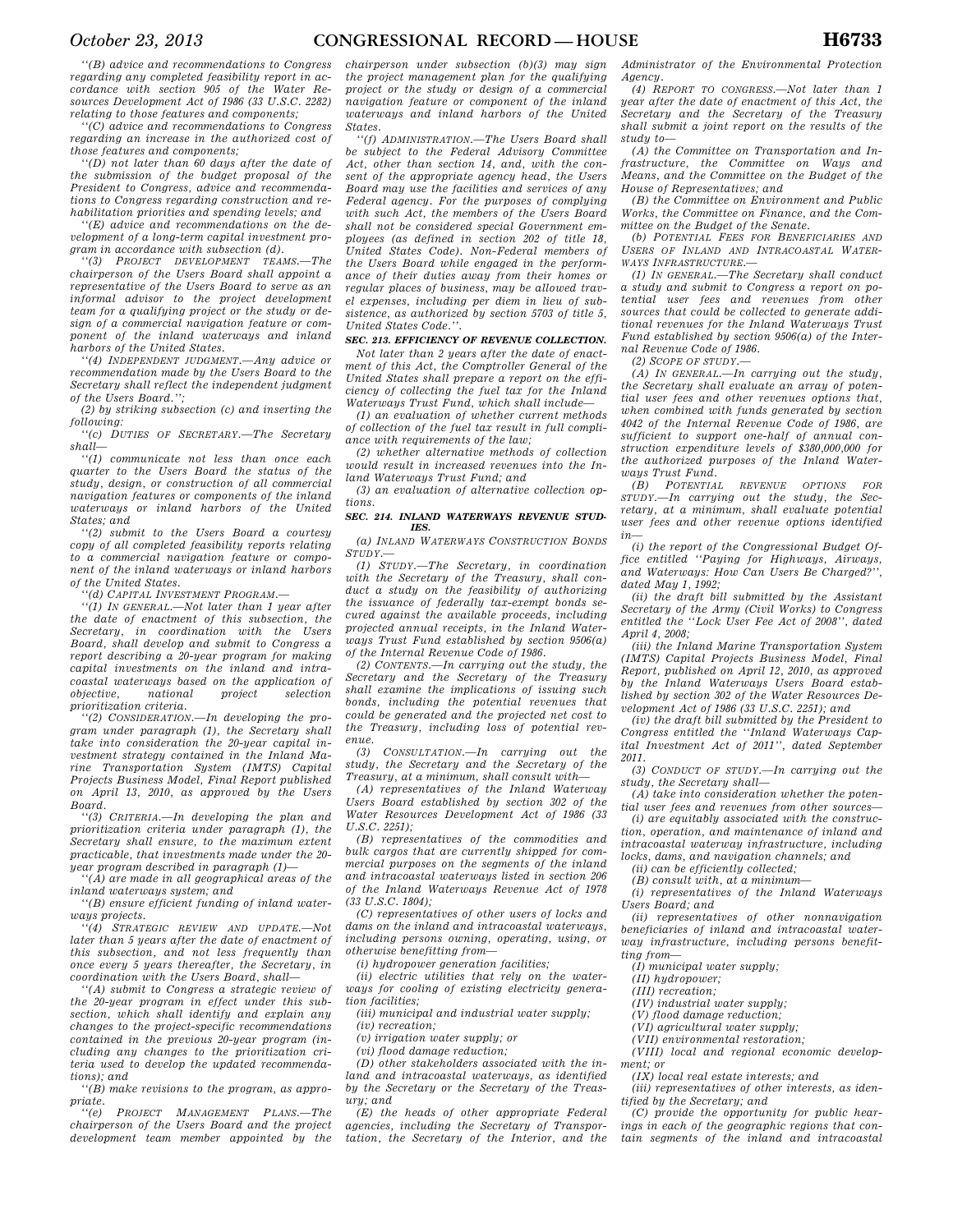*''(B) advice and recommendations to Congress regarding any completed feasibility report in accordance with section 905 of the Water Resources Development Act of 1986 (33 U.S.C. 2282) relating to those features and components;* 

*''(C) advice and recommendations to Congress regarding an increase in the authorized cost of those features and components;* 

*''(D) not later than 60 days after the date of the submission of the budget proposal of the President to Congress, advice and recommendations to Congress regarding construction and rehabilitation priorities and spending levels; and* 

*''(E) advice and recommendations on the development of a long-term capital investment program in accordance with subsection (d).* 

*''(3) PROJECT DEVELOPMENT TEAMS.—The chairperson of the Users Board shall appoint a representative of the Users Board to serve as an informal advisor to the project development team for a qualifying project or the study or design of a commercial navigation feature or component of the inland waterways and inland harbors of the United States.* 

*''(4) INDEPENDENT JUDGMENT.—Any advice or recommendation made by the Users Board to the Secretary shall reflect the independent judgment of the Users Board.'';* 

*(2) by striking subsection (c) and inserting the following:* 

*''(c) DUTIES OF SECRETARY.—The Secretary shall—* 

*''(1) communicate not less than once each quarter to the Users Board the status of the study, design, or construction of all commercial navigation features or components of the inland waterways or inland harbors of the United States; and* 

*''(2) submit to the Users Board a courtesy copy of all completed feasibility reports relating to a commercial navigation feature or component of the inland waterways or inland harbors of the United States.* 

*''(d) CAPITAL INVESTMENT PROGRAM.—* 

*''(1) IN GENERAL.—Not later than 1 year after the date of enactment of this subsection, the Secretary, in coordination with the Users Board, shall develop and submit to Congress a report describing a 20-year program for making capital investments on the inland and intracoastal waterways based on the application of objective, national project selection prioritization criteria.* 

*''(2) CONSIDERATION.—In developing the program under paragraph (1), the Secretary shall take into consideration the 20-year capital investment strategy contained in the Inland Marine Transportation System (IMTS) Capital Projects Business Model, Final Report published on April 13, 2010, as approved by the Users Board.* 

*''(3) CRITERIA.—In developing the plan and prioritization criteria under paragraph (1), the Secretary shall ensure, to the maximum extent practicable, that investments made under the 20 year program described in paragraph (1)—* 

*''(A) are made in all geographical areas of the inland waterways system; and* 

*''(B) ensure efficient funding of inland waterways projects.* 

*''(4) STRATEGIC REVIEW AND UPDATE.—Not later than 5 years after the date of enactment of this subsection, and not less frequently than once every 5 years thereafter, the Secretary, in coordination with the Users Board, shall—* 

*''(A) submit to Congress a strategic review of the 20-year program in effect under this subsection, which shall identify and explain any changes to the project-specific recommendations contained in the previous 20-year program (including any changes to the prioritization criteria used to develop the updated recommendations); and* 

*''(B) make revisions to the program, as appropriate.* 

*''(e) PROJECT MANAGEMENT PLANS.—The chairperson of the Users Board and the project development team member appointed by the* 

*chairperson under subsection (b)(3) may sign the project management plan for the qualifying project or the study or design of a commercial navigation feature or component of the inland waterways and inland harbors of the United States.* 

*''(f) ADMINISTRATION.—The Users Board shall be subject to the Federal Advisory Committee Act, other than section 14, and, with the consent of the appropriate agency head, the Users Board may use the facilities and services of any Federal agency. For the purposes of complying with such Act, the members of the Users Board shall not be considered special Government employees (as defined in section 202 of title 18, United States Code). Non-Federal members of the Users Board while engaged in the performance of their duties away from their homes or regular places of business, may be allowed travel expenses, including per diem in lieu of subsistence, as authorized by section 5703 of title 5, United States Code.''.* 

# *SEC. 213. EFFICIENCY OF REVENUE COLLECTION.*

*Not later than 2 years after the date of enactment of this Act, the Comptroller General of the United States shall prepare a report on the efficiency of collecting the fuel tax for the Inland Waterways Trust Fund, which shall include—* 

*(1) an evaluation of whether current methods of collection of the fuel tax result in full compliance with requirements of the law;* 

*(2) whether alternative methods of collection would result in increased revenues into the Inland Waterways Trust Fund; and* 

*(3) an evaluation of alternative collection options.* 

### *SEC. 214. INLAND WATERWAYS REVENUE STUD-IES.*

*(a) INLAND WATERWAYS CONSTRUCTION BONDS*  $STUDY.$ 

*(1) STUDY.—The Secretary, in coordination with the Secretary of the Treasury, shall conduct a study on the feasibility of authorizing the issuance of federally tax-exempt bonds secured against the available proceeds, including projected annual receipts, in the Inland Waterways Trust Fund established by section 9506(a) of the Internal Revenue Code of 1986.* 

*(2) CONTENTS.—In carrying out the study, the Secretary and the Secretary of the Treasury shall examine the implications of issuing such bonds, including the potential revenues that could be generated and the projected net cost to the Treasury, including loss of potential revenue.* 

*(3) CONSULTATION.—In carrying out the study, the Secretary and the Secretary of the Treasury, at a minimum, shall consult with—* 

*(A) representatives of the Inland Waterway Users Board established by section 302 of the Water Resources Development Act of 1986 (33 U.S.C. 2251);* 

*(B) representatives of the commodities and bulk cargos that are currently shipped for commercial purposes on the segments of the inland and intracoastal waterways listed in section 206 of the Inland Waterways Revenue Act of 1978 (33 U.S.C. 1804);* 

*(C) representatives of other users of locks and dams on the inland and intracoastal waterways, including persons owning, operating, using, or otherwise benefitting from—* 

*(i) hydropower generation facilities;* 

*(ii) electric utilities that rely on the waterways for cooling of existing electricity generation facilities;* 

*(iii) municipal and industrial water supply;* 

*(iv) recreation;* 

*(v) irrigation water supply; or* 

*(vi) flood damage reduction;* 

*(D) other stakeholders associated with the inland and intracoastal waterways, as identified by the Secretary or the Secretary of the Treasury; and* 

*(E) the heads of other appropriate Federal agencies, including the Secretary of Transportation, the Secretary of the Interior, and the*  *Administrator of the Environmental Protection Agency.* 

*(4) REPORT TO CONGRESS.—Not later than 1 year after the date of enactment of this Act, the Secretary and the Secretary of the Treasury shall submit a joint report on the results of the study to—* 

*(A) the Committee on Transportation and Infrastructure, the Committee on Ways and Means, and the Committee on the Budget of the House of Representatives; and* 

*(B) the Committee on Environment and Public Works, the Committee on Finance, and the Committee on the Budget of the Senate.* 

*(b) POTENTIAL FEES FOR BENEFICIARIES AND USERS OF INLAND AND INTRACOASTAL WATER-WAYS INFRASTRUCTURE.—* 

*(1) IN GENERAL.—The Secretary shall conduct a study and submit to Congress a report on potential user fees and revenues from other sources that could be collected to generate additional revenues for the Inland Waterways Trust Fund established by section 9506(a) of the Internal Revenue Code of 1986.* 

*(2) SCOPE OF STUDY.—* 

*(A) IN GENERAL.—In carrying out the study, the Secretary shall evaluate an array of potential user fees and other revenues options that, when combined with funds generated by section 4042 of the Internal Revenue Code of 1986, are sufficient to support one-half of annual construction expenditure levels of \$380,000,000 for the authorized purposes of the Inland Waterways Trust Fund.* 

*(B) POTENTIAL REVENUE OPTIONS FOR STUDY.—In carrying out the study, the Secretary, at a minimum, shall evaluate potential user fees and other revenue options identified in—* 

*(i) the report of the Congressional Budget Office entitled ''Paying for Highways, Airways, and Waterways: How Can Users Be Charged?'', dated May 1, 1992;* 

*(ii) the draft bill submitted by the Assistant Secretary of the Army (Civil Works) to Congress entitled the ''Lock User Fee Act of 2008'', dated April 4, 2008;* 

*(iii) the Inland Marine Transportation System (IMTS) Capital Projects Business Model, Final Report, published on April 12, 2010, as approved by the Inland Waterways Users Board established by section 302 of the Water Resources Development Act of 1986 (33 U.S.C. 2251); and* 

*(iv) the draft bill submitted by the President to Congress entitled the ''Inland Waterways Capital Investment Act of 2011'', dated September 2011.* 

*(3) CONDUCT OF STUDY.—In carrying out the study, the Secretary shall—* 

*(A) take into consideration whether the potential user fees and revenues from other sources—* 

*(i) are equitably associated with the construction, operation, and maintenance of inland and intracoastal waterway infrastructure, including locks, dams, and navigation channels; and* 

*(ii) can be efficiently collected;* 

*(B) consult with, at a minimum—* 

*(i) representatives of the Inland Waterways Users Board; and* 

*(ii) representatives of other nonnavigation beneficiaries of inland and intracoastal waterway infrastructure, including persons benefitting from—* 

*(I) municipal water supply;* 

*(II) hydropower;* 

*(III) recreation;* 

*(IV) industrial water supply;* 

*(V) flood damage reduction;* 

*(VI) agricultural water supply;* 

*(VII) environmental restoration;* 

*(VIII) local and regional economic development; or* 

*(IX) local real estate interests; and* 

*(iii) representatives of other interests, as identified by the Secretary; and* 

*(C) provide the opportunity for public hearings in each of the geographic regions that con-*

*tain segments of the inland and intracoastal*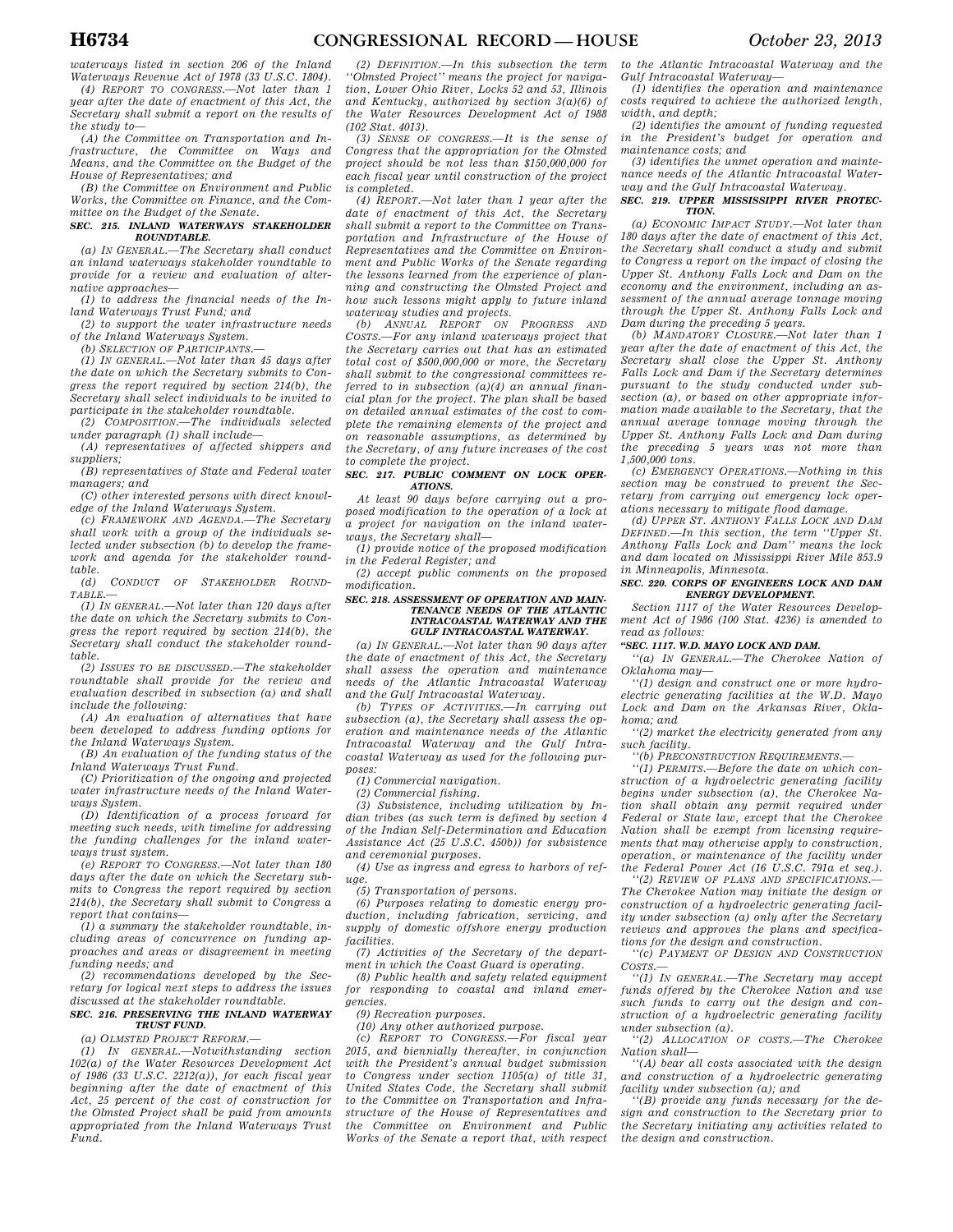*waterways listed in section 206 of the Inland Waterways Revenue Act of 1978 (33 U.S.C. 1804).* 

*(4) REPORT TO CONGRESS.—Not later than 1 year after the date of enactment of this Act, the Secretary shall submit a report on the results of the study to—* 

*(A) the Committee on Transportation and Infrastructure, the Committee on Ways and Means, and the Committee on the Budget of the House of Representatives; and* 

*(B) the Committee on Environment and Public Works, the Committee on Finance, and the Committee on the Budget of the Senate.* 

### *SEC. 215. INLAND WATERWAYS STAKEHOLDER ROUNDTABLE.*

*(a) IN GENERAL.—The Secretary shall conduct an inland waterways stakeholder roundtable to provide for a review and evaluation of alternative approaches—* 

*(1) to address the financial needs of the Inland Waterways Trust Fund; and* 

*(2) to support the water infrastructure needs of the Inland Waterways System.* 

*(b) SELECTION OF PARTICIPANTS.* 

*(1) IN GENERAL.—Not later than 45 days after the date on which the Secretary submits to Congress the report required by section 214(b), the Secretary shall select individuals to be invited to participate in the stakeholder roundtable.* 

*(2) COMPOSITION.—The individuals selected under paragraph (1) shall include—* 

*(A) representatives of affected shippers and suppliers;* 

*(B) representatives of State and Federal water managers; and* 

*(C) other interested persons with direct knowledge of the Inland Waterways System.* 

*(c) FRAMEWORK AND AGENDA.—The Secretary shall work with a group of the individuals selected under subsection (b) to develop the framework and agenda for the stakeholder roundtable.* 

*(d) CONDUCT OF STAKEHOLDER ROUND-TABLE.—* 

*(1) IN GENERAL.—Not later than 120 days after the date on which the Secretary submits to Congress the report required by section 214(b), the Secretary shall conduct the stakeholder roundtable.* 

*(2) ISSUES TO BE DISCUSSED.—The stakeholder roundtable shall provide for the review and evaluation described in subsection (a) and shall include the following:* 

*(A) An evaluation of alternatives that have been developed to address funding options for the Inland Waterways System.* 

*(B) An evaluation of the funding status of the Inland Waterways Trust Fund.* 

*(C) Prioritization of the ongoing and projected water infrastructure needs of the Inland Waterways System.* 

*(D) Identification of a process forward for meeting such needs, with timeline for addressing the funding challenges for the inland waterways trust system.* 

*(e) REPORT TO CONGRESS.—Not later than 180 days after the date on which the Secretary submits to Congress the report required by section 214(b), the Secretary shall submit to Congress a report that contains—* 

*(1) a summary the stakeholder roundtable, including areas of concurrence on funding approaches and areas or disagreement in meeting funding needs; and* 

*(2) recommendations developed by the Secretary for logical next steps to address the issues discussed at the stakeholder roundtable.* 

### *SEC. 216. PRESERVING THE INLAND WATERWAY TRUST FUND.*

*(a) OLMSTED PROJECT REFORM.—* 

*(1) IN GENERAL.—Notwithstanding section 102(a) of the Water Resources Development Act of 1986 (33 U.S.C. 2212(a)), for each fiscal year beginning after the date of enactment of this Act, 25 percent of the cost of construction for the Olmsted Project shall be paid from amounts appropriated from the Inland Waterways Trust Fund.* 

*(2) DEFINITION.—In this subsection the term ''Olmsted Project'' means the project for navigation, Lower Ohio River, Locks 52 and 53, Illinois and Kentucky, authorized by section 3(a)(6) of the Water Resources Development Act of 1988 (102 Stat. 4013).* 

*(3) SENSE OF CONGRESS.—It is the sense of Congress that the appropriation for the Olmsted project should be not less than \$150,000,000 for each fiscal year until construction of the project is completed.* 

*(4) REPORT.—Not later than 1 year after the date of enactment of this Act, the Secretary shall submit a report to the Committee on Transportation and Infrastructure of the House of Representatives and the Committee on Environment and Public Works of the Senate regarding the lessons learned from the experience of planning and constructing the Olmsted Project and how such lessons might apply to future inland waterway studies and projects.* 

*(b) ANNUAL REPORT ON PROGRESS AND COSTS.—For any inland waterways project that the Secretary carries out that has an estimated total cost of \$500,000,000 or more, the Secretary shall submit to the congressional committees referred to in subsection (a)(4) an annual financial plan for the project. The plan shall be based on detailed annual estimates of the cost to complete the remaining elements of the project and on reasonable assumptions, as determined by the Secretary, of any future increases of the cost to complete the project.* 

#### *SEC. 217. PUBLIC COMMENT ON LOCK OPER-ATIONS.*

*At least 90 days before carrying out a proposed modification to the operation of a lock at a project for navigation on the inland waterways, the Secretary shall—* 

*(1) provide notice of the proposed modification in the Federal Register; and* 

*(2) accept public comments on the proposed modification.* 

#### *SEC. 218. ASSESSMENT OF OPERATION AND MAIN-TENANCE NEEDS OF THE ATLANTIC INTRACOASTAL WATERWAY AND THE GULF INTRACOASTAL WATERWAY.*

*(a) IN GENERAL.—Not later than 90 days after the date of enactment of this Act, the Secretary shall assess the operation and maintenance needs of the Atlantic Intracoastal Waterway and the Gulf Intracoastal Waterway.* 

*(b) TYPES OF ACTIVITIES.—In carrying out subsection (a), the Secretary shall assess the operation and maintenance needs of the Atlantic Intracoastal Waterway and the Gulf Intracoastal Waterway as used for the following purposes:* 

*(1) Commercial navigation.* 

*(2) Commercial fishing.* 

*(3) Subsistence, including utilization by Indian tribes (as such term is defined by section 4 of the Indian Self-Determination and Education Assistance Act (25 U.S.C. 450b)) for subsistence and ceremonial purposes.* 

*(4) Use as ingress and egress to harbors of refuge.* 

*(5) Transportation of persons.* 

*(6) Purposes relating to domestic energy production, including fabrication, servicing, and supply of domestic offshore energy production facilities.* 

*(7) Activities of the Secretary of the department in which the Coast Guard is operating.* 

*(8) Public health and safety related equipment for responding to coastal and inland emergencies.* 

*(9) Recreation purposes.* 

*(10) Any other authorized purpose.* 

*(c) REPORT TO CONGRESS.—For fiscal year 2015, and biennially thereafter, in conjunction with the President's annual budget submission to Congress under section 1105(a) of title 31, United States Code, the Secretary shall submit to the Committee on Transportation and Infrastructure of the House of Representatives and the Committee on Environment and Public Works of the Senate a report that, with respect*  *to the Atlantic Intracoastal Waterway and the Gulf Intracoastal Waterway—* 

*(1) identifies the operation and maintenance costs required to achieve the authorized length, width, and depth;* 

*(2) identifies the amount of funding requested in the President's budget for operation and maintenance costs; and* 

*(3) identifies the unmet operation and maintenance needs of the Atlantic Intracoastal Waterway and the Gulf Intracoastal Waterway.* 

#### *SEC. 219. UPPER MISSISSIPPI RIVER PROTEC-TION.*

*(a) ECONOMIC IMPACT STUDY.—Not later than 180 days after the date of enactment of this Act, the Secretary shall conduct a study and submit to Congress a report on the impact of closing the Upper St. Anthony Falls Lock and Dam on the economy and the environment, including an assessment of the annual average tonnage moving through the Upper St. Anthony Falls Lock and Dam during the preceding 5 years.* 

*(b) MANDATORY CLOSURE.—Not later than 1 year after the date of enactment of this Act, the Secretary shall close the Upper St. Anthony Falls Lock and Dam if the Secretary determines pursuant to the study conducted under subsection (a), or based on other appropriate information made available to the Secretary, that the annual average tonnage moving through the Upper St. Anthony Falls Lock and Dam during the preceding 5 years was not more than 1,500,000 tons.* 

*(c) EMERGENCY OPERATIONS.—Nothing in this section may be construed to prevent the Secretary from carrying out emergency lock operations necessary to mitigate flood damage.* 

*(d) UPPER ST. ANTHONY FALLS LOCK AND DAM DEFINED.—In this section, the term ''Upper St. Anthony Falls Lock and Dam'' means the lock and dam located on Mississippi River Mile 853.9 in Minneapolis, Minnesota.* 

# *SEC. 220. CORPS OF ENGINEERS LOCK AND DAM ENERGY DEVELOPMENT.*

*Section 1117 of the Water Resources Development Act of 1986 (100 Stat. 4236) is amended to read as follows:* 

# *''SEC. 1117. W.D. MAYO LOCK AND DAM.*

*''(a) IN GENERAL.—The Cherokee Nation of Oklahoma may—* 

*''(1) design and construct one or more hydroelectric generating facilities at the W.D. Mayo Lock and Dam on the Arkansas River, Oklahoma; and* 

*''(2) market the electricity generated from any such facility.* 

*''(b) PRECONSTRUCTION REQUIREMENTS.—* 

*''(1) PERMITS.—Before the date on which construction of a hydroelectric generating facility begins under subsection (a), the Cherokee Nation shall obtain any permit required under Federal or State law, except that the Cherokee Nation shall be exempt from licensing requirements that may otherwise apply to construction, operation, or maintenance of the facility under the Federal Power Act (16 U.S.C. 791a et seq.).* 

*''(2) REVIEW OF PLANS AND SPECIFICATIONS.— The Cherokee Nation may initiate the design or construction of a hydroelectric generating facility under subsection (a) only after the Secretary reviews and approves the plans and specifications for the design and construction.* 

*''(c) PAYMENT OF DESIGN AND CONSTRUCTION COSTS.—* 

*''(1) IN GENERAL.—The Secretary may accept funds offered by the Cherokee Nation and use such funds to carry out the design and construction of a hydroelectric generating facility under subsection (a).* 

*''(2) ALLOCATION OF COSTS.—The Cherokee Nation shall—* 

*''(A) bear all costs associated with the design and construction of a hydroelectric generating facility under subsection (a); and* 

*''(B) provide any funds necessary for the design and construction to the Secretary prior to the Secretary initiating any activities related to the design and construction.*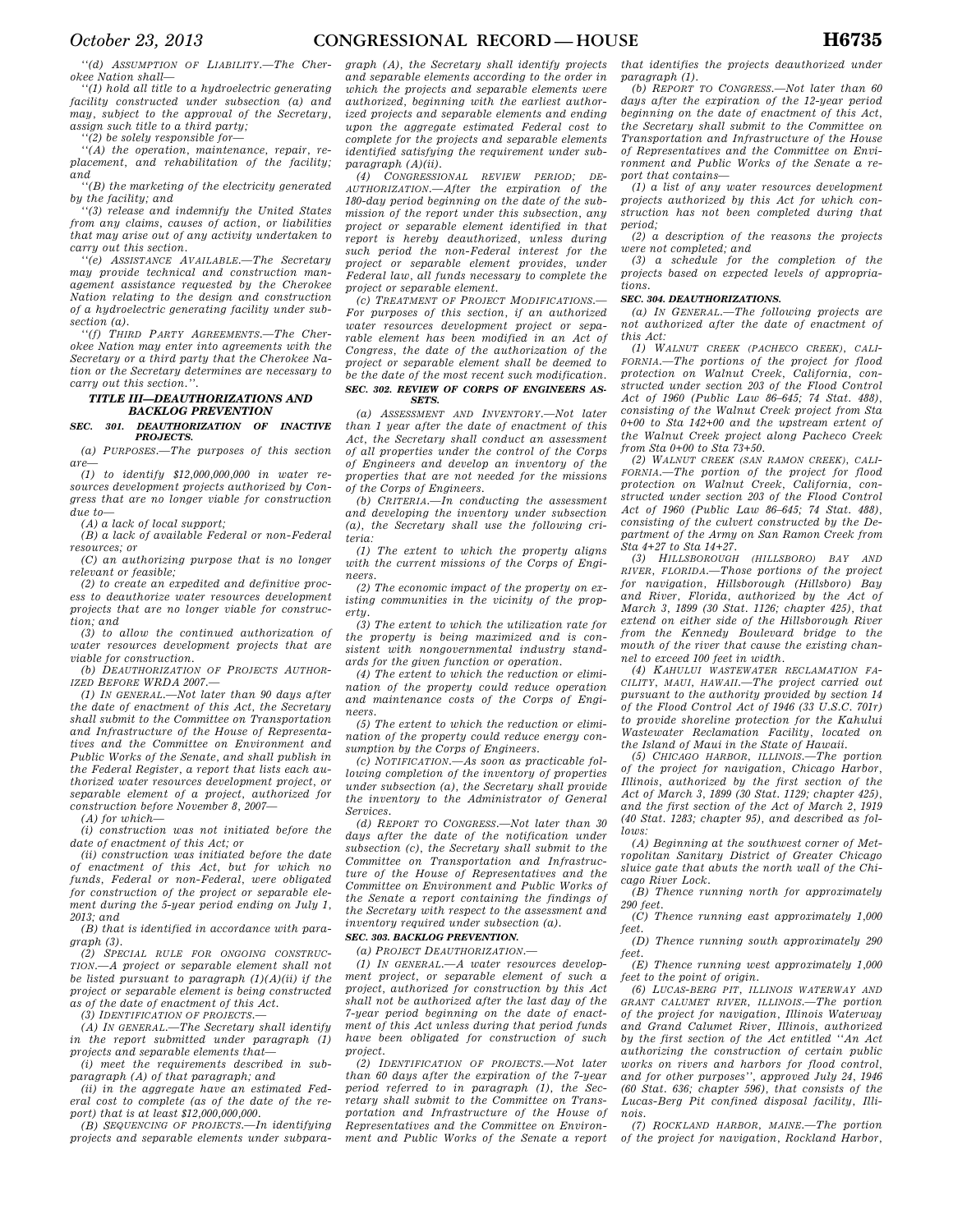*''(d) ASSUMPTION OF LIABILITY.—The Cherokee Nation shall—* 

*''(1) hold all title to a hydroelectric generating facility constructed under subsection (a) and may, subject to the approval of the Secretary, assign such title to a third party;* 

*''(2) be solely responsible for—* 

*''(A) the operation, maintenance, repair, replacement, and rehabilitation of the facility; and* 

*''(B) the marketing of the electricity generated by the facility; and* 

*''(3) release and indemnify the United States from any claims, causes of action, or liabilities that may arise out of any activity undertaken to carry out this section.* 

*''(e) ASSISTANCE AVAILABLE.—The Secretary may provide technical and construction management assistance requested by the Cherokee Nation relating to the design and construction of a hydroelectric generating facility under subsection (a).* 

*''(f) THIRD PARTY AGREEMENTS.—The Cherokee Nation may enter into agreements with the Secretary or a third party that the Cherokee Nation or the Secretary determines are necessary to carry out this section.''.* 

# *TITLE III—DEAUTHORIZATIONS AND BACKLOG PREVENTION*

#### *SEC. 301. DEAUTHORIZATION OF INACTIVE PROJECTS.*

*(a) PURPOSES.—The purposes of this section are—* 

*(1) to identify \$12,000,000,000 in water resources development projects authorized by Congress that are no longer viable for construction due to—* 

*(A) a lack of local support;* 

*(B) a lack of available Federal or non-Federal resources; or* 

*(C) an authorizing purpose that is no longer relevant or feasible;* 

*(2) to create an expedited and definitive process to deauthorize water resources development projects that are no longer viable for construction; and* 

*(3) to allow the continued authorization of water resources development projects that are viable for construction.* 

*(b) DEAUTHORIZATION OF PROJECTS AUTHOR-IZED BEFORE WRDA 2007.—* 

*(1) IN GENERAL.—Not later than 90 days after the date of enactment of this Act, the Secretary shall submit to the Committee on Transportation and Infrastructure of the House of Representatives and the Committee on Environment and Public Works of the Senate, and shall publish in the Federal Register, a report that lists each authorized water resources development project, or separable element of a project, authorized for construction before November 8, 2007—* 

*(A) for which—* 

*(i) construction was not initiated before the date of enactment of this Act; or* 

*(ii) construction was initiated before the date of enactment of this Act, but for which no funds, Federal or non-Federal, were obligated for construction of the project or separable element during the 5-year period ending on July 1, 2013; and* 

*(B) that is identified in accordance with paragraph (3).* 

*(2) SPECIAL RULE FOR ONGOING CONSTRUC-TION.—A project or separable element shall not be listed pursuant to paragraph (1)(A)(ii) if the project or separable element is being constructed as of the date of enactment of this Act.* 

*(3) IDENTIFICATION OF PROJECTS.—* 

*(A) IN GENERAL.—The Secretary shall identify in the report submitted under paragraph (1) projects and separable elements that—* 

*(i) meet the requirements described in subparagraph (A) of that paragraph; and* 

*(ii) in the aggregate have an estimated Federal cost to complete (as of the date of the report) that is at least \$12,000,000,000.* 

*(B) SEQUENCING OF PROJECTS.—In identifying projects and separable elements under subpara-*

*graph (A), the Secretary shall identify projects and separable elements according to the order in which the projects and separable elements were authorized, beginning with the earliest authorized projects and separable elements and ending upon the aggregate estimated Federal cost to complete for the projects and separable elements identified satisfying the requirement under subparagraph (A)(ii).* 

*(4) CONGRESSIONAL REVIEW PERIOD; DE-AUTHORIZATION.—After the expiration of the 180-day period beginning on the date of the submission of the report under this subsection, any project or separable element identified in that report is hereby deauthorized, unless during such period the non-Federal interest for the project or separable element provides, under Federal law, all funds necessary to complete the project or separable element.* 

*(c) TREATMENT OF PROJECT MODIFICATIONS.— For purposes of this section, if an authorized water resources development project or separable element has been modified in an Act of Congress, the date of the authorization of the project or separable element shall be deemed to be the date of the most recent such modification. SEC. 302. REVIEW OF CORPS OF ENGINEERS AS-SETS.* 

*(a) ASSESSMENT AND INVENTORY.—Not later than 1 year after the date of enactment of this Act, the Secretary shall conduct an assessment of all properties under the control of the Corps of Engineers and develop an inventory of the properties that are not needed for the missions of the Corps of Engineers.* 

*(b) CRITERIA.—In conducting the assessment and developing the inventory under subsection (a), the Secretary shall use the following criteria:* 

*(1) The extent to which the property aligns with the current missions of the Corps of Engineers.* 

*(2) The economic impact of the property on existing communities in the vicinity of the property.* 

*(3) The extent to which the utilization rate for the property is being maximized and is consistent with nongovernmental industry standards for the given function or operation.* 

*(4) The extent to which the reduction or elimination of the property could reduce operation and maintenance costs of the Corps of Engineers.* 

*(5) The extent to which the reduction or elimination of the property could reduce energy consumption by the Corps of Engineers.* 

*(c) NOTIFICATION.—As soon as practicable following completion of the inventory of properties under subsection (a), the Secretary shall provide the inventory to the Administrator of General Services.* 

*(d) REPORT TO CONGRESS.—Not later than 30 days after the date of the notification under subsection (c), the Secretary shall submit to the Committee on Transportation and Infrastructure of the House of Representatives and the Committee on Environment and Public Works of the Senate a report containing the findings of the Secretary with respect to the assessment and inventory required under subsection (a).* 

*SEC. 303. BACKLOG PREVENTION.* 

*(a) PROJECT DEAUTHORIZATION.—* 

*(1) IN GENERAL.—A water resources development project, or separable element of such a project, authorized for construction by this Act shall not be authorized after the last day of the 7-year period beginning on the date of enactment of this Act unless during that period funds have been obligated for construction of such project.* 

*(2) IDENTIFICATION OF PROJECTS.—Not later than 60 days after the expiration of the 7-year period referred to in paragraph (1), the Secretary shall submit to the Committee on Transportation and Infrastructure of the House of Representatives and the Committee on Environment and Public Works of the Senate a report* 

*that identifies the projects deauthorized under paragraph (1).* 

*(b) REPORT TO CONGRESS.—Not later than 60 days after the expiration of the 12-year period beginning on the date of enactment of this Act, the Secretary shall submit to the Committee on Transportation and Infrastructure of the House of Representatives and the Committee on Environment and Public Works of the Senate a report that contains—* 

*(1) a list of any water resources development projects authorized by this Act for which construction has not been completed during that period;* 

*(2) a description of the reasons the projects were not completed; and* 

*(3) a schedule for the completion of the projects based on expected levels of appropriations.* 

# *SEC. 304. DEAUTHORIZATIONS.*

*(a) IN GENERAL.—The following projects are not authorized after the date of enactment of this Act:* 

*(1) WALNUT CREEK (PACHECO CREEK), CALI-FORNIA.—The portions of the project for flood protection on Walnut Creek, California, constructed under section 203 of the Flood Control Act of 1960 (Public Law 86–645; 74 Stat. 488), consisting of the Walnut Creek project from Sta 0+00 to Sta 142+00 and the upstream extent of the Walnut Creek project along Pacheco Creek from Sta 0+00 to Sta 73+50.* 

*(2) WALNUT CREEK (SAN RAMON CREEK), CALI-FORNIA.—The portion of the project for flood protection on Walnut Creek, California, constructed under section 203 of the Flood Control Act of 1960 (Public Law 86–645; 74 Stat. 488), consisting of the culvert constructed by the Department of the Army on San Ramon Creek from Sta 4+27 to Sta 14+27.* 

*(3) HILLSBOROUGH (HILLSBORO) BAY AND RIVER, FLORIDA.—Those portions of the project for navigation, Hillsborough (Hillsboro) Bay and River, Florida, authorized by the Act of March 3, 1899 (30 Stat. 1126; chapter 425), that extend on either side of the Hillsborough River from the Kennedy Boulevard bridge to the mouth of the river that cause the existing channel to exceed 100 feet in width.* 

*(4) KAHULUI WASTEWATER RECLAMATION FA-CILITY, MAUI, HAWAII.—The project carried out pursuant to the authority provided by section 14 of the Flood Control Act of 1946 (33 U.S.C. 701r) to provide shoreline protection for the Kahului Wastewater Reclamation Facility, located on the Island of Maui in the State of Hawaii.* 

*(5) CHICAGO HARBOR, ILLINOIS.—The portion of the project for navigation, Chicago Harbor, Illinois, authorized by the first section of the Act of March 3, 1899 (30 Stat. 1129; chapter 425), and the first section of the Act of March 2, 1919 (40 Stat. 1283; chapter 95), and described as follows:* 

*(A) Beginning at the southwest corner of Metropolitan Sanitary District of Greater Chicago sluice gate that abuts the north wall of the Chicago River Lock.* 

*(B) Thence running north for approximately 290 feet.* 

*(C) Thence running east approximately 1,000 feet.* 

*(D) Thence running south approximately 290 feet.* 

*(E) Thence running west approximately 1,000 feet to the point of origin.* 

*(6) LUCAS-BERG PIT, ILLINOIS WATERWAY AND GRANT CALUMET RIVER, ILLINOIS.—The portion of the project for navigation, Illinois Waterway and Grand Calumet River, Illinois, authorized by the first section of the Act entitled ''An Act authorizing the construction of certain public works on rivers and harbors for flood control, and for other purposes'', approved July 24, 1946 (60 Stat. 636; chapter 596), that consists of the Lucas-Berg Pit confined disposal facility, Illinois.* 

*(7) ROCKLAND HARBOR, MAINE.—The portion of the project for navigation, Rockland Harbor,*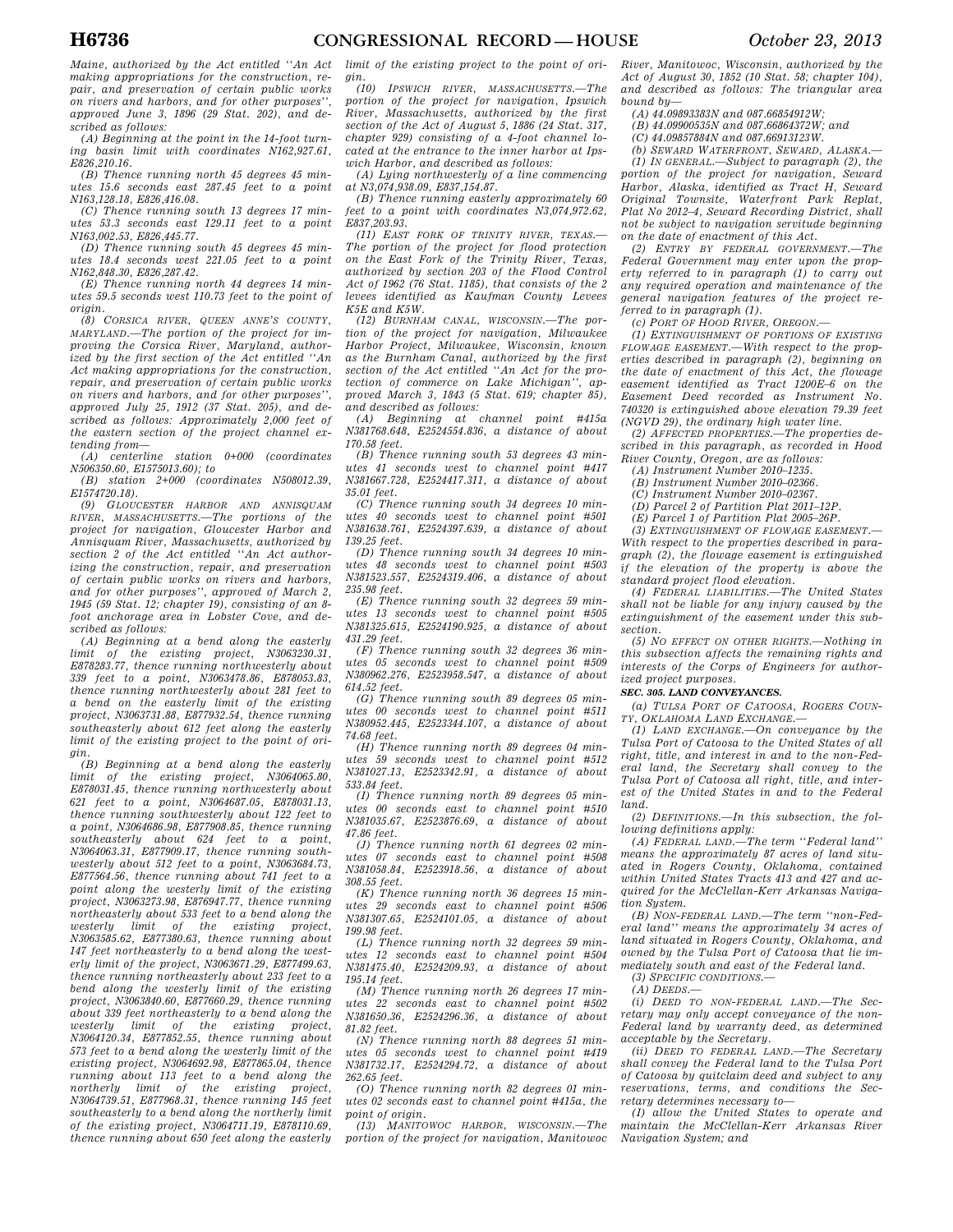*Maine, authorized by the Act entitled ''An Act making appropriations for the construction, repair, and preservation of certain public works on rivers and harbors, and for other purposes'', approved June 3, 1896 (29 Stat. 202), and described as follows:* 

*(A) Beginning at the point in the 14-foot turning basin limit with coordinates N162,927.61, E826,210.16.* 

*(B) Thence running north 45 degrees 45 minutes 15.6 seconds east 287.45 feet to a point N163,128.18, E826,416.08.* 

*(C) Thence running south 13 degrees 17 minutes 53.3 seconds east 129.11 feet to a point N163,002.53, E826,445.77.* 

*(D) Thence running south 45 degrees 45 minutes 18.4 seconds west 221.05 feet to a point N162,848.30, E826,287.42.* 

*(E) Thence running north 44 degrees 14 minutes 59.5 seconds west 110.73 feet to the point of origin.* 

*(8) CORSICA RIVER, QUEEN ANNE'S COUNTY, MARYLAND.—The portion of the project for improving the Corsica River, Maryland, authorized by the first section of the Act entitled ''An Act making appropriations for the construction, repair, and preservation of certain public works on rivers and harbors, and for other purposes'', approved July 25, 1912 (37 Stat. 205), and described as follows: Approximately 2,000 feet of the eastern section of the project channel ex-*

*tending from— (A) centerline station 0+000 (coordinates N506350.60, E1575013.60); to* 

*(B) station 2+000 (coordinates N508012.39, E1574720.18).* 

*(9) GLOUCESTER HARBOR AND ANNISQUAM RIVER, MASSACHUSETTS.—The portions of the project for navigation, Gloucester Harbor and Annisquam River, Massachusetts, authorized by section 2 of the Act entitled ''An Act authorizing the construction, repair, and preservation of certain public works on rivers and harbors, and for other purposes'', approved of March 2, 1945 (59 Stat. 12; chapter 19), consisting of an 8 foot anchorage area in Lobster Cove, and described as follows:* 

*(A) Beginning at a bend along the easterly limit of the existing project, N3063230.31, E878283.77, thence running northwesterly about 339 feet to a point, N3063478.86, E878053.83, thence running northwesterly about 281 feet to a bend on the easterly limit of the existing project, N3063731.88, E877932.54, thence running southeasterly about 612 feet along the easterly limit of the existing project to the point of origin.* 

*(B) Beginning at a bend along the easterly limit of the existing project, N3064065.80, E878031.45, thence running northwesterly about 621 feet to a point, N3064687.05, E878031.13, thence running southwesterly about 122 feet to a point, N3064686.98, E877908.85, thence running southeasterly about 624 feet to a point, N3064063.31, E877909.17, thence running southwesterly about 512 feet to a point, N3063684.73, E877564.56, thence running about 741 feet to a point along the westerly limit of the existing project, N3063273.98, E876947.77, thence running northeasterly about 533 feet to a bend along the westerly limit of the existing project, N3063585.62, E877380.63, thence running about 147 feet northeasterly to a bend along the westerly limit of the project, N3063671.29, E877499.63, thence running northeasterly about 233 feet to a bend along the westerly limit of the existing project, N3063840.60, E877660.29, thence running about 339 feet northeasterly to a bend along the westerly limit of the existing project, N3064120.34, E877852.55, thence running about 573 feet to a bend along the westerly limit of the existing project, N3064692.98, E877865.04, thence running about 113 feet to a bend along the northerly limit of the existing project, N3064739.51, E877968.31, thence running 145 feet southeasterly to a bend along the northerly limit of the existing project, N3064711.19, E878110.69, thence running about 650 feet along the easterly* 

*limit of the existing project to the point of origin.* 

*(10) IPSWICH RIVER, MASSACHUSETTS.—The portion of the project for navigation, Ipswich River, Massachusetts, authorized by the first section of the Act of August 5, 1886 (24 Stat. 317, chapter 929) consisting of a 4-foot channel located at the entrance to the inner harbor at Ipswich Harbor, and described as follows:* 

*(A) Lying northwesterly of a line commencing at N3,074,938.09, E837,154.87.* 

*(B) Thence running easterly approximately 60 feet to a point with coordinates N3,074,972.62, E837,203.93.* 

*(11) EAST FORK OF TRINITY RIVER, TEXAS.— The portion of the project for flood protection on the East Fork of the Trinity River, Texas, authorized by section 203 of the Flood Control Act of 1962 (76 Stat. 1185), that consists of the 2 levees identified as Kaufman County Levees K5E and K5W.* 

*(12) BURNHAM CANAL, WISCONSIN.—The portion of the project for navigation, Milwaukee Harbor Project, Milwaukee, Wisconsin, known as the Burnham Canal, authorized by the first section of the Act entitled ''An Act for the protection of commerce on Lake Michigan'', approved March 3, 1843 (5 Stat. 619; chapter 85),* 

*and described as follows: (A) Beginning at channel point #415a N381768.648, E2524554.836, a distance of about 170.58 feet.* 

*(B) Thence running south 53 degrees 43 minutes 41 seconds west to channel point #417 N381667.728, E2524417.311, a distance of about 35.01 feet.* 

*(C) Thence running south 34 degrees 10 minutes 40 seconds west to channel point #501 N381638.761, E2524397.639, a distance of about 139.25 feet.* 

*(D) Thence running south 34 degrees 10 minutes 48 seconds west to channel point #503 N381523.557, E2524319.406, a distance of about 235.98 feet.* 

*(E) Thence running south 32 degrees 59 minutes 13 seconds west to channel point #505 N381325.615, E2524190.925, a distance of about 431.29 feet.* 

*(F) Thence running south 32 degrees 36 minutes 05 seconds west to channel point #509 N380962.276, E2523958.547, a distance of about 614.52 feet.* 

*(G) Thence running south 89 degrees 05 minutes 00 seconds west to channel point #511 N380952.445, E2523344.107, a distance of about 74.68 feet.* 

*(H) Thence running north 89 degrees 04 minutes 59 seconds west to channel point #512 N381027.13, E2523342.91, a distance of about 533.84 feet.* 

*(I) Thence running north 89 degrees 05 minutes 00 seconds east to channel point #510 N381035.67, E2523876.69, a distance of about 47.86 feet.* 

*(J) Thence running north 61 degrees 02 minutes 07 seconds east to channel point #508 N381058.84, E2523918.56, a distance of about 308.55 feet.* 

*(K) Thence running north 36 degrees 15 minutes 29 seconds east to channel point #506 N381307.65, E2524101.05, a distance of about 199.98 feet.* 

*(L) Thence running north 32 degrees 59 minutes 12 seconds east to channel point #504 N381475.40, E2524209.93, a distance of about 195.14 feet.* 

*(M) Thence running north 26 degrees 17 minutes 22 seconds east to channel point #502 N381650.36, E2524296.36, a distance of about 81.82 feet.* 

*(N) Thence running north 88 degrees 51 minutes 05 seconds west to channel point #419 N381732.17, E2524294.72, a distance of about 262.65 feet.* 

*(O) Thence running north 82 degrees 01 minutes 02 seconds east to channel point #415a, the point of origin.* 

*(13) MANITOWOC HARBOR, WISCONSIN.—The portion of the project for navigation, Manitowoc*  *River, Manitowoc, Wisconsin, authorized by the Act of August 30, 1852 (10 Stat. 58; chapter 104), and described as follows: The triangular area bound by—* 

*(A) 44.09893383N and 087.66854912W;* 

*(B) 44.09900535N and 087.66864372W; and (C) 44.09857884N and 087.66913123W.* 

*(b) SEWARD WATERFRONT, SEWARD, ALASKA.—* 

*(1) IN GENERAL.—Subject to paragraph (2), the portion of the project for navigation, Seward Harbor, Alaska, identified as Tract H, Seward Original Townsite, Waterfront Park Replat, Plat No 2012–4, Seward Recording District, shall not be subject to navigation servitude beginning on the date of enactment of this Act.* 

*(2) ENTRY BY FEDERAL GOVERNMENT.—The Federal Government may enter upon the property referred to in paragraph (1) to carry out any required operation and maintenance of the general navigation features of the project referred to in paragraph (1).* 

*(c) PORT OF HOOD RIVER, OREGON.—* 

*(1) EXTINGUISHMENT OF PORTIONS OF EXISTING FLOWAGE EASEMENT.—With respect to the properties described in paragraph (2), beginning on the date of enactment of this Act, the flowage easement identified as Tract 1200E–6 on the Easement Deed recorded as Instrument No. 740320 is extinguished above elevation 79.39 feet (NGVD 29), the ordinary high water line.* 

*(2) AFFECTED PROPERTIES.—The properties described in this paragraph, as recorded in Hood River County, Oregon, are as follows:* 

*(A) Instrument Number 2010–1235.* 

*(B) Instrument Number 2010–02366.* 

*(C) Instrument Number 2010–02367.* 

*(D) Parcel 2 of Partition Plat 2011–12P.* 

*(E) Parcel 1 of Partition Plat 2005–26P.* 

*(3) EXTINGUISHMENT OF FLOWAGE EASEMENT.—* 

*With respect to the properties described in paragraph (2), the flowage easement is extinguished if the elevation of the property is above the standard project flood elevation.* 

*(4) FEDERAL LIABILITIES.—The United States shall not be liable for any injury caused by the extinguishment of the easement under this subsection.* 

*(5) NO EFFECT ON OTHER RIGHTS.—Nothing in this subsection affects the remaining rights and interests of the Corps of Engineers for authorized project purposes.* 

*SEC. 305. LAND CONVEYANCES.* 

*(a) TULSA PORT OF CATOOSA, ROGERS COUN-TY, OKLAHOMA LAND EXCHANGE.—* 

*(1) LAND EXCHANGE.—On conveyance by the Tulsa Port of Catoosa to the United States of all right, title, and interest in and to the non-Federal land, the Secretary shall convey to the Tulsa Port of Catoosa all right, title, and interest of the United States in and to the Federal land.* 

*(2) DEFINITIONS.—In this subsection, the following definitions apply:* 

*(A) FEDERAL LAND.—The term ''Federal land'' means the approximately 87 acres of land situated in Rogers County, Oklahoma, contained within United States Tracts 413 and 427 and acquired for the McClellan-Kerr Arkansas Navigation System.* 

*(B) NON-FEDERAL LAND.—The term ''non-Federal land'' means the approximately 34 acres of land situated in Rogers County, Oklahoma, and owned by the Tulsa Port of Catoosa that lie immediately south and east of the Federal land.* 

*(3) SPECIFIC CONDITIONS.—* 

*(A) DEEDS.—* 

*(i) DEED TO NON-FEDERAL LAND.—The Secretary may only accept conveyance of the non-Federal land by warranty deed, as determined acceptable by the Secretary.* 

*(ii) DEED TO FEDERAL LAND.—The Secretary shall convey the Federal land to the Tulsa Port of Catoosa by quitclaim deed and subject to any reservations, terms, and conditions the Secretary determines necessary to—* 

*(I) allow the United States to operate and maintain the McClellan-Kerr Arkansas River Navigation System; and*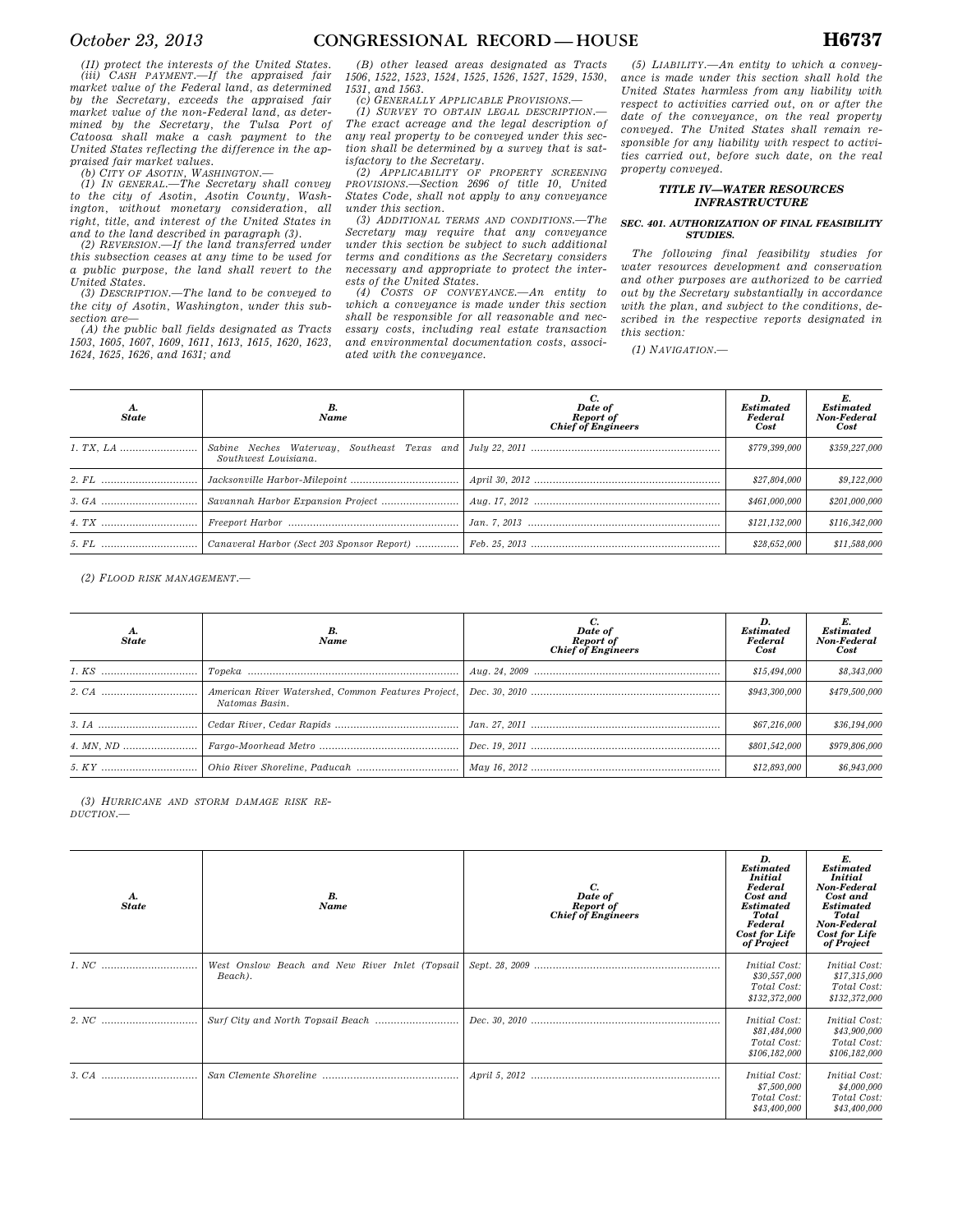*(II) protect the interests of the United States. (iii) CASH PAYMENT.—If the appraised fair market value of the Federal land, as determined by the Secretary, exceeds the appraised fair market value of the non-Federal land, as determined by the Secretary, the Tulsa Port of Catoosa shall make a cash payment to the United States reflecting the difference in the appraised fair market values.* 

*(b) CITY OF ASOTIN, WASHINGTON.— (1) IN GENERAL.—The Secretary shall convey to the city of Asotin, Asotin County, Washington, without monetary consideration, all right, title, and interest of the United States in and to the land described in paragraph (3).* 

*(2) REVERSION.—If the land transferred under this subsection ceases at any time to be used for a public purpose, the land shall revert to the United States.* 

*(3) DESCRIPTION.—The land to be conveyed to the city of Asotin, Washington, under this subsection are—* 

*(A) the public ball fields designated as Tracts 1503, 1605, 1607, 1609, 1611, 1613, 1615, 1620, 1623, 1624, 1625, 1626, and 1631; and* 

*(B) other leased areas designated as Tracts 1506, 1522, 1523, 1524, 1525, 1526, 1527, 1529, 1530, 1531, and 1563.* 

*(c) GENERALLY APPLICABLE PROVISIONS.—* 

*(1) SURVEY TO OBTAIN LEGAL DESCRIPTION.— The exact acreage and the legal description of any real property to be conveyed under this section shall be determined by a survey that is sat-*

*isfactory to the Secretary. (2) APPLICABILITY OF PROPERTY SCREENING PROVISIONS.—Section 2696 of title 10, United States Code, shall not apply to any conveyance under this section.* 

*(3) ADDITIONAL TERMS AND CONDITIONS.—The Secretary may require that any conveyance under this section be subject to such additional terms and conditions as the Secretary considers necessary and appropriate to protect the inter-*

*ests of the United States. (4) COSTS OF CONVEYANCE.—An entity to which a conveyance is made under this section shall be responsible for all reasonable and necessary costs, including real estate transaction and environmental documentation costs, associated with the conveyance.* 

*(5) LIABILITY.—An entity to which a conveyance is made under this section shall hold the United States harmless from any liability with respect to activities carried out, on or after the date of the conveyance, on the real property conveyed. The United States shall remain responsible for any liability with respect to activities carried out, before such date, on the real property conveyed.* 

# *TITLE IV—WATER RESOURCES INFRASTRUCTURE*

### *SEC. 401. AUTHORIZATION OF FINAL FEASIBILITY STUDIES.*

*The following final feasibility studies for water resources development and conservation and other purposes are authorized to be carried out by the Secretary substantially in accordance with the plan, and subject to the conditions, described in the respective reports designated in this section:* 

*(1) NAVIGATION.—* 

| A.<br><b>State</b> | Name                                                                | Date of<br><b>Report of</b><br>Chief of Engineers | <b>Estimated</b><br>Federal<br>Cost | E.<br><b>Estimated</b><br>Non-Federal<br>Cost |
|--------------------|---------------------------------------------------------------------|---------------------------------------------------|-------------------------------------|-----------------------------------------------|
|                    | Sabine Neches Waterway, Southeast Texas and<br>Southwest Louisiana. |                                                   | \$779,399,000                       | \$359,227,000                                 |
|                    |                                                                     |                                                   | \$27,804,000                        | \$9,122,000                                   |
|                    |                                                                     |                                                   | \$461,000,000                       | \$201,000,000                                 |
|                    |                                                                     |                                                   | \$121,132,000                       | \$116,342,000                                 |
|                    | Canaveral Harbor (Sect 203 Sponsor Report)                          |                                                   | \$28,652,000                        | \$11,588,000                                  |

*(2) FLOOD RISK MANAGEMENT.—* 

| <b>State</b> | Name                                                                 | Date of<br><b>Report of</b><br>Chief of Engineers | <b>Estimated</b><br>Federal<br>Cost | <b>Estimated</b><br>Non-Federal<br>Cost |
|--------------|----------------------------------------------------------------------|---------------------------------------------------|-------------------------------------|-----------------------------------------|
|              |                                                                      |                                                   | \$15,494,000                        | \$8,343,000                             |
|              | American River Watershed, Common Features Project,<br>Natomas Basin. |                                                   | \$943,300,000                       | \$479,500,000                           |
|              |                                                                      |                                                   | \$67,216,000                        | \$36,194,000                            |
|              |                                                                      |                                                   | \$801,542,000                       | \$979,806,000                           |
|              |                                                                      |                                                   | \$12,893,000                        | \$6,943,000                             |

*(3) HURRICANE AND STORM DAMAGE RISK RE-DUCTION.—* 

| А.<br><b>State</b> | В.<br>Name                                                | C.<br>Date of<br>Report of<br>Chief of Engineers | D.<br><b>Estimated</b><br><b>Initial</b><br>Federal<br>Cost and<br><b>Estimated</b><br>Total<br>Federal<br><b>Cost for Life</b><br>of Project | E.<br><b>Estimated</b><br><b>Initial</b><br>Non-Federal<br>Cost and<br><b>Estimated</b><br>Total<br>Non-Federal<br><b>Cost for Life</b><br>of Project |
|--------------------|-----------------------------------------------------------|--------------------------------------------------|-----------------------------------------------------------------------------------------------------------------------------------------------|-------------------------------------------------------------------------------------------------------------------------------------------------------|
|                    | West Onslow Beach and New River Inlet (Topsail<br>Beach). |                                                  | <i>Initial Cost:</i><br>\$30,557,000<br>Total Cost:<br>\$132,372,000                                                                          | Initial Cost:<br>\$17,315,000<br>Total Cost:<br>\$132,372,000                                                                                         |
|                    |                                                           |                                                  | Initial Cost:<br>\$81,484,000<br>Total Cost:<br>\$106,182,000                                                                                 | Initial Cost:<br>\$43,900,000<br>Total Cost:<br>\$106,182,000                                                                                         |
|                    |                                                           |                                                  | <i>Initial Cost:</i><br>\$7,500,000<br>Total Cost:<br>\$43,400,000                                                                            | Initial Cost:<br>\$4,000,000<br>Total Cost:<br>\$43,400,000                                                                                           |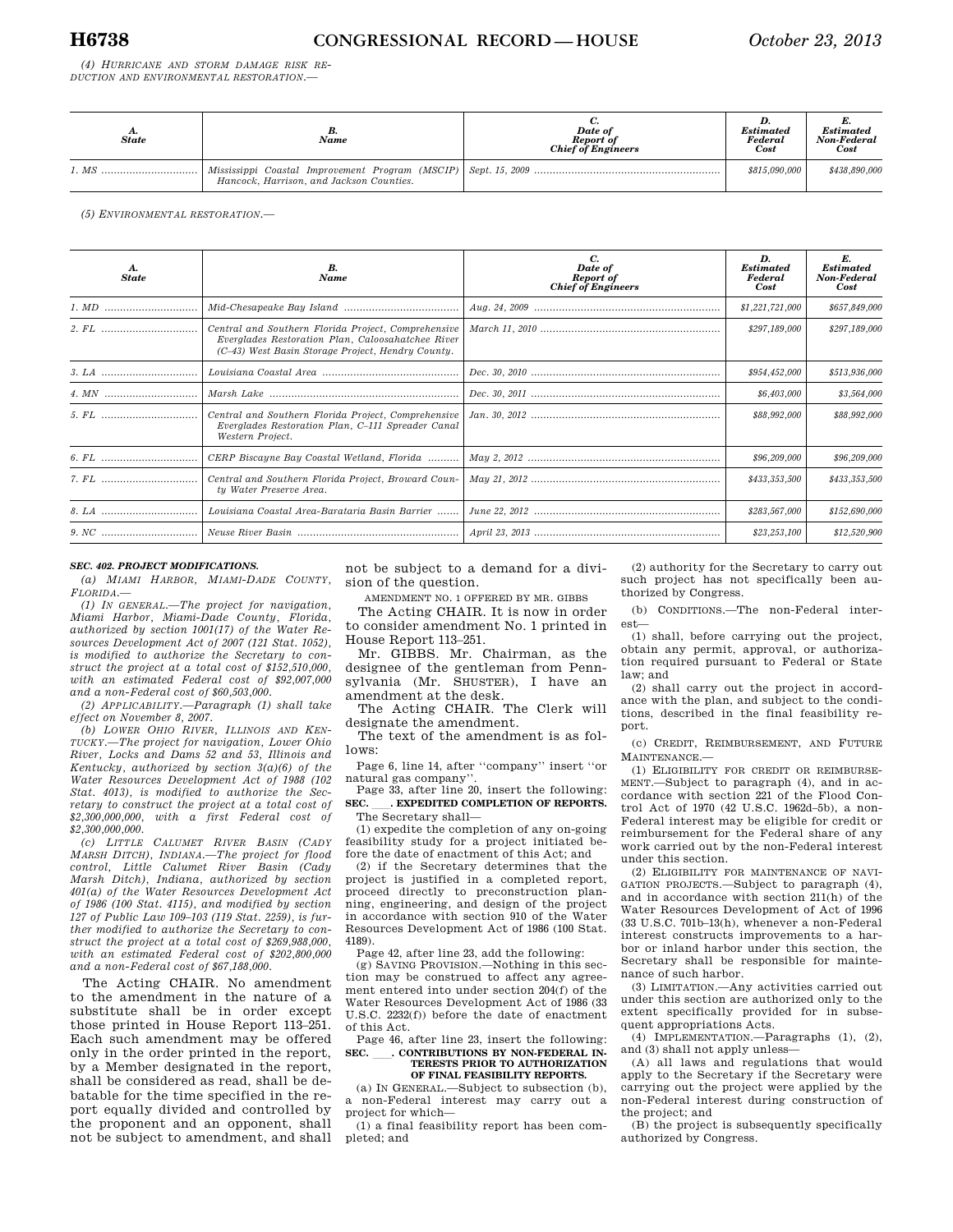*(4) HURRICANE AND STORM DAMAGE RISK RE-DUCTION AND ENVIRONMENTAL RESTORATION.—* 

| <b>State</b> | в.<br>Name                               | Date of<br>Report of<br><b>Chief of Engineers</b> | <b>Estimated</b><br>Federal<br>Cost | <b>Estimated</b><br>Non-Federal<br>Cost |
|--------------|------------------------------------------|---------------------------------------------------|-------------------------------------|-----------------------------------------|
|              | Hancock, Harrison, and Jackson Counties. |                                                   | \$815,090,000                       | \$438,890,000                           |

*(5) ENVIRONMENTAL RESTORATION.—* 

| <b>State</b> | B.<br><b>Name</b>                                                                                                                                             | C.<br>Date of<br><b>Report of</b><br>Chief of Engineers | D.<br><b>Estimated</b><br>Federal<br>Cost | E.<br><b>Estimated</b><br>Non-Federal<br>Cost |
|--------------|---------------------------------------------------------------------------------------------------------------------------------------------------------------|---------------------------------------------------------|-------------------------------------------|-----------------------------------------------|
|              |                                                                                                                                                               |                                                         | \$1,221,721,000                           | \$657,849,000                                 |
|              | Central and Southern Florida Project, Comprehensive<br>Everglades Restoration Plan, Caloosahatchee River<br>(C-43) West Basin Storage Project, Hendry County. |                                                         | \$297,189,000                             | \$297,189,000                                 |
|              |                                                                                                                                                               |                                                         | \$954,452,000                             | \$513,936,000                                 |
|              |                                                                                                                                                               |                                                         | \$6,403,000                               | \$3,564,000                                   |
|              | Central and Southern Florida Project, Comprehensive<br>Everglades Restoration Plan, C-111 Spreader Canal<br>Western Project.                                  |                                                         | \$88,992,000                              | \$88,992,000                                  |
|              | CERP Biscayne Bay Coastal Wetland, Florida                                                                                                                    |                                                         | \$96,209,000                              | \$96,209,000                                  |
|              | Central and Southern Florida Project, Broward Coun-<br>ty Water Preserve Area.                                                                                |                                                         | \$433,353,500                             | \$433,353,500                                 |
|              | Louisiana Coastal Area-Barataria Basin Barrier                                                                                                                |                                                         | \$283,567,000                             | \$152,690,000                                 |
|              |                                                                                                                                                               |                                                         | \$23,253,100                              | \$12,520,900                                  |

# *SEC. 402. PROJECT MODIFICATIONS.*

*(a) MIAMI HARBOR, MIAMI-DADE COUNTY, FLORIDA.—* 

*(1) IN GENERAL.—The project for navigation, Miami Harbor, Miami-Dade County, Florida, authorized by section 1001(17) of the Water Resources Development Act of 2007 (121 Stat. 1052), is modified to authorize the Secretary to construct the project at a total cost of \$152,510,000, with an estimated Federal cost of \$92,007,000 and a non-Federal cost of \$60,503,000.* 

*(2) APPLICABILITY.—Paragraph (1) shall take effect on November 8, 2007.* 

*(b) LOWER OHIO RIVER, ILLINOIS AND KEN-TUCKY.—The project for navigation, Lower Ohio River, Locks and Dams 52 and 53, Illinois and Kentucky, authorized by section 3(a)(6) of the Water Resources Development Act of 1988 (102 Stat. 4013), is modified to authorize the Secretary to construct the project at a total cost of \$2,300,000,000, with a first Federal cost of \$2,300,000,000.* 

*(c) LITTLE CALUMET RIVER BASIN (CADY MARSH DITCH), INDIANA.—The project for flood control, Little Calumet River Basin (Cady Marsh Ditch), Indiana, authorized by section 401(a) of the Water Resources Development Act of 1986 (100 Stat. 4115), and modified by section 127 of Public Law 109–103 (119 Stat. 2259), is further modified to authorize the Secretary to construct the project at a total cost of \$269,988,000, with an estimated Federal cost of \$202,800,000 and a non-Federal cost of \$67,188,000.* 

The Acting CHAIR. No amendment to the amendment in the nature of a substitute shall be in order except those printed in House Report 113–251. Each such amendment may be offered only in the order printed in the report, by a Member designated in the report, shall be considered as read, shall be debatable for the time specified in the report equally divided and controlled by the proponent and an opponent, shall not be subject to amendment, and shall

not be subject to a demand for a division of the question.

AMENDMENT NO. 1 OFFERED BY MR. GIBBS

The Acting CHAIR. It is now in order to consider amendment No. 1 printed in House Report 113–251.

Mr. GIBBS. Mr. Chairman, as the designee of the gentleman from Pennsylvania (Mr. SHUSTER), I have an amendment at the desk.

The Acting CHAIR. The Clerk will designate the amendment.

The text of the amendment is as follows:

Page 6, line 14, after ''company'' insert ''or natural gas company''.

Page 33, after line 20, insert the following: **SEC.** ll**. EXPEDITED COMPLETION OF REPORTS.**  The Secretary shall-

(1) expedite the completion of any on-going feasibility study for a project initiated before the date of enactment of this Act; and

(2) if the Secretary determines that the project is justified in a completed report, proceed directly to preconstruction planning, engineering, and design of the project in accordance with section 910 of the Water Resources Development Act of 1986 (100 Stat. 4189).

Page 42, after line 23, add the following:

(g) SAVING PROVISION.—Nothing in this section may be construed to affect any agreement entered into under section 204(f) of the Water Resources Development Act of 1986 (33 U.S.C. 2232(f)) before the date of enactment of this Act.

Page 46, after line 23, insert the following:<br>EC. CONTRIBUTIONS BY NON-FEDERAL IN-**SEC.** ll**. CONTRIBUTIONS BY NON-FEDERAL IN-TERESTS PRIOR TO AUTHORIZATION OF FINAL FEASIBILITY REPORTS.** 

(a) IN GENERAL.—Subject to subsection (b),

a non-Federal interest may carry out a project for which—

(1) a final feasibility report has been completed; and

(2) authority for the Secretary to carry out such project has not specifically been authorized by Congress.

(b) CONDITIONS.—The non-Federal interest—

(1) shall, before carrying out the project, obtain any permit, approval, or authorization required pursuant to Federal or State law; and

(2) shall carry out the project in accordance with the plan, and subject to the conditions, described in the final feasibility report.

(c) CREDIT, REIMBURSEMENT, AND FUTURE MAINTENANCE.—

(1) ELIGIBILITY FOR CREDIT OR REIMBURSE-MENT.—Subject to paragraph (4), and in accordance with section 221 of the Flood Control Act of 1970 (42 U.S.C. 1962d–5b), a non-Federal interest may be eligible for credit or reimbursement for the Federal share of any work carried out by the non-Federal interest under this section.

(2) ELIGIBILITY FOR MAINTENANCE OF NAVI-GATION PROJECTS.—Subject to paragraph (4), and in accordance with section 211(h) of the Water Resources Development of Act of 1996 (33 U.S.C. 701b–13(h), whenever a non-Federal interest constructs improvements to a harbor or inland harbor under this section, the Secretary shall be responsible for maintenance of such harbor.

(3) LIMITATION.—Any activities carried out under this section are authorized only to the extent specifically provided for in subsequent appropriations Acts.

(4) IMPLEMENTATION.—Paragraphs (1), (2), and (3) shall not apply unless-

(A) all laws and regulations that would apply to the Secretary if the Secretary were carrying out the project were applied by the non-Federal interest during construction of the project; and

(B) the project is subsequently specifically authorized by Congress.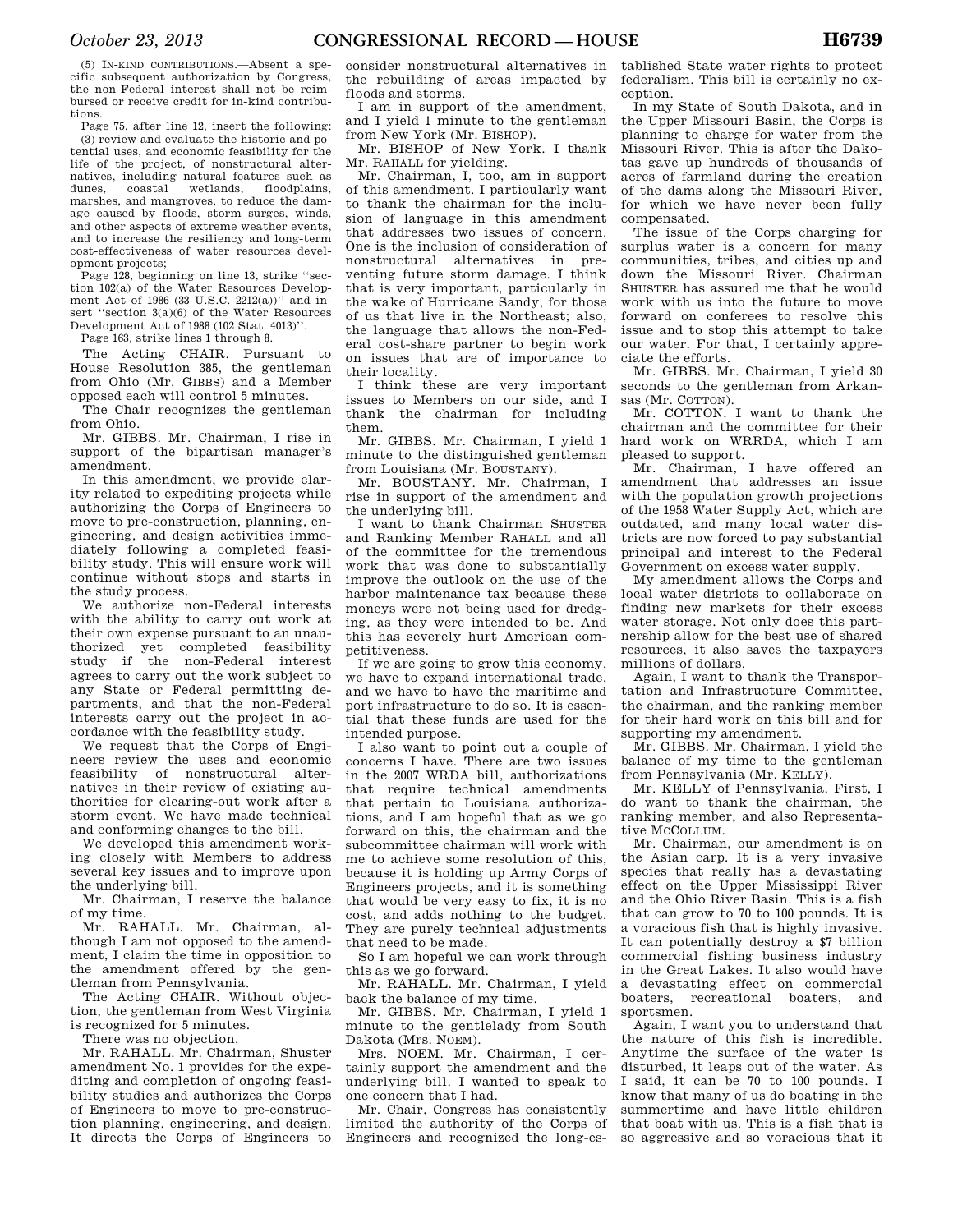(5) IN-KIND CONTRIBUTIONS.—Absent a specific subsequent authorization by Congress, the non-Federal interest shall not be reimbursed or receive credit for in-kind contributions.

Page 75, after line 12, insert the following: (3) review and evaluate the historic and potential uses, and economic feasibility for the life of the project, of nonstructural alternatives, including natural features such as<br>dunes. coastal wetlands. floodplains. wetlands, marshes, and mangroves, to reduce the damage caused by floods, storm surges, winds, and other aspects of extreme weather events, and to increase the resiliency and long-term cost-effectiveness of water resources development projects;

Page 128, beginning on line 13, strike ''section 102(a) of the Water Resources Development Act of 1986 (33 U.S.C. 2212(a))" and insert ''section 3(a)(6) of the Water Resources Development Act of 1988 (102 Stat. 4013)''.

Page 163, strike lines 1 through 8.

The Acting CHAIR. Pursuant to House Resolution 385, the gentleman from Ohio (Mr. GIBBS) and a Member opposed each will control 5 minutes.

The Chair recognizes the gentleman from Ohio.

Mr. GIBBS. Mr. Chairman, I rise in support of the bipartisan manager's amendment.

In this amendment, we provide clarity related to expediting projects while authorizing the Corps of Engineers to move to pre-construction, planning, engineering, and design activities immediately following a completed feasibility study. This will ensure work will continue without stops and starts in the study process.

We authorize non-Federal interests with the ability to carry out work at their own expense pursuant to an unauthorized yet completed feasibility study if the non-Federal interest agrees to carry out the work subject to any State or Federal permitting departments, and that the non-Federal interests carry out the project in accordance with the feasibility study.

We request that the Corps of Engineers review the uses and economic feasibility of nonstructural alternatives in their review of existing authorities for clearing-out work after a storm event. We have made technical and conforming changes to the bill.

We developed this amendment working closely with Members to address several key issues and to improve upon the underlying bill.

Mr. Chairman, I reserve the balance of my time.

Mr. RAHALL. Mr. Chairman, although I am not opposed to the amendment, I claim the time in opposition to the amendment offered by the gentleman from Pennsylvania.

The Acting CHAIR. Without objection, the gentleman from West Virginia is recognized for 5 minutes.

There was no objection.

Mr. RAHALL. Mr. Chairman, Shuster amendment No. 1 provides for the expediting and completion of ongoing feasibility studies and authorizes the Corps of Engineers to move to pre-construction planning, engineering, and design. It directs the Corps of Engineers to consider nonstructural alternatives in the rebuilding of areas impacted by floods and storms.

I am in support of the amendment, and I yield 1 minute to the gentleman from New York (Mr. BISHOP).

Mr. BISHOP of New York. I thank Mr. RAHALL for yielding.

Mr. Chairman, I, too, am in support of this amendment. I particularly want to thank the chairman for the inclusion of language in this amendment that addresses two issues of concern. One is the inclusion of consideration of nonstructural alternatives in preventing future storm damage. I think that is very important, particularly in the wake of Hurricane Sandy, for those of us that live in the Northeast; also, the language that allows the non-Federal cost-share partner to begin work on issues that are of importance to their locality.

I think these are very important issues to Members on our side, and I thank the chairman for including them.

Mr. GIBBS. Mr. Chairman, I yield 1 minute to the distinguished gentleman from Louisiana (Mr. BOUSTANY).

Mr. BOUSTANY. Mr. Chairman, I rise in support of the amendment and the underlying bill.

I want to thank Chairman SHUSTER and Ranking Member RAHALL and all of the committee for the tremendous work that was done to substantially improve the outlook on the use of the harbor maintenance tax because these moneys were not being used for dredging, as they were intended to be. And this has severely hurt American competitiveness.

If we are going to grow this economy, we have to expand international trade, and we have to have the maritime and port infrastructure to do so. It is essential that these funds are used for the intended purpose.

I also want to point out a couple of concerns I have. There are two issues in the 2007 WRDA bill, authorizations that require technical amendments that pertain to Louisiana authorizations, and I am hopeful that as we go forward on this, the chairman and the subcommittee chairman will work with me to achieve some resolution of this, because it is holding up Army Corps of Engineers projects, and it is something that would be very easy to fix, it is no cost, and adds nothing to the budget. They are purely technical adjustments that need to be made.

So I am hopeful we can work through this as we go forward.

Mr. RAHALL. Mr. Chairman, I yield back the balance of my time.

Mr. GIBBS. Mr. Chairman, I yield 1 minute to the gentlelady from South Dakota (Mrs. NOEM).

Mrs. NOEM. Mr. Chairman, I certainly support the amendment and the underlying bill. I wanted to speak to one concern that I had.

Mr. Chair, Congress has consistently limited the authority of the Corps of Engineers and recognized the long-established State water rights to protect federalism. This bill is certainly no exception.

In my State of South Dakota, and in the Upper Missouri Basin, the Corps is planning to charge for water from the Missouri River. This is after the Dakotas gave up hundreds of thousands of acres of farmland during the creation of the dams along the Missouri River, for which we have never been fully compensated.

The issue of the Corps charging for surplus water is a concern for many communities, tribes, and cities up and down the Missouri River. Chairman SHUSTER has assured me that he would work with us into the future to move forward on conferees to resolve this issue and to stop this attempt to take our water. For that, I certainly appreciate the efforts.

Mr. GIBBS. Mr. Chairman, I yield 30 seconds to the gentleman from Arkansas (Mr. COTTON).

Mr. COTTON. I want to thank the chairman and the committee for their hard work on WRRDA, which I am pleased to support.

Mr. Chairman, I have offered an amendment that addresses an issue with the population growth projections of the 1958 Water Supply Act, which are outdated, and many local water districts are now forced to pay substantial principal and interest to the Federal Government on excess water supply.

My amendment allows the Corps and local water districts to collaborate on finding new markets for their excess water storage. Not only does this partnership allow for the best use of shared resources, it also saves the taxpayers millions of dollars.

Again, I want to thank the Transportation and Infrastructure Committee, the chairman, and the ranking member for their hard work on this bill and for supporting my amendment.

Mr. GIBBS. Mr. Chairman, I yield the balance of my time to the gentleman from Pennsylvania (Mr. KELLY).

Mr. KELLY of Pennsylvania. First, I do want to thank the chairman, the ranking member, and also Representative MCCOLLUM.

Mr. Chairman, our amendment is on the Asian carp. It is a very invasive species that really has a devastating effect on the Upper Mississippi River and the Ohio River Basin. This is a fish that can grow to 70 to 100 pounds. It is a voracious fish that is highly invasive. It can potentially destroy a \$7 billion commercial fishing business industry in the Great Lakes. It also would have a devastating effect on commercial boaters, recreational boaters, and sportsmen.

Again, I want you to understand that the nature of this fish is incredible. Anytime the surface of the water is disturbed, it leaps out of the water. As I said, it can be 70 to 100 pounds. I know that many of us do boating in the summertime and have little children that boat with us. This is a fish that is so aggressive and so voracious that it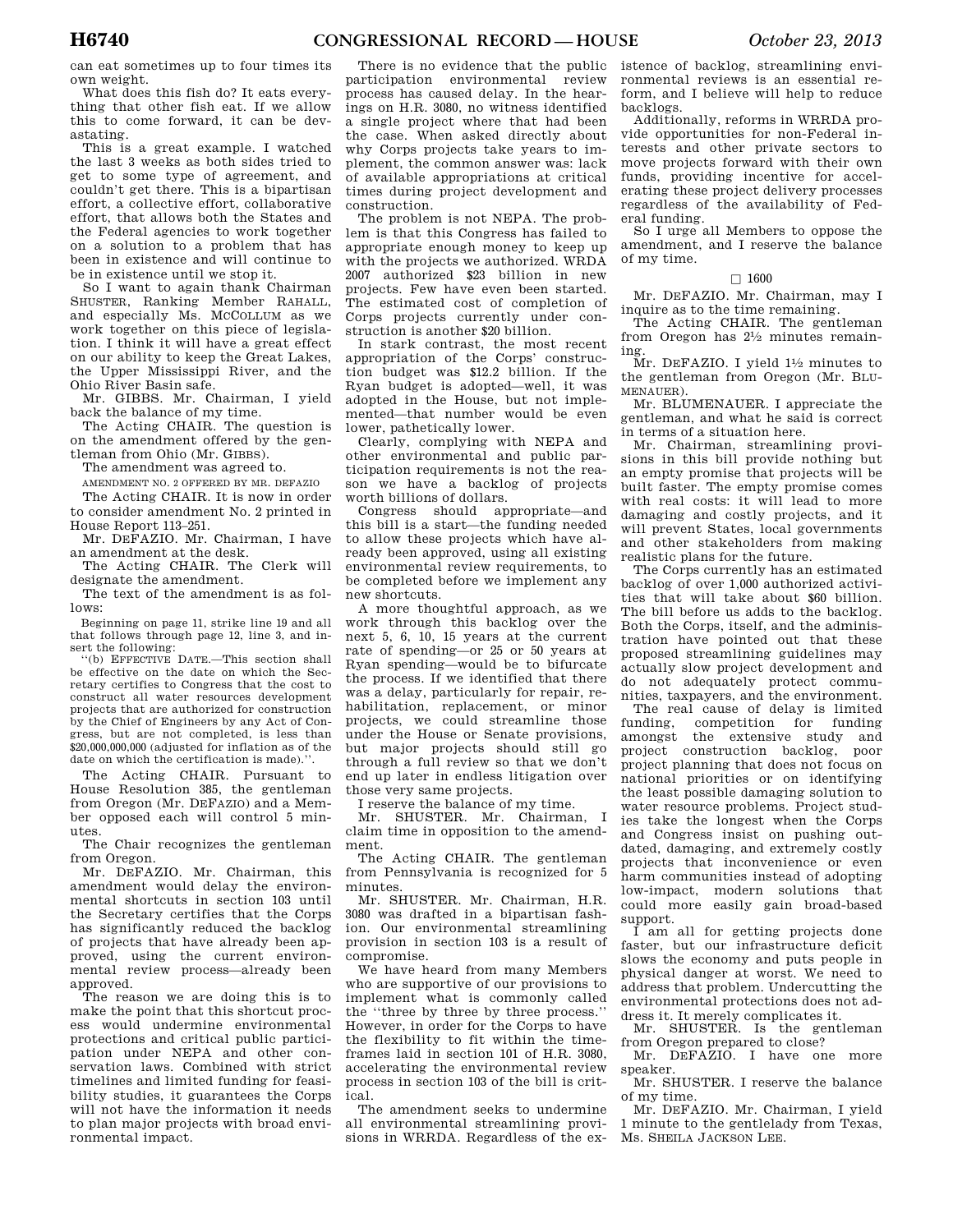can eat sometimes up to four times its own weight.

What does this fish do? It eats everything that other fish eat. If we allow this to come forward, it can be devastating.

This is a great example. I watched the last 3 weeks as both sides tried to get to some type of agreement, and couldn't get there. This is a bipartisan effort, a collective effort, collaborative effort, that allows both the States and the Federal agencies to work together on a solution to a problem that has been in existence and will continue to be in existence until we stop it.

So I want to again thank Chairman SHUSTER, Ranking Member RAHALL, and especially Ms. MCCOLLUM as we work together on this piece of legislation. I think it will have a great effect on our ability to keep the Great Lakes, the Upper Mississippi River, and the Ohio River Basin safe.

Mr. GIBBS. Mr. Chairman, I yield back the balance of my time.

The Acting CHAIR. The question is on the amendment offered by the gentleman from Ohio (Mr. GIBBS).

The amendment was agreed to.

AMENDMENT NO. 2 OFFERED BY MR. DEFAZIO The Acting CHAIR. It is now in order

to consider amendment No. 2 printed in House Report 113–251.

Mr. DEFAZIO. Mr. Chairman, I have an amendment at the desk.

The Acting CHAIR. The Clerk will designate the amendment.

The text of the amendment is as follows:

Beginning on page 11, strike line 19 and all that follows through page 12, line 3, and insert the following:

''(b) EFFECTIVE DATE.—This section shall be effective on the date on which the Secretary certifies to Congress that the cost to construct all water resources development projects that are authorized for construction by the Chief of Engineers by any Act of Congress, but are not completed, is less than \$20,000,000,000 (adjusted for inflation as of the date on which the certification is made).''.

The Acting CHAIR. Pursuant to House Resolution 385, the gentleman from Oregon (Mr. DEFAZIO) and a Member opposed each will control 5 minutes.

The Chair recognizes the gentleman from Oregon.

Mr. DEFAZIO. Mr. Chairman, this amendment would delay the environmental shortcuts in section 103 until the Secretary certifies that the Corps has significantly reduced the backlog of projects that have already been approved, using the current environmental review process—already been approved.

The reason we are doing this is to make the point that this shortcut process would undermine environmental protections and critical public participation under NEPA and other conservation laws. Combined with strict timelines and limited funding for feasibility studies, it guarantees the Corps will not have the information it needs to plan major projects with broad environmental impact.

There is no evidence that the public participation environmental review process has caused delay. In the hearings on H.R. 3080, no witness identified a single project where that had been the case. When asked directly about why Corps projects take years to implement, the common answer was: lack of available appropriations at critical times during project development and construction.

The problem is not NEPA. The problem is that this Congress has failed to appropriate enough money to keep up with the projects we authorized. WRDA 2007 authorized \$23 billion in new projects. Few have even been started. The estimated cost of completion of Corps projects currently under construction is another \$20 billion.

In stark contrast, the most recent appropriation of the Corps' construction budget was \$12.2 billion. If the Ryan budget is adopted—well, it was adopted in the House, but not implemented—that number would be even lower, pathetically lower.

Clearly, complying with NEPA and other environmental and public participation requirements is not the reason we have a backlog of projects worth billions of dollars.

Congress should appropriate—and this bill is a start—the funding needed to allow these projects which have already been approved, using all existing environmental review requirements, to be completed before we implement any new shortcuts.

A more thoughtful approach, as we work through this backlog over the next 5, 6, 10, 15 years at the current rate of spending—or 25 or 50 years at Ryan spending—would be to bifurcate the process. If we identified that there was a delay, particularly for repair, rehabilitation, replacement, or minor projects, we could streamline those under the House or Senate provisions, but major projects should still go through a full review so that we don't end up later in endless litigation over those very same projects.

I reserve the balance of my time.

Mr. SHUSTER. Mr. Chairman, I claim time in opposition to the amendment.

The Acting CHAIR. The gentleman from Pennsylvania is recognized for 5 minutes.

Mr. SHUSTER. Mr. Chairman, H.R. 3080 was drafted in a bipartisan fashion. Our environmental streamlining provision in section 103 is a result of compromise.

We have heard from many Members who are supportive of our provisions to implement what is commonly called the ''three by three by three process.'' However, in order for the Corps to have the flexibility to fit within the timeframes laid in section 101 of H.R. 3080, accelerating the environmental review process in section 103 of the bill is critical.

The amendment seeks to undermine all environmental streamlining provisions in WRRDA. Regardless of the ex-

istence of backlog, streamlining environmental reviews is an essential reform, and I believe will help to reduce backlogs.

Additionally, reforms in WRRDA provide opportunities for non-Federal interests and other private sectors to move projects forward with their own funds, providing incentive for accelerating these project delivery processes regardless of the availability of Federal funding.

So I urge all Members to oppose the amendment, and I reserve the balance of my time.

# $\Box$  1600

Mr. DEFAZIO. Mr. Chairman, may I inquire as to the time remaining.

The Acting CHAIR. The gentleman from Oregon has 21⁄2 minutes remaining.

 $\rm \overline{M}$ r. DEFAZIO. I vield 1½ minutes to the gentleman from Oregon (Mr. BLU-MENAUER).

Mr. BLUMENAUER. I appreciate the gentleman, and what he said is correct in terms of a situation here.

Mr. Chairman, streamlining provisions in this bill provide nothing but an empty promise that projects will be built faster. The empty promise comes with real costs: it will lead to more damaging and costly projects, and it will prevent States, local governments and other stakeholders from making realistic plans for the future.

The Corps currently has an estimated backlog of over 1,000 authorized activities that will take about \$60 billion. The bill before us adds to the backlog. Both the Corps, itself, and the administration have pointed out that these proposed streamlining guidelines may actually slow project development and do not adequately protect communities, taxpayers, and the environment. The real cause of delay is limited funding, competition for funding amongst the extensive study and project construction backlog, poor project planning that does not focus on national priorities or on identifying the least possible damaging solution to water resource problems. Project studies take the longest when the Corps and Congress insist on pushing outdated, damaging, and extremely costly projects that inconvenience or even harm communities instead of adopting low-impact, modern solutions that could more easily gain broad-based support.

I am all for getting projects done faster, but our infrastructure deficit slows the economy and puts people in physical danger at worst. We need to address that problem. Undercutting the environmental protections does not address it. It merely complicates it.

Mr. SHUSTER. Is the gentleman from Oregon prepared to close?

Mr. DEFAZIO. I have one more speaker.

Mr. SHUSTER. I reserve the balance of my time.

Mr. DEFAZIO. Mr. Chairman, I yield 1 minute to the gentlelady from Texas, Ms. SHEILA JACKSON LEE.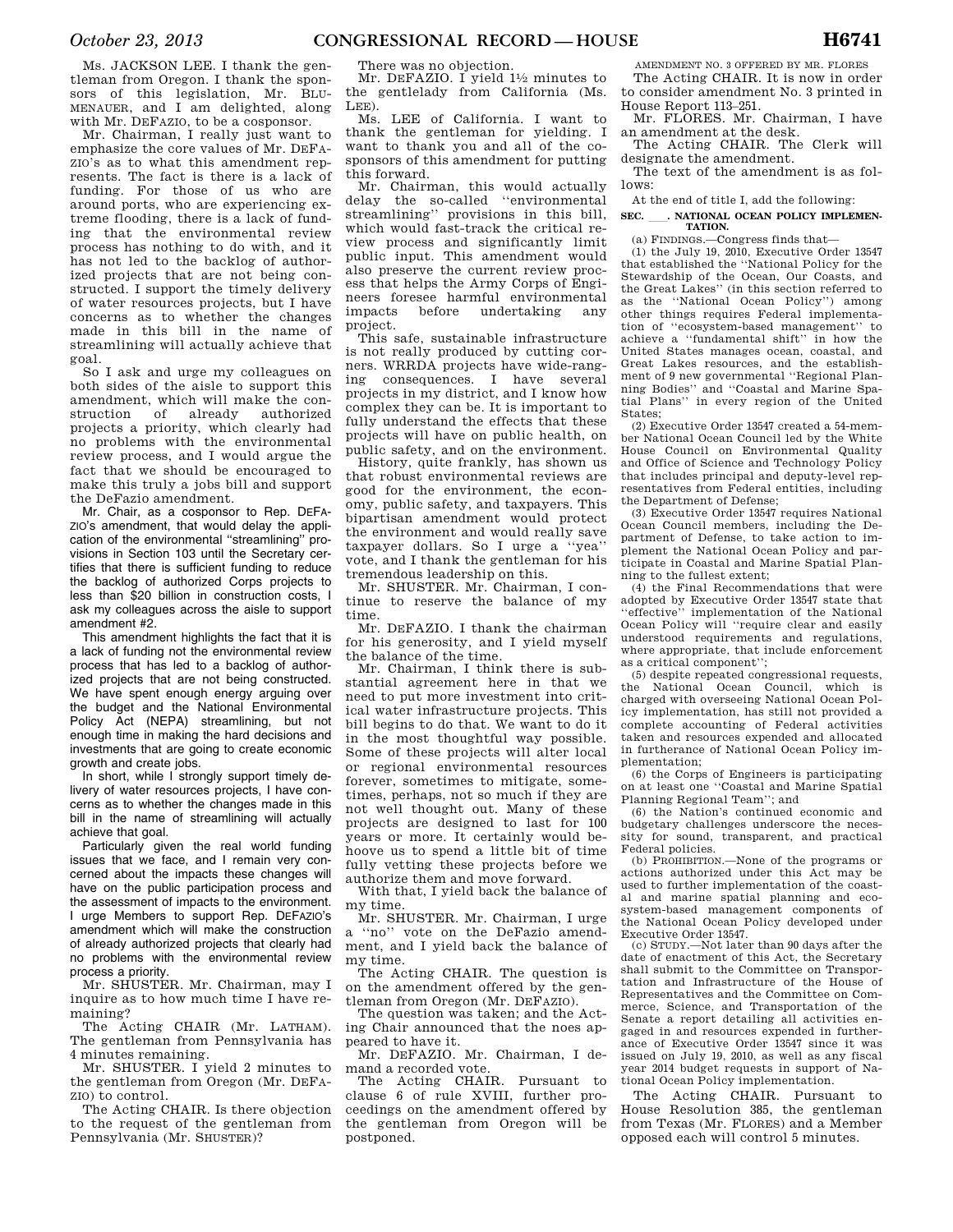Ms. JACKSON LEE. I thank the gentleman from Oregon. I thank the sponsors of this legislation, Mr. BLU-MENAUER, and I am delighted, along with Mr. DEFAZIO, to be a cosponsor.

Mr. Chairman, I really just want to emphasize the core values of Mr. DEFA-ZIO's as to what this amendment represents. The fact is there is a lack of funding. For those of us who are around ports, who are experiencing extreme flooding, there is a lack of funding that the environmental review process has nothing to do with, and it has not led to the backlog of authorized projects that are not being constructed. I support the timely delivery of water resources projects, but I have concerns as to whether the changes made in this bill in the name of streamlining will actually achieve that goal.

So I ask and urge my colleagues on both sides of the aisle to support this amendment, which will make the construction of already authorized projects a priority, which clearly had no problems with the environmental review process, and I would argue the fact that we should be encouraged to make this truly a jobs bill and support the DeFazio amendment.

Mr. Chair, as a cosponsor to Rep. DEFA-ZIO's amendment, that would delay the application of the environmental ''streamlining'' provisions in Section 103 until the Secretary certifies that there is sufficient funding to reduce the backlog of authorized Corps projects to less than \$20 billion in construction costs, I ask my colleagues across the aisle to support amendment #2.

This amendment highlights the fact that it is a lack of funding not the environmental review process that has led to a backlog of authorized projects that are not being constructed. We have spent enough energy arguing over the budget and the National Environmental Policy Act (NEPA) streamlining, but not enough time in making the hard decisions and investments that are going to create economic growth and create jobs.

In short, while I strongly support timely delivery of water resources projects, I have concerns as to whether the changes made in this bill in the name of streamlining will actually achieve that goal.

Particularly given the real world funding issues that we face, and I remain very concerned about the impacts these changes will have on the public participation process and the assessment of impacts to the environment. I urge Members to support Rep. DEFAZIO's amendment which will make the construction of already authorized projects that clearly had no problems with the environmental review process a priority.

Mr. SHUSTER. Mr. Chairman, may I inquire as to how much time I have remaining?

The Acting CHAIR (Mr. LATHAM). The gentleman from Pennsylvania has 4 minutes remaining.

Mr. SHUSTER. I yield 2 minutes to the gentleman from Oregon (Mr. DEFA-ZIO) to control.

The Acting CHAIR. Is there objection to the request of the gentleman from Pennsylvania (Mr. SHUSTER)?

There was no objection.

Mr. DEFAZIO. I yield  $1\frac{1}{2}$  minutes to the gentlelady from California (Ms. LEE).

Ms. LEE of California. I want to thank the gentleman for yielding. I want to thank you and all of the cosponsors of this amendment for putting this forward.

Mr. Chairman, this would actually delay the so-called ''environmental streamlining'' provisions in this bill, which would fast-track the critical review process and significantly limit public input. This amendment would also preserve the current review process that helps the Army Corps of Engineers foresee harmful environmental impacts before undertaking project.

This safe, sustainable infrastructure is not really produced by cutting corners. WRRDA projects have wide-ranging consequences. I have several projects in my district, and I know how complex they can be. It is important to fully understand the effects that these projects will have on public health, on public safety, and on the environment.

History, quite frankly, has shown us that robust environmental reviews are good for the environment, the economy, public safety, and taxpayers. This bipartisan amendment would protect the environment and would really save taxpayer dollars. So I urge a ''yea'' vote, and I thank the gentleman for his tremendous leadership on this.

Mr. SHUSTER. Mr. Chairman, I continue to reserve the balance of my time.

Mr. DEFAZIO. I thank the chairman for his generosity, and I yield myself the balance of the time.

Mr. Chairman, I think there is substantial agreement here in that we need to put more investment into critical water infrastructure projects. This bill begins to do that. We want to do it in the most thoughtful way possible. Some of these projects will alter local or regional environmental resources forever, sometimes to mitigate, sometimes, perhaps, not so much if they are not well thought out. Many of these projects are designed to last for 100 years or more. It certainly would behoove us to spend a little bit of time fully vetting these projects before we authorize them and move forward.

With that, I yield back the balance of my time.

Mr. SHUSTER. Mr. Chairman, I urge a ''no'' vote on the DeFazio amendment, and I yield back the balance of my time.

The Acting CHAIR. The question is on the amendment offered by the gentleman from Oregon (Mr. DEFAZIO).

The question was taken; and the Acting Chair announced that the noes appeared to have it.

Mr. DEFAZIO. Mr. Chairman, I demand a recorded vote.

The Acting CHAIR. Pursuant to clause 6 of rule XVIII, further proceedings on the amendment offered by the gentleman from Oregon will be postponed.

AMENDMENT NO. 3 OFFERED BY MR. FLORES The Acting CHAIR. It is now in order to consider amendment No. 3 printed in

House Report 113–251. Mr. FLORES. Mr. Chairman, I have

an amendment at the desk. The Acting CHAIR. The Clerk will

designate the amendment. The text of the amendment is as fol-

lows:

# At the end of title I, add the following: SEC. MATIONAL OCEAN POLICY IMPLEMEN-**TATION.**

(a) FINDINGS.—Congress finds that—

(1) the July 19, 2010, Executive Order 13547 that established the ''National Policy for the Stewardship of the Ocean, Our Coasts, and the Great Lakes'' (in this section referred to as the ''National Ocean Policy'') among other things requires Federal implementation of ''ecosystem-based management'' to achieve a ''fundamental shift'' in how the United States manages ocean, coastal, and Great Lakes resources, and the establishment of 9 new governmental ''Regional Planning Bodies'' and ''Coastal and Marine Spatial Plans'' in every region of the United States;

(2) Executive Order 13547 created a 54-member National Ocean Council led by the White House Council on Environmental Quality and Office of Science and Technology Policy that includes principal and deputy-level representatives from Federal entities, including the Department of Defense;

(3) Executive Order 13547 requires National Ocean Council members, including the Department of Defense, to take action to implement the National Ocean Policy and participate in Coastal and Marine Spatial Planning to the fullest extent;

(4) the Final Recommendations that were adopted by Executive Order 13547 state that ''effective'' implementation of the National Ocean Policy will ''require clear and easily understood requirements and regulations, where appropriate, that include enforcement as a critical component'';

(5) despite repeated congressional requests, the National Ocean Council, which is charged with overseeing National Ocean Policy implementation, has still not provided a complete accounting of Federal activities taken and resources expended and allocated in furtherance of National Ocean Policy implementation;

(6) the Corps of Engineers is participating on at least one ''Coastal and Marine Spatial Planning Regional Team''; and

(6) the Nation's continued economic and budgetary challenges underscore the necessity for sound, transparent, and practical Federal policies.

(b) PROHIBITION.—None of the programs or actions authorized under this Act may be used to further implementation of the coastal and marine spatial planning and ecosystem-based management components of the National Ocean Policy developed under Executive Order 13547.

(c) STUDY.—Not later than 90 days after the date of enactment of this Act, the Secretary shall submit to the Committee on Transportation and Infrastructure of the House of Representatives and the Committee on Commerce, Science, and Transportation of the Senate a report detailing all activities engaged in and resources expended in furtherance of Executive Order 13547 since it was issued on July 19, 2010, as well as any fiscal year 2014 budget requests in support of National Ocean Policy implementation.

The Acting CHAIR. Pursuant to House Resolution 385, the gentleman from Texas (Mr. FLORES) and a Member opposed each will control 5 minutes.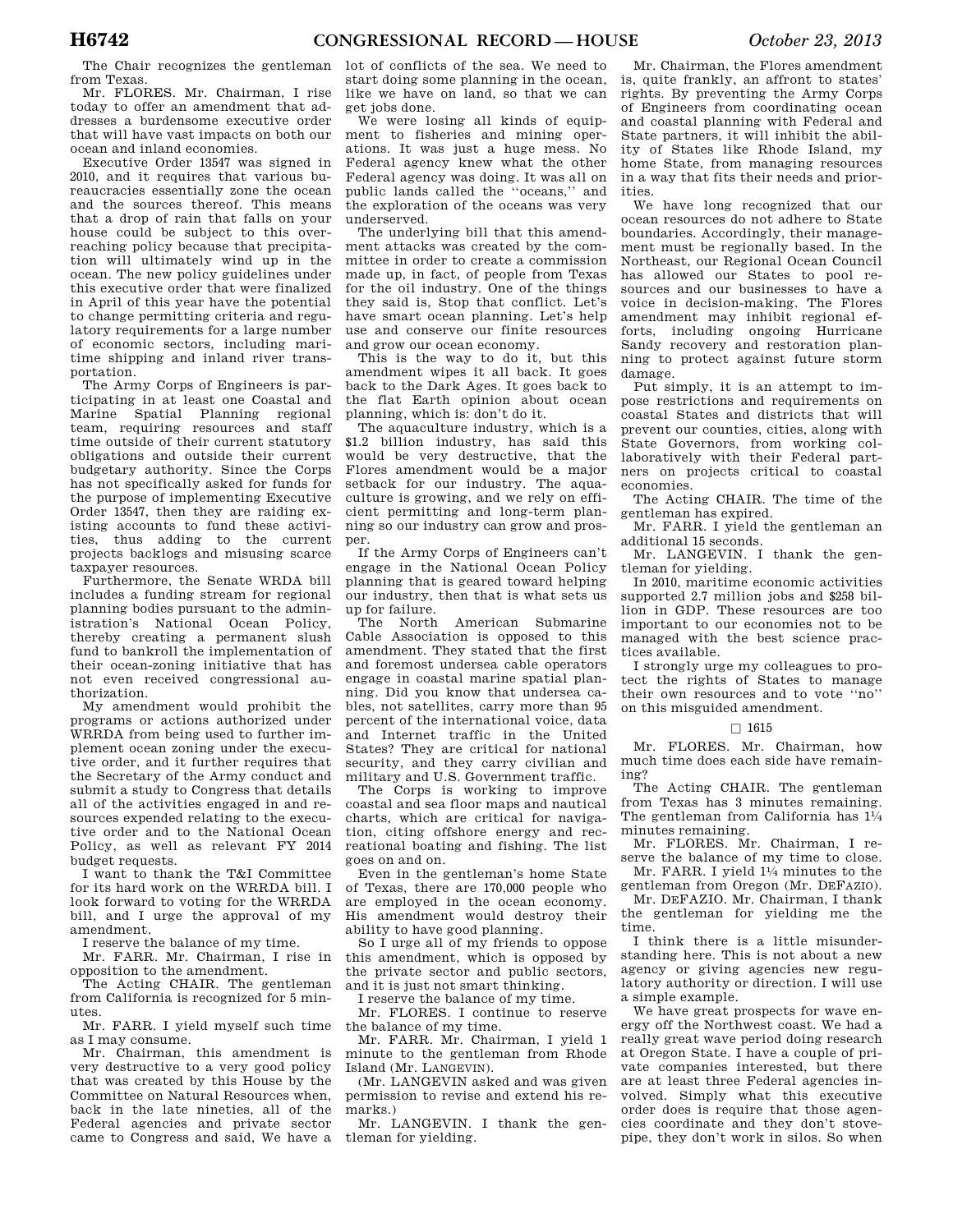The Chair recognizes the gentleman from Texas.

Mr. FLORES. Mr. Chairman, I rise today to offer an amendment that addresses a burdensome executive order that will have vast impacts on both our ocean and inland economies.

Executive Order 13547 was signed in 2010, and it requires that various bureaucracies essentially zone the ocean and the sources thereof. This means that a drop of rain that falls on your house could be subject to this overreaching policy because that precipitation will ultimately wind up in the ocean. The new policy guidelines under this executive order that were finalized in April of this year have the potential to change permitting criteria and regulatory requirements for a large number of economic sectors, including maritime shipping and inland river transportation.

The Army Corps of Engineers is participating in at least one Coastal and Marine Spatial Planning regional team, requiring resources and staff time outside of their current statutory obligations and outside their current budgetary authority. Since the Corps has not specifically asked for funds for the purpose of implementing Executive Order 13547, then they are raiding existing accounts to fund these activities, thus adding to the current projects backlogs and misusing scarce taxpayer resources.

Furthermore, the Senate WRDA bill includes a funding stream for regional planning bodies pursuant to the administration's National Ocean Policy, thereby creating a permanent slush fund to bankroll the implementation of their ocean-zoning initiative that has not even received congressional authorization.

My amendment would prohibit the programs or actions authorized under WRRDA from being used to further implement ocean zoning under the executive order, and it further requires that the Secretary of the Army conduct and submit a study to Congress that details all of the activities engaged in and resources expended relating to the executive order and to the National Ocean Policy, as well as relevant FY 2014 budget requests.

I want to thank the T&I Committee for its hard work on the WRRDA bill. I look forward to voting for the WRRDA bill, and I urge the approval of my amendment.

I reserve the balance of my time.

Mr. FARR. Mr. Chairman, I rise in opposition to the amendment.

The Acting CHAIR. The gentleman from California is recognized for 5 minutes.

Mr. FARR. I yield myself such time as I may consume.

Mr. Chairman, this amendment is very destructive to a very good policy that was created by this House by the Committee on Natural Resources when, back in the late nineties, all of the Federal agencies and private sector came to Congress and said, We have a

lot of conflicts of the sea. We need to start doing some planning in the ocean, like we have on land, so that we can get jobs done.

We were losing all kinds of equipment to fisheries and mining operations. It was just a huge mess. No Federal agency knew what the other Federal agency was doing. It was all on public lands called the ''oceans,'' and the exploration of the oceans was very underserved.

The underlying bill that this amendment attacks was created by the committee in order to create a commission made up, in fact, of people from Texas for the oil industry. One of the things they said is, Stop that conflict. Let's have smart ocean planning. Let's help use and conserve our finite resources and grow our ocean economy.

This is the way to do it, but this amendment wipes it all back. It goes back to the Dark Ages. It goes back to the flat Earth opinion about ocean planning, which is: don't do it.

The aquaculture industry, which is a \$1.2 billion industry, has said this would be very destructive, that the Flores amendment would be a major setback for our industry. The aquaculture is growing, and we rely on efficient permitting and long-term planning so our industry can grow and prosper.

If the Army Corps of Engineers can't engage in the National Ocean Policy planning that is geared toward helping our industry, then that is what sets us up for failure.

The North American Submarine Cable Association is opposed to this amendment. They stated that the first and foremost undersea cable operators engage in coastal marine spatial planning. Did you know that undersea cables, not satellites, carry more than 95 percent of the international voice, data and Internet traffic in the United States? They are critical for national security, and they carry civilian and military and U.S. Government traffic.

The Corps is working to improve coastal and sea floor maps and nautical charts, which are critical for navigation, citing offshore energy and recreational boating and fishing. The list goes on and on.

Even in the gentleman's home State of Texas, there are 170,000 people who are employed in the ocean economy. His amendment would destroy their ability to have good planning.

So I urge all of my friends to oppose this amendment, which is opposed by the private sector and public sectors, and it is just not smart thinking.

I reserve the balance of my time.

Mr. FLORES. I continue to reserve the balance of my time.

Mr. FARR. Mr. Chairman, I yield 1 minute to the gentleman from Rhode Island (Mr. LANGEVIN).

(Mr. LANGEVIN asked and was given permission to revise and extend his remarks.)

Mr. LANGEVIN. I thank the gentleman for yielding.

Mr. Chairman, the Flores amendment is, quite frankly, an affront to states' rights. By preventing the Army Corps of Engineers from coordinating ocean and coastal planning with Federal and State partners, it will inhibit the ability of States like Rhode Island, my home State, from managing resources in a way that fits their needs and priorities.

We have long recognized that our ocean resources do not adhere to State boundaries. Accordingly, their management must be regionally based. In the Northeast, our Regional Ocean Council has allowed our States to pool resources and our businesses to have a voice in decision-making. The Flores amendment may inhibit regional efforts, including ongoing Hurricane Sandy recovery and restoration planning to protect against future storm damage.

Put simply, it is an attempt to impose restrictions and requirements on coastal States and districts that will prevent our counties, cities, along with State Governors, from working collaboratively with their Federal partners on projects critical to coastal economies.

The Acting CHAIR. The time of the gentleman has expired.

Mr. FARR. I yield the gentleman an additional 15 seconds.

Mr. LANGEVIN. I thank the gentleman for yielding.

In 2010, maritime economic activities supported 2.7 million jobs and \$258 billion in GDP. These resources are too important to our economies not to be managed with the best science practices available.

I strongly urge my colleagues to protect the rights of States to manage their own resources and to vote ''no'' on this misguided amendment.

## $\Box$  1615

Mr. FLORES. Mr. Chairman, how much time does each side have remaining?

The Acting CHAIR. The gentleman from Texas has 3 minutes remaining. The gentleman from California has 11⁄4 minutes remaining.

Mr. FLORES. Mr. Chairman, I reserve the balance of my time to close. Mr. FARR. I yield 11⁄4 minutes to the

gentleman from Oregon (Mr. DEFAZIO).

Mr. DEFAZIO. Mr. Chairman, I thank the gentleman for yielding me the time.

I think there is a little misunderstanding here. This is not about a new agency or giving agencies new regulatory authority or direction. I will use a simple example.

We have great prospects for wave energy off the Northwest coast. We had a really great wave period doing research at Oregon State. I have a couple of private companies interested, but there are at least three Federal agencies involved. Simply what this executive order does is require that those agencies coordinate and they don't stovepipe, they don't work in silos. So when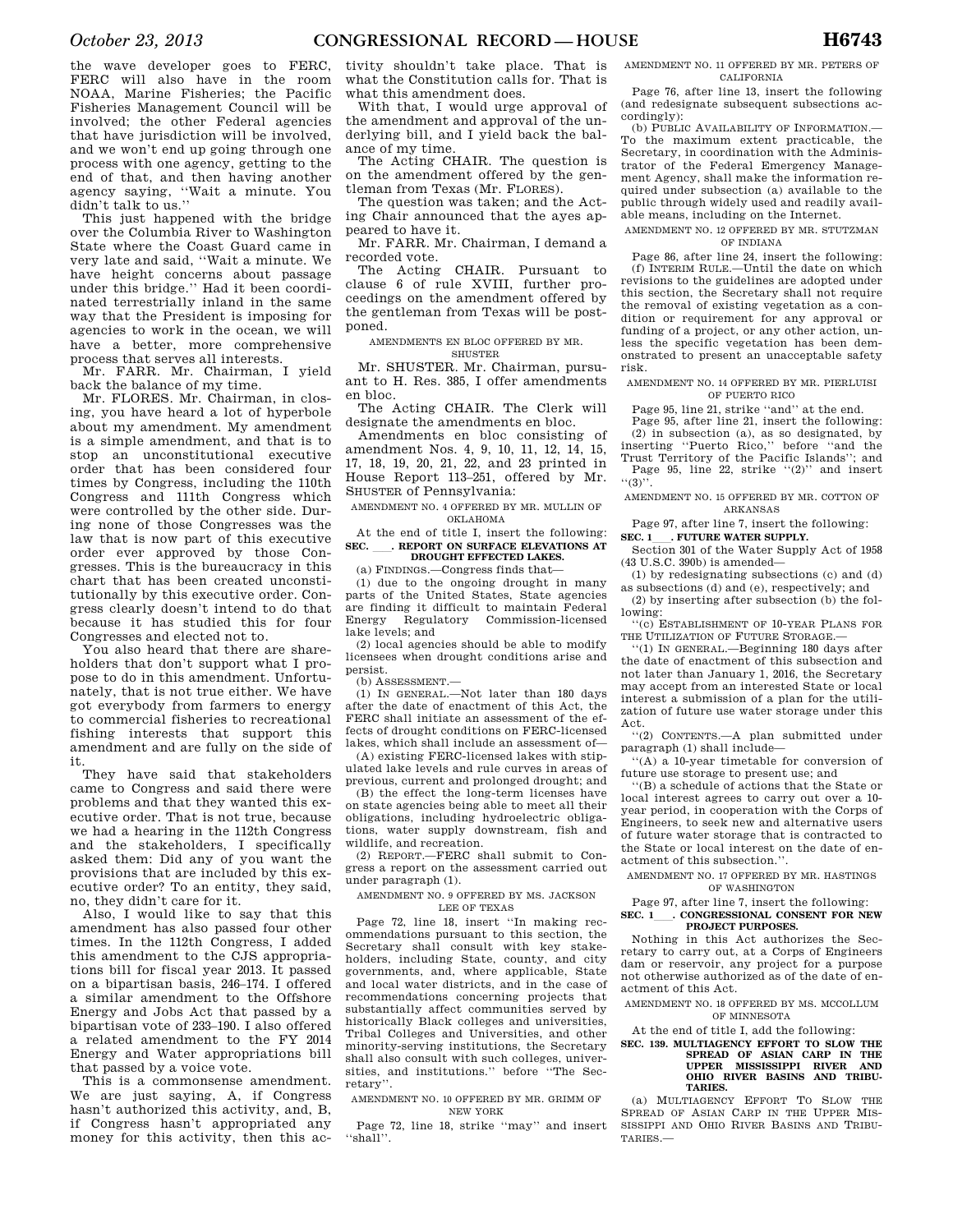the wave developer goes to FERC, FERC will also have in the room NOAA, Marine Fisheries; the Pacific Fisheries Management Council will be involved; the other Federal agencies that have jurisdiction will be involved, and we won't end up going through one process with one agency, getting to the end of that, and then having another agency saying, ''Wait a minute. You didn't talk to us.''

This just happened with the bridge over the Columbia River to Washington State where the Coast Guard came in very late and said, ''Wait a minute. We have height concerns about passage under this bridge.'' Had it been coordinated terrestrially inland in the same way that the President is imposing for agencies to work in the ocean, we will have a better, more comprehensive process that serves all interests.

Mr. FARR. Mr. Chairman, I yield back the balance of my time.

Mr. FLORES. Mr. Chairman, in closing, you have heard a lot of hyperbole about my amendment. My amendment is a simple amendment, and that is to stop an unconstitutional executive order that has been considered four times by Congress, including the 110th Congress and 111th Congress which were controlled by the other side. During none of those Congresses was the law that is now part of this executive order ever approved by those Congresses. This is the bureaucracy in this chart that has been created unconstitutionally by this executive order. Congress clearly doesn't intend to do that because it has studied this for four Congresses and elected not to.

You also heard that there are shareholders that don't support what I propose to do in this amendment. Unfortunately, that is not true either. We have got everybody from farmers to energy to commercial fisheries to recreational fishing interests that support this amendment and are fully on the side of it.

They have said that stakeholders came to Congress and said there were problems and that they wanted this executive order. That is not true, because we had a hearing in the 112th Congress and the stakeholders, I specifically asked them: Did any of you want the provisions that are included by this executive order? To an entity, they said, no, they didn't care for it.

Also, I would like to say that this amendment has also passed four other times. In the 112th Congress, I added this amendment to the CJS appropriations bill for fiscal year 2013. It passed on a bipartisan basis, 246–174. I offered a similar amendment to the Offshore Energy and Jobs Act that passed by a bipartisan vote of 233–190. I also offered a related amendment to the FY 2014 Energy and Water appropriations bill that passed by a voice vote.

This is a commonsense amendment. We are just saying, A, if Congress hasn't authorized this activity, and, B, if Congress hasn't appropriated any money for this activity, then this activity shouldn't take place. That is what the Constitution calls for. That is what this amendment does.

With that, I would urge approval of the amendment and approval of the underlying bill, and I yield back the balance of my time.

The Acting CHAIR. The question is on the amendment offered by the gentleman from Texas (Mr. FLORES).

The question was taken; and the Acting Chair announced that the ayes appeared to have it.

Mr. FARR. Mr. Chairman, I demand a

recorded vote.<br>The Acting CHAIR. Pursuant to clause 6 of rule XVIII, further proceedings on the amendment offered by the gentleman from Texas will be postponed.

AMENDMENTS EN BLOC OFFERED BY MR. SHUSTER

Mr. SHUSTER. Mr. Chairman, pursuant to H. Res. 385, I offer amendments en bloc.

The Acting CHAIR. The Clerk will designate the amendments en bloc.

Amendments en bloc consisting of amendment Nos. 4, 9, 10, 11, 12, 14, 15, 17, 18, 19, 20, 21, 22, and 23 printed in House Report 113–251, offered by Mr. SHUSTER of Pennsylvania:

AMENDMENT NO. 4 OFFERED BY MR. MULLIN OF OKLAHOMA

At the end of title I, insert the following: **SEC.** ll**. REPORT ON SURFACE ELEVATIONS AT DROUGHT EFFECTED LAKES.** 

(a) FINDINGS.—Congress finds that—

(1) due to the ongoing drought in many parts of the United States, State agencies are finding it difficult to maintain Federal Energy Regulatory Commission-licensed lake levels; and

(2) local agencies should be able to modify licensees when drought conditions arise and persist.

(b) ASSESSMENT.—

(1) IN GENERAL.—Not later than 180 days after the date of enactment of this Act, the FERC shall initiate an assessment of the effects of drought conditions on FERC-licensed lakes, which shall include an assessment of—

(A) existing FERC-licensed lakes with stipulated lake levels and rule curves in areas of previous, current and prolonged drought; and

(B) the effect the long-term licenses have on state agencies being able to meet all their obligations, including hydroelectric obligations, water supply downstream, fish and wildlife, and recreation.

(2) REPORT.—FERC shall submit to Congress a report on the assessment carried out under paragraph (1).

AMENDMENT NO. 9 OFFERED BY MS. JACKSON LEE OF TEXAS

Page 72, line 18, insert ''In making recommendations pursuant to this section, the Secretary shall consult with key stakeholders, including State, county, and city governments, and, where applicable, State and local water districts, and in the case of recommendations concerning projects that substantially affect communities served by historically Black colleges and universities, Tribal Colleges and Universities, and other minority-serving institutions, the Secretary shall also consult with such colleges, universities, and institutions.'' before ''The Secretary''.

AMENDMENT NO. 10 OFFERED BY MR. GRIMM OF NEW YORK

Page 72, line 18, strike ''may'' and insert ''shall''.

AMENDMENT NO. 11 OFFERED BY MR. PETERS OF CALIFORNIA

Page 76, after line 13, insert the following (and redesignate subsequent subsections accordingly):

(b) PUBLIC AVAILABILITY OF INFORMATION.— To the maximum extent practicable, the Secretary, in coordination with the Administrator of the Federal Emergency Management Agency, shall make the information required under subsection (a) available to the public through widely used and readily available means, including on the Internet.

AMENDMENT NO. 12 OFFERED BY MR. STUTZMAN OF INDIANA

Page 86, after line 24, insert the following: (f) INTERIM RULE.—Until the date on which revisions to the guidelines are adopted under this section, the Secretary shall not require the removal of existing vegetation as a condition or requirement for any approval or funding of a project, or any other action, unless the specific vegetation has been demonstrated to present an unacceptable safety risk.

AMENDMENT NO. 14 OFFERED BY MR. PIERLUISI OF PUERTO RICO

Page 95, line 21, strike "and" at the end.

Page 95, after line 21, insert the following: (2) in subsection (a), as so designated, by inserting ''Puerto Rico,'' before ''and the Trust Territory of the Pacific Islands''; and Page 95, line 22, strike "(2)" and insert

''(3)''. AMENDMENT NO. 15 OFFERED BY MR. COTTON OF

ARKANSAS

Page 97, after line 7, insert the following: **SEC. 1** . FUTURE WATER SUPPLY.

Section 301 of the Water Supply Act of 1958

(43 U.S.C. 390b) is amended— (1) by redesignating subsections (c) and (d)

as subsections (d) and (e), respectively; and (2) by inserting after subsection (b) the following:

''(c) ESTABLISHMENT OF 10-YEAR PLANS FOR THE UTILIZATION OF FUTURE STORAGE.—

''(1) IN GENERAL.—Beginning 180 days after the date of enactment of this subsection and not later than January 1, 2016, the Secretary may accept from an interested State or local interest a submission of a plan for the utilization of future use water storage under this Act.

''(2) CONTENTS.—A plan submitted under paragraph (1) shall include—

''(A) a 10-year timetable for conversion of future use storage to present use; and

''(B) a schedule of actions that the State or local interest agrees to carry out over a 10 year period, in cooperation with the Corps of Engineers, to seek new and alternative users of future water storage that is contracted to the State or local interest on the date of enactment of this subsection.''.

AMENDMENT NO. 17 OFFERED BY MR. HASTINGS OF WASHINGTON

Page 97, after line 7, insert the following:

### SEC. 1\_\_\_\_. CONGRESSIONAL CONSENT FOR NEW **PROJECT PURPOSES.**

Nothing in this Act authorizes the Secretary to carry out, at a Corps of Engineers dam or reservoir, any project for a purpose not otherwise authorized as of the date of enactment of this Act.

AMENDMENT NO. 18 OFFERED BY MS. MCCOLLUM OF MINNESOTA

At the end of title I, add the following:

# **SEC. 139. MULTIAGENCY EFFORT TO SLOW THE SPREAD OF ASIAN CARP IN THE UPPER MISSISSIPPI RIVER AND OHIO RIVER BASINS AND TRIBU-TARIES.**

(a) MULTIAGENCY EFFORT TO SLOW THE SPREAD OF ASIAN CARP IN THE UPPER MIS-SISSIPPI AND OHIO RIVER BASINS AND TRIBU-TARIES.—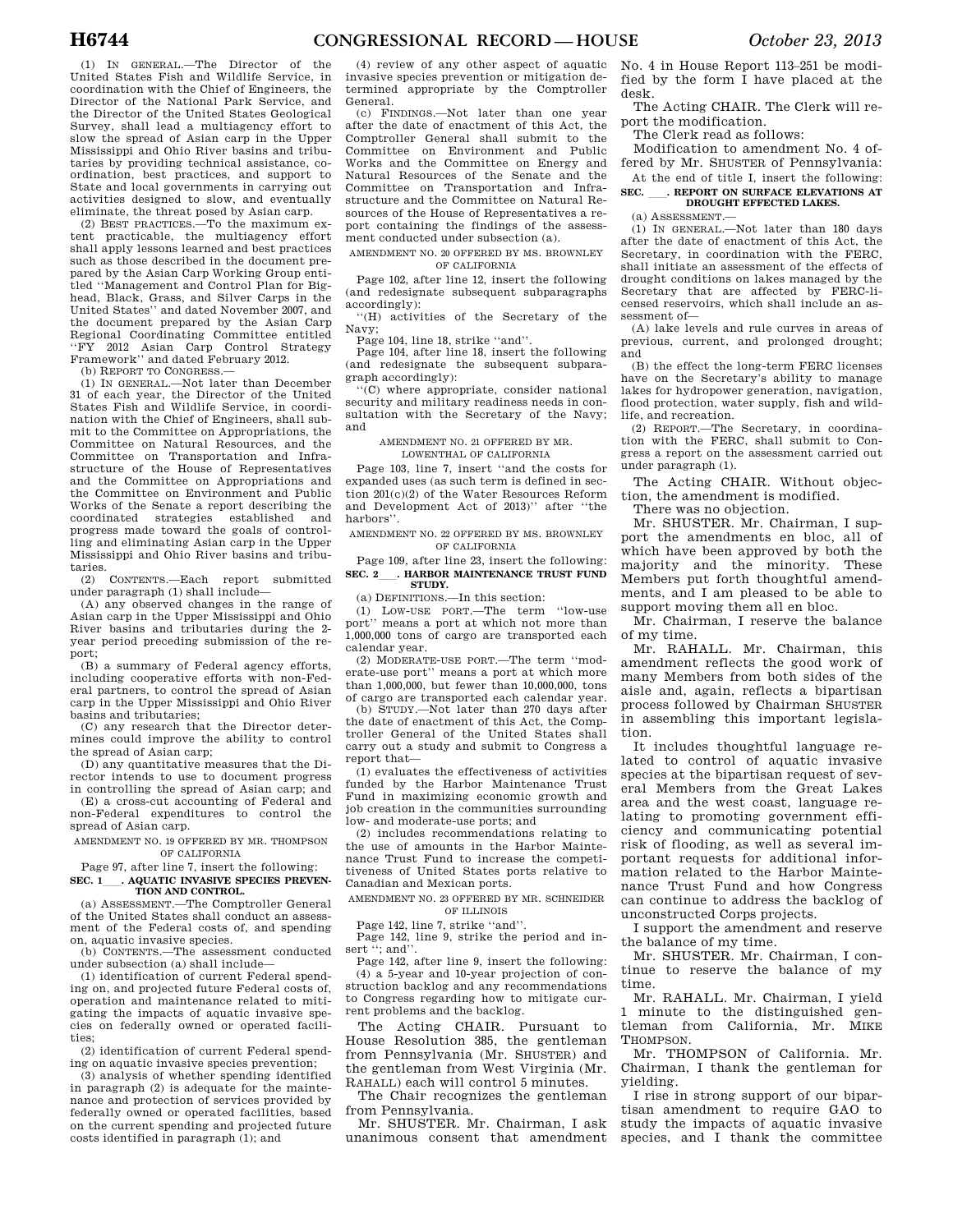(1) IN GENERAL.—The Director of the United States Fish and Wildlife Service, in coordination with the Chief of Engineers, the Director of the National Park Service, and the Director of the United States Geological Survey, shall lead a multiagency effort to slow the spread of Asian carp in the Upper Mississippi and Ohio River basins and tributaries by providing technical assistance, coordination, best practices, and support to State and local governments in carrying out activities designed to slow, and eventually eliminate, the threat posed by Asian carp.

(2) BEST PRACTICES.—To the maximum extent practicable, the multiagency effort shall apply lessons learned and best practices such as those described in the document prepared by the Asian Carp Working Group entitled ''Management and Control Plan for Bighead, Black, Grass, and Silver Carps in the United States'' and dated November 2007, and the document prepared by the Asian Carp Regional Coordinating Committee entitled ''FY 2012 Asian Carp Control Strategy Framework'' and dated February 2012.

(b) REPORT TO CONGRESS.

(1) IN GENERAL.—Not later than December 31 of each year, the Director of the United States Fish and Wildlife Service, in coordination with the Chief of Engineers, shall submit to the Committee on Appropriations, the Committee on Natural Resources, and the Committee on Transportation and Infrastructure of the House of Representatives and the Committee on Appropriations and the Committee on Environment and Public Works of the Senate a report describing the coordinated strategies established and progress made toward the goals of controlling and eliminating Asian carp in the Upper Mississippi and Ohio River basins and tributaries.

(2) CONTENTS.—Each report submitted under paragraph (1) shall include—

(A) any observed changes in the range of Asian carp in the Upper Mississippi and Ohio River basins and tributaries during the 2 year period preceding submission of the report;

(B) a summary of Federal agency efforts, including cooperative efforts with non-Federal partners, to control the spread of Asian carp in the Upper Mississippi and Ohio River basins and tributaries;

(C) any research that the Director determines could improve the ability to control the spread of Asian carp;

(D) any quantitative measures that the Director intends to use to document progress in controlling the spread of Asian carp; and

(E) a cross-cut accounting of Federal and non-Federal expenditures to control the spread of Asian carp.

AMENDMENT NO. 19 OFFERED BY MR. THOMPSON OF CALIFORNIA

Page 97, after line 7, insert the following: SEC. 1 **AQUATIC INVASIVE SPECIES PREVEN-TION AND CONTROL.** 

(a) ASSESSMENT.—The Comptroller General of the United States shall conduct an assessment of the Federal costs of, and spending on, aquatic invasive species.

(b) CONTENTS.—The assessment conducted under subsection (a) shall include—

(1) identification of current Federal spending on, and projected future Federal costs of, operation and maintenance related to mitigating the impacts of aquatic invasive species on federally owned or operated facilities;

(2) identification of current Federal spending on aquatic invasive species prevention;

(3) analysis of whether spending identified in paragraph (2) is adequate for the maintenance and protection of services provided by federally owned or operated facilities, based on the current spending and projected future costs identified in paragraph (1); and

(4) review of any other aspect of aquatic invasive species prevention or mitigation determined appropriate by the Comptroller General.

(c) FINDINGS.—Not later than one year after the date of enactment of this Act, the Comptroller General shall submit to the Committee on Environment and Public Works and the Committee on Energy and Natural Resources of the Senate and the Committee on Transportation and Infrastructure and the Committee on Natural Resources of the House of Representatives a report containing the findings of the assessment conducted under subsection (a).

AMENDMENT NO. 20 OFFERED BY MS. BROWNLEY OF CALIFORNIA

Page 102, after line 12, insert the following (and redesignate subsequent subparagraphs accordingly):

''(H) activities of the Secretary of the Navy;

Page 104, line 18, strike ''and''.

Page 104, after line 18, insert the following (and redesignate the subsequent subparagraph accordingly):

''(C) where appropriate, consider national security and military readiness needs in consultation with the Secretary of the Navy; and

AMENDMENT NO. 21 OFFERED BY MR.

LOWENTHAL OF CALIFORNIA

Page 103, line 7, insert ''and the costs for expanded uses (as such term is defined in section 201(c)(2) of the Water Resources Reform and Development Act of 2013)'' after ''the harbors''.

AMENDMENT NO. 22 OFFERED BY MS. BROWNLEY OF CALIFORNIA

Page 109, after line 23, insert the following: **SEC. 2**ll**. HARBOR MAINTENANCE TRUST FUND STUDY.** 

(a) DEFINITIONS.—In this section:

(1) LOW-USE PORT.—The term ''low-use port'' means a port at which not more than 1,000,000 tons of cargo are transported each calendar year.

(2) MODERATE-USE PORT.—The term ''moderate-use port'' means a port at which more than 1,000,000, but fewer than 10,000,000, tons of cargo are transported each calendar year.

(b) STUDY.—Not later than 270 days after the date of enactment of this Act, the Comptroller General of the United States shall carry out a study and submit to Congress a report that—

(1) evaluates the effectiveness of activities funded by the Harbor Maintenance Trust Fund in maximizing economic growth and job creation in the communities surrounding low- and moderate-use ports; and

(2) includes recommendations relating to the use of amounts in the Harbor Maintenance Trust Fund to increase the competitiveness of United States ports relative to Canadian and Mexican ports.

AMENDMENT NO. 23 OFFERED BY MR. SCHNEIDER OF ILLINOIS

Page 142, line 7, strike ''and''.

Page 142, line 9, strike the period and insert "; and'

Page 142, after line 9, insert the following: (4) a 5-year and 10-year projection of construction backlog and any recommendations to Congress regarding how to mitigate current problems and the backlog.

The Acting CHAIR. Pursuant to House Resolution 385, the gentleman from Pennsylvania (Mr. SHUSTER) and the gentleman from West Virginia (Mr. RAHALL) each will control 5 minutes.

The Chair recognizes the gentleman from Pennsylvania.

Mr. SHUSTER. Mr. Chairman, I ask unanimous consent that amendment

No. 4 in House Report 113–251 be modified by the form I have placed at the desk.

The Acting CHAIR. The Clerk will report the modification.

The Clerk read as follows:

Modification to amendment No. 4 offered by Mr. SHUSTER of Pennsylvania:

At the end of title I, insert the following: **SEC.** ll**. REPORT ON SURFACE ELEVATIONS AT DROUGHT EFFECTED LAKES.** 

(a) ASSESSMENT.—

(1) IN GENERAL.—Not later than 180 days after the date of enactment of this Act, the Secretary, in coordination with the FERC, shall initiate an assessment of the effects of drought conditions on lakes managed by the Secretary that are affected by FERC-licensed reservoirs, which shall include an assessment of—

(A) lake levels and rule curves in areas of previous, current, and prolonged drought; and

(B) the effect the long-term FERC licenses have on the Secretary's ability to manage lakes for hydropower generation, navigation, flood protection, water supply, fish and wildlife, and recreation.

(2) REPORT.—The Secretary, in coordination with the FERC, shall submit to Congress a report on the assessment carried out under paragraph (1).

The Acting CHAIR. Without objection, the amendment is modified.

There was no objection.

Mr. SHUSTER. Mr. Chairman, I support the amendments en bloc, all of which have been approved by both the majority and the minority. These Members put forth thoughtful amendments, and I am pleased to be able to support moving them all en bloc.

Mr. Chairman, I reserve the balance of my time.

Mr. RAHALL. Mr. Chairman, this amendment reflects the good work of many Members from both sides of the aisle and, again, reflects a bipartisan process followed by Chairman SHUSTER in assembling this important legislation.

It includes thoughtful language related to control of aquatic invasive species at the bipartisan request of several Members from the Great Lakes area and the west coast, language relating to promoting government efficiency and communicating potential risk of flooding, as well as several important requests for additional information related to the Harbor Maintenance Trust Fund and how Congress can continue to address the backlog of unconstructed Corps projects.

I support the amendment and reserve the balance of my time.

Mr. SHUSTER. Mr. Chairman, I continue to reserve the balance of my time.

Mr. RAHALL. Mr. Chairman, I yield 1 minute to the distinguished gentleman from California, Mr. MIKE THOMPSON.

Mr. THOMPSON of California. Mr. Chairman, I thank the gentleman for yielding.

I rise in strong support of our bipartisan amendment to require GAO to study the impacts of aquatic invasive species, and I thank the committee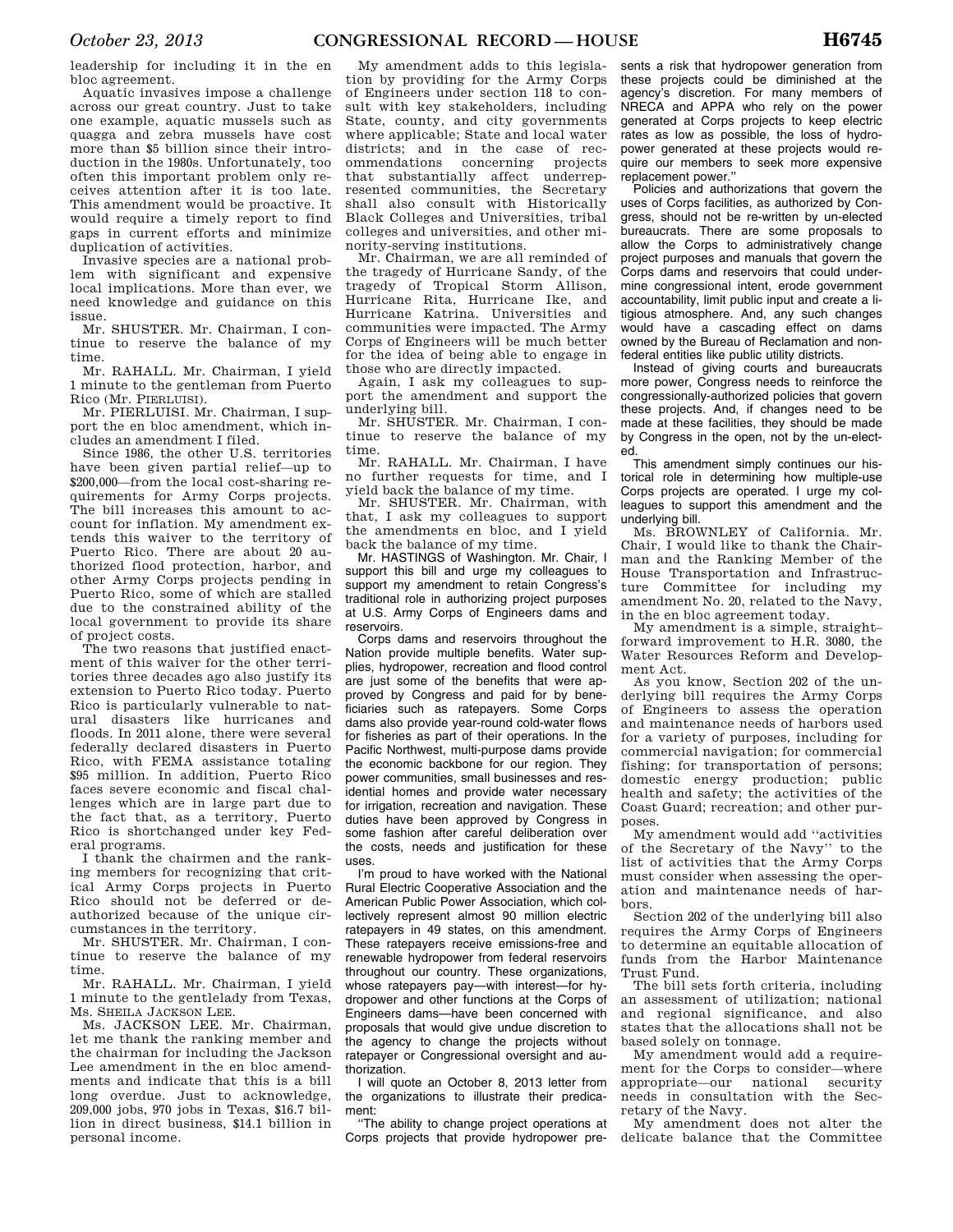leadership for including it in the en bloc agreement.

Aquatic invasives impose a challenge across our great country. Just to take one example, aquatic mussels such as quagga and zebra mussels have cost more than \$5 billion since their introduction in the 1980s. Unfortunately, too often this important problem only receives attention after it is too late. This amendment would be proactive. It would require a timely report to find gaps in current efforts and minimize duplication of activities.

Invasive species are a national problem with significant and expensive local implications. More than ever, we need knowledge and guidance on this issue.

Mr. SHUSTER. Mr. Chairman, I continue to reserve the balance of my time.

Mr. RAHALL. Mr. Chairman, I yield 1 minute to the gentleman from Puerto Rico (Mr. PIERLUISI).

Mr. PIERLUISI. Mr. Chairman, I support the en bloc amendment, which includes an amendment I filed.

Since 1986, the other U.S. territories have been given partial relief—up to \$200,000—from the local cost-sharing requirements for Army Corps projects. The bill increases this amount to account for inflation. My amendment extends this waiver to the territory of Puerto Rico. There are about 20 authorized flood protection, harbor, and other Army Corps projects pending in Puerto Rico, some of which are stalled due to the constrained ability of the local government to provide its share of project costs.

The two reasons that justified enactment of this waiver for the other territories three decades ago also justify its extension to Puerto Rico today. Puerto Rico is particularly vulnerable to natural disasters like hurricanes and floods. In 2011 alone, there were several federally declared disasters in Puerto Rico, with FEMA assistance totaling \$95 million. In addition, Puerto Rico faces severe economic and fiscal challenges which are in large part due to the fact that, as a territory, Puerto Rico is shortchanged under key Federal programs.

I thank the chairmen and the ranking members for recognizing that critical Army Corps projects in Puerto Rico should not be deferred or deauthorized because of the unique circumstances in the territory.

Mr. SHUSTER. Mr. Chairman, I continue to reserve the balance of my time.

Mr. RAHALL. Mr. Chairman, I yield 1 minute to the gentlelady from Texas, Ms. SHEILA JACKSON LEE.

Ms. JACKSON LEE. Mr. Chairman, let me thank the ranking member and the chairman for including the Jackson Lee amendment in the en bloc amendments and indicate that this is a bill long overdue. Just to acknowledge, 209,000 jobs, 970 jobs in Texas, \$16.7 billion in direct business, \$14.1 billion in personal income.

My amendment adds to this legislation by providing for the Army Corps of Engineers under section 118 to consult with key stakeholders, including State, county, and city governments where applicable; State and local water districts; and in the case of recommendations concerning projects that substantially affect underrepresented communities, the Secretary shall also consult with Historically Black Colleges and Universities, tribal colleges and universities, and other minority-serving institutions.

Mr. Chairman, we are all reminded of the tragedy of Hurricane Sandy, of the tragedy of Tropical Storm Allison, Hurricane Rita, Hurricane Ike, and Hurricane Katrina. Universities and communities were impacted. The Army Corps of Engineers will be much better for the idea of being able to engage in those who are directly impacted.

Again, I ask my colleagues to support the amendment and support the underlying bill.

Mr. SHUSTER. Mr. Chairman, I continue to reserve the balance of my time.

Mr. RAHALL. Mr. Chairman, I have no further requests for time, and I yield back the balance of my time.

Mr. SHUSTER. Mr. Chairman, with that, I ask my colleagues to support the amendments en bloc, and I yield back the balance of my time.

Mr. HASTINGS of Washington. Mr. Chair, I support this bill and urge my colleagues to support my amendment to retain Congress's traditional role in authorizing project purposes at U.S. Army Corps of Engineers dams and reservoirs.

Corps dams and reservoirs throughout the Nation provide multiple benefits. Water supplies, hydropower, recreation and flood control are just some of the benefits that were approved by Congress and paid for by beneficiaries such as ratepayers. Some Corps dams also provide year-round cold-water flows for fisheries as part of their operations. In the Pacific Northwest, multi-purpose dams provide the economic backbone for our region. They power communities, small businesses and residential homes and provide water necessary for irrigation, recreation and navigation. These duties have been approved by Congress in some fashion after careful deliberation over the costs, needs and justification for these uses.

I'm proud to have worked with the National Rural Electric Cooperative Association and the American Public Power Association, which collectively represent almost 90 million electric ratepayers in 49 states, on this amendment. These ratepayers receive emissions-free and renewable hydropower from federal reservoirs throughout our country. These organizations, whose ratepayers pay—with interest—for hydropower and other functions at the Corps of Engineers dams—have been concerned with proposals that would give undue discretion to the agency to change the projects without ratepayer or Congressional oversight and authorization.

I will quote an October 8, 2013 letter from the organizations to illustrate their predicament:

''The ability to change project operations at Corps projects that provide hydropower pre-

sents a risk that hydropower generation from these projects could be diminished at the agency's discretion. For many members of NRECA and APPA who rely on the power generated at Corps projects to keep electric rates as low as possible, the loss of hydropower generated at these projects would require our members to seek more expensive replacement power.''

Policies and authorizations that govern the uses of Corps facilities, as authorized by Congress, should not be re-written by un-elected bureaucrats. There are some proposals to allow the Corps to administratively change project purposes and manuals that govern the Corps dams and reservoirs that could undermine congressional intent, erode government accountability, limit public input and create a litigious atmosphere. And, any such changes would have a cascading effect on dams owned by the Bureau of Reclamation and nonfederal entities like public utility districts.

Instead of giving courts and bureaucrats more power, Congress needs to reinforce the congressionally-authorized policies that govern these projects. And, if changes need to be made at these facilities, they should be made by Congress in the open, not by the un-elected.

This amendment simply continues our historical role in determining how multiple-use Corps projects are operated. I urge my colleagues to support this amendment and the underlying bill.

Ms. BROWNLEY of California. Mr. Chair, I would like to thank the Chairman and the Ranking Member of the House Transportation and Infrastructure Committee for including my amendment No. 20, related to the Navy, in the en bloc agreement today.

My amendment is a simple, straight– forward improvement to H.R. 3080, the Water Resources Reform and Development Act.

As you know, Section 202 of the underlying bill requires the Army Corps of Engineers to assess the operation and maintenance needs of harbors used for a variety of purposes, including for commercial navigation; for commercial fishing; for transportation of persons; domestic energy production; public health and safety; the activities of the Coast Guard; recreation; and other purposes.

My amendment would add ''activities of the Secretary of the Navy'' to the list of activities that the Army Corps must consider when assessing the operation and maintenance needs of harbors.

Section 202 of the underlying bill also requires the Army Corps of Engineers to determine an equitable allocation of funds from the Harbor Maintenance Trust Fund.

The bill sets forth criteria, including an assessment of utilization; national and regional significance, and also states that the allocations shall not be based solely on tonnage.

My amendment would add a requirement for the Corps to consider—where appropriate—our national security needs in consultation with the Secretary of the Navy.

My amendment does not alter the delicate balance that the Committee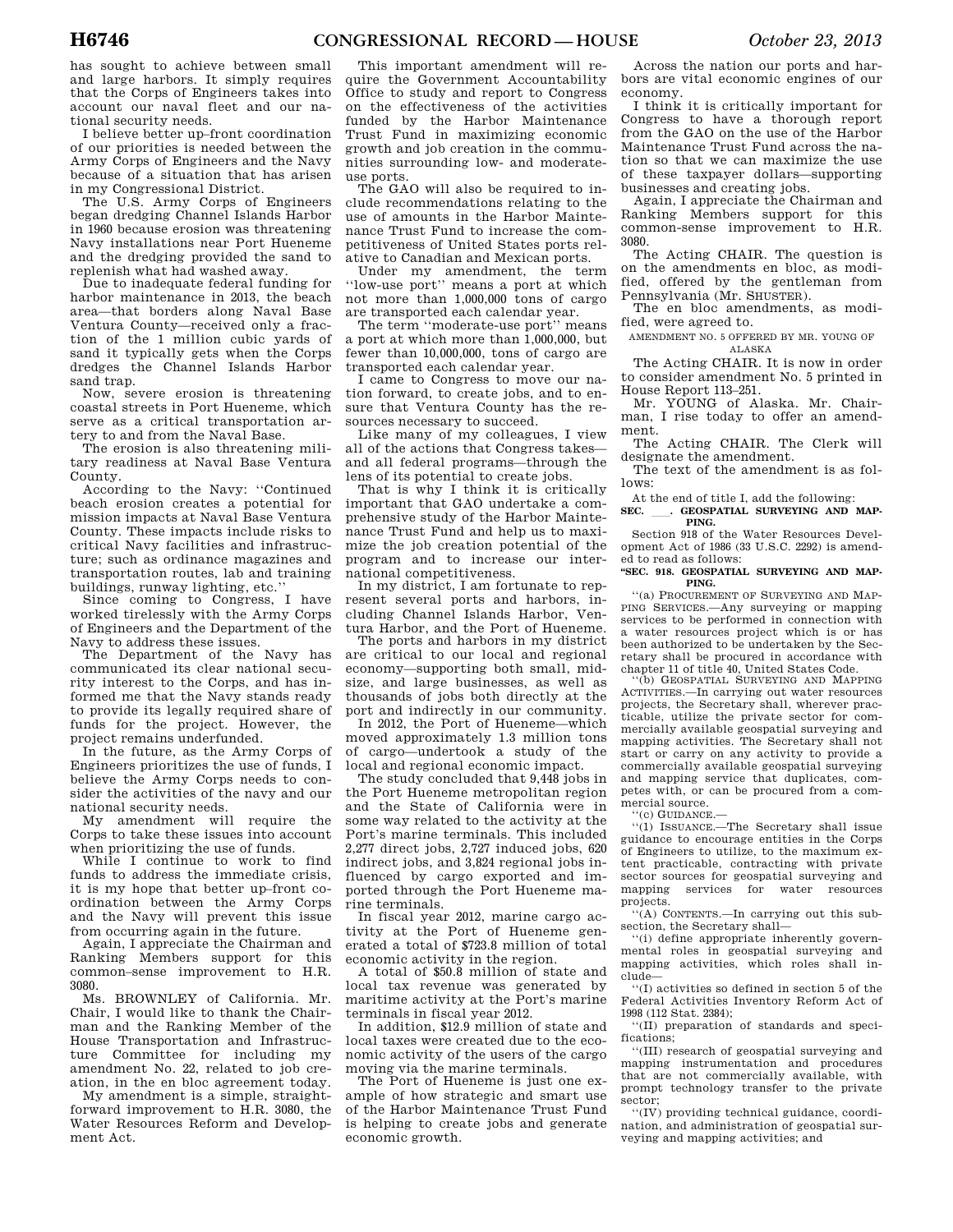has sought to achieve between small and large harbors. It simply requires that the Corps of Engineers takes into account our naval fleet and our national security needs.

I believe better up–front coordination of our priorities is needed between the Army Corps of Engineers and the Navy because of a situation that has arisen in my Congressional District.

The U.S. Army Corps of Engineers began dredging Channel Islands Harbor in 1960 because erosion was threatening Navy installations near Port Hueneme and the dredging provided the sand to replenish what had washed away.

Due to inadequate federal funding for harbor maintenance in 2013, the beach area—that borders along Naval Base Ventura County—received only a fraction of the 1 million cubic yards of sand it typically gets when the Corps dredges the Channel Islands Harbor sand trap.

Now, severe erosion is threatening coastal streets in Port Hueneme, which serve as a critical transportation artery to and from the Naval Base.

The erosion is also threatening military readiness at Naval Base Ventura County.

According to the Navy: ''Continued beach erosion creates a potential for mission impacts at Naval Base Ventura County. These impacts include risks to critical Navy facilities and infrastructure; such as ordinance magazines and transportation routes, lab and training buildings, runway lighting, etc.''

Since coming to Congress, I have worked tirelessly with the Army Corps of Engineers and the Department of the Navy to address these issues.

The Department of the Navy has communicated its clear national security interest to the Corps, and has informed me that the Navy stands ready to provide its legally required share of funds for the project. However, the project remains underfunded.

In the future, as the Army Corps of Engineers prioritizes the use of funds, I believe the Army Corps needs to consider the activities of the navy and our national security needs.

My amendment will require the Corps to take these issues into account when prioritizing the use of funds.

While I continue to work to find funds to address the immediate crisis, it is my hope that better up–front coordination between the Army Corps and the Navy will prevent this issue from occurring again in the future.

Again, I appreciate the Chairman and Ranking Members support for this common–sense improvement to H.R. 3080.

Ms. BROWNLEY of California. Mr. Chair, I would like to thank the Chairman and the Ranking Member of the House Transportation and Infrastructure Committee for including my amendment No. 22, related to job creation, in the en bloc agreement today.

My amendment is a simple, straightforward improvement to H.R. 3080, the Water Resources Reform and Development Act.

This important amendment will require the Government Accountability Office to study and report to Congress on the effectiveness of the activities funded by the Harbor Maintenance Trust Fund in maximizing economic growth and job creation in the communities surrounding low- and moderateuse ports.

The GAO will also be required to include recommendations relating to the use of amounts in the Harbor Maintenance Trust Fund to increase the competitiveness of United States ports relative to Canadian and Mexican ports.

Under my amendment, the term ''low-use port'' means a port at which not more than 1,000,000 tons of cargo are transported each calendar year.

The term ''moderate-use port'' means a port at which more than 1,000,000, but fewer than 10,000,000, tons of cargo are transported each calendar year.

I came to Congress to move our nation forward, to create jobs, and to ensure that Ventura County has the resources necessary to succeed.

Like many of my colleagues, I view all of the actions that Congress takes and all federal programs—through the lens of its potential to create jobs.

That is why I think it is critically important that GAO undertake a comprehensive study of the Harbor Maintenance Trust Fund and help us to maximize the job creation potential of the program and to increase our international competitiveness.

In my district, I am fortunate to represent several ports and harbors, including Channel Islands Harbor, Ventura Harbor, and the Port of Hueneme.

The ports and harbors in my district are critical to our local and regional economy—supporting both small, midsize, and large businesses, as well as thousands of jobs both directly at the port and indirectly in our community.

In 2012, the Port of Hueneme—which moved approximately 1.3 million tons of cargo—undertook a study of the local and regional economic impact.

The study concluded that 9,448 jobs in the Port Hueneme metropolitan region and the State of California were in some way related to the activity at the Port's marine terminals. This included 2,277 direct jobs, 2,727 induced jobs, 620 indirect jobs, and 3,824 regional jobs influenced by cargo exported and imported through the Port Hueneme marine terminals.

In fiscal year 2012, marine cargo activity at the Port of Hueneme generated a total of \$723.8 million of total economic activity in the region.

A total of \$50.8 million of state and local tax revenue was generated by maritime activity at the Port's marine terminals in fiscal year 2012.

In addition, \$12.9 million of state and local taxes were created due to the economic activity of the users of the cargo moving via the marine terminals.

The Port of Hueneme is just one example of how strategic and smart use of the Harbor Maintenance Trust Fund is helping to create jobs and generate economic growth.

Across the nation our ports and harbors are vital economic engines of our economy.

I think it is critically important for Congress to have a thorough report from the GAO on the use of the Harbor Maintenance Trust Fund across the nation so that we can maximize the use of these taxpayer dollars—supporting businesses and creating jobs.

Again, I appreciate the Chairman and Ranking Members support for this common-sense improvement to H.R. 3080.

The Acting CHAIR. The question is on the amendments en bloc, as modified, offered by the gentleman from Pennsylvania (Mr. SHUSTER).

The en bloc amendments, as modified, were agreed to.

AMENDMENT NO. 5 OFFERED BY MR. YOUNG OF ALASKA

The Acting CHAIR. It is now in order to consider amendment No. 5 printed in House Report 113–251.

Mr. YOUNG of Alaska. Mr. Chairman, I rise today to offer an amendment.

The Acting CHAIR. The Clerk will designate the amendment.

The text of the amendment is as follows:

At the end of title I, add the following:

SEC. \_\_\_. GEOSPATIAL SURVEYING AND MAP-**PING.** 

Section 918 of the Water Resources Development Act of 1986 (33 U.S.C. 2292) is amended to read as follows:

# **''SEC. 918. GEOSPATIAL SURVEYING AND MAP-PING.**

''(a) PROCUREMENT OF SURVEYING AND MAP-PING SERVICES.—Any surveying or mapping services to be performed in connection with a water resources project which is or has been authorized to be undertaken by the Secretary shall be procured in accordance with chapter 11 of title 40, United States Code.

''(b) GEOSPATIAL SURVEYING AND MAPPING ACTIVITIES.—In carrying out water resources projects, the Secretary shall, wherever practicable, utilize the private sector for commercially available geospatial surveying and mapping activities. The Secretary shall not start or carry on any activity to provide a commercially available geospatial surveying and mapping service that duplicates, competes with, or can be procured from a commercial source.

'(c) GUIDANCE.-

''(1) ISSUANCE.—The Secretary shall issue guidance to encourage entities in the Corps of Engineers to utilize, to the maximum extent practicable, contracting with private sector sources for geospatial surveying and mapping services for water resources projects.

''(A) CONTENTS.—In carrying out this subsection, the Secretary shall—

''(i) define appropriate inherently governmental roles in geospatial surveying and mapping activities, which roles shall include—

''(I) activities so defined in section 5 of the Federal Activities Inventory Reform Act of 1998 (112 Stat. 2384);

''(II) preparation of standards and specifications;

''(III) research of geospatial surveying and mapping instrumentation and procedures that are not commercially available, with prompt technology transfer to the private sector;

''(IV) providing technical guidance, coordination, and administration of geospatial surveying and mapping activities; and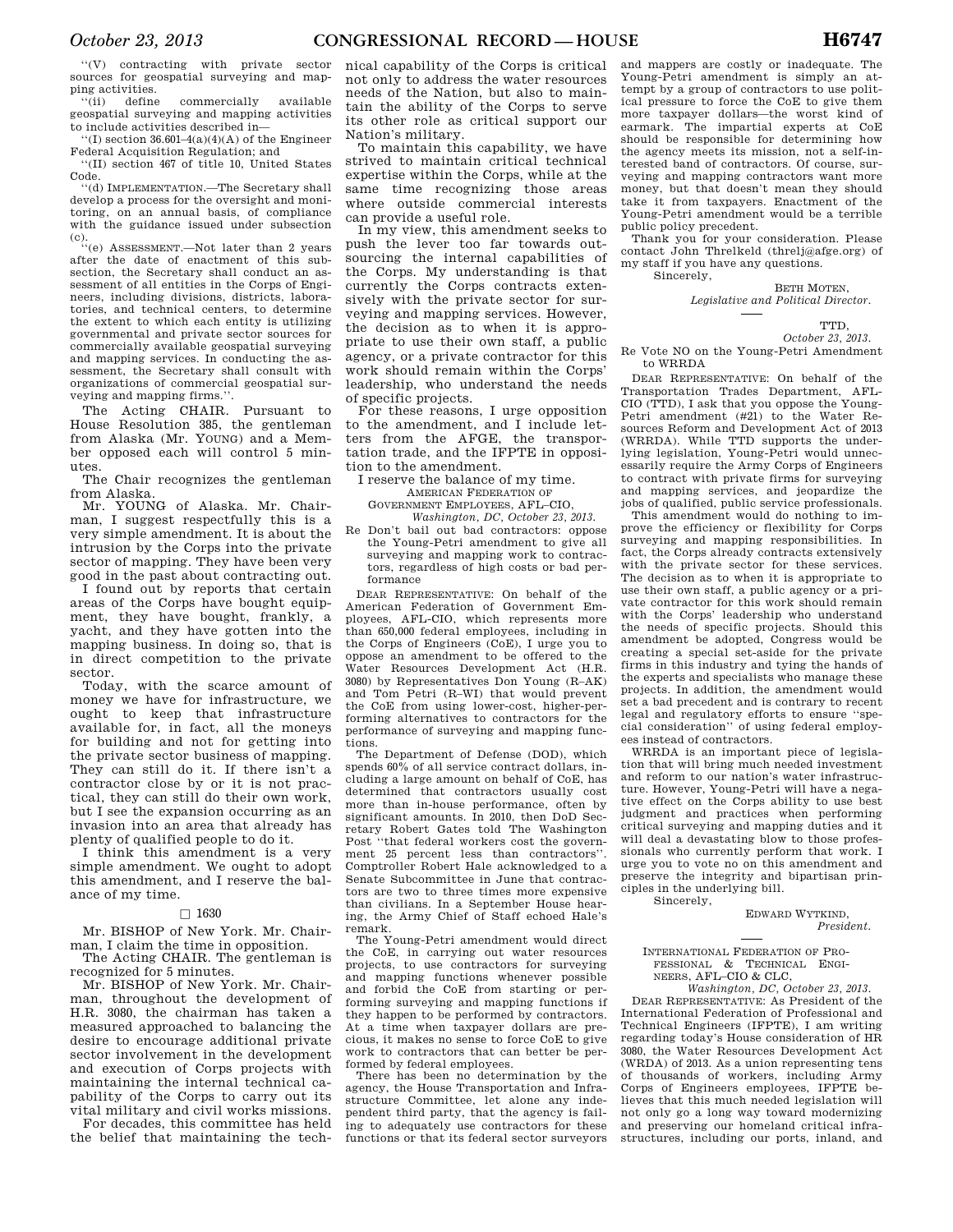''(V) contracting with private sector sources for geospatial surveying and mapping activities.

''(ii) define commercially available geospatial surveying and mapping activities to include activities described in—

 $''(I)$  section 36.601-4(a)(4)(A) of the Engineer Federal Acquisition Regulation; and ''(II) section 467 of title 10, United States

Code. ''(d) IMPLEMENTATION.—The Secretary shall develop a process for the oversight and monitoring, on an annual basis, of compliance with the guidance issued under subsection

(c). ''(e) ASSESSMENT.—Not later than 2 years after the date of enactment of this subsection, the Secretary shall conduct an assessment of all entities in the Corps of Engineers, including divisions, districts, laboratories, and technical centers, to determine the extent to which each entity is utilizing governmental and private sector sources for commercially available geospatial surveying and mapping services. In conducting the assessment, the Secretary shall consult with organizations of commercial geospatial surveying and mapping firms.''.

The Acting CHAIR. Pursuant to House Resolution 385, the gentleman from Alaska (Mr. YOUNG) and a Member opposed each will control 5 minutes.

The Chair recognizes the gentleman from Alaska.

Mr. YOUNG of Alaska. Mr. Chairman, I suggest respectfully this is a very simple amendment. It is about the intrusion by the Corps into the private sector of mapping. They have been very good in the past about contracting out.

I found out by reports that certain areas of the Corps have bought equipment, they have bought, frankly, a yacht, and they have gotten into the mapping business. In doing so, that is in direct competition to the private sector.

Today, with the scarce amount of money we have for infrastructure, we ought to keep that infrastructure available for, in fact, all the moneys for building and not for getting into the private sector business of mapping. They can still do it. If there isn't a contractor close by or it is not practical, they can still do their own work, but I see the expansion occurring as an invasion into an area that already has plenty of qualified people to do it.

I think this amendment is a very simple amendment. We ought to adopt this amendment, and I reserve the balance of my time.

# $\Box$  1630

Mr. BISHOP of New York. Mr. Chairman, I claim the time in opposition.

The Acting CHAIR. The gentleman is recognized for 5 minutes.

Mr. BISHOP of New York. Mr. Chairman, throughout the development of H.R. 3080, the chairman has taken a measured approached to balancing the desire to encourage additional private sector involvement in the development and execution of Corps projects with maintaining the internal technical capability of the Corps to carry out its vital military and civil works missions.

For decades, this committee has held the belief that maintaining the tech-

nical capability of the Corps is critical not only to address the water resources needs of the Nation, but also to maintain the ability of the Corps to serve its other role as critical support our Nation's military.

To maintain this capability, we have strived to maintain critical technical expertise within the Corps, while at the same time recognizing those areas where outside commercial interests can provide a useful role.

In my view, this amendment seeks to push the lever too far towards outsourcing the internal capabilities of the Corps. My understanding is that currently the Corps contracts extensively with the private sector for surveying and mapping services. However, the decision as to when it is appropriate to use their own staff, a public agency, or a private contractor for this work should remain within the Corps' leadership, who understand the needs of specific projects.

For these reasons, I urge opposition to the amendment, and I include letters from the AFGE, the transportation trade, and the IFPTE in opposition to the amendment.

I reserve the balance of my time. AMERICAN FEDERATION OF

GOVERNMENT EMPLOYEES, AFL–CIO,

*Washington, DC, October 23, 2013.* 

Re Don't bail out bad contractors: oppose the Young-Petri amendment to give all surveying and mapping work to contractors, regardless of high costs or bad performance

DEAR REPRESENTATIVE: On behalf of the American Federation of Government Employees, AFL-CIO, which represents more than 650,000 federal employees, including in the Corps of Engineers (CoE), I urge you to oppose an amendment to be offered to the Water Resources Development Act (H.R. 3080) by Representatives Don Young (R–AK) and Tom Petri (R–WI) that would prevent the CoE from using lower-cost, higher-performing alternatives to contractors for the performance of surveying and mapping functions.

The Department of Defense (DOD), which spends 60% of all service contract dollars, including a large amount on behalf of CoE, has determined that contractors usually cost more than in-house performance, often by significant amounts. In 2010, then DoD Secretary Robert Gates told The Washington Post ''that federal workers cost the government 25 percent less than contractors''. Comptroller Robert Hale acknowledged to a Senate Subcommittee in June that contractors are two to three times more expensive than civilians. In a September House hearing, the Army Chief of Staff echoed Hale's remark.

The Young-Petri amendment would direct the CoE, in carrying out water resources projects, to use contractors for surveying and mapping functions whenever possible and forbid the CoE from starting or performing surveying and mapping functions if they happen to be performed by contractors. At a time when taxpayer dollars are precious, it makes no sense to force CoE to give work to contractors that can better be performed by federal employees.

There has been no determination by the agency, the House Transportation and Infrastructure Committee, let alone any independent third party, that the agency is failing to adequately use contractors for these functions or that its federal sector surveyors

and mappers are costly or inadequate. The Young-Petri amendment is simply an attempt by a group of contractors to use political pressure to force the CoE to give them more taxpayer dollars—the worst kind of earmark. The impartial experts at CoE should be responsible for determining how the agency meets its mission, not a self-interested band of contractors. Of course, surveying and mapping contractors want more money, but that doesn't mean they should take it from taxpayers. Enactment of the Young-Petri amendment would be a terrible public policy precedent.

Thank you for your consideration. Please contact John Threlkeld (threlj@afge.org) of my staff if you have any questions.

Sincerely,

BETH MOTEN, *Legislative and Political Director.* 

**TTD** 

*October 23, 2013.*  Re Vote NO on the Young-Petri Amendment to WRRDA

DEAR REPRESENTATIVE: On behalf of the Transportation Trades Department, AFL-CIO (TTD), I ask that you oppose the Young-Petri amendment (#21) to the Water Resources Reform and Development Act of 2013 (WRRDA). While TTD supports the underlying legislation, Young-Petri would unnecessarily require the Army Corps of Engineers to contract with private firms for surveying and mapping services, and jeopardize the jobs of qualified, public service professionals.

This amendment would do nothing to improve the efficiency or flexibility for Corps surveying and mapping responsibilities. In fact, the Corps already contracts extensively with the private sector for these services. The decision as to when it is appropriate to use their own staff, a public agency or a private contractor for this work should remain with the Corps' leadership who understand the needs of specific projects. Should this amendment be adopted, Congress would be creating a special set-aside for the private firms in this industry and tying the hands of the experts and specialists who manage these projects. In addition, the amendment would set a bad precedent and is contrary to recent legal and regulatory efforts to ensure ''special consideration'' of using federal employees instead of contractors.

WRRDA is an important piece of legislation that will bring much needed investment and reform to our nation's water infrastructure. However, Young-Petri will have a negative effect on the Corps ability to use best judgment and practices when performing critical surveying and mapping duties and it will deal a devastating blow to those professionals who currently perform that work. I urge you to vote no on this amendment and preserve the integrity and bipartisan principles in the underlying bill.

> Sincerely, EDWARD WYTKIND,

> > *President.*

INTERNATIONAL FEDERATION OF PRO-FESSIONAL & TECHNICAL ENGI-NEERS, AFL–CIO & CLC,

*Washington, DC, October 23, 2013.*  DEAR REPRESENTATIVE: As President of the International Federation of Professional and Technical Engineers (IFPTE), I am writing regarding today's House consideration of HR 3080, the Water Resources Development Act (WRDA) of 2013. As a union representing tens of thousands of workers, including Army Corps of Engineers employees, IFPTE believes that this much needed legislation will not only go a long way toward modernizing and preserving our homeland critical infrastructures, including our ports, inland, and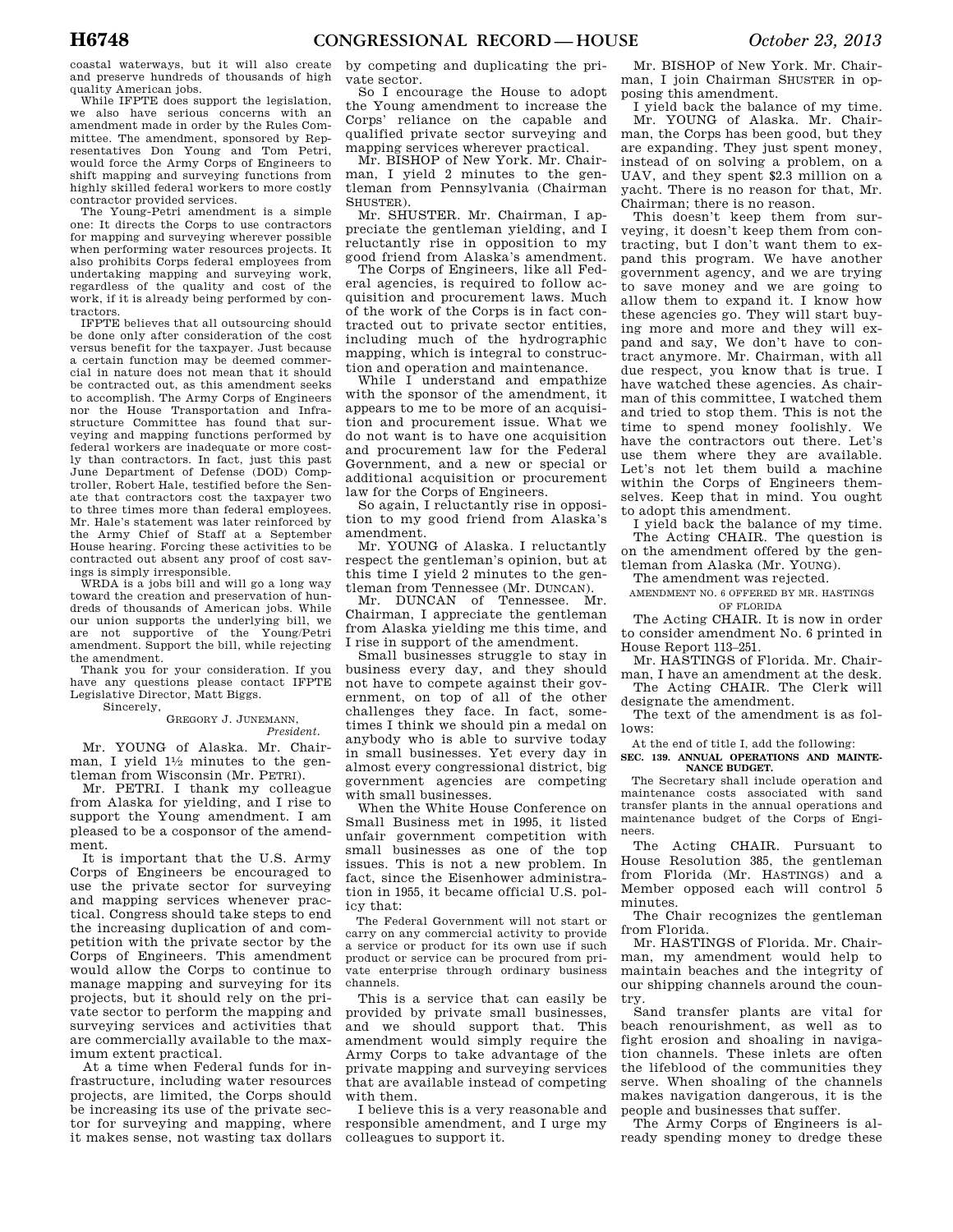quality American jobs. While IFPTE does support the legislation, we also have serious concerns with an amendment made in order by the Rules Committee. The amendment, sponsored by Representatives Don Young and Tom Petri, would force the Army Corps of Engineers to shift mapping and surveying functions from highly skilled federal workers to more costly contractor provided services.

The Young-Petri amendment is a simple one: It directs the Corps to use contractors for mapping and surveying wherever possible when performing water resources projects. It also prohibits Corps federal employees from undertaking mapping and surveying work, regardless of the quality and cost of the work, if it is already being performed by contractors.

IFPTE believes that all outsourcing should be done only after consideration of the cost versus benefit for the taxpayer. Just because a certain function may be deemed commercial in nature does not mean that it should be contracted out, as this amendment seeks to accomplish. The Army Corps of Engineers nor the House Transportation and Infrastructure Committee has found that surveying and mapping functions performed by federal workers are inadequate or more costly than contractors. In fact, just this past June Department of Defense (DOD) Comptroller, Robert Hale, testified before the Senate that contractors cost the taxpayer two to three times more than federal employees. Mr. Hale's statement was later reinforced by the Army Chief of Staff at a September House hearing. Forcing these activities to be contracted out absent any proof of cost savings is simply irresponsible.

WRDA is a jobs bill and will go a long way toward the creation and preservation of hundreds of thousands of American jobs. While our union supports the underlying bill, we are not supportive of the Young/Petri amendment. Support the bill, while rejecting the amendment.

Thank you for your consideration. If you have any questions please contact IFPTE Legislative Director, Matt Biggs.

Sincerely,

### GREGORY J. JUNEMANN, *President.*

Mr. YOUNG of Alaska. Mr. Chairman, I yield  $1\frac{1}{2}$  minutes to the gentleman from Wisconsin (Mr. PETRI).

Mr. PETRI. I thank my colleague from Alaska for yielding, and I rise to support the Young amendment. I am pleased to be a cosponsor of the amendment.

It is important that the U.S. Army Corps of Engineers be encouraged to use the private sector for surveying and mapping services whenever practical. Congress should take steps to end the increasing duplication of and competition with the private sector by the Corps of Engineers. This amendment would allow the Corps to continue to manage mapping and surveying for its projects, but it should rely on the private sector to perform the mapping and surveying services and activities that are commercially available to the maximum extent practical.

At a time when Federal funds for infrastructure, including water resources projects, are limited, the Corps should be increasing its use of the private sector for surveying and mapping, where it makes sense, not wasting tax dollars

by competing and duplicating the private sector.

So I encourage the House to adopt the Young amendment to increase the Corps' reliance on the capable and qualified private sector surveying and mapping services wherever practical.

Mr. BISHOP of New York. Mr. Chairman, I yield 2 minutes to the gentleman from Pennsylvania (Chairman SHUSTER).

Mr. SHUSTER. Mr. Chairman, I appreciate the gentleman yielding, and I reluctantly rise in opposition to my good friend from Alaska's amendment.

The Corps of Engineers, like all Federal agencies, is required to follow acquisition and procurement laws. Much of the work of the Corps is in fact contracted out to private sector entities, including much of the hydrographic mapping, which is integral to construction and operation and maintenance.

While I understand and empathize with the sponsor of the amendment, it appears to me to be more of an acquisition and procurement issue. What we do not want is to have one acquisition and procurement law for the Federal Government, and a new or special or additional acquisition or procurement law for the Corps of Engineers.

So again, I reluctantly rise in opposition to my good friend from Alaska's amendment.

Mr. YOUNG of Alaska. I reluctantly respect the gentleman's opinion, but at this time I yield 2 minutes to the gentleman from Tennessee (Mr. DUNCAN).

Mr. DUNCAN of Tennessee. Mr. Chairman, I appreciate the gentleman from Alaska yielding me this time, and I rise in support of the amendment.

Small businesses struggle to stay in business every day, and they should not have to compete against their government, on top of all of the other challenges they face. In fact, sometimes I think we should pin a medal on anybody who is able to survive today in small businesses. Yet every day in almost every congressional district, big government agencies are competing with small businesses.

When the White House Conference on Small Business met in 1995, it listed unfair government competition with small businesses as one of the top issues. This is not a new problem. In fact, since the Eisenhower administration in 1955, it became official U.S. policy that:

The Federal Government will not start or carry on any commercial activity to provide a service or product for its own use if such product or service can be procured from private enterprise through ordinary business channels.

This is a service that can easily be provided by private small businesses, and we should support that. This amendment would simply require the Army Corps to take advantage of the private mapping and surveying services that are available instead of competing with them.

I believe this is a very reasonable and responsible amendment, and I urge my colleagues to support it.

Mr. BISHOP of New York. Mr. Chairman, I join Chairman SHUSTER in opposing this amendment.

I yield back the balance of my time. Mr. YOUNG of Alaska. Mr. Chairman, the Corps has been good, but they are expanding. They just spent money, instead of on solving a problem, on a UAV, and they spent \$2.3 million on a yacht. There is no reason for that, Mr. Chairman; there is no reason.

This doesn't keep them from surveying, it doesn't keep them from contracting, but I don't want them to expand this program. We have another government agency, and we are trying to save money and we are going to allow them to expand it. I know how these agencies go. They will start buying more and more and they will expand and say, We don't have to contract anymore. Mr. Chairman, with all due respect, you know that is true. I have watched these agencies. As chairman of this committee, I watched them and tried to stop them. This is not the time to spend money foolishly. We have the contractors out there. Let's use them where they are available. Let's not let them build a machine within the Corps of Engineers themselves. Keep that in mind. You ought to adopt this amendment.

I yield back the balance of my time. The Acting CHAIR. The question is on the amendment offered by the gentleman from Alaska (Mr. YOUNG).

The amendment was rejected.

AMENDMENT NO. 6 OFFERED BY MR. HASTINGS OF FLORIDA

The Acting CHAIR. It is now in order to consider amendment No. 6 printed in House Report 113–251.

Mr. HASTINGS of Florida. Mr. Chairman, I have an amendment at the desk.

The Acting CHAIR. The Clerk will designate the amendment.

The text of the amendment is as follows:

At the end of title I, add the following: **SEC. 139. ANNUAL OPERATIONS AND MAINTE-**

**NANCE BUDGET.**  The Secretary shall include operation and maintenance costs associated with sand transfer plants in the annual operations and maintenance budget of the Corps of Engineers.

The Acting CHAIR. Pursuant to House Resolution 385, the gentleman from Florida (Mr. HASTINGS) and a Member opposed each will control 5 minutes.

The Chair recognizes the gentleman from Florida.

Mr. HASTINGS of Florida. Mr. Chairman, my amendment would help to maintain beaches and the integrity of our shipping channels around the country.

Sand transfer plants are vital for beach renourishment, as well as to fight erosion and shoaling in navigation channels. These inlets are often the lifeblood of the communities they serve. When shoaling of the channels makes navigation dangerous, it is the people and businesses that suffer.

The Army Corps of Engineers is already spending money to dredge these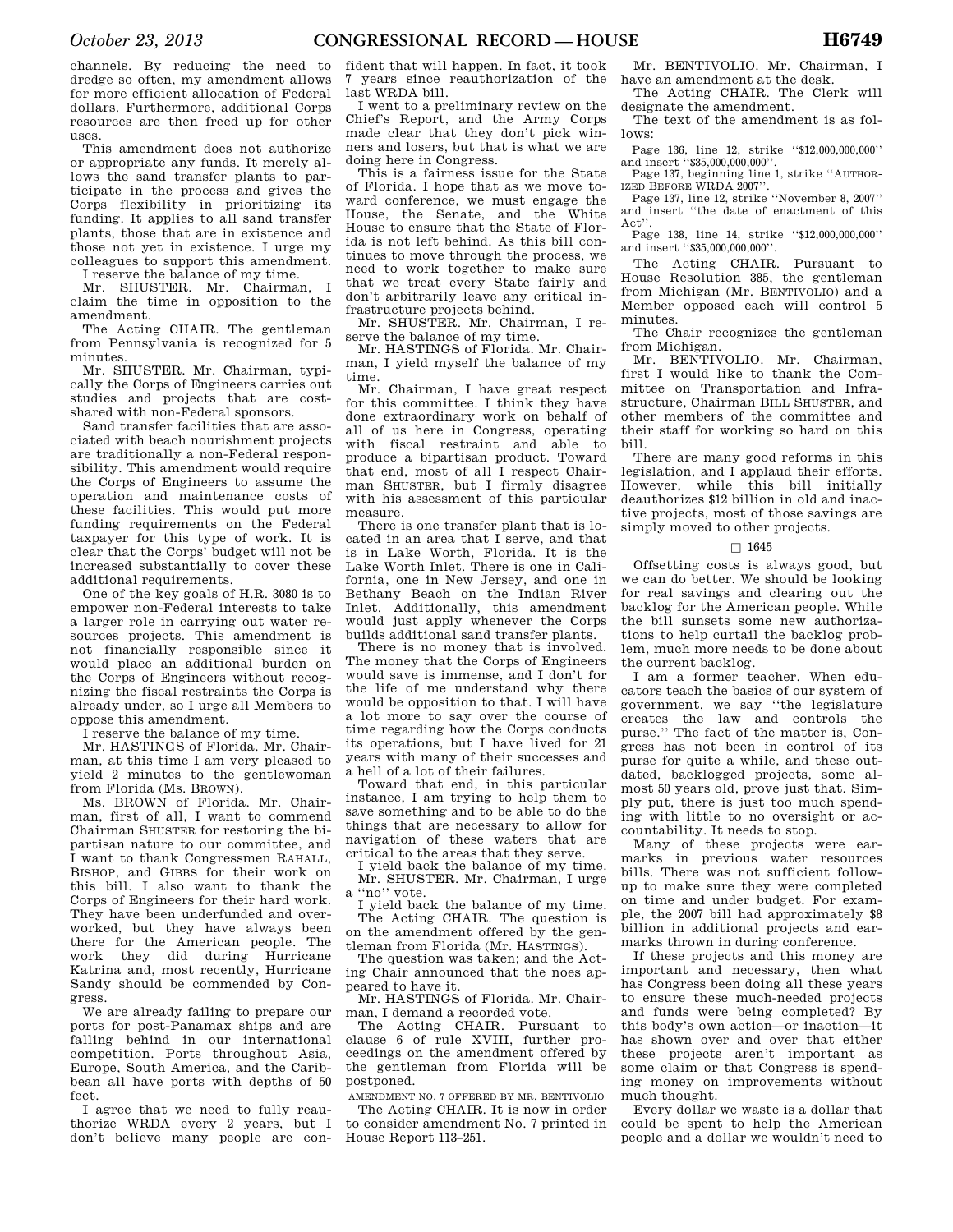channels. By reducing the need to dredge so often, my amendment allows for more efficient allocation of Federal dollars. Furthermore, additional Corps resources are then freed up for other uses.

This amendment does not authorize or appropriate any funds. It merely allows the sand transfer plants to participate in the process and gives the Corps flexibility in prioritizing its funding. It applies to all sand transfer plants, those that are in existence and those not yet in existence. I urge my colleagues to support this amendment.

I reserve the balance of my time.

Mr. SHUSTER. Mr. Chairman, I claim the time in opposition to the amendment.

The Acting CHAIR. The gentleman from Pennsylvania is recognized for 5 minutes.

Mr. SHUSTER. Mr. Chairman, typically the Corps of Engineers carries out studies and projects that are costshared with non-Federal sponsors.

Sand transfer facilities that are associated with beach nourishment projects are traditionally a non-Federal responsibility. This amendment would require the Corps of Engineers to assume the operation and maintenance costs of these facilities. This would put more funding requirements on the Federal taxpayer for this type of work. It is clear that the Corps' budget will not be increased substantially to cover these additional requirements.

One of the key goals of H.R. 3080 is to empower non-Federal interests to take a larger role in carrying out water resources projects. This amendment is not financially responsible since it would place an additional burden on the Corps of Engineers without recognizing the fiscal restraints the Corps is already under, so I urge all Members to oppose this amendment.

I reserve the balance of my time.

Mr. HASTINGS of Florida. Mr. Chairman, at this time I am very pleased to yield 2 minutes to the gentlewoman from Florida (Ms. BROWN).

Ms. BROWN of Florida. Mr. Chairman, first of all, I want to commend Chairman SHUSTER for restoring the bipartisan nature to our committee, and I want to thank Congressmen RAHALL, BISHOP, and GIBBS for their work on this bill. I also want to thank the Corps of Engineers for their hard work. They have been underfunded and overworked, but they have always been there for the American people. The work they did during Hurricane Katrina and, most recently, Hurricane Sandy should be commended by Congress.

We are already failing to prepare our ports for post-Panamax ships and are falling behind in our international competition. Ports throughout Asia, Europe, South America, and the Caribbean all have ports with depths of 50 feet.

I agree that we need to fully reauthorize WRDA every 2 years, but I don't believe many people are con-

fident that will happen. In fact, it took 7 years since reauthorization of the last WRDA bill.

I went to a preliminary review on the Chief's Report, and the Army Corps made clear that they don't pick winners and losers, but that is what we are doing here in Congress.

This is a fairness issue for the State of Florida. I hope that as we move toward conference, we must engage the<br>House the Senate and the White House, the Senate, and the House to ensure that the State of Florida is not left behind. As this bill continues to move through the process, we need to work together to make sure that we treat every State fairly and don't arbitrarily leave any critical infrastructure projects behind.

Mr. SHUSTER. Mr. Chairman, I reserve the balance of my time.

Mr. HASTINGS of Florida. Mr. Chairman, I yield myself the balance of my time.

Mr. Chairman, I have great respect for this committee. I think they have done extraordinary work on behalf of all of us here in Congress, operating with fiscal restraint and able to produce a bipartisan product. Toward that end, most of all I respect Chairman SHUSTER, but I firmly disagree with his assessment of this particular measure.

There is one transfer plant that is located in an area that I serve, and that is in Lake Worth, Florida. It is the Lake Worth Inlet. There is one in California, one in New Jersey, and one in Bethany Beach on the Indian River Inlet. Additionally, this amendment would just apply whenever the Corps builds additional sand transfer plants.

There is no money that is involved. The money that the Corps of Engineers would save is immense, and I don't for the life of me understand why there would be opposition to that. I will have a lot more to say over the course of time regarding how the Corps conducts its operations, but I have lived for 21 years with many of their successes and a hell of a lot of their failures.

Toward that end, in this particular instance, I am trying to help them to save something and to be able to do the things that are necessary to allow for navigation of these waters that are critical to the areas that they serve.

I yield back the balance of my time. Mr. SHUSTER. Mr. Chairman, I urge a ''no'' vote.

I yield back the balance of my time. The Acting CHAIR. The question is on the amendment offered by the gentleman from Florida (Mr. HASTINGS).

The question was taken; and the Acting Chair announced that the noes appeared to have it.

Mr. HASTINGS of Florida. Mr. Chairman, I demand a recorded vote.

The Acting CHAIR. Pursuant to clause 6 of rule XVIII, further proceedings on the amendment offered by the gentleman from Florida will be postponed.

AMENDMENT NO. 7 OFFERED BY MR. BENTIVOLIO

The Acting CHAIR. It is now in order to consider amendment No. 7 printed in House Report 113–251.

Mr. BENTIVOLIO. Mr. Chairman, I have an amendment at the desk. The Acting CHAIR. The Clerk will

designate the amendment.

The text of the amendment is as follows:

Page 136, line 12, strike "\$12,000,000,000" and insert ''\$35,000,000,000''.

Page 137, beginning line 1, strike ''AUTHOR-IZED BEFORE WRDA 2007''.

Page 137, line 12, strike ''November 8, 2007'' and insert ''the date of enactment of this Act''.

Page 138, line 14, strike "\$12,000,000,000" and insert ''\$35,000,000,000''.

The Acting CHAIR. Pursuant to House Resolution 385, the gentleman from Michigan (Mr. BENTIVOLIO) and a Member opposed each will control 5 minutes.

The Chair recognizes the gentleman from Michigan.

Mr. BENTIVOLIO. Mr. Chairman, first I would like to thank the Committee on Transportation and Infrastructure, Chairman BILL SHUSTER, and other members of the committee and their staff for working so hard on this bill.

There are many good reforms in this legislation, and I applaud their efforts. However, while this bill initially deauthorizes \$12 billion in old and inactive projects, most of those savings are simply moved to other projects.

# $\square$  1645

Offsetting costs is always good, but we can do better. We should be looking for real savings and clearing out the backlog for the American people. While the bill sunsets some new authorizations to help curtail the backlog problem, much more needs to be done about the current backlog.

I am a former teacher. When educators teach the basics of our system of government, we say ''the legislature creates the law and controls the purse.'' The fact of the matter is, Congress has not been in control of its purse for quite a while, and these outdated, backlogged projects, some almost 50 years old, prove just that. Simply put, there is just too much spending with little to no oversight or accountability. It needs to stop.

Many of these projects were earmarks in previous water resources bills. There was not sufficient followup to make sure they were completed on time and under budget. For example, the 2007 bill had approximately \$8 billion in additional projects and earmarks thrown in during conference.

If these projects and this money are important and necessary, then what has Congress been doing all these years to ensure these much-needed projects and funds were being completed? By this body's own action—or inaction—it has shown over and over that either these projects aren't important as some claim or that Congress is spending money on improvements without much thought.

Every dollar we waste is a dollar that could be spent to help the American people and a dollar we wouldn't need to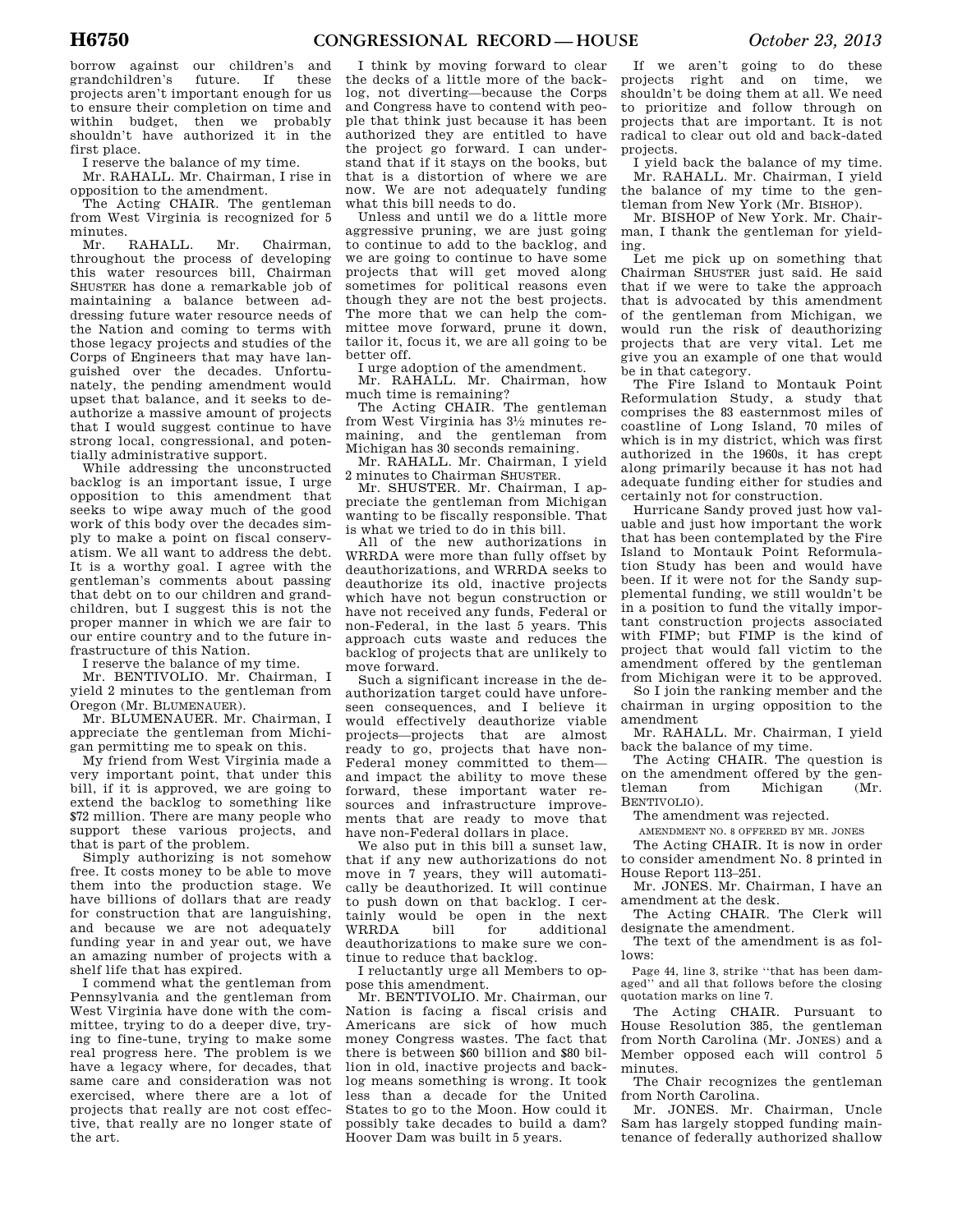borrow against our children's and grandchildren's future. If these projects aren't important enough for us to ensure their completion on time and within budget, then we probably shouldn't have authorized it in the first place.

I reserve the balance of my time.

Mr. RAHALL. Mr. Chairman, I rise in opposition to the amendment.

The Acting CHAIR. The gentleman from West Virginia is recognized for 5 minutes.<br>Mr.

RAHALL. Mr. Chairman, throughout the process of developing this water resources bill, Chairman SHUSTER has done a remarkable job of maintaining a balance between addressing future water resource needs of the Nation and coming to terms with those legacy projects and studies of the Corps of Engineers that may have languished over the decades. Unfortunately, the pending amendment would upset that balance, and it seeks to deauthorize a massive amount of projects that I would suggest continue to have strong local, congressional, and potentially administrative support.

While addressing the unconstructed backlog is an important issue, I urge opposition to this amendment that seeks to wipe away much of the good work of this body over the decades simply to make a point on fiscal conservatism. We all want to address the debt. It is a worthy goal. I agree with the gentleman's comments about passing that debt on to our children and grandchildren, but I suggest this is not the proper manner in which we are fair to our entire country and to the future infrastructure of this Nation.

I reserve the balance of my time.

Mr. BENTIVOLIO. Mr. Chairman, I yield 2 minutes to the gentleman from Oregon (Mr. BLUMENAUER).

Mr. BLUMENAUER. Mr. Chairman, I appreciate the gentleman from Michigan permitting me to speak on this.

My friend from West Virginia made a very important point, that under this bill, if it is approved, we are going to extend the backlog to something like \$72 million. There are many people who support these various projects, and that is part of the problem.

Simply authorizing is not somehow free. It costs money to be able to move them into the production stage. We have billions of dollars that are ready for construction that are languishing, and because we are not adequately funding year in and year out, we have an amazing number of projects with a shelf life that has expired.

I commend what the gentleman from Pennsylvania and the gentleman from West Virginia have done with the committee, trying to do a deeper dive, trying to fine-tune, trying to make some real progress here. The problem is we have a legacy where, for decades, that same care and consideration was not exercised, where there are a lot of projects that really are not cost effective, that really are no longer state of the art.

I think by moving forward to clear the decks of a little more of the backlog, not diverting—because the Corps and Congress have to contend with people that think just because it has been authorized they are entitled to have the project go forward. I can understand that if it stays on the books, but that is a distortion of where we are now. We are not adequately funding what this bill needs to do.

Unless and until we do a little more aggressive pruning, we are just going to continue to add to the backlog, and we are going to continue to have some projects that will get moved along sometimes for political reasons even though they are not the best projects. The more that we can help the committee move forward, prune it down, tailor it, focus it, we are all going to be better off.

I urge adoption of the amendment.

Mr. RAHALL. Mr. Chairman, how much time is remaining?

The Acting CHAIR. The gentleman from West Virginia has 31⁄2 minutes remaining, and the gentleman from Michigan has 30 seconds remaining.

Mr. RAHALL. Mr. Chairman, I yield 2 minutes to Chairman SHUSTER.

Mr. SHUSTER. Mr. Chairman, I appreciate the gentleman from Michigan wanting to be fiscally responsible. That is what we tried to do in this bill.

All of the new authorizations in WRRDA were more than fully offset by deauthorizations, and WRRDA seeks to deauthorize its old, inactive projects which have not begun construction or have not received any funds, Federal or non-Federal, in the last 5 years. This approach cuts waste and reduces the backlog of projects that are unlikely to move forward.

Such a significant increase in the deauthorization target could have unforeseen consequences, and I believe it would effectively deauthorize viable projects—projects that are almost ready to go, projects that have non-Federal money committed to them and impact the ability to move these forward, these important water resources and infrastructure improvements that are ready to move that have non-Federal dollars in place.

We also put in this bill a sunset law, that if any new authorizations do not move in 7 years, they will automatically be deauthorized. It will continue to push down on that backlog. I certainly would be open in the next WRRDA bill for additional deauthorizations to make sure we continue to reduce that backlog.

I reluctantly urge all Members to oppose this amendment.

Mr. BENTIVOLIO. Mr. Chairman, our Nation is facing a fiscal crisis and Americans are sick of how much money Congress wastes. The fact that there is between \$60 billion and \$80 billion in old, inactive projects and backlog means something is wrong. It took less than a decade for the United States to go to the Moon. How could it possibly take decades to build a dam? Hoover Dam was built in 5 years.

If we aren't going to do these projects right and on time, we shouldn't be doing them at all. We need to prioritize and follow through on projects that are important. It is not radical to clear out old and back-dated projects.

I yield back the balance of my time. Mr. RAHALL. Mr. Chairman, I yield the balance of my time to the gentleman from New York (Mr. BISHOP).

Mr. BISHOP of New York. Mr. Chairman, I thank the gentleman for yielding.

Let me pick up on something that Chairman SHUSTER just said. He said that if we were to take the approach that is advocated by this amendment of the gentleman from Michigan, we would run the risk of deauthorizing projects that are very vital. Let me give you an example of one that would be in that category.

The Fire Island to Montauk Point Reformulation Study, a study that comprises the 83 easternmost miles of coastline of Long Island, 70 miles of which is in my district, which was first authorized in the 1960s, it has crept along primarily because it has not had adequate funding either for studies and certainly not for construction.

Hurricane Sandy proved just how valuable and just how important the work that has been contemplated by the Fire Island to Montauk Point Reformulation Study has been and would have been. If it were not for the Sandy supplemental funding, we still wouldn't be in a position to fund the vitally important construction projects associated with FIMP; but FIMP is the kind of project that would fall victim to the amendment offered by the gentleman from Michigan were it to be approved.

So I join the ranking member and the chairman in urging opposition to the amendment

Mr. RAHALL. Mr. Chairman, I yield back the balance of my time.

The Acting CHAIR. The question is on the amendment offered by the gentleman from Michigan (Mr. BENTIVOLIO).

The amendment was rejected.

AMENDMENT NO. 8 OFFERED BY MR. JONES

The Acting CHAIR. It is now in order to consider amendment No. 8 printed in House Report 113–251.

Mr. JONES. Mr. Chairman, I have an amendment at the desk.

The Acting CHAIR. The Clerk will designate the amendment.

The text of the amendment is as follows:

Page 44, line 3, strike ''that has been damaged'' and all that follows before the closing quotation marks on line 7.

The Acting CHAIR. Pursuant to House Resolution 385, the gentleman from North Carolina (Mr. JONES) and a Member opposed each will control 5 minutes.

The Chair recognizes the gentleman from North Carolina.

Mr. JONES. Mr. Chairman, Uncle Sam has largely stopped funding maintenance of federally authorized shallow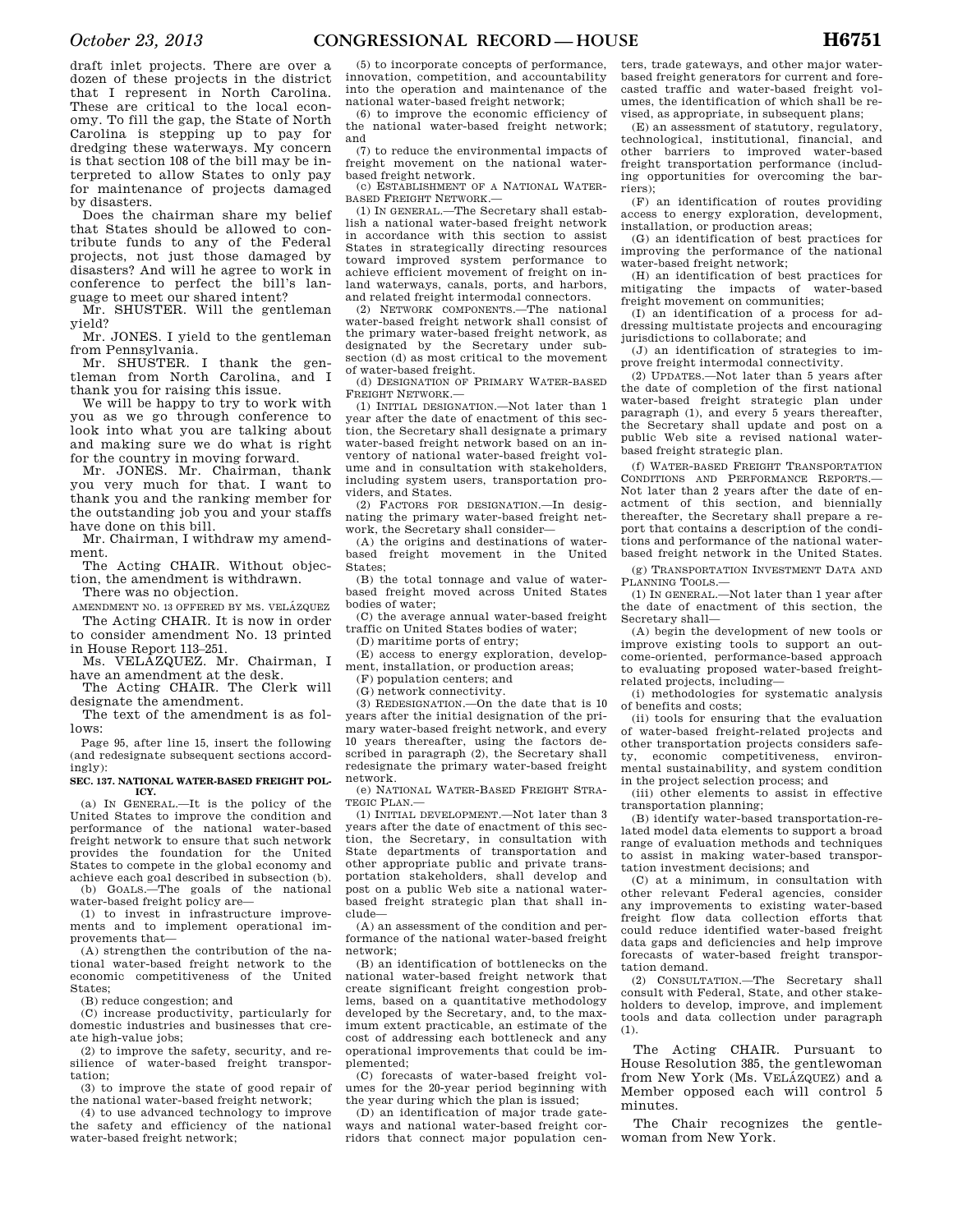draft inlet projects. There are over a dozen of these projects in the district that I represent in North Carolina. These are critical to the local economy. To fill the gap, the State of North Carolina is stepping up to pay for dredging these waterways. My concern is that section 108 of the bill may be interpreted to allow States to only pay for maintenance of projects damaged by disasters.

Does the chairman share my belief that States should be allowed to contribute funds to any of the Federal projects, not just those damaged by disasters? And will he agree to work in conference to perfect the bill's language to meet our shared intent?

Mr. SHUSTER. Will the gentleman yield?

Mr. JONES. I yield to the gentleman from Pennsylvania.

Mr. SHUSTER. I thank the gentleman from North Carolina, and I thank you for raising this issue.

We will be happy to try to work with you as we go through conference to look into what you are talking about and making sure we do what is right for the country in moving forward.

Mr. JONES. Mr. Chairman, thank you very much for that. I want to thank you and the ranking member for the outstanding job you and your staffs have done on this bill.

Mr. Chairman, I withdraw my amendment.

The Acting CHAIR. Without objection, the amendment is withdrawn. There was no objection.

AMENDMENT NO. 13 OFFERED BY MS. VELÁZQUEZ

The Acting CHAIR. It is now in order to consider amendment No. 13 printed

in House Report 113–251. Ms. VELÁZQUEZ. Mr. Chairman, I

have an amendment at the desk. The Acting CHAIR. The Clerk will

designate the amendment. The text of the amendment is as fol-

lows:

Page 95, after line 15, insert the following (and redesignate subsequent sections accordingly):

## **SEC. 137. NATIONAL WATER-BASED FREIGHT POL-ICY.**

(a) IN GENERAL.—It is the policy of the United States to improve the condition and performance of the national water-based freight network to ensure that such network provides the foundation for the United States to compete in the global economy and achieve each goal described in subsection (b). (b) GOALS.—The goals of the national water-based freight policy are—

(1) to invest in infrastructure improvements and to implement operational improvements that—

(A) strengthen the contribution of the national water-based freight network to the economic competitiveness of the United States;

(B) reduce congestion; and

(C) increase productivity, particularly for domestic industries and businesses that create high-value jobs;

(2) to improve the safety, security, and resilience of water-based freight transportation;

(3) to improve the state of good repair of the national water-based freight network;

(4) to use advanced technology to improve the safety and efficiency of the national water-based freight network;

(5) to incorporate concepts of performance, innovation, competition, and accountability into the operation and maintenance of the national water-based freight network;

(6) to improve the economic efficiency of the national water-based freight network; and

(7) to reduce the environmental impacts of freight movement on the national waterbased freight network.

(c) ESTABLISHMENT OF A NATIONAL WATER-BASED FREIGHT NETWORK.—

(1) IN GENERAL.—The Secretary shall establish a national water-based freight network in accordance with this section to assist States in strategically directing resources toward improved system performance to achieve efficient movement of freight on inland waterways, canals, ports, and harbors, and related freight intermodal connectors.

(2) NETWORK COMPONENTS.—The national water-based freight network shall consist of the primary water-based freight network, as designated by the Secretary under subsection (d) as most critical to the movement of water-based freight.

(d) DESIGNATION OF PRIMARY WATER-BASED FREIGHT NETWORK.—

(1) INITIAL DESIGNATION.—Not later than 1 year after the date of enactment of this section, the Secretary shall designate a primary water-based freight network based on an inventory of national water-based freight volume and in consultation with stakeholders, including system users, transportation providers, and States.

(2) FACTORS FOR DESIGNATION.—In designating the primary water-based freight network, the Secretary shall consider—

(A) the origins and destinations of waterbased freight movement in the United States;

(B) the total tonnage and value of waterbased freight moved across United States bodies of water;

(C) the average annual water-based freight traffic on United States bodies of water;

(D) maritime ports of entry;

(E) access to energy exploration, development, installation, or production areas;

(F) population centers; and (G) network connectivity.

(3) REDESIGNATION.—On the date that is 10 years after the initial designation of the primary water-based freight network, and every 10 years thereafter, using the factors described in paragraph (2), the Secretary shall redesignate the primary water-based freight network.

(e) NATIONAL WATER-BASED FREIGHT STRA-TEGIC PLAN.-

(1) INITIAL DEVELOPMENT.—Not later than 3 years after the date of enactment of this section, the Secretary, in consultation with State departments of transportation and other appropriate public and private transportation stakeholders, shall develop and post on a public Web site a national waterbased freight strategic plan that shall include—

(A) an assessment of the condition and performance of the national water-based freight network;

(B) an identification of bottlenecks on the national water-based freight network that create significant freight congestion problems, based on a quantitative methodology developed by the Secretary, and, to the maximum extent practicable, an estimate of the cost of addressing each bottleneck and any operational improvements that could be implemented;

(C) forecasts of water-based freight volumes for the 20-year period beginning with the year during which the plan is issued;

(D) an identification of major trade gateways and national water-based freight corridors that connect major population cen-

ters, trade gateways, and other major waterbased freight generators for current and forecasted traffic and water-based freight volumes, the identification of which shall be revised, as appropriate, in subsequent plans;

(E) an assessment of statutory, regulatory, technological, institutional, financial, and other barriers to improved water-based freight transportation performance (including opportunities for overcoming the barriers);

(F) an identification of routes providing access to energy exploration, development, installation, or production areas;

(G) an identification of best practices for improving the performance of the national water-based freight network;

(H) an identification of best practices for mitigating the impacts of water-based freight movement on communities;

(I) an identification of a process for addressing multistate projects and encouraging jurisdictions to collaborate; and

(J) an identification of strategies to improve freight intermodal connectivity.

(2) UPDATES.—Not later than 5 years after the date of completion of the first national water-based freight strategic plan under paragraph (1), and every 5 years thereafter, the Secretary shall update and post on a public Web site a revised national waterbased freight strategic plan.

(f) WATER-BASED FREIGHT TRANSPORTATION CONDITIONS AND PERFORMANCE REPORTS.— Not later than 2 years after the date of enactment of this section, and biennially thereafter, the Secretary shall prepare a report that contains a description of the conditions and performance of the national waterbased freight network in the United States.

(g) TRANSPORTATION INVESTMENT DATA AND PLANNING TOOLS.—

(1) IN GENERAL.—Not later than 1 year after the date of enactment of this section, the Secretary shall—

(A) begin the development of new tools or improve existing tools to support an outcome-oriented, performance-based approach to evaluating proposed water-based freightrelated projects, including—

(i) methodologies for systematic analysis of benefits and costs;

(ii) tools for ensuring that the evaluation of water-based freight-related projects and other transportation projects considers safety, economic competitiveness, environmental sustainability, and system condition in the project selection process; and

(iii) other elements to assist in effective transportation planning;

(B) identify water-based transportation-related model data elements to support a broad range of evaluation methods and techniques to assist in making water-based transportation investment decisions; and

(C) at a minimum, in consultation with other relevant Federal agencies, consider any improvements to existing water-based freight flow data collection efforts that could reduce identified water-based freight data gaps and deficiencies and help improve forecasts of water-based freight transportation demand.

(2) CONSULTATION.—The Secretary shall consult with Federal, State, and other stakeholders to develop, improve, and implement tools and data collection under paragraph (1).

The Acting CHAIR. Pursuant to House Resolution 385, the gentlewoman from New York (Ms. VELÁZQUEZ) and a Member opposed each will control 5 minutes.

The Chair recognizes the gentlewoman from New York.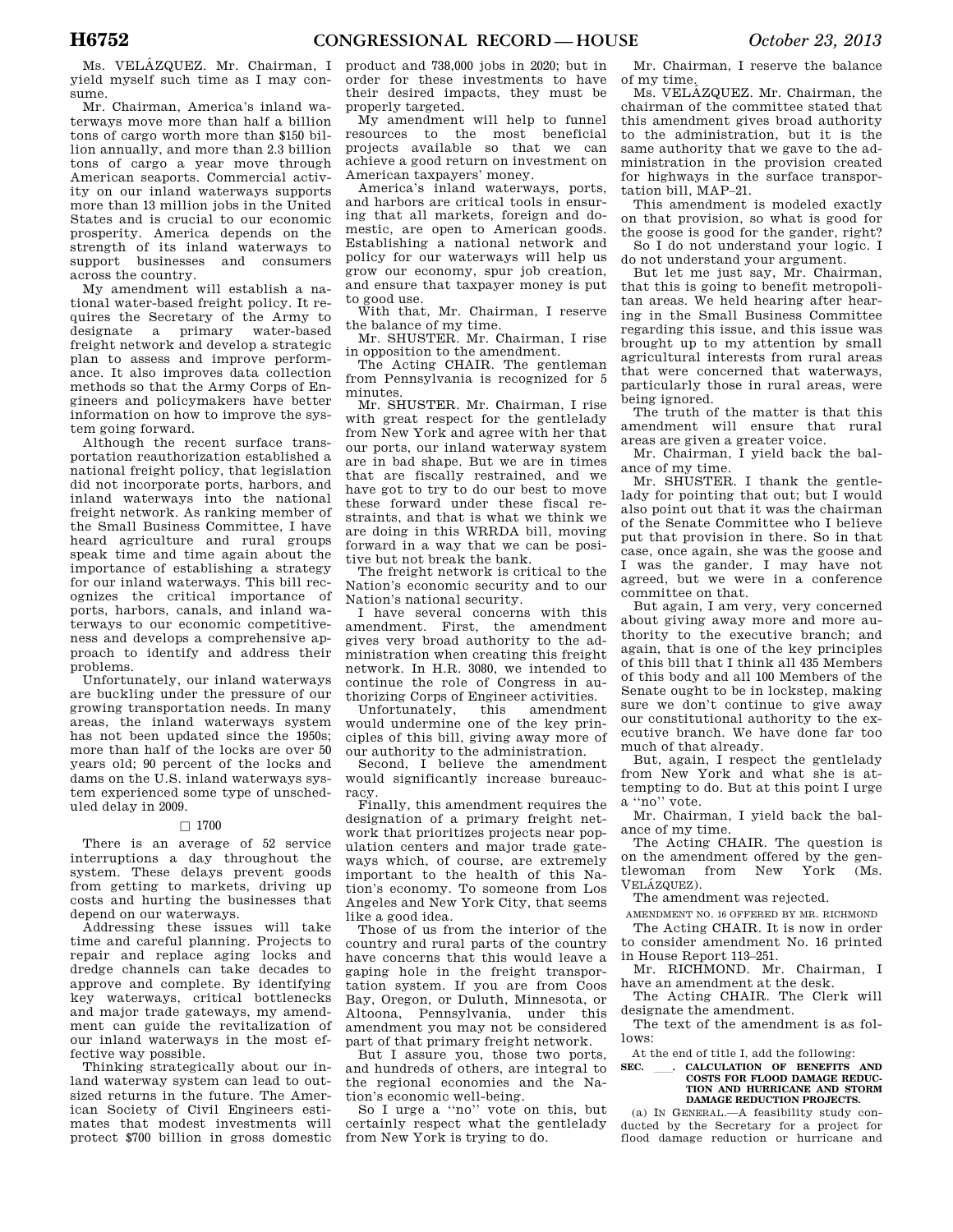Ms. VELÁZQUEZ. Mr. Chairman, I yield myself such time as I may consume.

Mr. Chairman, America's inland waterways move more than half a billion tons of cargo worth more than \$150 billion annually, and more than 2.3 billion tons of cargo a year move through American seaports. Commercial activity on our inland waterways supports more than 13 million jobs in the United States and is crucial to our economic prosperity. America depends on the strength of its inland waterways to support businesses and consumers across the country.

My amendment will establish a national water-based freight policy. It requires the Secretary of the Army to designate a primary water-based freight network and develop a strategic plan to assess and improve performance. It also improves data collection methods so that the Army Corps of Engineers and policymakers have better information on how to improve the system going forward.

Although the recent surface transportation reauthorization established a national freight policy, that legislation did not incorporate ports, harbors, and inland waterways into the national freight network. As ranking member of the Small Business Committee, I have heard agriculture and rural groups speak time and time again about the importance of establishing a strategy for our inland waterways. This bill recognizes the critical importance of ports, harbors, canals, and inland waterways to our economic competitiveness and develops a comprehensive approach to identify and address their problems.

Unfortunately, our inland waterways are buckling under the pressure of our growing transportation needs. In many areas, the inland waterways system has not been updated since the 1950s; more than half of the locks are over 50 years old; 90 percent of the locks and dams on the U.S. inland waterways system experienced some type of unscheduled delay in 2009.

## $\Box$  1700

There is an average of 52 service interruptions a day throughout the system. These delays prevent goods from getting to markets, driving up costs and hurting the businesses that depend on our waterways.

Addressing these issues will take time and careful planning. Projects to repair and replace aging locks and dredge channels can take decades to approve and complete. By identifying key waterways, critical bottlenecks and major trade gateways, my amendment can guide the revitalization of our inland waterways in the most effective way possible.

Thinking strategically about our inland waterway system can lead to outsized returns in the future. The American Society of Civil Engineers estimates that modest investments will protect \$700 billion in gross domestic

product and 738,000 jobs in 2020; but in order for these investments to have their desired impacts, they must be properly targeted.

My amendment will help to funnel resources to the most beneficial projects available so that we can achieve a good return on investment on American taxpayers' money.

America's inland waterways, ports, and harbors are critical tools in ensuring that all markets, foreign and domestic, are open to American goods. Establishing a national network and policy for our waterways will help us grow our economy, spur job creation, and ensure that taxpayer money is put to good use.

With that, Mr. Chairman, I reserve the balance of my time.

Mr. SHUSTER. Mr. Chairman, I rise in opposition to the amendment.

The Acting CHAIR. The gentleman from Pennsylvania is recognized for 5 minutes.

Mr. SHUSTER. Mr. Chairman, I rise with great respect for the gentlelady from New York and agree with her that our ports, our inland waterway system are in bad shape. But we are in times that are fiscally restrained, and we have got to try to do our best to move these forward under these fiscal restraints, and that is what we think we are doing in this WRRDA bill, moving forward in a way that we can be positive but not break the bank.

The freight network is critical to the Nation's economic security and to our Nation's national security.

I have several concerns with this amendment. First, the amendment gives very broad authority to the administration when creating this freight network. In H.R. 3080, we intended to continue the role of Congress in authorizing Corps of Engineer activities.

Unfortunately, this amendment would undermine one of the key principles of this bill, giving away more of our authority to the administration.

Second, I believe the amendment would significantly increase bureaucracy.

Finally, this amendment requires the designation of a primary freight network that prioritizes projects near population centers and major trade gateways which, of course, are extremely important to the health of this Nation's economy. To someone from Los Angeles and New York City, that seems like a good idea.

Those of us from the interior of the country and rural parts of the country have concerns that this would leave a gaping hole in the freight transportation system. If you are from Coos Bay, Oregon, or Duluth, Minnesota, or Altoona, Pennsylvania, under this amendment you may not be considered part of that primary freight network.

But I assure you, those two ports, and hundreds of others, are integral to the regional economies and the Nation's economic well-being.

So I urge a ''no'' vote on this, but certainly respect what the gentlelady from New York is trying to do.

Mr. Chairman, I reserve the balance of my time.

Ms. VELÁZQUEZ. Mr. Chairman, the chairman of the committee stated that this amendment gives broad authority to the administration, but it is the same authority that we gave to the administration in the provision created for highways in the surface transportation bill, MAP–21.

This amendment is modeled exactly on that provision, so what is good for the goose is good for the gander, right? So I do not understand your logic. I

do not understand your argument.

But let me just say, Mr. Chairman, that this is going to benefit metropolitan areas. We held hearing after hearing in the Small Business Committee regarding this issue, and this issue was brought up to my attention by small agricultural interests from rural areas that were concerned that waterways, particularly those in rural areas, were being ignored.

The truth of the matter is that this amendment will ensure that rural areas are given a greater voice.

Mr. Chairman, I yield back the balance of my time.

Mr. SHUSTER. I thank the gentlelady for pointing that out; but I would also point out that it was the chairman of the Senate Committee who I believe put that provision in there. So in that case, once again, she was the goose and I was the gander. I may have not agreed, but we were in a conference committee on that.

But again, I am very, very concerned about giving away more and more authority to the executive branch; and again, that is one of the key principles of this bill that I think all 435 Members of this body and all 100 Members of the Senate ought to be in lockstep, making sure we don't continue to give away our constitutional authority to the executive branch. We have done far too much of that already.

But, again, I respect the gentlelady from New York and what she is attempting to do. But at this point I urge a ''no'' vote.

Mr. Chairman, I yield back the balance of my time.

The Acting CHAIR. The question is on the amendment offered by the gentlewoman from New York (Ms. VELAZQUEZ).

The amendment was rejected.

AMENDMENT NO. 16 OFFERED BY MR. RICHMOND The Acting CHAIR. It is now in order to consider amendment No. 16 printed in House Report 113–251.

Mr. RICHMOND. Mr. Chairman, I have an amendment at the desk.

The Acting CHAIR. The Clerk will designate the amendment.

The text of the amendment is as follows:

At the end of title I, add the following:

SEC. \_\_\_\_. CALCULATION OF BENEFITS AND **COSTS FOR FLOOD DAMAGE REDUC-TION AND HURRICANE AND STORM DAMAGE REDUCTION PROJECTS.** 

(a) IN GENERAL.—A feasibility study conducted by the Secretary for a project for flood damage reduction or hurricane and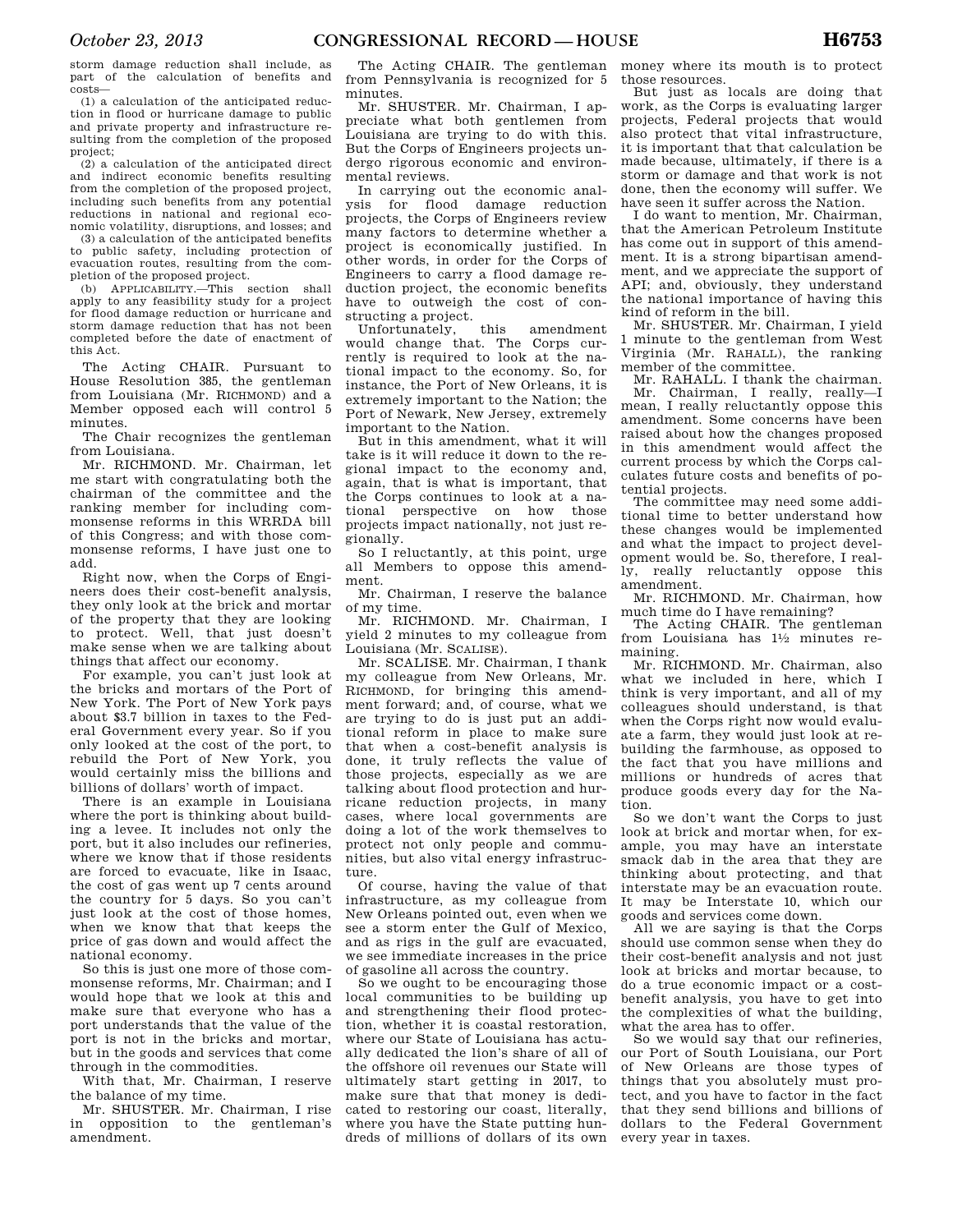storm damage reduction shall include, as part of the calculation of benefits and costs—

(1) a calculation of the anticipated reduction in flood or hurricane damage to public and private property and infrastructure resulting from the completion of the proposed project;

(2) a calculation of the anticipated direct and indirect economic benefits resulting from the completion of the proposed project, including such benefits from any potential reductions in national and regional economic volatility, disruptions, and losses; and

(3) a calculation of the anticipated benefits to public safety, including protection of evacuation routes, resulting from the completion of the proposed project.

(b) APPLICABILITY.—This section shall apply to any feasibility study for a project for flood damage reduction or hurricane and storm damage reduction that has not been completed before the date of enactment of this Act.

The Acting CHAIR. Pursuant to House Resolution 385, the gentleman from Louisiana (Mr. RICHMOND) and a Member opposed each will control 5 minutes.

The Chair recognizes the gentleman from Louisiana.

Mr. RICHMOND. Mr. Chairman, let me start with congratulating both the chairman of the committee and the ranking member for including commonsense reforms in this WRRDA bill of this Congress; and with those commonsense reforms, I have just one to add.

Right now, when the Corps of Engineers does their cost-benefit analysis, they only look at the brick and mortar of the property that they are looking to protect. Well, that just doesn't make sense when we are talking about things that affect our economy.

For example, you can't just look at the bricks and mortars of the Port of New York. The Port of New York pays about \$3.7 billion in taxes to the Federal Government every year. So if you only looked at the cost of the port, to rebuild the Port of New York, you would certainly miss the billions and billions of dollars' worth of impact.

There is an example in Louisiana where the port is thinking about building a levee. It includes not only the port, but it also includes our refineries, where we know that if those residents are forced to evacuate, like in Isaac, the cost of gas went up 7 cents around the country for 5 days. So you can't just look at the cost of those homes, when we know that that keeps the price of gas down and would affect the national economy.

So this is just one more of those commonsense reforms, Mr. Chairman; and I would hope that we look at this and make sure that everyone who has a port understands that the value of the port is not in the bricks and mortar, but in the goods and services that come through in the commodities.

With that, Mr. Chairman, I reserve the balance of my time.

Mr. SHUSTER. Mr. Chairman, I rise in opposition to the gentleman's amendment.

The Acting CHAIR. The gentleman from Pennsylvania is recognized for 5 minutes.

Mr. SHUSTER. Mr. Chairman, I appreciate what both gentlemen from Louisiana are trying to do with this. But the Corps of Engineers projects undergo rigorous economic and environmental reviews.

In carrying out the economic analysis for flood damage reduction projects, the Corps of Engineers review many factors to determine whether a project is economically justified. In other words, in order for the Corps of Engineers to carry a flood damage reduction project, the economic benefits have to outweigh the cost of constructing a project.<br>Unfortunately, this

Unfortunately, this amendment would change that. The Corps currently is required to look at the national impact to the economy. So, for instance, the Port of New Orleans, it is extremely important to the Nation; the Port of Newark, New Jersey, extremely important to the Nation.

But in this amendment, what it will take is it will reduce it down to the regional impact to the economy and, again, that is what is important, that the Corps continues to look at a national perspective on how those projects impact nationally, not just regionally.

So I reluctantly, at this point, urge all Members to oppose this amendment.

Mr. Chairman, I reserve the balance of my time.

Mr. RICHMOND. Mr. Chairman, I yield 2 minutes to my colleague from Louisiana (Mr. SCALISE).

Mr. SCALISE. Mr. Chairman, I thank my colleague from New Orleans, Mr. RICHMOND, for bringing this amendment forward; and, of course, what we are trying to do is just put an additional reform in place to make sure that when a cost-benefit analysis is done, it truly reflects the value of those projects, especially as we are talking about flood protection and hurricane reduction projects, in many cases, where local governments are doing a lot of the work themselves to protect not only people and communities, but also vital energy infrastructure.

Of course, having the value of that infrastructure, as my colleague from New Orleans pointed out, even when we see a storm enter the Gulf of Mexico, and as rigs in the gulf are evacuated, we see immediate increases in the price of gasoline all across the country.

So we ought to be encouraging those local communities to be building up and strengthening their flood protection, whether it is coastal restoration, where our State of Louisiana has actually dedicated the lion's share of all of the offshore oil revenues our State will ultimately start getting in 2017, to make sure that that money is dedicated to restoring our coast, literally, where you have the State putting hundreds of millions of dollars of its own

money where its mouth is to protect those resources.

But just as locals are doing that work, as the Corps is evaluating larger projects, Federal projects that would also protect that vital infrastructure, it is important that that calculation be made because, ultimately, if there is a storm or damage and that work is not done, then the economy will suffer. We have seen it suffer across the Nation.

I do want to mention, Mr. Chairman, that the American Petroleum Institute has come out in support of this amendment. It is a strong bipartisan amendment, and we appreciate the support of API; and, obviously, they understand the national importance of having this kind of reform in the bill.

Mr. SHUSTER. Mr. Chairman, I yield 1 minute to the gentleman from West Virginia (Mr. RAHALL), the ranking member of the committee.

Mr. RAHALL. I thank the chairman. Mr. Chairman, I really, really—I mean, I really reluctantly oppose this amendment. Some concerns have been raised about how the changes proposed in this amendment would affect the current process by which the Corps calculates future costs and benefits of potential projects.

The committee may need some additional time to better understand how these changes would be implemented and what the impact to project development would be. So, therefore, I really, really reluctantly oppose this amendment.

Mr. RICHMOND. Mr. Chairman, how much time do I have remaining?

The Acting CHAIR. The gentleman from Louisiana has 11⁄2 minutes remaining.

Mr. RICHMOND. Mr. Chairman, also what we included in here, which I think is very important, and all of my colleagues should understand, is that when the Corps right now would evaluate a farm, they would just look at rebuilding the farmhouse, as opposed to the fact that you have millions and millions or hundreds of acres that produce goods every day for the Nation.

So we don't want the Corps to just look at brick and mortar when, for example, you may have an interstate smack dab in the area that they are thinking about protecting, and that interstate may be an evacuation route. It may be Interstate 10, which our goods and services come down.

All we are saying is that the Corps should use common sense when they do their cost-benefit analysis and not just look at bricks and mortar because, to do a true economic impact or a costbenefit analysis, you have to get into the complexities of what the building, what the area has to offer.

So we would say that our refineries, our Port of South Louisiana, our Port of New Orleans are those types of things that you absolutely must protect, and you have to factor in the fact that they send billions and billions of dollars to the Federal Government every year in taxes.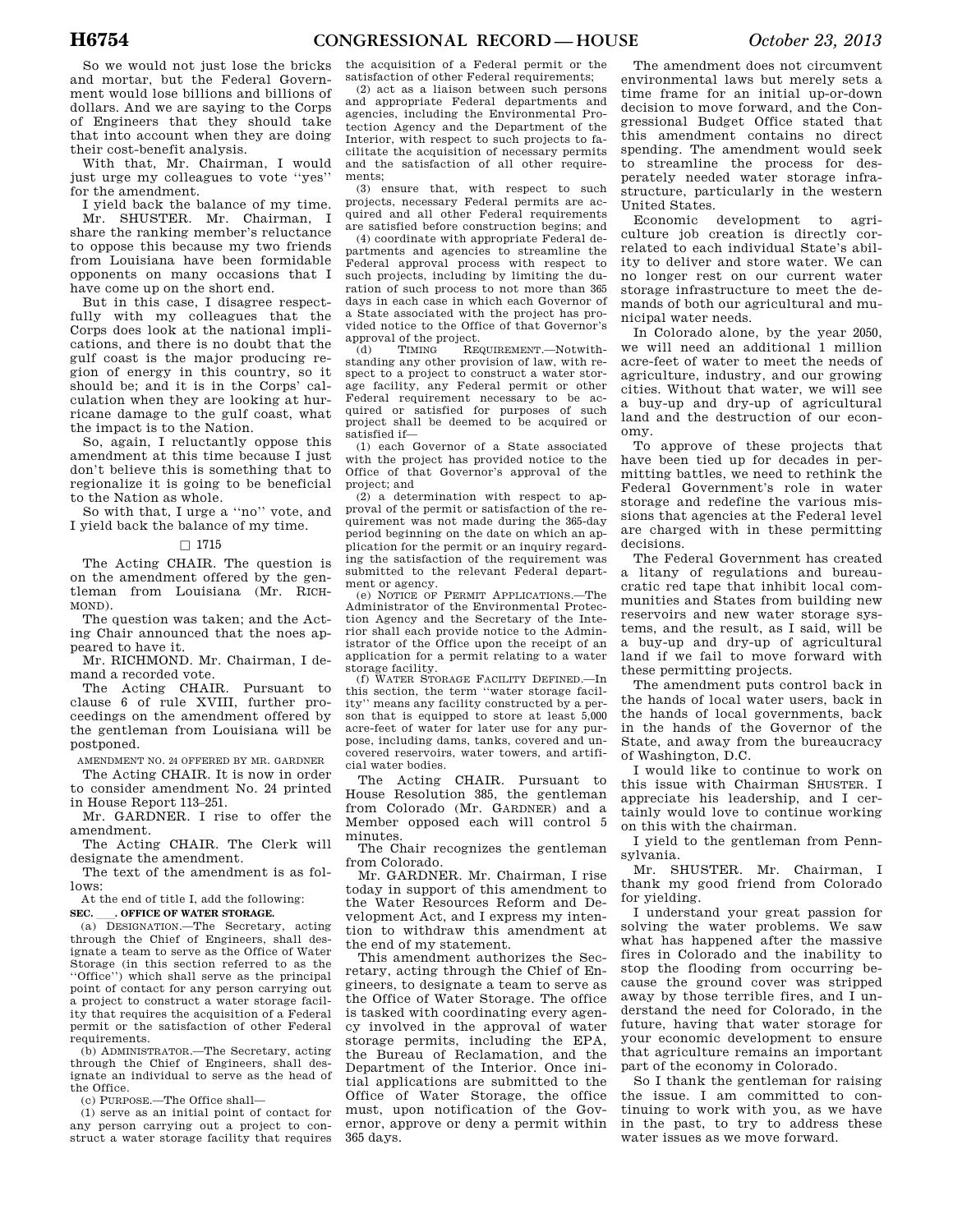So we would not just lose the bricks and mortar, but the Federal Government would lose billions and billions of dollars. And we are saying to the Corps of Engineers that they should take that into account when they are doing their cost-benefit analysis.

With that, Mr. Chairman, I would just urge my colleagues to vote ''yes'' for the amendment.

I yield back the balance of my time. Mr. SHUSTER. Mr. Chairman, I share the ranking member's reluctance to oppose this because my two friends from Louisiana have been formidable opponents on many occasions that I have come up on the short end.

But in this case, I disagree respectfully with my colleagues that the Corps does look at the national implications, and there is no doubt that the gulf coast is the major producing region of energy in this country, so it should be; and it is in the Corps' calculation when they are looking at hurricane damage to the gulf coast, what the impact is to the Nation.

So, again, I reluctantly oppose this amendment at this time because I just don't believe this is something that to regionalize it is going to be beneficial to the Nation as whole.

So with that, I urge a ''no'' vote, and I yield back the balance of my time.

# $\square$  1715

The Acting CHAIR. The question is on the amendment offered by the gentleman from Louisiana (Mr. RICH-MOND).

The question was taken; and the Acting Chair announced that the noes appeared to have it.

Mr. RICHMOND. Mr. Chairman, I demand a recorded vote.

The Acting CHAIR. Pursuant to clause 6 of rule XVIII, further proceedings on the amendment offered by the gentleman from Louisiana will be postponed.

AMENDMENT NO. 24 OFFERED BY MR. GARDNER

The Acting CHAIR. It is now in order to consider amendment No. 24 printed in House Report 113–251.

Mr. GARDNER. I rise to offer the amendment.

The Acting CHAIR. The Clerk will designate the amendment.

The text of the amendment is as follows:

At the end of title I, add the following:

**SEC. \_\_\_. OFFICE OF WATER STORAGE.**<br>(a) DESIGNATION.—The Secretary, acting through the Chief of Engineers, shall designate a team to serve as the Office of Water Storage (in this section referred to as the ''Office'') which shall serve as the principal point of contact for any person carrying out a project to construct a water storage facility that requires the acquisition of a Federal permit or the satisfaction of other Federal requirements.

(b) ADMINISTRATOR.—The Secretary, acting through the Chief of Engineers, shall designate an individual to serve as the head of the Office.

(c) PURPOSE.—The Office shall—

(1) serve as an initial point of contact for any person carrying out a project to construct a water storage facility that requires the acquisition of a Federal permit or the satisfaction of other Federal requirements;

(2) act as a liaison between such persons and appropriate Federal departments and agencies, including the Environmental Protection Agency and the Department of the Interior, with respect to such projects to facilitate the acquisition of necessary permits and the satisfaction of all other requirements;

(3) ensure that, with respect to such projects, necessary Federal permits are acquired and all other Federal requirements are satisfied before construction begins; and

(4) coordinate with appropriate Federal departments and agencies to streamline the Federal approval process with respect to such projects, including by limiting the duration of such process to not more than 365 days in each case in which each Governor of a State associated with the project has provided notice to the Office of that Governor's approval of the project.<br>(d) TIMING  $REG$ 

(d) TIMING REQUIREMENT.—Notwithstanding any other provision of law, with respect to a project to construct a water storage facility, any Federal permit or other Federal requirement necessary to be acquired or satisfied for purposes of such project shall be deemed to be acquired or satisfied if—

(1) each Governor of a State associated with the project has provided notice to the Office of that Governor's approval of the project; and

(2) a determination with respect to approval of the permit or satisfaction of the requirement was not made during the 365-day period beginning on the date on which an application for the permit or an inquiry regarding the satisfaction of the requirement was submitted to the relevant Federal depart-

ment or agency. (e) NOTICE OF PERMIT APPLICATIONS.—The Administrator of the Environmental Protection Agency and the Secretary of the Interior shall each provide notice to the Administrator of the Office upon the receipt of an application for a permit relating to a water storage facility.

(f) WATER STORAGE FACILITY DEFINED.—In this section, the term ''water storage facility'' means any facility constructed by a person that is equipped to store at least 5,000 acre-feet of water for later use for any purpose, including dams, tanks, covered and uncovered reservoirs, water towers, and artificial water bodies.

The Acting CHAIR. Pursuant to House Resolution 385, the gentleman from Colorado (Mr. GARDNER) and a Member opposed each will control 5 minutes.

The Chair recognizes the gentleman from Colorado.

Mr. GARDNER. Mr. Chairman, I rise today in support of this amendment to the Water Resources Reform and Development Act, and I express my intention to withdraw this amendment at the end of my statement.

This amendment authorizes the Secretary, acting through the Chief of Engineers, to designate a team to serve as the Office of Water Storage. The office is tasked with coordinating every agency involved in the approval of water storage permits, including the EPA, the Bureau of Reclamation, and the Department of the Interior. Once initial applications are submitted to the Office of Water Storage, the office must, upon notification of the Governor, approve or deny a permit within 365 days.

The amendment does not circumvent environmental laws but merely sets a time frame for an initial up-or-down decision to move forward, and the Congressional Budget Office stated that this amendment contains no direct spending. The amendment would seek to streamline the process for desperately needed water storage infrastructure, particularly in the western United States.

Economic development to agriculture job creation is directly correlated to each individual State's ability to deliver and store water. We can no longer rest on our current water storage infrastructure to meet the demands of both our agricultural and municipal water needs.

In Colorado alone, by the year 2050, we will need an additional 1 million acre-feet of water to meet the needs of agriculture, industry, and our growing cities. Without that water, we will see a buy-up and dry-up of agricultural land and the destruction of our economy.

To approve of these projects that have been tied up for decades in permitting battles, we need to rethink the Federal Government's role in water storage and redefine the various missions that agencies at the Federal level are charged with in these permitting decisions.

The Federal Government has created a litany of regulations and bureaucratic red tape that inhibit local communities and States from building new reservoirs and new water storage systems, and the result, as I said, will be a buy-up and dry-up of agricultural land if we fail to move forward with these permitting projects.

The amendment puts control back in the hands of local water users, back in the hands of local governments, back in the hands of the Governor of the State, and away from the bureaucracy of Washington, D.C.

I would like to continue to work on this issue with Chairman SHUSTER. I appreciate his leadership, and I certainly would love to continue working on this with the chairman.

I yield to the gentleman from Pennsylvania.

Mr. SHUSTER. Mr. Chairman, I thank my good friend from Colorado for yielding.

I understand your great passion for solving the water problems. We saw what has happened after the massive fires in Colorado and the inability to stop the flooding from occurring because the ground cover was stripped away by those terrible fires, and I understand the need for Colorado, in the future, having that water storage for your economic development to ensure that agriculture remains an important part of the economy in Colorado.

So I thank the gentleman for raising the issue. I am committed to continuing to work with you, as we have in the past, to try to address these water issues as we move forward.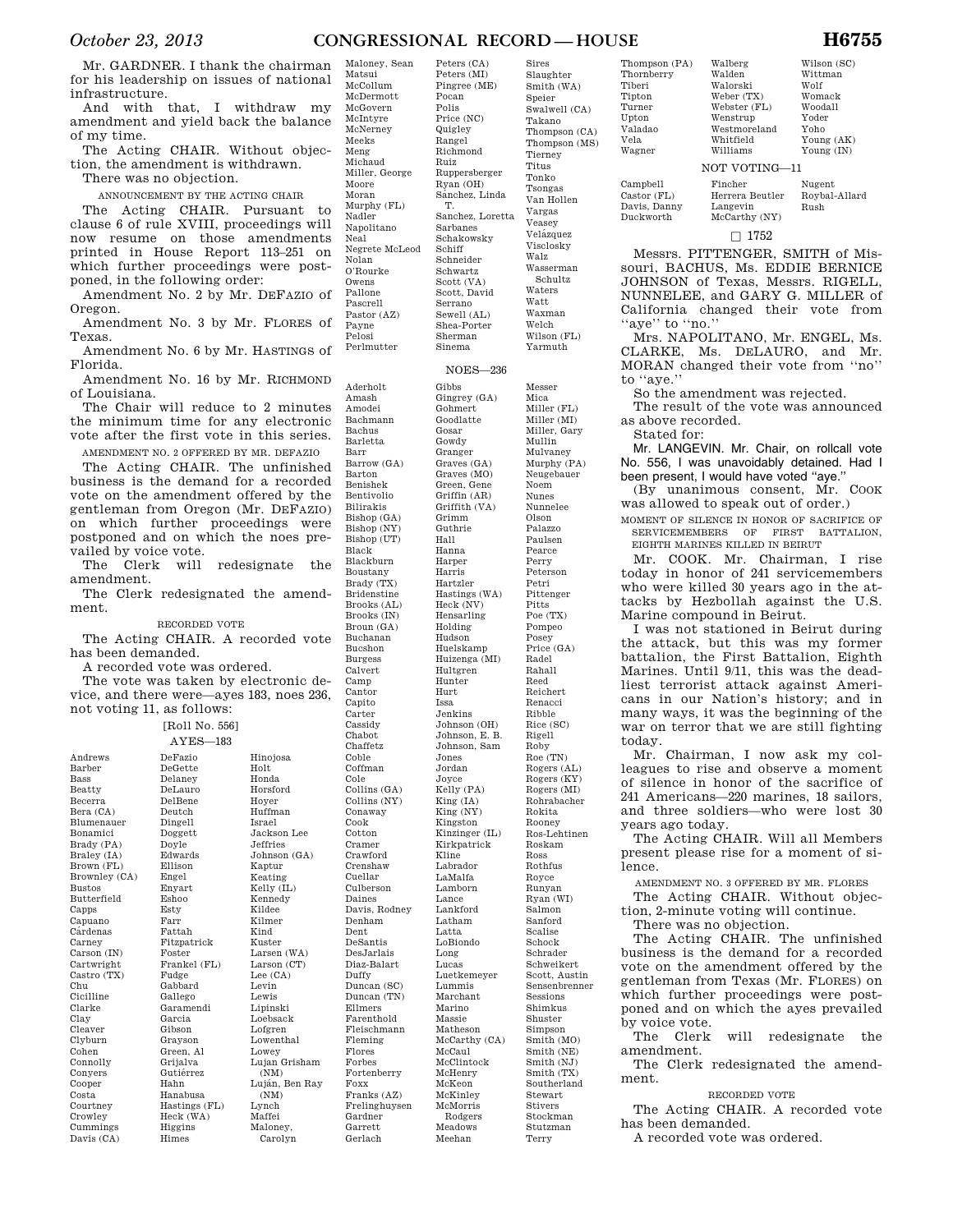# *October 23, 2013* **CONGRESSIONAL RECORD — HOUSE H6755**

Peters (CA) Peters (MI) Pingree (ME) Pocan Polis Price (NC) **Quigley** Rangel Richmond Ruiz Ruppersberger

Mr. GARDNER. I thank the chairman for his leadership on issues of national infrastructure.

And with that, I withdraw my amendment and yield back the balance of my time.

The Acting CHAIR. Without objection, the amendment is withdrawn.

There was no objection.

ANNOUNCEMENT BY THE ACTING CHAIR

The Acting CHAIR. Pursuant to clause 6 of rule XVIII, proceedings will now resume on those amendments printed in House Report 113–251 on which further proceedings were postponed, in the following order:

Amendment No. 2 by Mr. DEFAZIO of Oregon.

Amendment No. 3 by Mr. FLORES of Texas.

Amendment No. 6 by Mr. HASTINGS of Florida.

Amendment No. 16 by Mr. RICHMOND of Louisiana.

The Chair will reduce to 2 minutes the minimum time for any electronic vote after the first vote in this series.

AMENDMENT NO. 2 OFFERED BY MR. DEFAZIO The Acting CHAIR. The unfinished

business is the demand for a recorded vote on the amendment offered by the gentleman from Oregon (Mr. DEFAZIO) on which further proceedings were postponed and on which the noes pre-

vailed by voice vote.<br>The Clerk will The Clerk will redesignate the amendment.

The Clerk redesignated the amendment.

# RECORDED VOTE

The Acting CHAIR. A recorded vote has been demanded.

A recorded vote was ordered.

Davis (CA)

The vote was taken by electronic device, and there were—ayes 183, noes 236, not voting 11, as follows:

> Hinojosa Holt Honda Horsford Hoyer Huffman Israel Jackson Lee Jeffries Johnson (GA) Kaptur Keating Kelly (IL) Kennedy Kildee Kilmer Kind Kuster Larsen (WA) Larson (CT) Lee (CA) Levin Lewis Lipinski Loebsack Lofgren Lowenthal Lowey Lujan Grisham (NM) Luján, Ben Ray  $(NM)$ Lynch Maffei Maloney, Carolyn

|                             | [Roll No. 556]        |
|-----------------------------|-----------------------|
|                             | $AYES-183$            |
| Andrews                     | DeFazio               |
| Barber                      | DeGette               |
| <b>Bass</b>                 | Delaney               |
| Beatty                      | DeLauro               |
| Becerra                     | DelBene               |
| Bera (CA)                   | Deutch                |
|                             |                       |
| Blumenauer                  | Dingell               |
| Bonamici                    | Doggett               |
| Brady (PA)                  | Doyle<br>Edwards      |
| Braley (IA)                 | Ellison               |
| Brown (FL)<br>Brownley (CA) | Engel                 |
| <b>Bustos</b>               |                       |
| Butterfield                 | Enyart<br>Eshoo       |
|                             |                       |
| Capps                       | Esty<br>Farr          |
| Capuano<br>Cárdenas         | Fattah                |
|                             |                       |
| Carney<br>Carson (IN)       | Fitzpatrick<br>Foster |
|                             | Frankel (FL)          |
| Cartwright                  |                       |
| Castro (TX)<br>Chu          | Fudge<br>Gabbard      |
|                             |                       |
| Cicilline<br>Clarke         | Gallego<br>Garamendi  |
|                             | Garcia                |
| Clav                        |                       |
| Cleaver                     | Gibson                |
| Clyburn                     | Grayson               |
| Cohen                       | Green, Al             |
| Connolly                    | Grijalva              |
| Conyers                     | Gutiérrez             |
| Cooper                      | Hahn                  |
| Costa                       | Hanabusa              |
| Courtney                    | Hastings (FL)         |
| Crowley                     | Heck (WA)             |
| Cummings                    | Higgins               |

Himes

| Maloney, Sean  |
|----------------|
| Matsui         |
| McCollum       |
| McDermott      |
| McGovern       |
| McIntyre       |
| McNerney       |
| Meeks          |
| Meng           |
| Michaud        |
| Miller, George |
| Moore          |
| Moran          |
| Murphy (FL)    |
| Nadler         |
| Napolitano     |
| Neal           |
| Negrete McLeod |
| Nolan          |
| O'Rourke       |
| Owens          |
| Pallone        |
| Pascrell       |
| Pastor (AZ)    |
| Payne          |
| Pelosi         |
| Perlmutter     |
|                |

Amash Amodei Bachmann Bachus Barletta Barr Barrow (GA) Barton Benishek Bentivolio Bilirakis Bishop (GA) Bishop (NY) Bishop (UT) Black Blackburn Boustany Brady (TX) Bridenstine Brooks (AL) Brooks (IN) Broun (GA) Buchanan Bucshon Burgess Calvert Camp Cantor Capito Carter Cassidy Chabot Chaffetz Coble Coffman Cole Collins (GA) Collins (NY) Conaway Cook Cotton Cramer Crawford Crenshaw Cuellar Culberson Daines Davis, Rodney Denham Dent DeSantis DesJarlais Diaz-Balart Duffy Duncan (SC) Duncan (TN) Ellmers Farenthold Fleischmann Fleming Flores Forbes Fortenberry Foxx Franks (AZ) Frelinghuysen Gardner Garrett Gerlach

Scott, David Sewell (AL) Shea-Porter NOES—236 Gingrey (GA) Gohmert Goodlatte Gosar Gowdy Granger Graves (GA) Graves (MO) Green, Gene Griffin (AR) Griffith (VA) Grimm Guthrie Hall Hanna Harper Harris Hartzler Hastings (WA) Heck (NV) Hensarling Holding Hudson Huelskamp Huizenga (MI) Hultgren Hunter Hurt Issa Jenkins Johnson (OH) Johnson, E. B. Johnson, Sam Jones Jordan Joyce Kelly (PA) King (IA) King (NY) Kingston Kinzinger (IL) Kirkpatrick Kline Labrador LaMalfa Lamborn Lance Lankford Latham Latta LoBiondo Long Lucas Luetkemeyer Lummis Marchant Marino Massie Matheson McCarthy (CA) McCaul McClintock McHenry McKeon McKinley McMorris Rodgers Meadows Meehan Stockman Stutzman Terry

Sires Slaughter Smith (WA) Speier Swalwell (CA) Takano Thompson (CA) Thompson (MS) Tierney Titus Tonko Tsongas Van Hollen Vargas Veasey Velázquez Visclosky Walz Wasserman Schultz Waters Watt Waxman Welch

Wilson (FL) Yarmuth

Messer Mica Miller (FL) Miller (MI) Miller, Gary Mullin Mulvaney Murphy (PA) Neugebauer Noem Nunes Nunnelee Olson Palazzo Paulsen Pearce Perry Peterson Petri Pittenger Pitts Poe (TX) Pompeo Posey Price (GA) Radel Rahall Reed Reichert Renacci Ribble Rice (SC) Rigell Roby<br>Roe (TN) Rogers (AL) Rogers (KY) Rogers (MI) Rohrabacher Rokita Rooney Ros-Lehtinen Roskam Ross Rothfus Royce Runyan Ryan (WI) Salmon Sanford Scalise Schock Schrader Schweikert Scott, Austin Sensenbrenner Sessions Shimkus Shuster Simpson Smith (MO) Smith (NE)  $Smith(N,I)$ Smith (TX) Southerland Stewart Stivers

Thompson (PA) **Thornberry** Tiberi Tipton Turner Upton Valadao Vela Wagner

Webste Wenstr Westm Whitfi Williar NOT VO Campbell Finche

Walberg

Castor (FL) Davis, Danny Langevin McCarthy (NY)

Duckworth

Messrs. PITTENGER, SMITH of Missouri, BACHUS, Ms. EDDIE BERNICE JOHNSON of Texas, Messrs. RIGELL, NUNNELEE, and GARY G. MILLER of California changed their vote from "aye" to "no."

 $\Box$  1752

Mrs. NAPOLITANO, Mr. ENGEL, Ms. CLARKE, Ms. DELAURO, and Mr. MORAN changed their vote from ''no'' to ''aye.''

So the amendment was rejected.

The result of the vote was announced as above recorded. Stated for:

Mr. LANGEVIN. Mr. Chair, on rollcall vote No. 556, I was unavoidably detained. Had I been present, I would have voted ''aye.''

(By unanimous consent, Mr. COOK was allowed to speak out of order.)

MOMENT OF SILENCE IN HONOR OF SACRIFICE OF SERVICEMEMBERS OF FIRST BATTALION EIGHTH MARINES KILLED IN BEIRUT

Mr. COOK. Mr. Chairman, I rise today in honor of 241 servicemembers who were killed 30 years ago in the attacks by Hezbollah against the U.S. Marine compound in Beirut.

I was not stationed in Beirut during the attack, but this was my former battalion, the First Battalion, Eighth Marines. Until 9/11, this was the deadliest terrorist attack against Americans in our Nation's history; and in many ways, it was the beginning of the war on terror that we are still fighting today.

Mr. Chairman, I now ask my colleagues to rise and observe a moment of silence in honor of the sacrifice of 241 Americans—220 marines, 18 sailors, and three soldiers—who were lost 30 years ago today.

The Acting CHAIR. Will all Members present please rise for a moment of silence.

AMENDMENT NO. 3 OFFERED BY MR. FLORES

The Acting CHAIR. Without objection, 2-minute voting will continue.

There was no objection.

The Acting CHAIR. The unfinished business is the demand for a recorded vote on the amendment offered by the gentleman from Texas (Mr. FLORES) on which further proceedings were postponed and on which the ayes prevailed by voice vote.

The Clerk will redesignate the amendment.

The Clerk redesignated the amendment.

# RECORDED VOTE

The Acting CHAIR. A recorded vote has been demanded.

A recorded vote was ordered.

Wilson (SC)

Rush

| Walden          | Wittman       |
|-----------------|---------------|
| Walorski        | Wolf          |
| Weber (TX)      | Womack        |
| Webster (FL)    | Woodall       |
| Wenstrup        | Yoder         |
| Westmoreland    | Yoho          |
| Whitfield       | Young (AK)    |
| Williams        | Young (IN)    |
| OT VOTING-11    |               |
| Fincher         | Nugent        |
| Herrera Beutler | Roybal-Allard |

Ryan (OH) Sánchez, Linda T. Sanchez, Loretta Sarbanes Schakowsky Schiff Schneider Schwartz Scott (VA) Serrano Sherman Sinema Aderholt Gibbs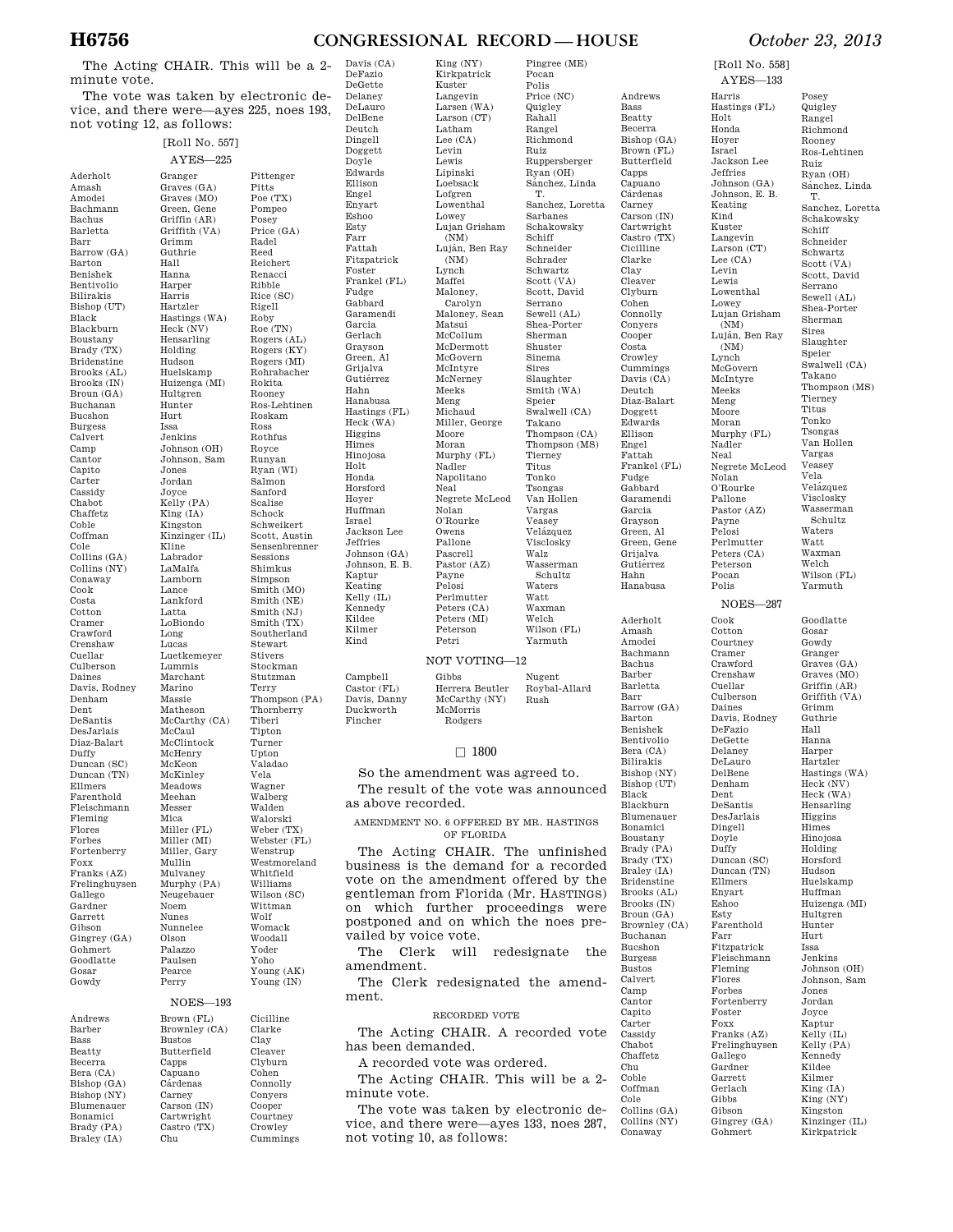# **H6756 CONGRESSIONAL RECORD — HOUSE** *October 23, 2013*

Pingree (ME) Pocan Polis Price (NC) Quigley Rahall Rangel Richmond Ruiz Ruppersberger Ryan (OH) Sánchez, Linda T. Sanchez, Loretta Sarbanes Schakowsky Schiff Schneider Schrader Schwartz Scott (VA) Scott, David Serrano<br>Sewell (AL) Shea-Porter Sherman Shuster Sinema Sires Slaughter Smith (WA) Speier Swalwell (CA) Takano Thompson (CA) Thompson (MS) Tierney Titus Tonko Tsongas Van Hollen Vargas Veasey Velázquez Visclosky Walz Wasserman Schultz Waters Watt Waxman Welch Wilson (FL) Yarmuth

King (NY)

The Acting CHAIR. This will be a 2 minute vote.

The vote was taken by electronic device, and there were—ayes 225, noes 193, not voting 12, as follows:

| Aderholt<br>Amash                                            |
|--------------------------------------------------------------|
| Amodei                                                       |
|                                                              |
| Bachmann                                                     |
| Bachus                                                       |
| Barletta                                                     |
| Barr                                                         |
| Barrow (GA)                                                  |
| Barton                                                       |
| Benishek                                                     |
| Bentivolio                                                   |
| Bilirakis                                                    |
| Bishop (UT)                                                  |
| Black                                                        |
| Blackburn                                                    |
| Boustany                                                     |
| Brady (TX)                                                   |
| Bridenstine                                                  |
| Brooks (AL)<br>Brooks (IN)                                   |
|                                                              |
| Broun (GA)                                                   |
| Buchanan                                                     |
| Bucshon                                                      |
| <b>Burgess</b>                                               |
| Calvert                                                      |
| $_{\rm{camp}}$                                               |
| $\frac{1}{2}$                                                |
| Capito                                                       |
| Carter                                                       |
| Cassidy                                                      |
| Chabot                                                       |
| Chaffetz                                                     |
| Coble                                                        |
| Coffman                                                      |
| Cole                                                         |
| Collins (GA                                                  |
| Collins (NY)                                                 |
| Conaway                                                      |
|                                                              |
| Cook                                                         |
| Costa                                                        |
| $\frac{\footnotesize \text{Cottom}}{\footnotesize \text{C}}$ |
| Cramer                                                       |
| Crawford                                                     |
| Crenshaw                                                     |
| Cuellar                                                      |
| Culberson                                                    |
| Daines                                                       |
| Davis, Rodney                                                |
| Denham                                                       |
|                                                              |
| $_{\rm Dent}$                                                |
| DeSantis                                                     |
| DesJarlais                                                   |
| Diaz-Balart                                                  |
| Duffy                                                        |
| Duncan (SC)                                                  |
| Duncan (TN)                                                  |
| Ellmers                                                      |
| Farenthold                                                   |
|                                                              |
| Fleischmann                                                  |
| Fleming<br>Flores                                            |
|                                                              |
| Forbes<br>Fortenberry                                        |
| Foxx                                                         |
|                                                              |
| Franks (AZ)<br>Frelinghuysen                                 |
|                                                              |
| Gallego                                                      |
| Gardner                                                      |
| Garrett                                                      |
| Gibson                                                       |
| Gingrey (GA)                                                 |
| Gohmert                                                      |
| Goodlatte<br>$_{\rm Gosar}$                                  |

[Roll No. 557] AYES—225 Granger Graves (GA) Graves (MO) Green, Gene Griffin (AR) Griffith (VA) Grimm Guthrie Hall Hanna Harper Harris Hartzler Hastings (WA) Heck (NV) Hensarling Holding Hudson Huelskamp Huizenga (MI) Hultgren Hunter Hurt Issa Jenkins Johnson (OH) Johnson, Sam Jones Jordan Joyce Kelly (PA) King (IA) Kingston Kinzinger (IL) Kline Labrador LaMalfa Lamborn Lance Lankford Latta LoBiondo Long Lucas Luetkemeyer Lummis Marchant Marino Massie Matheson McCarthy (CA) McCaul McClintock McHenry McKeon McKinley Meadows Meehan Messer Mica Miller (FL) Miller (MI) Miller, Gary Mullin Mulvaney Murphy (PA) Neugebauer Noem Nunes Nunnelee Olson Palazzo Paulsen Pearce Pittenger Pitts Poe (TX) Pompeo Posey Price (GA) Radel Reed Reichert Renacci Ribble Rice (SC) Rigell Roby Roe (TN) Rogers (AL) Rogers (KY) Rogers (MI) Rohrabacher Rokita Rooney Ros-Lehtinen Roskam Ross Rothfus Royce Runyan Ryan (WI) Salmon Sanford Scalise Schock Schweikert Scott, Austin Sensenbrenner Sessions Shimkus Simpson Smith (MO) Smith (NE) Smith (NJ) Smith (TX) Southerland Stewart Stivers Stockman Stutzman Terry Thornberry Tiberi Tipton Turner Upton Valadao Vela Wagner Walberg Walden Walorski Weber (TX) Webster (FL) Wenstrup Westmoreland Whitfield Williams Wilson (SC) Wittman Wolf Womack Woodall Yoder Yoho Young (AK)

Perry

Castro (TX) Chu

Andrews Barber Bass Beatty Becerra Bera (CA) Bishop (GA) Bishop (NY) Blumenauer Bonamici Brady (PA) Braley (IA)

Young (IN) NOES—193 Brown (FL) Brownley (CA) Bustos Butterfield Capps Capuano Cárdenas Carney Carson (IN) Cartwright Cicilline Clarke Clay Cleaver Clyburn Cohen Connolly Conyers Cooper Courtney

Crowley Cummings

Thompson (PA) DeLauro DelBene Deutch Dingell Doggett Doyle Ellison Engel Enyart Eshoo Esty Farr Fattah Foster Fudge Garcia Hahn Himes Holt Honda Hoyer Israel Kaptur Kildee Kilmer Kind Fincher

Edwards Fitzpatrick Frankel (FL) Gabbard Garamendi Gerlach Grayson Green, Al Grijalva Gutiérrez Hanabusa Hastings (FL) Heck (WA) **Higgins** Hinojosa Horsford Huffman Jackson Lee Jeffries Johnson (GA) Johnson, E. B. Keating Kelly (IL) Kennedy Campbell Castor (FL) Davis, Danny Duckworth

Davis (CA) DeFazio DeGette Delaney

Kirkpatrick Kuster Langevin Larsen (WA) Larson (CT) Latham Lee (CA) Levin Lewis Lipinski Loebsack Lofgren Lowenthal Lowey<br>Lujan Grisham  $(NM)$ Luján, Ben Ray (NM) Lynch Maffei Maloney, Carolyn Maloney, Sean Matsui McCollum McDermott McGovern McIntyre McNerney Meeks Meng Michaud Miller, George Moore Moran Murphy (FL) Nadler Napolitano Neal Negrete McLeod Nolan O'Rourke Owens Pallone Pascrell Pastor (AZ) Payne Pelosi Perlmutter Peters (CA) Peters (MI) Peterson Petri

# NOT VOTING-

Gibbs Herrera Beutler McCarthy (NY) McMorris Rodgers Nugent Roybal-Allard Rush

# $\square$  1800

So the amendment was agreed to. The result of the vote was announced as above recorded.

# AMENDMENT NO. 6 OFFERED BY MR. HASTINGS OF FLORIDA

The Acting CHAIR. The unfinished business is the demand for a recorded vote on the amendment offered by the gentleman from Florida (Mr. HASTINGS) on which further proceedings were postponed and on which the noes prevailed by voice vote.

The Clerk will redesignate the amendment.

The Clerk redesignated the amendment.

# RECORDED VOTE

The Acting CHAIR. A recorded vote has been demanded.

A recorded vote was ordered.

The Acting CHAIR. This will be a 2 minute vote.

The vote was taken by electronic device, and there were—ayes 133, noes 287, not voting 10, as follows:

Andrews Bass Beatty Becerra Bishop (GA) Brown (FL) Butterfield Capps Capuano<br>Cárdenas Carney Carson (IN) Cartwright Castro (TX) Cicilline Clarke Clay Cleaver Clyburn Cohen Connolly Conyers Cooper Costa Crowley Cummings Davis (CA) Deutch Diaz-Balart Doggett Edwards Ellison Engel Fattah Frankel (FL) Fudge Gabbard Garamendi Garcia Grayson Green, Al Green, Gene Grijalva Gutiérrez Hahn Hanabusa

> Aderholt Amash Amodei Bachmann Bachus Barber Barletta Barr Barrow (GA) Barton Benishek Bentivolio Bera (CA) Bilirakis Bishop (NY) Bishop (UT) Black Blackburn Blumenauer Bonamici Boustany Brady (PA) Brady (TX) Braley (IA) Bridenstine Brooks (AL) Brooks (IN) Broun (GA) Brownley (CA) Buchanan Bucshon Burgess Bustos Calvert Camp Cantor Capito Carter Cassidy Chabot Chaffetz Chu Coble Coffman Cole Collins (GA) Collins (NY) Conaway

[Roll No. 558] AYES—133

Harris

 $H<sub>0</sub>1$ <sup>+</sup> Honda Hoyer Israel

Jeffries

Keating Kind Kuster

Lee (CA) Levin Lewis

Lowey

 $(NM)$ 

(NM) Lynch

Meeks Meng Moore Moran

Nadler Neal

Nolan

Pallone

Payne Pelosi

Peterson Pocan Polis

Cook Cotton Courtney Cramer

Cuellar

Daines Davis, Rodney DeFazio DeGette Delaney DeLauro DelBene Denham Dent DeSantis DesJarlais Dingell Doyle Duffy Duncan (SC) Duncan (TN) Ellmers Enyart Eshoo Esty Farenthold Farr Fitzpatrick Fleischmann Fleming Flores Forbes Fortenberry Foster Foxx Franks (AZ) Frelinghuysen Gallego Gardner Garrett Gerlach Gibbs Gibson Gingrey (GA) Gohmert

Hastings (FL) Jackson Lee Johnson (GA) Johnson, E. B. Langevin Larson (CT) Lowenthal Lujan Grisham Luján, Ben Ray McGovern McIntyre Murphy (FL) Negrete McLeod O'Rourke Pastor (AZ) Perlmutter Peters (CA) Posey Quigley Rangel Richmond Rooney Ros-Lehtinen Ruiz Ryan (OH) Sánchez, Linda T. Sanchez, Loretta Schakowsky Schiff Schneider Schwartz Scott (VA) Scott, David Serrano Sewell (AL) Shea-Porter Sherman Sires Slaughter Speier Swalwell (CA) Takano Thompson (MS) Tierney Titus Tonko Tsongas Van Hollen Vargas Veasey Vela Velázquez Visclosky Wasserman Schultz Waters Watt Waxman Welch Wilson (FL) Yarmuth NOES—287 Crawford Crenshaw Culberson Goodlatte Gosar Gowdy Granger

Graves (GA) Graves (MO) Griffin (AR) Griffith (VA) Grimm Guthrie Hall Hanna Harper Hartzler Hastings (WA) Heck (NV) Heck (WA) Hensarling Higgins Himes Hinojosa Holding Horsford Hudson Huelskamp Huffman Huizenga (MI) Hultgren Hunter Hurt Issa Jenkins Johnson (OH) Johnson, Sam Jones Jordan Joyce Kaptur Kelly (IL) Kelly (PA) Kennedy Kildee Kilmer King (IA) King (NY) Kingston Kinzinger (IL)

Kirkpatrick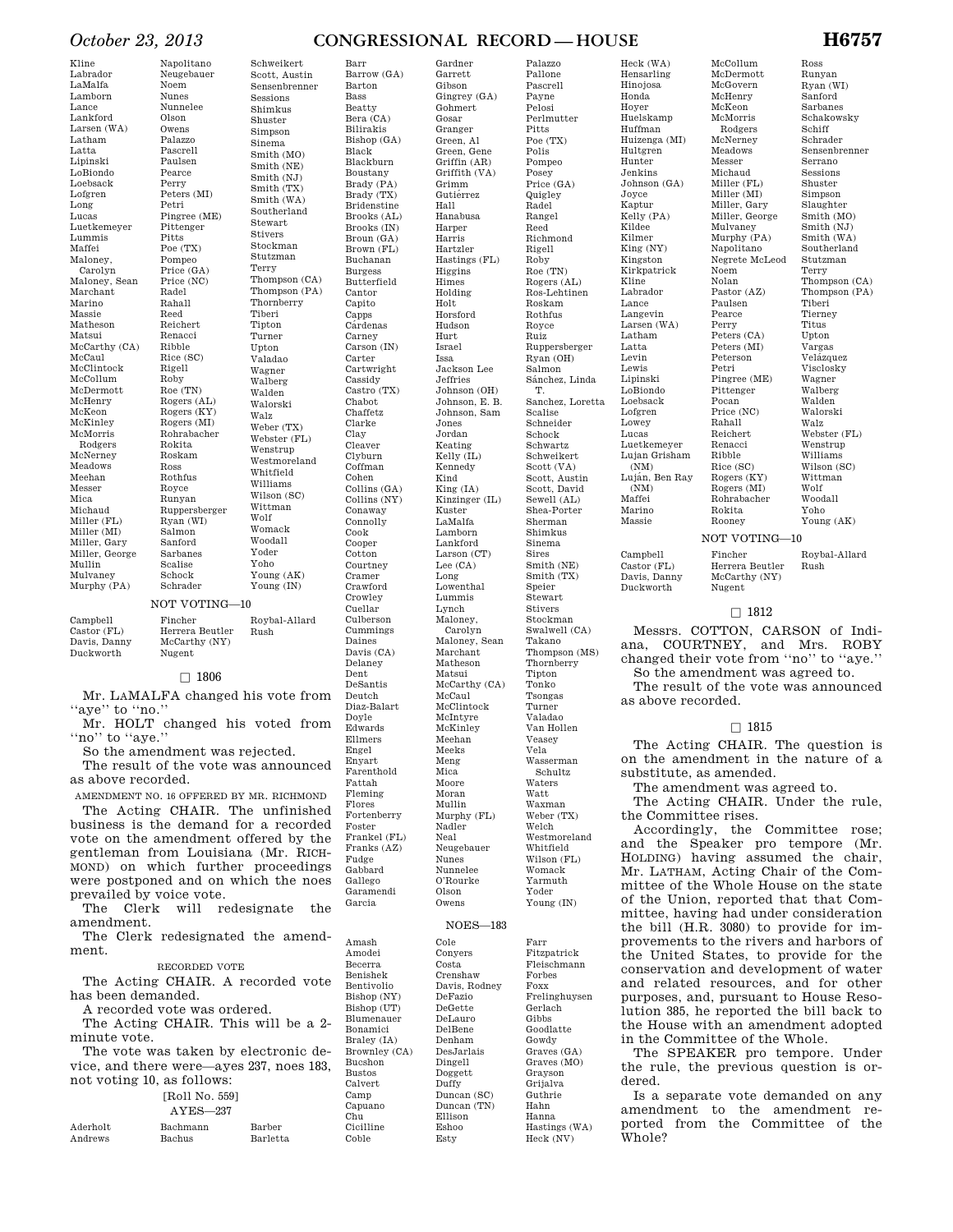# *October 23, 2013* **CONGRESSIONAL RECORD — HOUSE H6757**

Gardner Garrett Gibson

Kline Labrador LaMalfa Lamborn Lance Lankford Larsen (WA) Latham Latta Lipinski LoBiondo Loebsack Lofgren Long Lucas Luetkemeyer Lummis Maffei Maloney, Carolyn Maloney, Sean Marchant Marino Massie Matheson Matsui McCarthy (CA) McCaul McClintock McCollum McDermott McHenry McKeon McKinley McMorris Rodgers McNerney Meadows Meehan Messer Mica Michaud Miller (FL) Miller (MI) Miller, Gary Miller, George Mullin Mulvaney Murphy (PA)

Napolitano Neugebauer Nunnelee Palazzo Pascrell Paulsen Peters (MI) Pingree (ME) Pittenger Poe (TX) Pompeo Price (GA) Price (NC) Reichert Renacci Rice (SC) Roby Roe (TN) Rogers (AL) Rogers (KY) Rogers (MI) Rohrabacher Roskam Rothfus Runyan Ruppersberger Ryan (WI) Salmon Sanford Sarbanes Schrader Schweikert Scott, Austin Sensenbrenner Sessions Shimkus Shuster Simpson Sinema Smith (MO) Smith (NE) Smith (NJ) Smith (TX) Smith (WA) Southerland Stewart Stivers Stockman Stutzman Terry Thompson (CA) Thompson (PA) Thornberry Tiberi Tipton Turner Upton Valadao Wagner Walberg Walden Walorski Walz Weber (TX) Webster (FL) Wenstrup Westmoreland Whitfield Williams Wilson (SC) Wittman Wolf Womack Woodall Yoder Yoho Young (AK) Young (IN) NOT VOTING—10

| Campbell                  | Fincher                 | Roybal-Allard |
|---------------------------|-------------------------|---------------|
| Castor (FL)               | Herrera Beutler         | Rush          |
| Davis, Danny<br>Duckworth | McCarthy (NY)<br>Nugent |               |

Scalise Schock

Noem Nunes

Olson Owens

Pearce Perry

Petri

Pitts

Radel Rahall Reed

Ribble

Rigell

Rokita

Ross

Royce

# $\square$  1806

Mr. LAMALFA changed his vote from "aye" to "no."

Mr. HOLT changed his voted from "no" to "aye."

So the amendment was rejected.

The result of the vote was announced as above recorded.

AMENDMENT NO. 16 OFFERED BY MR. RICHMOND The Acting CHAIR. The unfinished business is the demand for a recorded vote on the amendment offered by the gentleman from Louisiana (Mr. RICH-MOND) on which further proceedings were postponed and on which the noes prevailed by voice vote.

The Clerk will redesignate the amendment.

The Clerk redesignated the amendment.

## RECORDED VOTE

The Acting CHAIR. A recorded vote has been demanded.

A recorded vote was ordered.

The Acting CHAIR. This will be a 2 minute vote.

The vote was taken by electronic device, and there were—ayes 237, noes 183, not voting 10, as follows:

# [Roll No. 559]

| ו שטט . טאד בבטא |  |
|------------------|--|
| $AYES - 237$     |  |

| Aderholt | Bachmann      | Barber   |  |
|----------|---------------|----------|--|
| Andrews  | <b>Bachus</b> | Barletta |  |

Bass Beatty Bera (CA) Bilirakis Bishop (GA) Black Blackburn Boustany Brady (PA) Brady (TX) Bridenstine Brooks (AL) Brooks (IN) Broun (GA) Brown (FL) Buchanan Burgess Butterfield Cantor Capito Capps **C**árdenas Carney Carson (IN) Carter Cartwright Cassidy Castro (TX) Chabot Chaffetz Clarke Clay Cleaver Clyburn Coffman Cohen Collins (GA) Collins (NY) Conaway Connolly Cook Cooper Cotton Courtney Cramer Crawford Crowley Cuellar Culberson Cummings Daines Davis (CA) Delaney Dent DeSantis Deutch Diaz-Balart Doyle Edwards Ellmers Engel Enyart Farenthold Fattah Fleming Flores Fortenberry Foster Frankel (FL) Franks (AZ) Fudge Gabbard Gallego Garamendi

Garcia

Amash Amodei Becerra Benishek Bentivolio Bishop (NY) Bishop (UT) Blumenauer Bonamici Braley (IA) Brownley (CA) Bucshon Bustos Calvert Camp Capuano Chu Cicilline Coble

Barr Barrow (GA) Barton

> Gingrey (GA) Gohmert Gosar Granger Green, Al Green, Gene Griffin (AR) Griffith (VA) Grimm Gutiérrez Hall Hanabusa Harper Harris Hartzler Hastings (FL) Higgins Himes Holding Holt Horsford Hudson Hurt Israel Issa Jackson Lee Jeffries Johnson (OH) Johnson, E. B. Johnson, Sam Jones Jordan Keating Kelly (IL) Kennedy Kind King (IA) Kinzinger (IL) Kuster LaMalfa Lamborn Lankford Larson (CT) Lee (CA) Long Lowenthal Lummis Lynch Maloney, Carolyn Maloney, Sean Marchant Matheson Matsui McCarthy (CA) McCaul McClintock McIntyre McKinley Meehan Meeks Meng Mica Moore Moran Mullin Murphy (FL) Nadler Neal Neugebauer Nunes Nunnelee O'Rourke Olson Owens NOES—183 Cole Conyers Costa Crenshaw Davis, Rodney DeFazio

> > DeGette DeLauro DelBene Denham DesJarlais Dingell Doggett Duffy Duncan (SC) Duncan (TN) Ellison Eshoo Esty

Gowdy Graves (GA) Graves (MO) Grayson Grijalva Guthrie Hahn Hanna Hastings (WA) Heck (NV)

Palazzo Pallone Pascrell Payne Pelosi Perlmutter Pitts  $\widetilde{\mathrm{Poe}\,(\mathrm{TX})}$ Polis Pompeo Posey Price (GA) Quigley Radel Rangel Reed Richmond Rigell Roby Roe (TN) Rogers (AL) Ros-Lehtinen Roskam Rothfus Royce Ruiz Ruppersberger Ryan (OH) Salmon Sánchez, Linda T. Sanchez, Loretta Scalise Schneider Schock Schwartz Schweikert Scott (VA) Scott, Austin Scott, David Sewell (AL) Shea-Porter Sherman Shimkus Sinema Sires Smith (NE) Smith (TX) Speier Stewart Stivers Stockman Swalwell (CA) Takano Thompson (MS) Thornberry Tipton Tonko Tsongas Turner Valadao Van Hollen Veasey Vela Wasserman Schultz Waters Watt Waxman Weber (TX) Welch Westmoreland Whitfield Wilson (FL) Womack Yarmuth Yoder Young (IN) Farr Fitzpatrick Fleischmann Forbes Foxx Frelinghuysen Gerlach Gibbs Goodlatte

Hensarling Hinojosa Honda Hoyer Huelskamp Huffman Huizenga (MI) Hultgren Hunter Jenkins Johnson (GA) Joyce Kaptur Kelly (PA) Kildee Kilmer King (NY) Kingston Kirkpatrick Kline Labrador Lance Langevin Larsen (WA) Latham Latta Levin Lewis Lipinski LoBiondo Loebsack Lofgren Lowey Lucas Luetkemeyer Lujan Grisham (NM) Luján, Ben Ray  $(NM)$ Maffei Marino Massie

Heck (WA)

McCollum McDermott McGovern McHenry McKeon McMorris Rodgers McNerney Meadows Messer Michaud Miller (FL) Miller (MI) Miller, Gary Miller, George Mulvaney Murphy (PA) Napolitano Negrete McLeod Noem Nolan Pastor (AZ) Paulsen Pearce Perry Peters (CA) Peters (MI) Peterson Petri Pingree (ME) Pittenger Pocan Price (NC) Rahall Reichert Renacci Ribble Rice (SC) Rogers (KY) Rogers (MI) Rohrabacher Rokita Rooney NOT VOTING—10

Campbell Castor (FL) Davis, Danny Fincher Herrera Beutler

Duckworth McCarthy (NY) Nugent

# $\Box$  1812

Messrs. COTTON, CARSON of Indiana, COURTNEY, and Mrs. ROBY changed their vote from ''no'' to ''aye.'' So the amendment was agreed to.

The result of the vote was announced as above recorded.

# $\square$  1815

The Acting CHAIR. The question is on the amendment in the nature of a substitute, as amended.

The amendment was agreed to.

The Acting CHAIR. Under the rule, the Committee rises.

Accordingly, the Committee rose; and the Speaker pro tempore (Mr. HOLDING) having assumed the chair, Mr. LATHAM, Acting Chair of the Committee of the Whole House on the state of the Union, reported that that Committee, having had under consideration the bill (H.R. 3080) to provide for improvements to the rivers and harbors of the United States, to provide for the conservation and development of water and related resources, and for other purposes, and, pursuant to House Resolution 385, he reported the bill back to the House with an amendment adopted in the Committee of the Whole.

The SPEAKER pro tempore. Under the rule, the previous question is ordered.

Is a separate vote demanded on any amendment to the amendment reported from the Committee of the Whole?

Ross Runyan Ryan (WI) Sanford Sarbanes Schakowsky Schiff Schrader Sensenbrenner Serrano Sessions Shuster Simpson Slaughter Smith (MO) Smith (NJ) Smith (WA) Southerland Stutzman Terry Thompson (CA) Thompson (PA) Tiberi Tierney Titus Upton Vargas Velázquez

Visclosky Wagner Walberg Walden Walorski Walz Webster (FL) Wenstrup Williams Wilson (SC) Wittman Wolf Woodall

> Yoho Young (AK)

Roybal-Allard Rush